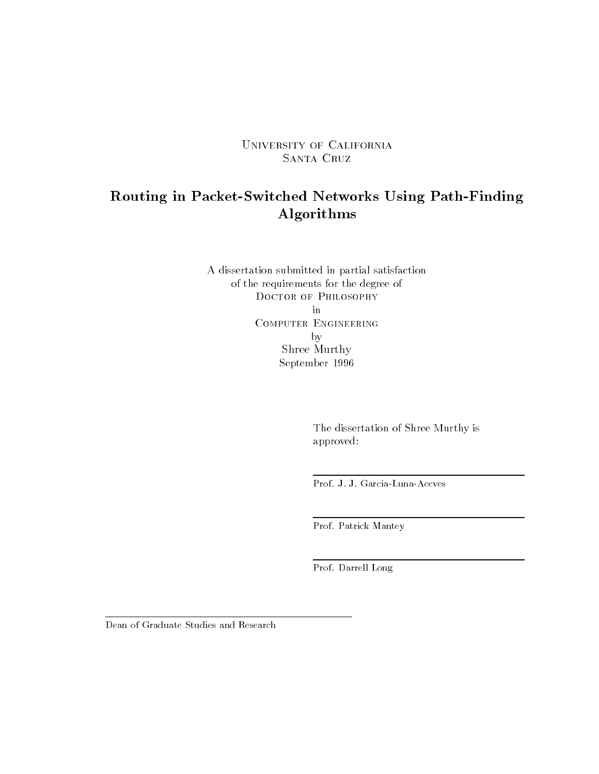University of California SANTA CRUZ

### Routing in Packet-Switched Networks Using Path-Finding Algorithms

A dissertation submitted in partial satisfaction of the requirements for the degree of DOCTOR OF PHILOSOPHY Computer Engineeringby Shree Murthy September 1996

> The dissertation of Shree Murthy is approved:

Prof. J. J. Garcia-Luna-Aceves

Prof. Patrick Mantey

Prof. Darrell Long

Dean of Graduate Studies and Research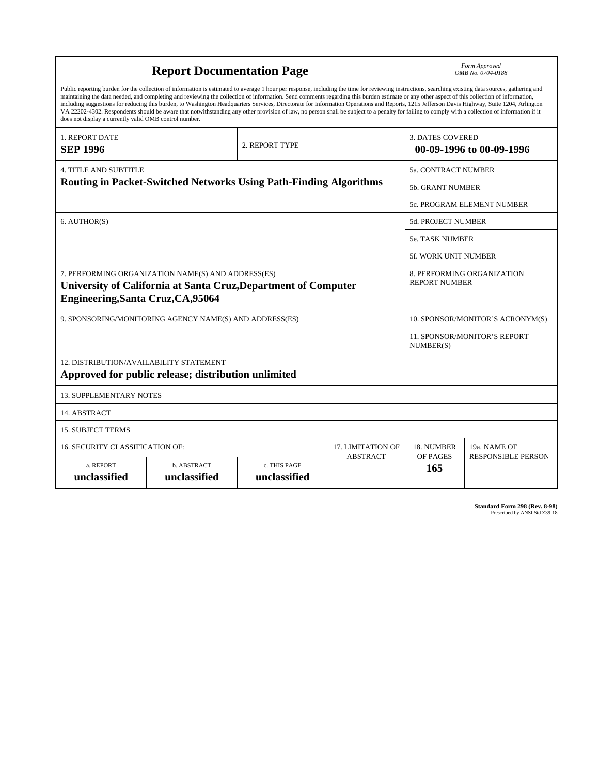| <b>Report Documentation Page</b>                                                                                                                                                                                                                                                                                                                                                                                                                                                                                                                                                                                                                                                                                                                                                                                                                                   |                                                                          |                              | Form Approved<br>OMB No. 0704-0188 |                             |                                     |
|--------------------------------------------------------------------------------------------------------------------------------------------------------------------------------------------------------------------------------------------------------------------------------------------------------------------------------------------------------------------------------------------------------------------------------------------------------------------------------------------------------------------------------------------------------------------------------------------------------------------------------------------------------------------------------------------------------------------------------------------------------------------------------------------------------------------------------------------------------------------|--------------------------------------------------------------------------|------------------------------|------------------------------------|-----------------------------|-------------------------------------|
| Public reporting burden for the collection of information is estimated to average 1 hour per response, including the time for reviewing instructions, searching existing data sources, gathering and<br>maintaining the data needed, and completing and reviewing the collection of information. Send comments regarding this burden estimate or any other aspect of this collection of information,<br>including suggestions for reducing this burden, to Washington Headquarters Services, Directorate for Information Operations and Reports, 1215 Jefferson Davis Highway, Suite 1204, Arlington<br>VA 22202-4302. Respondents should be aware that notwithstanding any other provision of law, no person shall be subject to a penalty for failing to comply with a collection of information if it<br>does not display a currently valid OMB control number. |                                                                          |                              |                                    |                             |                                     |
| <b>1. REPORT DATE</b><br>2. REPORT TYPE<br><b>SEP 1996</b>                                                                                                                                                                                                                                                                                                                                                                                                                                                                                                                                                                                                                                                                                                                                                                                                         |                                                                          |                              |                                    | <b>3. DATES COVERED</b>     | 00-09-1996 to 00-09-1996            |
| <b>4. TITLE AND SUBTITLE</b>                                                                                                                                                                                                                                                                                                                                                                                                                                                                                                                                                                                                                                                                                                                                                                                                                                       |                                                                          |                              |                                    | <b>5a. CONTRACT NUMBER</b>  |                                     |
|                                                                                                                                                                                                                                                                                                                                                                                                                                                                                                                                                                                                                                                                                                                                                                                                                                                                    | <b>Routing in Packet-Switched Networks Using Path-Finding Algorithms</b> |                              |                                    | <b>5b. GRANT NUMBER</b>     |                                     |
|                                                                                                                                                                                                                                                                                                                                                                                                                                                                                                                                                                                                                                                                                                                                                                                                                                                                    |                                                                          |                              |                                    | 5c. PROGRAM ELEMENT NUMBER  |                                     |
| 6. AUTHOR(S)                                                                                                                                                                                                                                                                                                                                                                                                                                                                                                                                                                                                                                                                                                                                                                                                                                                       |                                                                          |                              |                                    | <b>5d. PROJECT NUMBER</b>   |                                     |
|                                                                                                                                                                                                                                                                                                                                                                                                                                                                                                                                                                                                                                                                                                                                                                                                                                                                    |                                                                          |                              |                                    | <b>5e. TASK NUMBER</b>      |                                     |
|                                                                                                                                                                                                                                                                                                                                                                                                                                                                                                                                                                                                                                                                                                                                                                                                                                                                    |                                                                          |                              |                                    | <b>5f. WORK UNIT NUMBER</b> |                                     |
| 7. PERFORMING ORGANIZATION NAME(S) AND ADDRESS(ES)<br>8. PERFORMING ORGANIZATION<br><b>REPORT NUMBER</b><br>University of California at Santa Cruz, Department of Computer<br>Engineering, Santa Cruz, CA, 95064                                                                                                                                                                                                                                                                                                                                                                                                                                                                                                                                                                                                                                                   |                                                                          |                              |                                    |                             |                                     |
| 9. SPONSORING/MONITORING AGENCY NAME(S) AND ADDRESS(ES)<br>10. SPONSOR/MONITOR'S ACRONYM(S)                                                                                                                                                                                                                                                                                                                                                                                                                                                                                                                                                                                                                                                                                                                                                                        |                                                                          |                              |                                    |                             |                                     |
|                                                                                                                                                                                                                                                                                                                                                                                                                                                                                                                                                                                                                                                                                                                                                                                                                                                                    |                                                                          |                              |                                    | NUMBER(S)                   | <b>11. SPONSOR/MONITOR'S REPORT</b> |
| 12. DISTRIBUTION/AVAILABILITY STATEMENT<br>Approved for public release; distribution unlimited                                                                                                                                                                                                                                                                                                                                                                                                                                                                                                                                                                                                                                                                                                                                                                     |                                                                          |                              |                                    |                             |                                     |
| <b>13. SUPPLEMENTARY NOTES</b>                                                                                                                                                                                                                                                                                                                                                                                                                                                                                                                                                                                                                                                                                                                                                                                                                                     |                                                                          |                              |                                    |                             |                                     |
| 14. ABSTRACT                                                                                                                                                                                                                                                                                                                                                                                                                                                                                                                                                                                                                                                                                                                                                                                                                                                       |                                                                          |                              |                                    |                             |                                     |
| <b>15. SUBJECT TERMS</b>                                                                                                                                                                                                                                                                                                                                                                                                                                                                                                                                                                                                                                                                                                                                                                                                                                           |                                                                          |                              |                                    |                             |                                     |
| 16. SECURITY CLASSIFICATION OF:<br><b>17. LIMITATION OF</b><br>18. NUMBER<br>19a. NAME OF                                                                                                                                                                                                                                                                                                                                                                                                                                                                                                                                                                                                                                                                                                                                                                          |                                                                          |                              |                                    |                             |                                     |
| a. REPORT<br>unclassified                                                                                                                                                                                                                                                                                                                                                                                                                                                                                                                                                                                                                                                                                                                                                                                                                                          | b. ABSTRACT<br>unclassified                                              | c. THIS PAGE<br>unclassified | <b>ABSTRACT</b><br>OF PAGES<br>165 |                             | <b>RESPONSIBLE PERSON</b>           |

**Standard Form 298 (Rev. 8-98)**<br>Prescribed by ANSI Std Z39-18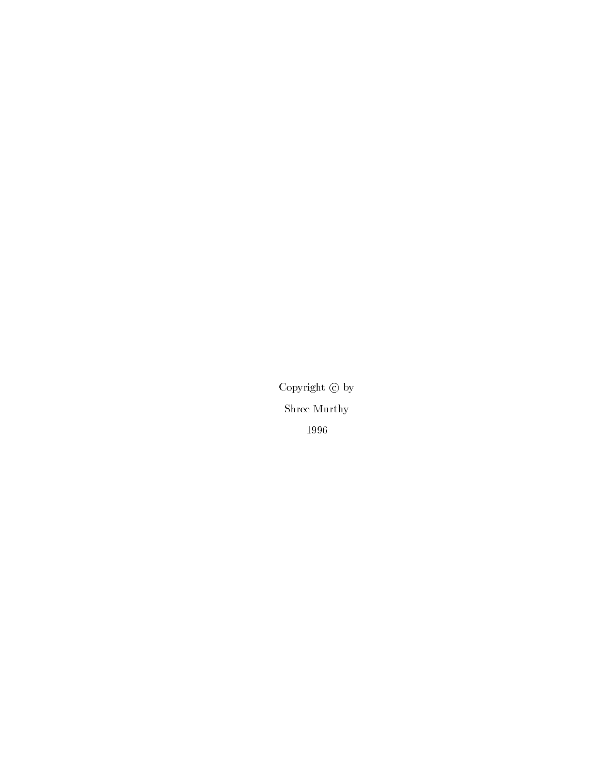Copyright  $\copyright$  by Shree Murthy 1996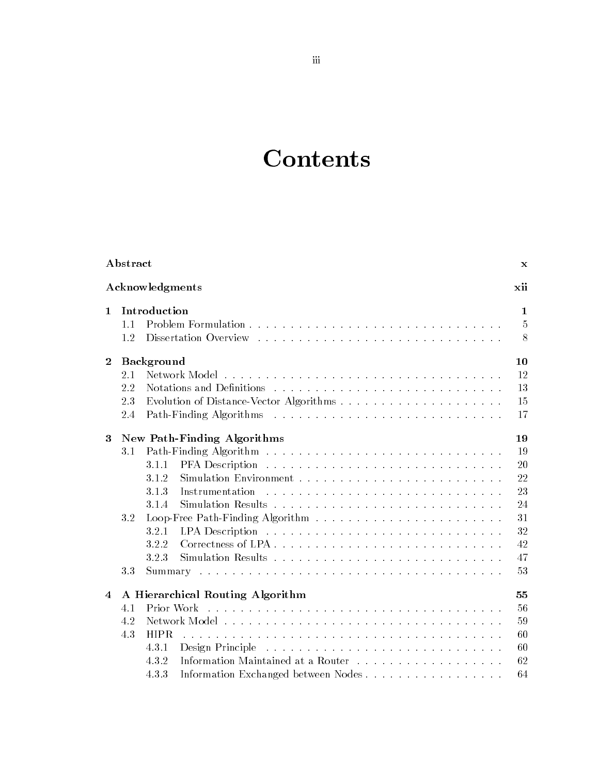# **Contents**

| Abstract                             |                                                                                                                           | $\mathbf x$                                                    |
|--------------------------------------|---------------------------------------------------------------------------------------------------------------------------|----------------------------------------------------------------|
| Acknowledgments<br>xii               |                                                                                                                           |                                                                |
| $\mathbf{1}$<br>$1\;1$<br>1.2        | Introduction                                                                                                              | 1<br>5<br>8                                                    |
| $\bf{2}$<br>2.1<br>2.2<br>2.3<br>2.4 | <b>Background</b><br>Notations and Definitions                                                                            | 10<br>12<br>13<br>15<br>17                                     |
| 3<br>31<br>3.2<br>33                 | New Path-Finding Algorithms<br>3.1.1<br>3.1.2<br>3.1.3<br>Instrumentation<br>3.1.4<br>3.2.1<br>3.2.2<br>3.2.3             | 19<br>19<br>20<br>22<br>23<br>24<br>31<br>32<br>42<br>47<br>53 |
| $\overline{4}$<br>4.1<br>4.2<br>4.3  | A Hierarchical Routing Algorithm<br>Prior Work<br>HIPR.<br>4.3.1<br>4.3.2<br>Information Exchanged between Nodes<br>4.3.3 | $55\,$<br>56<br>59<br>60<br>60<br>62<br>64                     |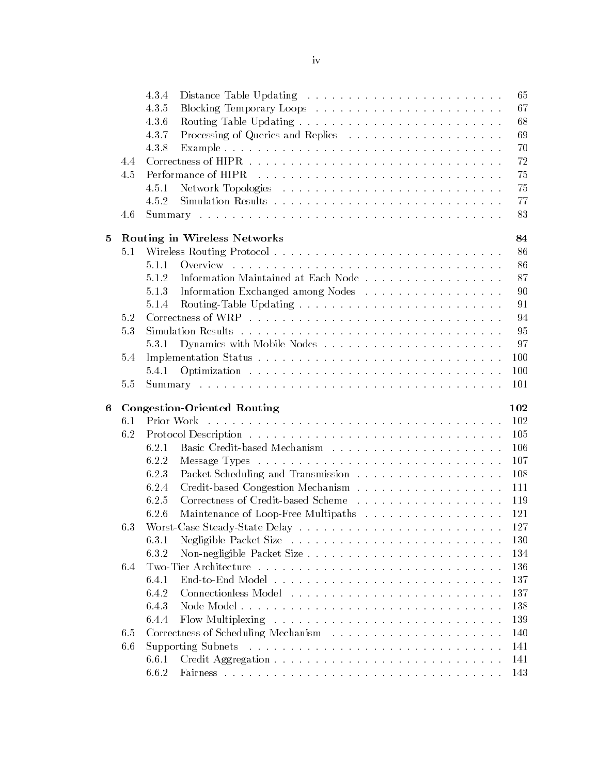|   |     | 4.3.4<br>65                                         |
|---|-----|-----------------------------------------------------|
|   |     | 4.3.5<br>67                                         |
|   |     | 4.3.6<br>68                                         |
|   |     | 4.3.7<br>Processing of Queries and Replies<br>69    |
|   |     | 4.3.8<br>70                                         |
|   | 4.4 | 72                                                  |
|   | 4.5 | 75                                                  |
|   |     | 4.5.1<br>75                                         |
|   |     | 77<br>4.5.2                                         |
|   | 4.6 | 83                                                  |
| 5 |     | Routing in Wireless Networks<br>84                  |
|   | 5.1 | 86                                                  |
|   |     | 5.1.1<br>86                                         |
|   |     | Information Maintained at Each Node<br>5.1.2<br>87  |
|   |     | 5.1.3<br>Information Exchanged among Nodes<br>90    |
|   |     | 5.1.4<br>91                                         |
|   | 5.2 | 94                                                  |
|   | 5.3 | 95                                                  |
|   |     | Dynamics with Mobile Nodes<br>97<br>5.3.1           |
|   | 5.4 | 100                                                 |
|   |     | 100<br>5.4.1                                        |
|   | 5.5 | 101                                                 |
|   |     |                                                     |
| 6 |     | <b>Congestion-Oriented Routing</b><br>102           |
|   | 6.1 | Prior Work<br>102                                   |
|   | 6.2 | 105                                                 |
|   |     | 106<br>6.2.1                                        |
|   |     | 6.2.2<br>107                                        |
|   |     | 6.2.3<br>108                                        |
|   |     | 6.2.4<br>111                                        |
|   |     | 6.2.5<br>119                                        |
|   |     | 6.2.6<br>Maintenance of Loop-Free Multipaths<br>121 |
|   | 6.3 | 127                                                 |
|   |     | 6.3.1<br>130                                        |
|   |     | 6.3.2<br>134                                        |
|   | 6.4 | 136                                                 |
|   |     | 6.4.1<br>137                                        |
|   |     | 6.4.2<br>137                                        |
|   |     | 6.4.3<br>138                                        |
|   |     | 139<br>6.4.4                                        |
|   | 6.5 | 140                                                 |
|   | 6.6 | 141                                                 |
|   |     | 141<br>6.6.1                                        |
|   |     | 6.6.2<br>143                                        |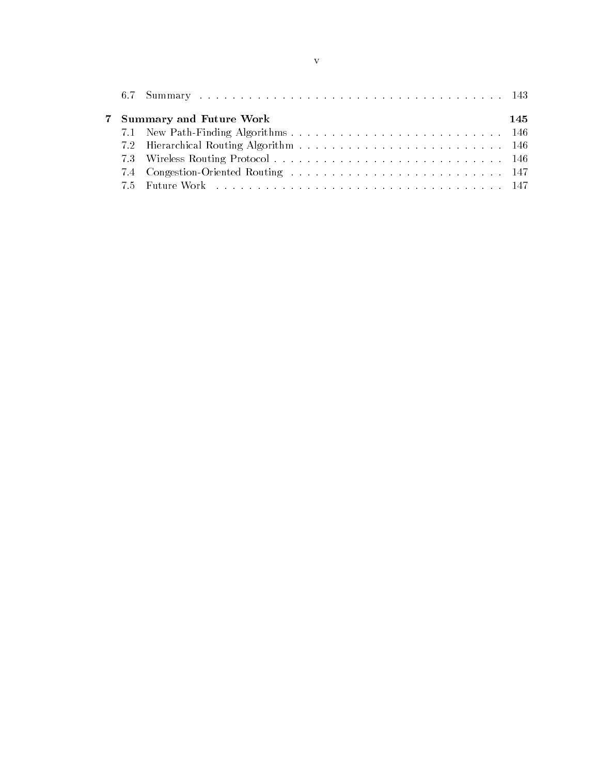|  | 7 Summary and Future Work | 145 |
|--|---------------------------|-----|
|  |                           |     |
|  |                           |     |
|  |                           |     |
|  |                           |     |
|  |                           |     |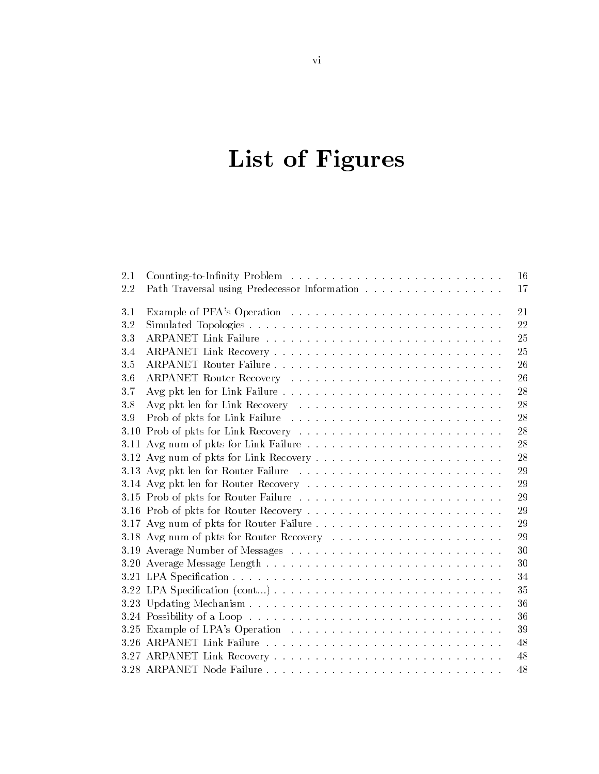# List of Figures

| 2.1 |                                              | 16 |
|-----|----------------------------------------------|----|
| 2.2 | Path Traversal using Predecessor Information | 17 |
| 3.1 |                                              | 21 |
| 3.2 |                                              | 22 |
| 3.3 |                                              | 25 |
| 3.4 |                                              | 25 |
| 3.5 |                                              | 26 |
| 3.6 |                                              | 26 |
| 3.7 |                                              | 28 |
| 3.8 |                                              | 28 |
| 3.9 |                                              | 28 |
|     |                                              | 28 |
|     |                                              | 28 |
|     |                                              | 28 |
|     |                                              | 29 |
|     |                                              | 29 |
|     | 3.15 Prob of pkts for Router Failure         | 29 |
|     |                                              | 29 |
|     |                                              | 29 |
|     | 3.18 Avg num of pkts for Router Recovery     | 29 |
|     |                                              | 30 |
|     |                                              | 30 |
|     |                                              | 34 |
|     |                                              | 35 |
|     |                                              | 36 |
|     |                                              | 36 |
|     |                                              | 39 |
|     |                                              | 48 |
|     |                                              | 48 |
|     |                                              | 48 |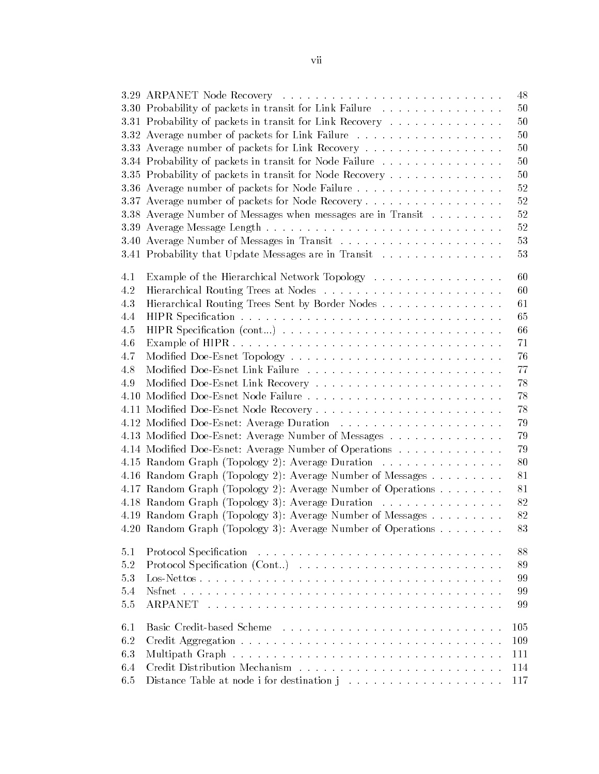|      | 3.29 ARPANET Node Recovery                                   | 48  |
|------|--------------------------------------------------------------|-----|
|      | 3.30 Probability of packets in transit for Link Failure      | 50  |
|      | 3.31 Probability of packets in transit for Link Recovery     | 50  |
|      |                                                              | 50  |
|      | 3.33 Average number of packets for Link Recovery             | 50  |
|      | 3.34 Probability of packets in transit for Node Failure      | 50  |
|      | 3.35 Probability of packets in transit for Node Recovery     | 50  |
|      |                                                              | 52  |
|      | 3.37 Average number of packets for Node Recovery             | 52  |
|      | 3.38 Average Number of Messages when messages are in Transit | 52  |
|      |                                                              | 52  |
|      |                                                              | 53  |
|      | 3.41 Probability that Update Messages are in Transit         | 53  |
|      |                                                              |     |
| 4.1  | Example of the Hierarchical Network Topology                 | 60  |
| 4.2  |                                                              | 60  |
| 4.3  | Hierarchical Routing Trees Sent by Border Nodes              | 61  |
| 4.4  |                                                              | 65  |
| 4.5  |                                                              | 66  |
| 4.6  |                                                              | 71  |
| 4.7  |                                                              | 76  |
| 4.8  |                                                              | 77  |
| 4.9  |                                                              | 78  |
| 4.10 |                                                              | 78  |
|      |                                                              | 78  |
|      |                                                              | 79  |
|      | 4.13 Modified Doe-Esnet: Average Number of Messages          | 79  |
|      | 4.14 Modified Doe-Esnet: Average Number of Operations        | 79  |
|      | 4.15 Random Graph (Topology 2): Average Duration             | 80  |
|      | 4.16 Random Graph (Topology 2): Average Number of Messages   | 81  |
|      | 4.17 Random Graph (Topology 2): Average Number of Operations | 81  |
|      | 4.18 Random Graph (Topology 3): Average Duration             | 82  |
|      | 4.19 Random Graph (Topology 3): Average Number of Messages   | 82  |
|      | 4.20 Random Graph (Topology 3): Average Number of Operations | 83  |
| 5.1  |                                                              | 88  |
| 5.2  |                                                              | 89  |
| 5.3  |                                                              | 99  |
| 5.4  |                                                              | 99  |
| 5.5  |                                                              | 99  |
|      |                                                              |     |
| 6.1  |                                                              | 105 |
| 6.2  |                                                              | 109 |
| 6.3  |                                                              | 111 |
| 6.4  |                                                              | 114 |
| 6.5  |                                                              | 117 |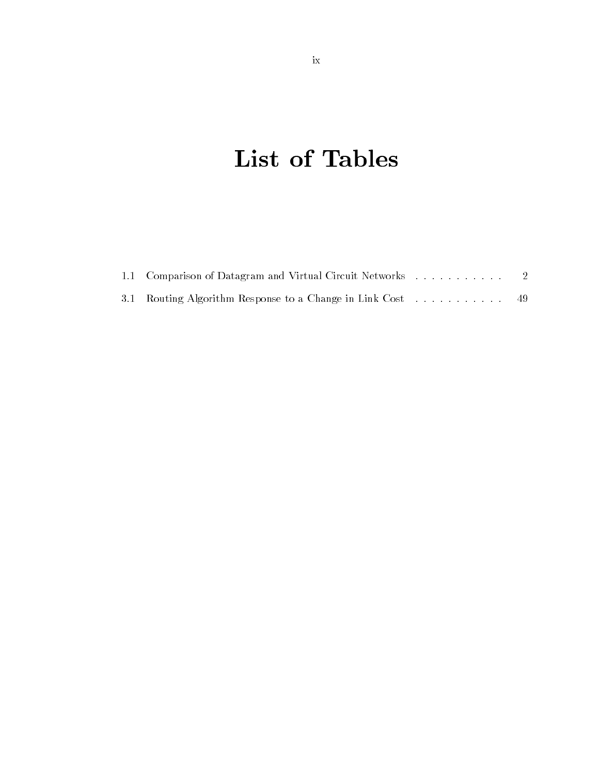# List of Tables

| 3.1 Routing Algorithm Response to a Change in Link Cost  49 |  |
|-------------------------------------------------------------|--|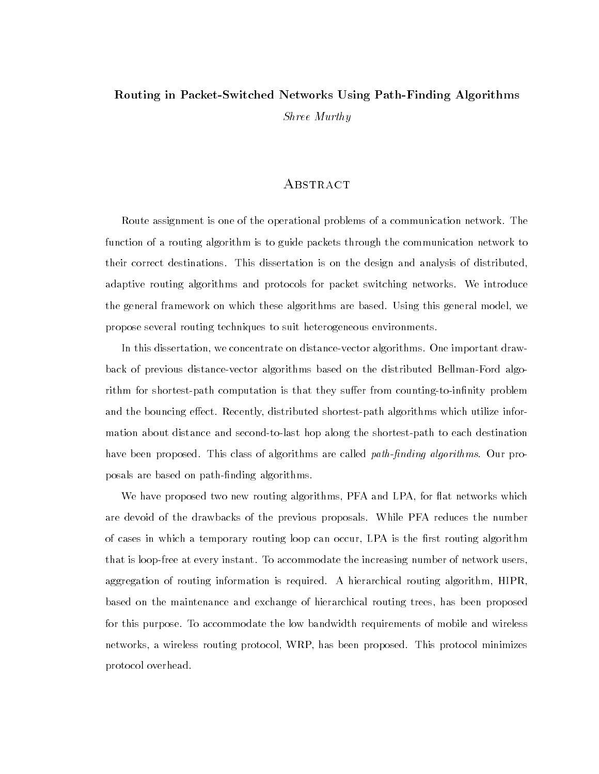### Routing in Packet-Switched Networks Using Path-Finding Algorithms Shree Murthy

#### **ABSTRACT**

Route assignment is one of the operational problems of a communication network. The function of a routing algorithm is to guide packets through the communication network to their correct destinations. This dissertation is on the design and analysis of distributed, adaptive routing algorithms and protocols for packet switching networks. We introduce the general framework on which these algorithms are based. Using this general model, we propose several routing techniques to suit heterogeneous environments.

In this dissertation, we concentrate on distance-vector algorithms. One important drawback of previous distance-vector algorithms based on the distributed Bellman-Ford algorithm for shortest-path computation is that they suffer from counting-to-infinity problem and the bouncing effect. Recently, distributed shortest-path algorithms which utilize information about distance and second-to-last hop along the shortest-path to each destination have been proposed. This class of algorithms are called *path-finding algorithms*. Our proposals are based on path-finding algorithms.

We have proposed two new routing algorithms, PFA and LPA, for flat networks which are devoid of the drawbacks of the previous proposals. While PFA reduces the number of cases in which a temporary routing loop can occur, LPA is the first routing algorithm that is loop-free at every instant. To accommodate the increasing number of network users, aggregation of routing information is required. A hierarchical routing algorithm, HIPR, based on the maintenance and exchange of hierarchical routing trees, has been proposed for this purpose. To accommodate the low bandwidth requirements of mobile and wireless networks, a wireless routing protocol, WRP, has been proposed. This protocol minimizes protocol overhead.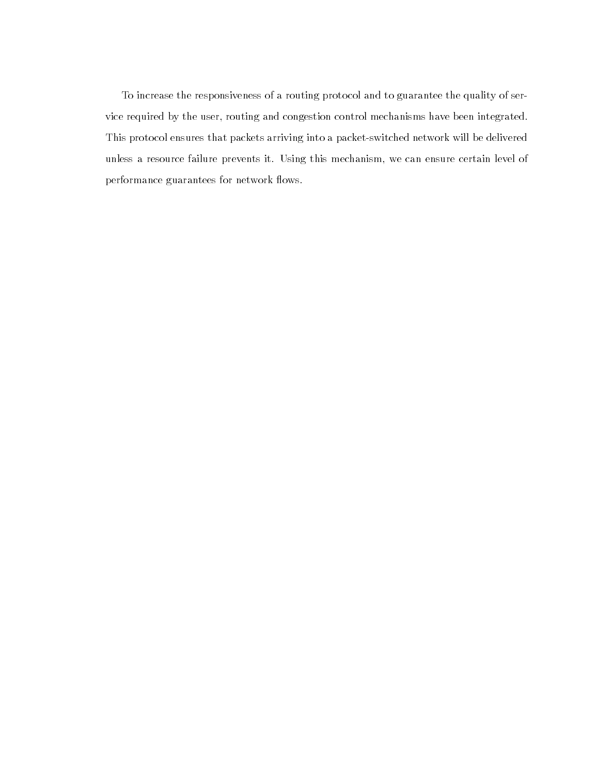To increase the responsiveness of a routing protocol and to guarantee the quality of service required by the user, routing and congestion control mechanisms have been integrated. This protocol ensures that packets arriving into a packet-switched network will be delivered unless a resource failure prevents it. Using this mechanism, we can ensure certain level of performance guarantees for network flows.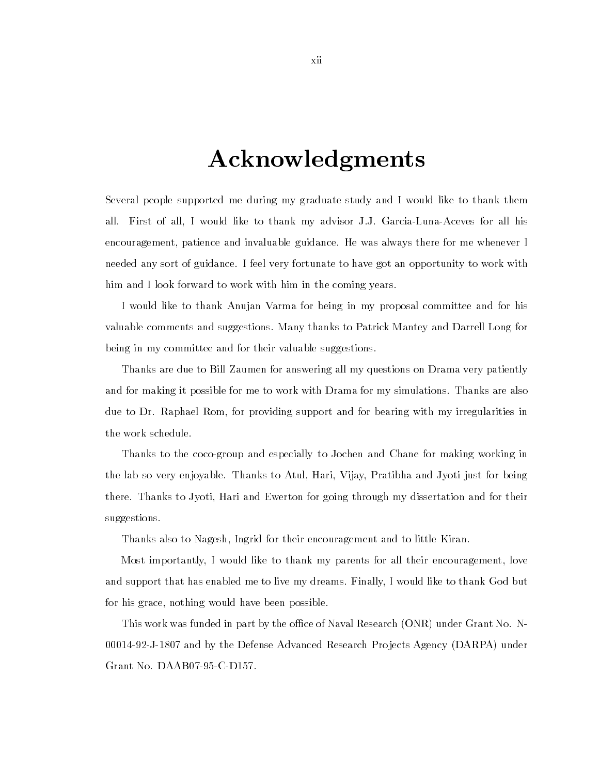### Acknowledgments

Several people supported me during my graduate study and I would like to thank them all. First of all, I would like to thank my advisor J.J. Garcia-Luna-Aceves for all his encouragement, patience and invaluable guidance. He was always there for me whenever I needed any sort of guidance. I feel very fortunate to have got an opportunity to work with him and I look forward to work with him in the coming years.

I would like to thank Anujan Varma for being in my proposal committee and for his valuable comments and suggestions. Many thanks to Patrick Mantey and Darrell Long for being in my committee and for their valuable suggestions.

Thanks are due to Bill Zaumen for answering all my questions on Drama very patiently and for making it possible for me to work with Drama for my simulations. Thanks are also due to Dr. Raphael Rom, for providing support and for bearing with my irregularities in the work schedule.

Thanks to the coco-group and especially to Jochen and Chane for making working in the lab so very enjoyable. Thanks to Atul, Hari, Vijay, Pratibha and Jyoti just for being there. Thanks to Jyoti, Hari and Ewerton for going through my dissertation and for their suggestions.

Thanks also to Nagesh, Ingrid for their encouragement and to little Kiran.

Most importantly,Iwould like to thank my parents for all their encouragement, love and support that has enabled me to live my dreams. Finally,Iwould like to thank God but for his grace, nothing would have been possible.

This work was funded in part by the office of Naval Research (ONR) under Grant No. N-00014-92-J-1807 and by the Defense Advanced Research Pro jects Agency (DARPA) under Grant No. DAAB07-95-C-D157.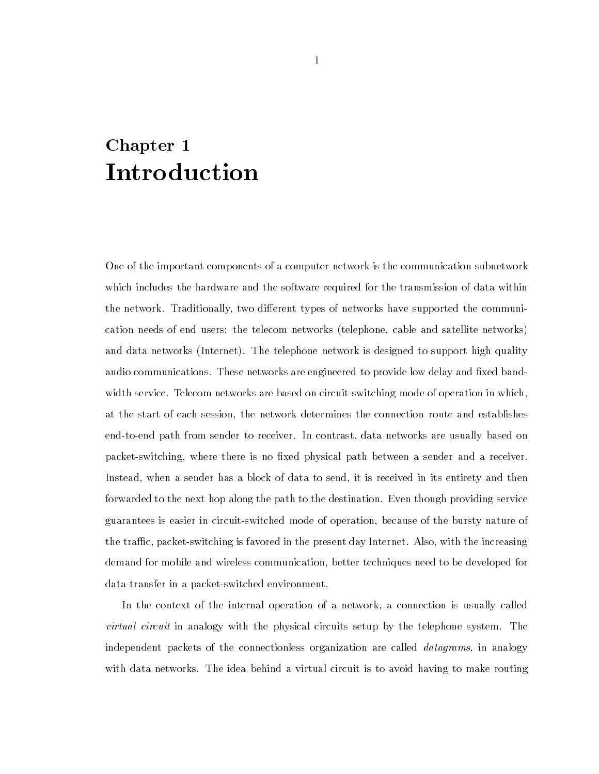# Chapter 1

One of the important components of a computer network is the communication subnetwork which includes the hardware and the software required for the transmission of data within the network. Traditionally, two different types of networks have supported the communication needs of end users: the telecom networks (telephone, cable and satellite networks) and data networks (Internet). The telephone network is designed to support high quality audio communications. These networks are engineered to provide low delay and fixed bandwidth service. Telecom networks are based on circuit-switching mode of operation in which, at the start of each session, the network determines the connection route and establishes end-to-end path from sender to receiver. In contrast, data networks are usually based on packet-switching, where there is no fixed physical path between a sender and a receiver. Instead, when a sender has a block of data to send, it is received in its entirety and then forwarded to the next hop along the path to the destination. Even though providing service guarantees is easier in circuit-switched mode of operation, because of the bursty nature of the traffic, packet-switching is favored in the present day Internet. Also, with the increasing demand for mobile and wireless communication, better techniques need to be developed for data transfer in a packet-switched environment.

In the context of the internal operation of a network, a connection is usually called *virtual circuit* in analogy with the physical circuits setup by the telephone system. The independent packets of the connectionless organization are called *datagrams*, in analogy with data networks. The idea behind a virtual circuit is to avoid having to make routing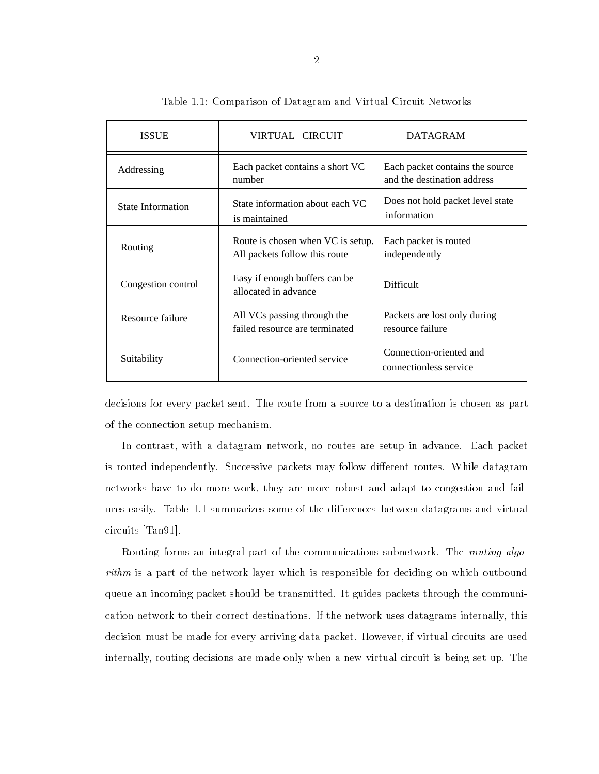| <b>ISSUE</b>             | VIRTUAL CIRCUIT                                                    | <b>DATAGRAM</b>                                                |
|--------------------------|--------------------------------------------------------------------|----------------------------------------------------------------|
| Addressing               | Each packet contains a short VC<br>number                          | Each packet contains the source<br>and the destination address |
| <b>State Information</b> | State information about each VC<br>is maintained                   | Does not hold packet level state<br>information                |
| Routing                  | Route is chosen when VC is setup.<br>All packets follow this route | Each packet is routed<br>independently                         |
| Congestion control       | Easy if enough buffers can be<br>allocated in advance              | <b>Difficult</b>                                               |
| Resource failure         | All VCs passing through the<br>failed resource are terminated      | Packets are lost only during<br>resource failure               |
| Suitability              | Connection-oriented service                                        | Connection-oriented and<br>connectionless service              |

Table 1.1: Comparison of Datagram and Virtual Circuit Networks

decisions for every packet sent. The route from a source to a destination is chosen as part of the connection setup mechanism.

In contrast, with a datagram network, no routes are setup in advance. Each packet is routed independently. Successive packets may follow different routes. While datagram networks have to do more work, they are more robust and adapt to congestion and failures easily. Table 1.1 summarizes some of the differences between datagrams and virtual circuits [Tan91].

Routing forms an integral part of the communications subnetwork. The *routing algo*rithm is a part of the network layer which is responsible for deciding on which outbound queue an incoming packet should be transmitted. It guides packets through the communication network to their correct destinations. If the network uses datagrams internally, this decision must be made for every arriving data packet. However, if virtual circuits are used internally, routing decisions are made only when a new virtual circuit is being set up. The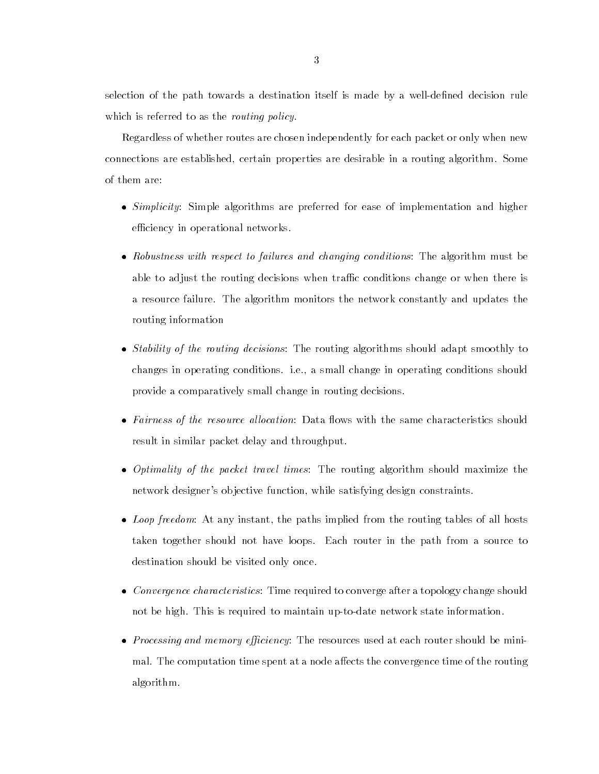selection of the path towards a destination itself is made byawell-dened decision rule which is referred to as the *routing policy*.

Regardless of whether routes are chosen independently for each packet or only when new connections are established, certain properties are desirable in a routing algorithm. Some of them are:

- Simplicity: Simple algorithms are preferred for ease of implementation and higher efficiency in operational networks.
- Robustness with respect to failures and changing conditions: The algorithm must be able to adjust the routing decisions when traffic conditions change or when there is a resource failure. The algorithm monitors the network constantly and updates the routing information
- Stability of the routing decisions: The routing algorithms should adapt smoothly to changes in operating conditions. i.e., a small change in operating conditions should provide a comparatively small change in routing decisions.
- Fairness of the resource al location: Data 
ows with the same characteristics should result in similar packet delay and throughput.
- Optimality of the packet travel times: The routing algorithm should maximize the network designer's ob jective function, while satisfying design constraints.
- Loop freedom: At any instant, the paths implied from the routing tables of all hosts taken together should not have loops. Each router in the path from a source to destination should be visited only once.
- Convergence characteristics: Time required to converge after a topology change should not be high. This is required to maintain up-to-date network state information.
- Processing and memory eciency: The resources used at each router should be minimal. The computation time spent at a node affects the convergence time of the routing algorithm.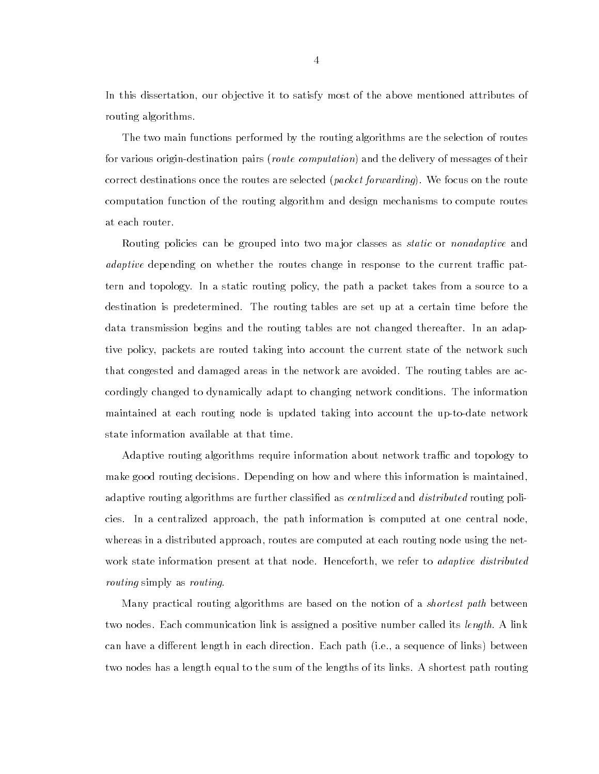In this dissertation, our objective it to satisfy most of the above mentioned attributes of routing algorithms.

The two main functions performed by the routing algorithms are the selection of routes for various origin-destination pairs (*route computation*) and the delivery of messages of their correct destinations once the routes are selected (*packet forwarding*). We focus on the route computation function of the routing algorithm and design mechanisms to compute routes at each router.

Routing policies can be grouped into two major classes as *static* or *nonadaptive* and *adaptive* depending on whether the routes change in response to the current traffic pattern and topology. In a static routing policy, the path a packet takes from a source to a destination is predetermined. The routing tables are set up at a certain time before the data transmission begins and the routing tables are not changed thereafter. In an adaptive policy, packets are routed taking into account the current state of the network such that congested and damaged areas in the network are avoided. The routing tables are accordingly changed to dynamically adapt to changing network conditions. The information maintained at each routing node is updated taking into account the up-to-date network state information available at that time.

Adaptive routing algorithms require information about network traffic and topology to make good routing decisions. Depending on how and where this information is maintained, adaptive routing algorithms are further classified as *centralized* and *distributed* routing policies. In a centralized approach, the path information is computed at one central node, whereas in a distributed approach, routes are computed at each routing node using the network state information present at that node. Henceforth, we refer to *adaptive distributed* routing simply as routing.

Many practical routing algorithms are based on the notion of a *shortest path* between two nodes. Each communication link is assigned a positive number called its *length*. A link can have a different length in each direction. Each path (i.e., a sequence of links) between two nodes has a length equal to the sum of the lengths of its links. A shortest path routing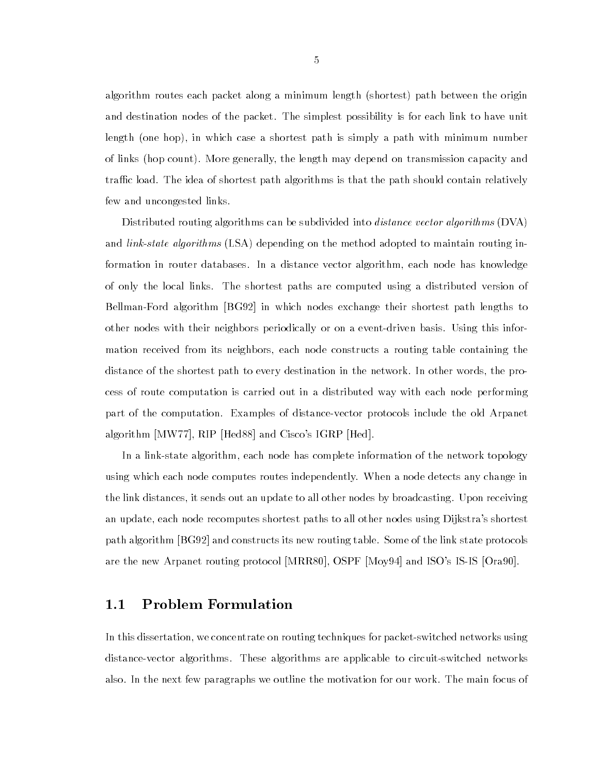algorithm routes each packet along a minimum length (shortest) path between the origin and destination nodes of the packet. The simplest possibility is for each link to have unit length (one hop), in which case a shortest path is simply a path with minimum number of links (hop count). More generally, the length may depend on transmission capacity and traffic load. The idea of shortest path algorithms is that the path should contain relatively few and uncongested links.

Distributed routing algorithms can be subdivided into *distance vector algorithms* (DVA) and *link-state algorithms* (LSA) depending on the method adopted to maintain routing information in router databases. In a distance vector algorithm, each node has knowledge of only the local links. The shortest paths are computed using a distributed version of Bellman-Ford algorithm [BG92] in which nodes exchange their shortest path lengths to other nodes with their neighbors periodically or on a event-driven basis. Using this information received from its neighbors, each node constructs a routing table containing the distance of the shortest path to every destination in the network. In other words, the process of route computation is carried out in a distributed way with each node performing part of the computation. Examples of distance-vector protocols include the old Arpanet algorithm [MW77], RIP [Hed88] and Cisco's IGRP [Hed].

In a link-state algorithm, each node has complete information of the network topology using which each node computes routes independently. When a node detects any change in the link distances, it sends out an update to all other nodes by broadcasting. Upon receiving an update, each node recomputes shortest paths to all other nodes using Dijkstra's shortest path algorithm [BG92] and constructs its new routing table. Some of the link state protocols are the new Arpanet routing protocol [MRR80], OSPF [Moy94] and ISO's IS-IS [Ora90].

### 1.1 Problem Formulation

In this dissertation, we concentrate on routing techniques for packet-switched networks using distance-vector algorithms. These algorithms are applicable to circuit-switched networks also. In the next few paragraphs we outline the motivation for our work. The main focus of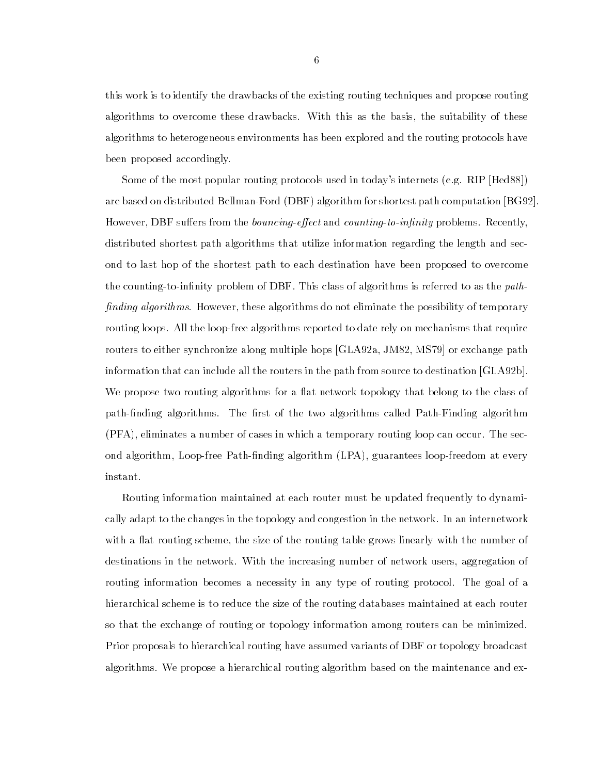this work is to identify the drawbacks of the existing routing techniques and propose routing algorithms to overcome these drawbacks. With this as the basis, the suitability of these algorithms to heterogeneous environments has been explored and the routing protocols have been proposed accordingly.

Some of the most popular routing protocols used in today's internets (e.g. RIP [Hed88]) are based on distributed Bellman-Ford (DBF) algorithm for shortest path computation [BG92]. However, DBF suffers from the *bouncing-effect* and *counting-to-infinity* problems. Recently, distributed shortest path algorithms that utilize information regarding the length and second to last hop of the shortest path to each destination have been proposed to overcome the counting-to-infinity problem of DBF. This class of algorithms is referred to as the *path*finding algorithms. However, these algorithms do not eliminate the possibility of temporary routing loops. All the loop-free algorithms reported to date rely on mechanisms that require routers to either synchronize along multiple hops [GLA92a, JM82, MS79] or exchange path information that can include all the routers in the path from source to destination [GLA92b]. We propose two routing algorithms for a flat network topology that belong to the class of path-finding algorithms. The first of the two algorithms called Path-Finding algorithm (PFA), eliminates a number of cases in which a temporary routing loop can occur. The second algorithm, Loop-free Path-finding algorithm (LPA), guarantees loop-freedom at every instant.

Routing information maintained at each router must be updated frequently to dynamically adapt to the changes in the topology and congestion in the network. In an internetwork with a flat routing scheme, the size of the routing table grows linearly with the number of destinations in the network. With the increasing number of network users, aggregation of routing information becomes a necessity in any type of routing protocol. The goal of a hierarchical scheme is to reduce the size of the routing databases maintained at each router so that the exchange of routing or topology information among routers can be minimized. Prior proposals to hierarchical routing have assumed variants of DBF or topology broadcast algorithms. We propose a hierarchical routing algorithm based on the maintenance and ex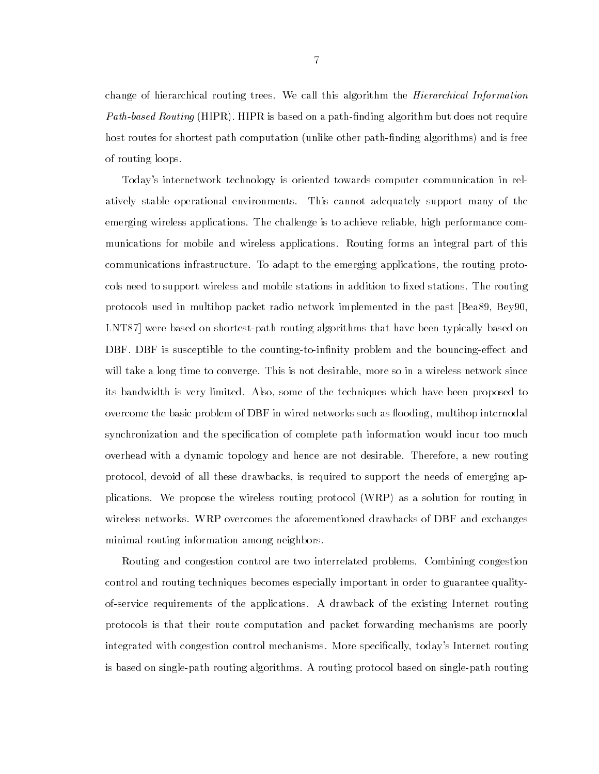change of hierarchical routing trees. We call this algorithm the Hierarchical Information Path-based Routing (HIPR). HIPR is based on a path-finding algorithm but does not require host routes for shortest path computation (unlike other path-finding algorithms) and is free of routing loops.

Today's internetwork technology is oriented towards computer communication in relatively stable operational environments. This cannot adequately support many of the emerging wireless applications. The challenge is to achieve reliable, high performance communications for mobile and wireless applications. Routing forms an integral part of this communications infrastructure. To adapt to the emerging applications, the routing protocols need to support wireless and mobile stations in addition to fixed stations. The routing protocols used in multihop packet radio network implemented in the past [Bea89, Bey90, LNT87] were based on shortest-path routing algorithms that have been typically based on DBF. DBF is susceptible to the counting-to-infinity problem and the bouncing-effect and will take a long time to converge. This is not desirable, more so in a wireless network since its bandwidth is very limited. Also, some of the techniques which have been proposed to overcome the basic problem of DBF in wired networks such as flooding, multihop internodal synchronization and the specification of complete path information would incur too much overhead with a dynamic topology and hence are not desirable. Therefore, a new routing protocol, devoid of all these drawbacks, is required to support the needs of emerging applications. We propose the wireless routing protocol (WRP) as a solution for routing in wireless networks. WRP overcomes the aforementioned drawbacks of DBF and exchanges minimal routing information among neighbors.

Routing and congestion control are two interrelated problems. Combining congestion control and routing techniques becomes especially important in order to guarantee qualityof-service requirements of the applications. A drawback of the existing Internet routing protocols is that their route computation and packet forwarding mechanisms are poorly integrated with congestion control mechanisms. More specically, today's Internet routing is based on single-path routing algorithms. A routing protocol based on single-path routing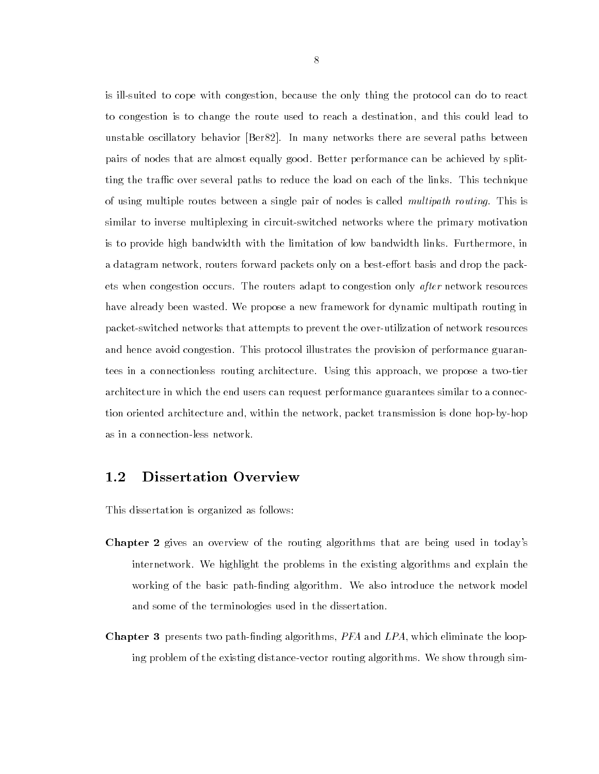is ill-suited to cope with congestion, because the only thing the protocol can do to react to congestion is to change the route used to reach a destination, and this could lead to unstable oscillatory behavior [Ber82]. In many networks there are several paths between pairs of nodes that are almost equally good. Better performance can be achieved by splitting the traffic over several paths to reduce the load on each of the links. This technique of using multiple routes between a single pair of nodes is called multipath routing. This is similar to inverse multiplexing in circuit-switched networks where the primary motivation is to provide high bandwidth with the limitation of low bandwidth links. Furthermore, in a datagram network, routers forward packets only on a best-effort basis and drop the packets when congestion occurs. The routers adapt to congestion only after network resources have already been wasted. We propose a new framework for dynamic multipath routing in packet-switched networks that attempts to prevent the over-utilization of network resources and hence avoid congestion. This protocol illustrates the provision of performance guarantees in a connectionless routing architecture. Using this approach, we propose a two-tier architecture in which the end users can request performance guarantees similar to a connection oriented architecture and, within the network, packet transmission is done hop-by-hop as in a connection-less network.

#### $1.2$ Dissertation Overview

This dissertation is organized as follows:

- Chapter 2 gives an overview of the routing algorithms that are being used in today's internetwork. We highlight the problems in the existing algorithms and explain the working of the basic path-finding algorithm. We also introduce the network model and some of the terminologies used in the dissertation.
- **Chapter 3** presents two path-finding algorithms,  $PFA$  and  $LPA$ , which eliminate the looping problem of the existing distance-vector routing algorithms. We show through sim-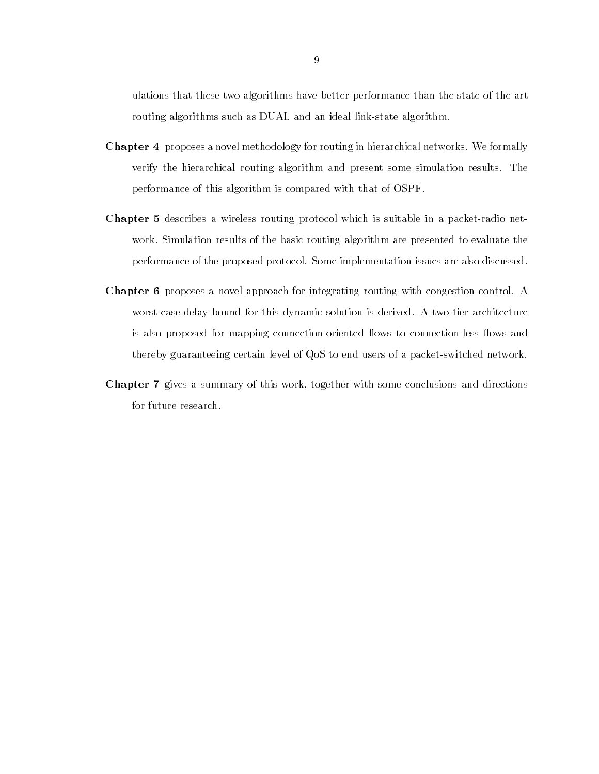ulations that these two algorithms have better performance than the state of the art routing algorithms such as DUAL and an ideal link-state algorithm.

- Chapter 4 proposes a novel methodology for routing in hierarchical networks. We formally verify the hierarchical routing algorithm and present some simulation results. The performance of this algorithm is compared with that of OSPF.
- Chapter 5 describes a wireless routing protocol which is suitable in a packet-radio network. Simulation results of the basic routing algorithm are presented to evaluate the performance of the proposed protocol. Some implementation issues are also discussed.
- Chapter 6 proposes a novel approach for integrating routing with congestion control. A worst-case delay bound for this dynamic solution is derived. A two-tier architecture is also proposed for mapping connection-oriented flows to connection-less flows and thereby guaranteeing certain level of QoS to end users of a packet-switched network.
- Chapter 7 gives a summary of this work, together with some conclusions and directions for future research.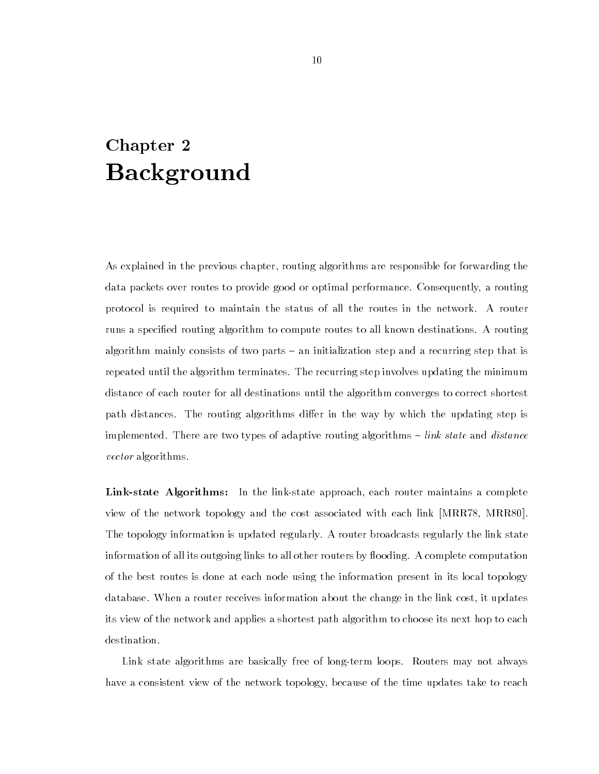### Chapter 2 Background

As explained in the previous chapter, routing algorithms are responsible for forwarding the data packets over routes to provide good or optimal performance. Consequently, a routing protocol is required to maintain the status of all the routes in the network. A router runs a specied routing algorithm to compute routes to all known destinations. A routing algorithm mainly consists of two parts – an initialization step and a recurring step that is repeated until the algorithm terminates. The recurring step involves updating the minimum distance of each router for all destinations until the algorithm converges to correct shortest path distances. The routing algorithms differ in the way by which the updating step is implemented. There are two types of adaptive routing algorithms  ${-}$  link state and distance vector algorithms.

Link-state Algorithms: In the link-state approach, each router maintains a complete view of the network topology and the cost associated with each link [MRR78, MRR80]. The topology information is updated regularly. A router broadcasts regularly the link state information of all its outgoing links to all other routers by flooding. A complete computation of the best routes is done at each node using the information present in its local topology database. When a router receives information about the change in the link cost, it updates its view of the network and applies a shortest path algorithm to choose its next hop to each destination.

Link state algorithms are basically free of long-term loops. Routers may not always have a consistent view of the network topology, because of the time updates take to reach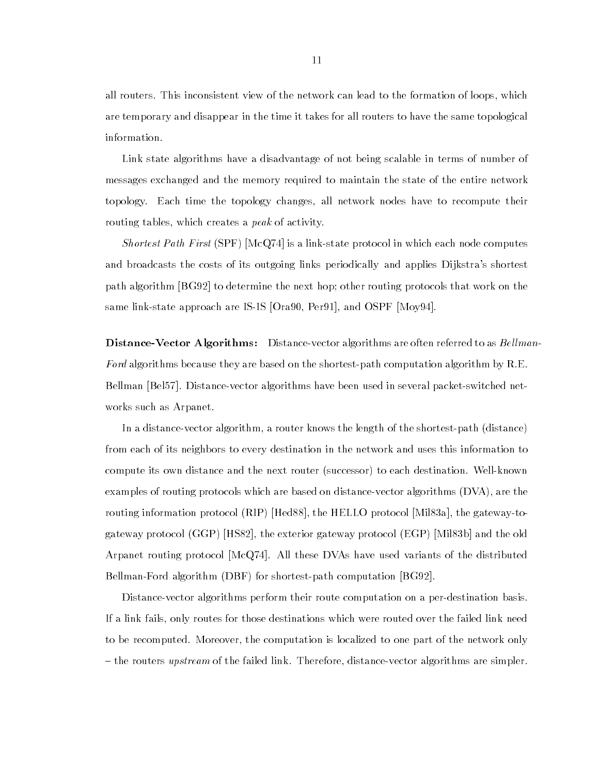all routers. This inconsistent view of the network can lead to the formation of loops, which are temporary and disappear in the time it takes for all routers to have the same topological information.

Link state algorithms have a disadvantage of not being scalable in terms of number of messages exchanged and the memory required to maintain the state of the entire network topology. Each time the topology changes, all network nodes have to recompute their routing tables, which creates a *peak* of activity.

Shortest Path First (SPF) [McQ74] is a link-state protocol in which each node computes and broadcasts the costs of its outgoing links periodically and applies Dijkstra's shortest path algorithm [BG92] to determine the next hop; other routing protocols that work on the same link-state approach are IS-IS [Ora90, Per91], and OSPF [Moy94].

**Distance-Vector Algorithms:** Distance-vector algorithms are often referred to as *Bellman*-Ford algorithms because they are based on the shortest-path computation algorithm by R.E. Bellman [Bel57]. Distance-vector algorithms have been used in several packet-switched networks such as Arpanet.

In a distance-vector algorithm, a router knows the length of the shortest-path (distance) from each of its neighbors to every destination in the network and uses this information to compute its own distance and the next router (successor) to each destination. Well-known examples of routing protocols which are based on distance-vector algorithms (DVA), are the routing information protocol (RIP) [Hed88], the HELLO protocol [Mil83a], the gateway-togateway protocol (GGP) [HS82], the exterior gateway protocol (EGP) [Mil83b] and the old Arpanet routing protocol [McQ74]. All these DVAs have used variants of the distributed Bellman-Ford algorithm (DBF) for shortest-path computation [BG92].

Distance-vector algorithms perform their route computation on a per-destination basis. If a link fails, only routes for those destinations which were routed over the failed link need to be recomputed. Moreover, the computation is localized to one part of the network only - the routers upstream of the failed link. Therefore, distance-vector algorithms are simpler.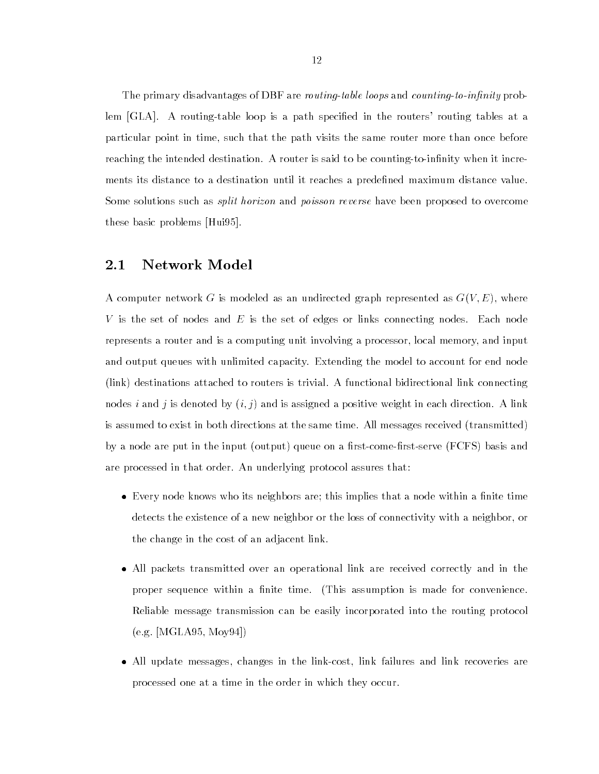The primary disadvantages of DBF are *routing-table loops* and *counting-to-infinity* problem [GLA]. A routing-table loop is a path specified in the routers' routing tables at a particular point in time, such that the path visits the same router more than once before reaching the intended destination. A router is said to be counting-to-infinity when it increments its distance to a destination until it reaches a predefined maximum distance value. Some solutions such as *split horizon* and *poisson reverse* have been proposed to overcome these basic problems [Hui95].

### 2.1 Network Model

A computer network G is modeled as an undirected graph represented as  $G(V, E)$ , where V is the set of nodes and E is the set of edges or links connecting nodes. Each node represents a router and is a computing unit involving a processor, local memory, and input and output queues with unlimited capacity. Extending the model to account for end node (link) destinations attached to routers is trivial. A functional bidirectional link connecting nodes i and j is denoted by  $(i, j)$  and is assigned a positive weight in each direction. A link is assumed to exist in both directions at the same time. All messages received (transmitted) by a node are put in the input (output) queue on a first-come-first-serve (FCFS) basis and are processed in that order. An underlying protocol assures that:

- Every node knows who its neighbors are; this implies that a node within a nite time detects the existence of a new neighbor or the loss of connectivity with a neighbor, or the change in the cost of an adjacent link.
- All packets transmitted over an operational link are received correctly and in the proper sequence within a finite time. (This assumption is made for convenience. Reliable message transmission can be easily incorporated into the routing protocol (e.g. [MGLA95, Moy94])
- All update messages, changes in the link-cost, link failures and link recoveries are processed one at a time in the order in which they occur.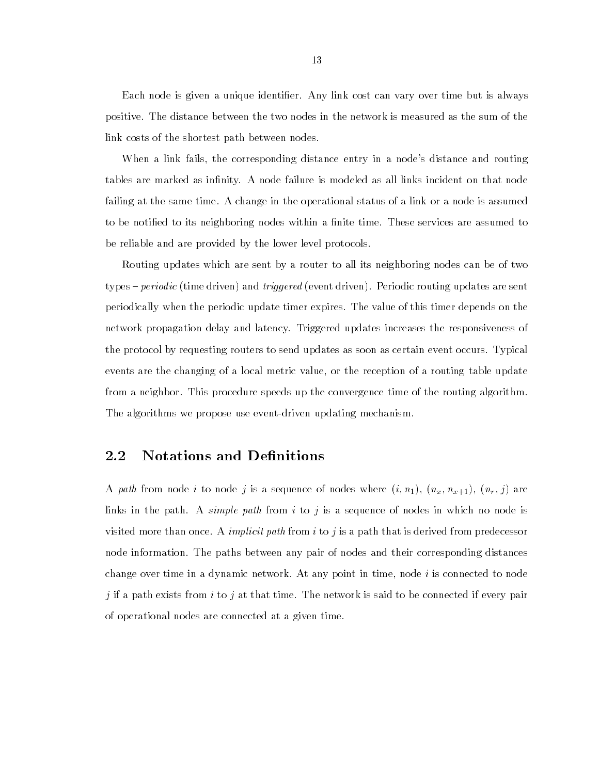Each node is given a unique identier. Any link cost can vary over time but is always positive. The distance between the two nodes in the network is measured as the sum of the link costs of the shortest path between nodes.

When a link fails, the corresponding distance entry in a node's distance and routing tables are marked as infinity. A node failure is modeled as all links incident on that node failing at the same time. A change in the operational status of a link or a node is assumed to be notified to its neighboring nodes within a finite time. These services are assumed to be reliable and are provided by the lower level protocols.

Routing updates which are sent by a router to all its neighboring nodes can be of two types – *periodic* (time driven) and *triggered* (event driven). Periodic routing updates are sent periodically when the periodic update timer expires. The value of this timer depends on the network propagation delay and latency. Triggered updates increases the responsiveness of the protocol by requesting routers to send updates as soon as certain event occurs. Typical events are the changing of a local metric value, or the reception of a routing table update from a neighbor. This procedure speeds up the convergence time of the routing algorithm. The algorithms we propose use event-driven updating mechanism.

### 2.2 Notations and Definitions

A path from node i to node j is a sequence of nodes where  $(i, n_1), (n_x, n_{x+1}), (n_r, j)$  are links in the path. A *simple path* from i to j is a sequence of nodes in which no node is visited more than once. A *implicit path* from  $i$  to  $j$  is a path that is derived from predecessor node information. The paths between any pair of nodes and their corresponding distances change over time in a dynamic network. At any point in time, node  $i$  is connected to node *j* if a path exists from *i* to *j* at that time. The network is said to be connected if every pair of operational nodes are connected at a given time.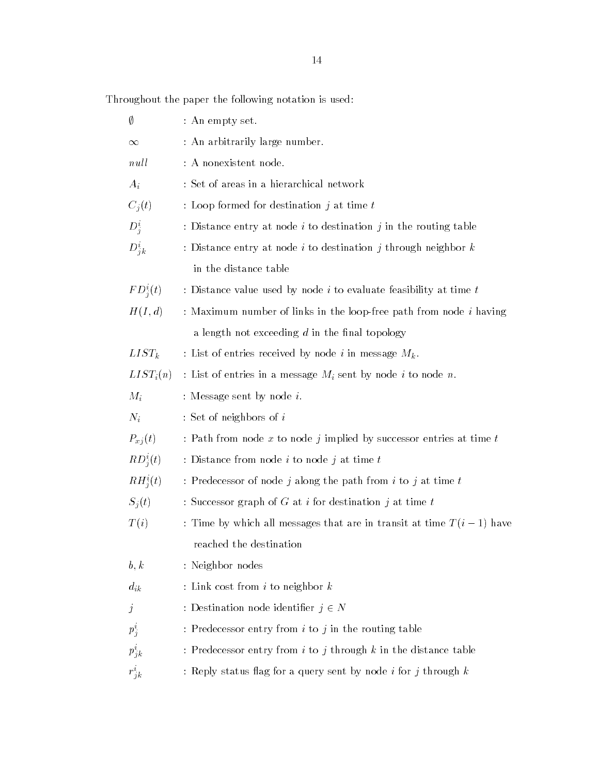Throughout the paper the following notation is used:

| Ø                | : An empty set.                                                           |
|------------------|---------------------------------------------------------------------------|
| $\infty$         | : An arbitrarily large number.                                            |
| null             | : A nonexistent node.                                                     |
| $A_i$            | : Set of areas in a hierarchical network                                  |
| $C_j(t)$         | : Loop formed for destination $j$ at time $t$                             |
| $D_j^i$          | : Distance entry at node $i$ to destination $j$ in the routing table      |
| $D_{jk}^i$       | : Distance entry at node i to destination j through neighbor $k$          |
|                  | in the distance table                                                     |
| $FD_j^i(t)$      | : Distance value used by node $i$ to evaluate feasibility at time $t$     |
| H(I,d)           | : Maximum number of links in the loop-free path from node <i>i</i> having |
|                  | a length not exceeding $d$ in the final topology                          |
| $LIST_k$         | : List of entries received by node i in message $M_k$ .                   |
| $LIST_i(n)$      | : List of entries in a message $M_i$ sent by node i to node n.            |
| $M_i$            | : Message sent by node $i$ .                                              |
| $N_i$            | : Set of neighbors of $i$                                                 |
| $P_{xj}(t)$      | : Path from node x to node j implied by successor entries at time $t$     |
| $RD_j^i(t)$      | : Distance from node $i$ to node $j$ at time $t$                          |
| $RH_j^i(t)$      | : Predecessor of node j along the path from i to j at time $t$            |
| $S_j(t)$         | : Successor graph of G at i for destination j at time $t$                 |
| T(i)             | : Time by which all messages that are in transit at time $T(i-1)$ have    |
|                  | reached the destination                                                   |
| b, k             | : Neighbor nodes                                                          |
| $d_{ik}$         | : Link cost from $i$ to neighbor $k$                                      |
| $\boldsymbol{j}$ | : Destination node identifier $j \in N$                                   |
| $p_j^i$          | : Predecessor entry from $i$ to $j$ in the routing table                  |
| $p^i_{jk}$       | : Predecessor entry from $i$ to $j$ through $k$ in the distance table     |
| $r^i_{jk}$       | : Reply status flag for a query sent by node $i$ for $j$ through $k$      |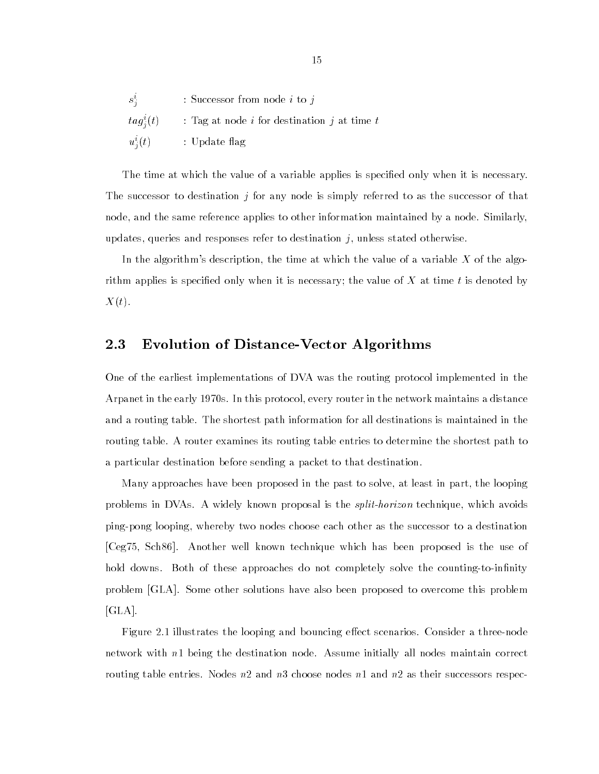| $s_j^i$        | : Successor from node <i>i</i> to <i>j</i>                  |
|----------------|-------------------------------------------------------------|
| $tag^i_i(t)$ . | : Tag at node <i>i</i> for destination <i>j</i> at time $t$ |
| $u_j^i(t)$     | : Update flag                                               |

The time at which the value of a variable applies is specied only when it is necessary. The successor to destination  $j$  for any node is simply referred to as the successor of that node, and the same reference applies to other information maintained by a node. Similarly, updates, queries and responses refer to destination  $j$ , unless stated otherwise.

In the algorithm's description, the time at which the value of a variable X of the algorithm applies is specified only when it is necessary; the value of X at time t is denoted by  $X(t).$ 

### 2.3 Evolution of Distance-Vector Algorithms

One of the earliest implementations of DVA was the routing protocol implemented in the Arpanet in the early 1970s. In this protocol, every router in the network maintains a distance and a routing table. The shortest path information for all destinations is maintained in the routing table. A router examines its routing table entries to determine the shortest path to a particular destination before sending a packet to that destination.

Many approaches have been proposed in the past to solve, at least in part, the looping problems in DVAs. A widely known proposal is the *split-horizon* technique, which avoids ping-pong looping, whereby two nodes choose each other as the successor to a destination [Ceg75, Sch86]. Another well known technique which has been proposed is the use of hold downs. Both of these approaches do not completely solve the counting-to-infinity problem [GLA]. Some other solutions have also been proposed to overcome this problem [GLA].

Figure 2.1 illustrates the looping and bouncing effect scenarios. Consider a three-node network with n1 being the destination node. Assume initially all nodes maintain correct routing table entries. Nodes n2 and n3 choose nodes n1 and n2 as their successors respec-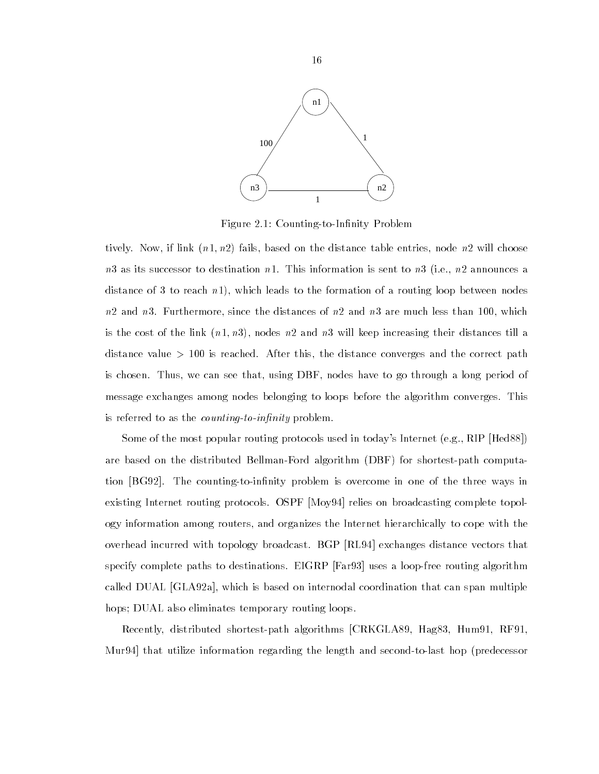

Figure 2.1: Counting-to-Infinity Problem

tively. Now, if link  $(n1, n2)$  fails, based on the distance table entries, node n2 will choose  $n3$  as its successor to destination n1. This information is sent to  $n3$  (i.e.,  $n2$  announces a distance of 3 to reach  $n_1$ , which leads to the formation of a routing loop between nodes  $n2$  and  $n3$ . Furthermore, since the distances of  $n2$  and  $n3$  are much less than 100, which is the cost of the link  $(n1, n3)$ , nodes n2 and n3 will keep increasing their distances till a distance value  $> 100$  is reached. After this, the distance converges and the correct path is chosen. Thus, we can see that, using DBF, nodes have to go through a long period of message exchanges among nodes belonging to loops before the algorithm converges. This is referred to as the *counting-to-infinity* problem.

Some of the most popular routing protocols used in today's Internet (e.g., RIP [Hed88]) are based on the distributed Bellman-Ford algorithm (DBF) for shortest-path computation [BG92]. The counting-to-infinity problem is overcome in one of the three ways in existing Internet routing protocols. OSPF [Moy94] relies on broadcasting complete topology information among routers, and organizes the Internet hierarchically to cope with the overhead incurred with topology broadcast. BGP [RL94] exchanges distance vectors that specify complete paths to destinations. EIGRP [Far93] uses a loop-free routing algorithm called DUAL [GLA92a], which is based on internodal coordination that can span multiple hops; DUAL also eliminates temporary routing loops.

Recently, distributed shortest-path algorithms [CRKGLA89, Hag83, Hum91, RF91, Mur94] that utilize information regarding the length and second-to-last hop (predecessor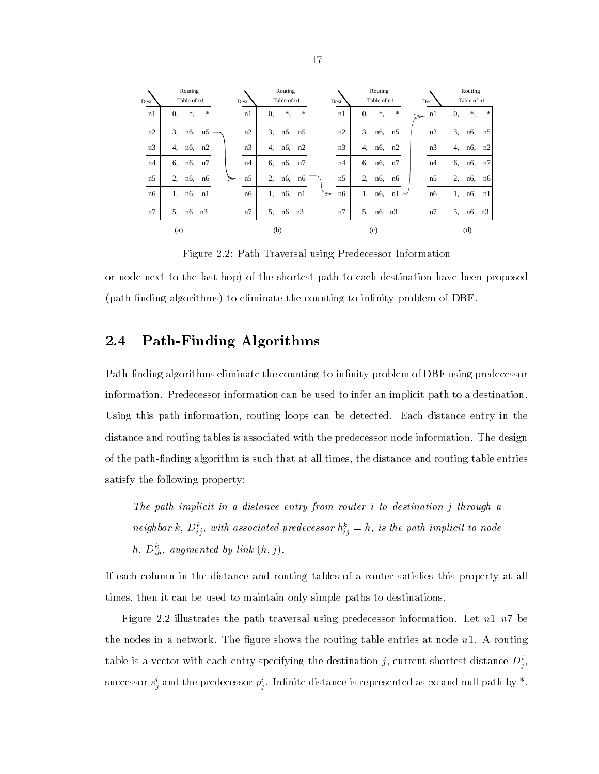

Figure 2.2: Path Traversal using Predecessor Information

or node next to the last hop) of the shortest path to each destination have been proposed (path-finding algorithms) to eliminate the counting-to-infinity problem of DBF.

#### Path-Finding Algorithms  $2.4$

Path-finding algorithms eliminate the counting-to-infinity problem of DBF using predecessor information. Predecessor information can be used to infer an implicit path to a destination. Using this path information, routing loops can be detected. Each distance entry in the distance and routing tables is associated with the predecessor node information. The design of the path-nding algorithm is such that at all times, the distance and routing table entries satisfy the following property:

The path implicit in a distance entry from router i to destination j through a neighbor  $\kappa$ ,  $D_{ij}^{\alpha}$ , with associated predecessor  $n_{ij} = n$ , is the path implicit to node  $n, \ D_{ih}^+,$  augmented by link  $(n, j).$ 

If each column in the distance and routing tables of a router satisfies this property at all times, then it can be used to maintain only simple paths to destinations.

Figure 2.2 illustrates the path traversal using predecessor information. Let  $n1-n7$  be the nodes in a network. The figure shows the routing table entries at node  $n1$ . A routing table is a vector with each entry specifying the destination  $\jmath$ , current shortest distance  $D_s$ , <sup>j</sup> successor  $s_i^\imath$  and the predecessor  $p_i^\imath$ . Infinite distance is represented as  $\infty$  and null path by  $^*$ .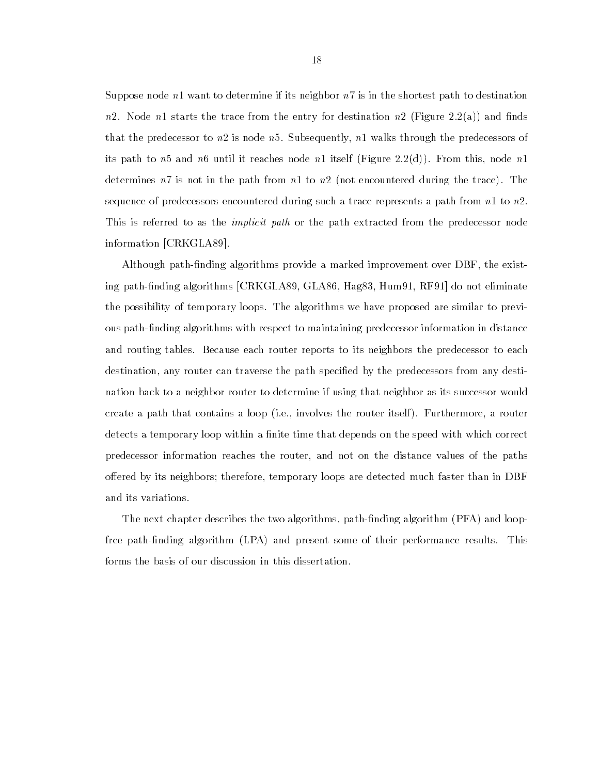Suppose node  $n_1$  want to determine if its neighbor  $n_7$  is in the shortest path to destination n2. Node n1 starts the trace from the entry for destination n2 (Figure 2.2(a)) and finds that the predecessor to  $n2$  is node  $n5$ . Subsequently,  $n1$  walks through the predecessors of its path to  $n5$  and  $n6$  until it reaches node n1 itself (Figure 2.2(d)). From this, node n1 determines  $n7$  is not in the path from  $n1$  to  $n2$  (not encountered during the trace). The sequence of predecessors encountered during such a trace represents a path from  $n1$  to  $n2$ . This is referred to as the *implicit path* or the path extracted from the predecessor node information [CRKGLA89].

Although path-finding algorithms provide a marked improvement over DBF, the existing path-nding algorithms [CRKGLA89, GLA86, Hag83, Hum91, RF91] do not eliminate the possibility of temporary loops. The algorithms we have proposed are similar to previous path-finding algorithms with respect to maintaining predecessor information in distance and routing tables. Because each router reports to its neighbors the predecessor to each destination, any router can traverse the path specified by the predecessors from any destination back to a neighbor router to determine if using that neighbor as its successor would create a path that contains a loop (i.e., involves the router itself ). Furthermore, a router detects a temporary loop within a finite time that depends on the speed with which correct predecessor information reaches the router, and not on the distance values of the paths offered by its neighbors; therefore, temporary loops are detected much faster than in DBF and its variations.

The next chapter describes the two algorithms, path-finding algorithm (PFA) and loopfree path-finding algorithm (LPA) and present some of their performance results. This forms the basis of our discussion in this dissertation.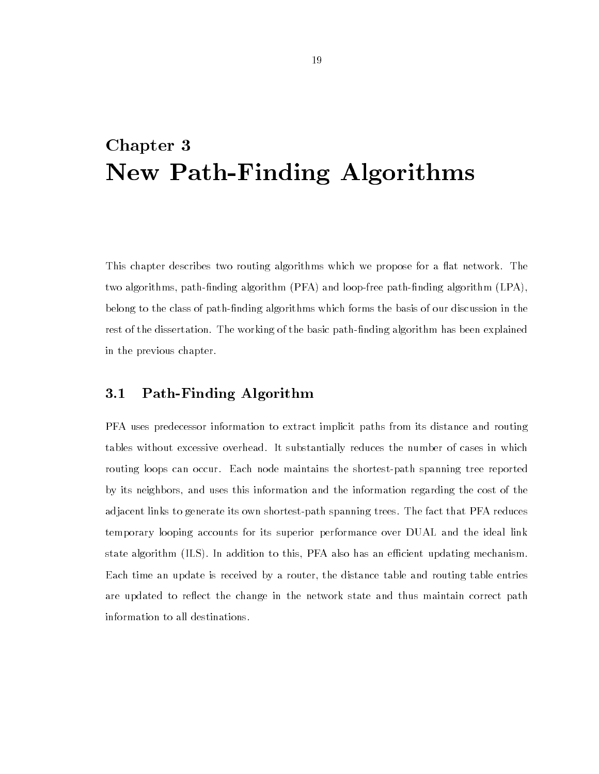## Chapter 3 New Path-Finding Algorithms

This chapter describes two routing algorithms which we propose for a flat network. The two algorithms, path-finding algorithm (PFA) and loop-free path-finding algorithm (LPA), belong to the class of path-nding algorithms which forms the basis of our discussion in the rest of the dissertation. The working of the basic path-finding algorithm has been explained in the previous chapter.

#### $3.1$ Path-Finding Algorithm

PFA uses predecessor information to extract implicit paths from its distance and routing tables without excessive overhead. It substantially reduces the number of cases in which routing loops can occur. Each node maintains the shortest-path spanning tree reported by its neighbors, and uses this information and the information regarding the cost of the adjacent links to generate its own shortest-path spanning trees. The fact that PFA reduces temporary looping accounts for its superior performance over DUAL and the ideal link state algorithm (ILS). In addition to this, PFA also has an efficient updating mechanism. Each time an update is received by a router, the distance table and routing table entries are updated to reflect the change in the network state and thus maintain correct path information to all destinations.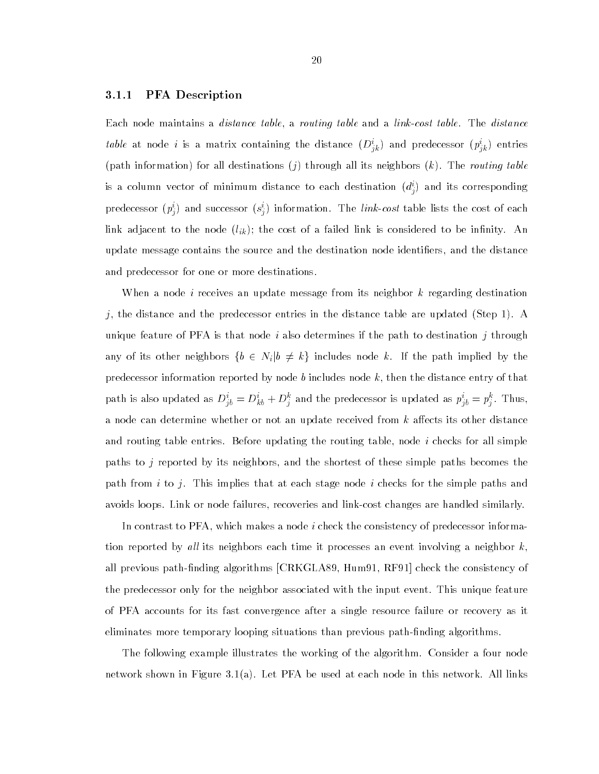#### 3.1.1 PFA Description

Each node maintains a distance table, a routing table and a link-cost table. The distance *table* at node *t* is a matrix containing the distance  $(D_{ik}^*)$  and predecessor  $(p_{ik}^*)$  entries (path information) for all destinations  $(j)$  through all its neighbors  $(k)$ . The routing table is a column vector of minimum distance to each destination  $(a_j)$  and its corresponding predecessor  $(p_j)$  and successor  $(s_j)$  information. The *this-cost* table lists the cost of each link adjacent to the node  $(l_{ik})$ ; the cost of a failed link is considered to be infinity. An update message contains the source and the destination node identifiers, and the distance and predecessor for one or more destinations.

When a node *i* receives an update message from its neighbor  $k$  regarding destination  $j,$  the distance and the predecessor entries in the distance table are updated (Step 1). A unique feature of PFA is that node i also determines if the path to destination j through any of its other neighbors  $\{b \in N_i | b \neq k\}$  includes node k. If the path implied by the predecessor information reported by node b includes node  $k$ , then the distance entry of that path is also updated as  $D_{jb} = D_{kb} + D_j^*$  and the predecessor is updated as  $p_{jb} = p_i^*$ . Thus, a node can determine whether or not an update received from  $k$  affects its other distance and routing table entries. Before updating the routing table, node  $i$  checks for all simple paths to j reported by its neighbors, and the shortest of these simple paths becomes the path from  $i$  to  $j$ . This implies that at each stage node  $i$  checks for the simple paths and avoids loops. Link or node failures, recoveries and link-cost changes are handled similarly.

In contrast to PFA, which makes a node i check the consistency of predecessor information reported by all its neighbors each time it processes an event involving a neighbor  $k$ , all previous path-finding algorithms [CRKGLA89, Hum91, RF91] check the consistency of the predecessor only for the neighbor associated with the input event. This unique feature of PFA accounts for its fast convergence after a single resource failure or recovery as it eliminates more temporary looping situations than previous path-finding algorithms.

The following example illustrates the working of the algorithm. Consider a four node network shown in Figure 3.1(a). Let PFA be used at each node in this network. All links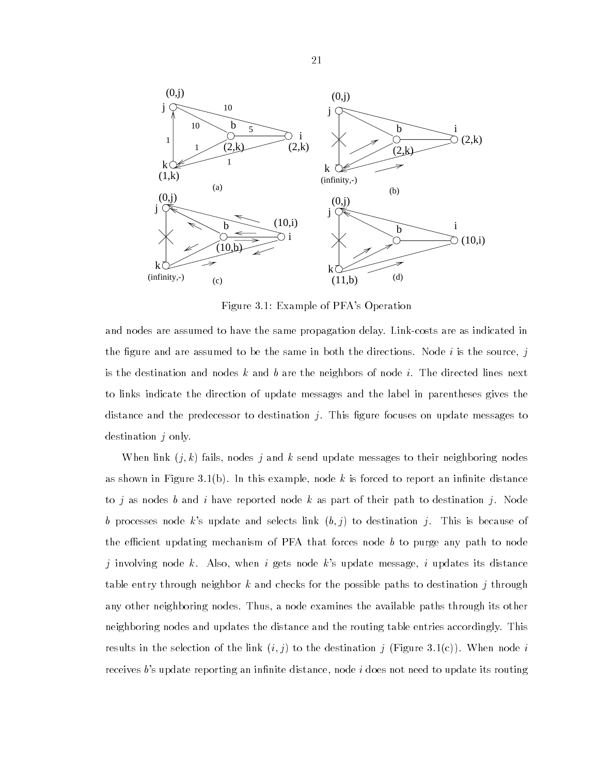

Figure 3.1: Example of PFA's Operation

and nodes are assumed to have the same propagation delay. Link-costs are as indicated in the figure and are assumed to be the same in both the directions. Node i is the source, j is the destination and nodes k and b are the neighbors of node i. The directed lines next to links indicate the direction of update messages and the label in parentheses gives the distance and the predecessor to destination  $j$ . This figure focuses on update messages to destination *i* only.

When link  $(j, k)$  fails, nodes j and k send update messages to their neighboring nodes as shown in Figure 3.1(b). In this example, node k is forced to report an infinite distance to j as nodes b and i have reported node k as part of their path to destination j. Node b processes node k's update and selects link  $(b, j)$  to destination j. This is because of the efficient updating mechanism of PFA that forces node  $b$  to purge any path to node j involving node k. Also, when i gets node k's update message, i updates its distance table entry through neighbor k and checks for the possible paths to destination j through any other neighboring nodes. Thus, a node examines the available paths through its other neighboring nodes and updates the distance and the routing table entries accordingly. This results in the selection of the link  $(i, j)$  to the destination j (Figure 3.1(c)). When node i receives b's update reporting an infinite distance, node  $i$  does not need to update its routing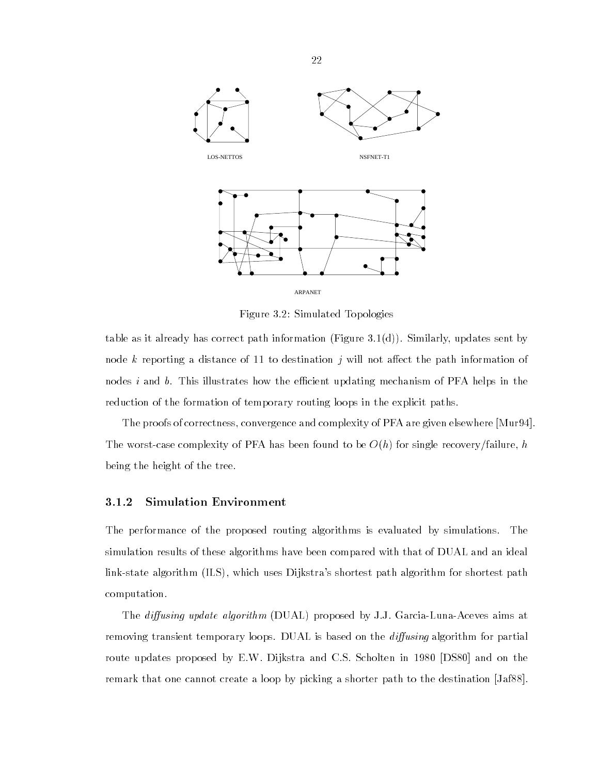

Figure 3.2: Simulated Topologies

table as it already has correct path information (Figure 3.1(d)). Similarly, updates sent by node k reporting a distance of 11 to destination j will not affect the path information of nodes  $i$  and  $b$ . This illustrates how the efficient updating mechanism of PFA helps in the reduction of the formation of temporary routing loops in the explicit paths.

The proofs of correctness, convergence and complexity of PFA are given elsewhere [Mur94]. The worst-case complexity of PFA has been found to be  $O(h)$  for single recovery/failure, h being the height of the tree.

### 3.1.2 Simulation Environment

The performance of the proposed routing algorithms is evaluated by simulations. The simulation results of these algorithms have been compared with that of DUAL and an ideal link-state algorithm (ILS), which uses Dijkstra's shortest path algorithm for shortest path computation.

The *diffusing update algorithm* (DUAL) proposed by J.J. Garcia-Luna-Aceves aims at removing transient temporary loops. DUAL is based on the *diffusing* algorithm for partial route updates proposed by E.W. Dijkstra and C.S. Scholten in 1980 [DS80] and on the remark that one cannot create a loop by picking a shorter path to the destination [Jaf88].

22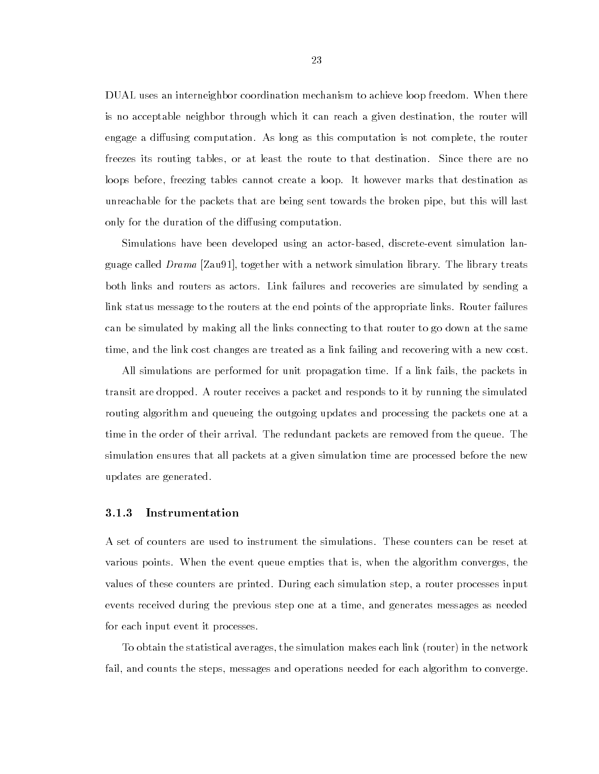DUAL uses an interneighbor coordination mechanism to achieve loop freedom. When there is no acceptable neighbor through which it can reach a given destination, the router will engage a diffusing computation. As long as this computation is not complete, the router freezes its routing tables, or at least the route to that destination. Since there are no loops before, freezing tables cannot create a loop. It however marks that destination as unreachable for the packets that are being sent towards the broken pipe, but this will last only for the duration of the diffusing computation.

Simulations have been developed using an actor-based, discrete-event simulation language called Drama [Zau91], together with a network simulation library. The library treats both links and routers as actors. Link failures and recoveries are simulated by sending a link status message to the routers at the end points of the appropriate links. Router failures can be simulated by making all the links connecting to that router to go down at the same time, and the link cost changes are treated as a link failing and recovering with a new cost.

All simulations are performed for unit propagation time. If a link fails, the packets in transit are dropped. A router receives a packet and responds to it by running the simulated routing algorithm and queueing the outgoing updates and processing the packets one at a time in the order of their arrival. The redundant packets are removed from the queue. The simulation ensures that all packets at a given simulation time are processed before the new updates are generated.

#### $3.1.3$ 3.1.3 Instrumentation

A set of counters are used to instrument the simulations. These counters can be reset at various points. When the event queue empties that is, when the algorithm converges, the values of these counters are printed. During each simulation step, a router processes input events received during the previous step one at a time, and generates messages as needed for each input event it processes.

To obtain the statistical averages, the simulation makes each link (router) in the network fail, and counts the steps, messages and operations needed for each algorithm to converge.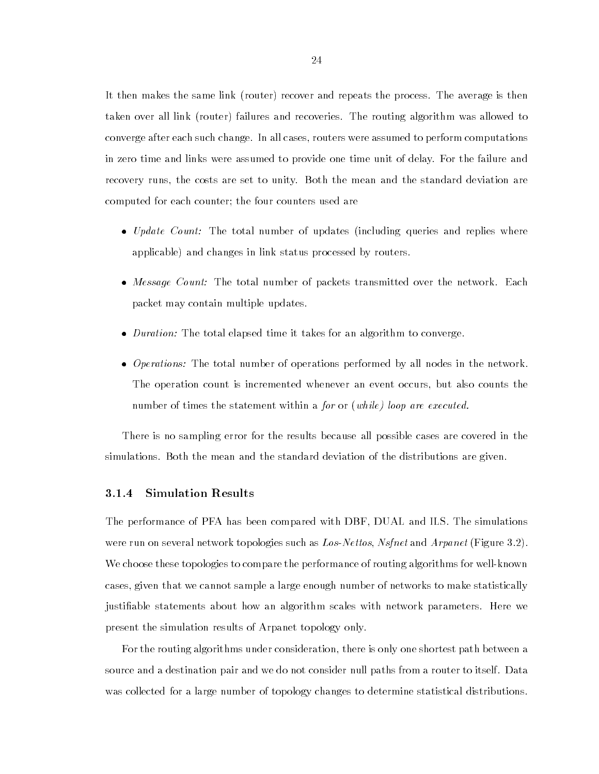It then makes the same link (router) recover and repeats the process. The average is then taken over all link (router) failures and recoveries. The routing algorithm was allowed to converge after each such change. In all cases, routers were assumed to perform computations in zero time and links were assumed to provide one time unit of delay. For the failure and recovery runs, the costs are set to unity. Both the mean and the standard deviation are computed for each counter; the four counters used are

- Update Count: The total number of updates (including queries and replies where applicable) and changes in link status processed by routers.
- Message Count: The total number of packets transmitted over the network. Each packet may contain multiple updates.
- $\mathbf{D}$
- Operations: The total number of operations performed by all nodes in the network. The operation count is incremented whenever an event occurs, but also counts the number of times the statement within a for or (while) loop are executed.

There is no sampling error for the results because all possible cases are covered in the simulations. Both the mean and the standard deviation of the distributions are given.

#### 3.1.4 Simulation Results

The performance of PFA has been compared with DBF, DUAL and ILS. The simulations were run on several network topologies such as Los-Nettos, Nsfnet and Arpanet (Figure 3.2). We choose these topologies to compare the performance of routing algorithms for well-known cases, given that we cannot sample a large enough number of networks to make statistically justiable statements about how an algorithm scales with network parameters. Here we present the simulation results of Arpanet topology only.

For the routing algorithms under consideration, there is only one shortest path between a source and a destination pair and we do not consider null paths from a router to itself. Data was collected for a large number of topology changes to determine statistical distributions.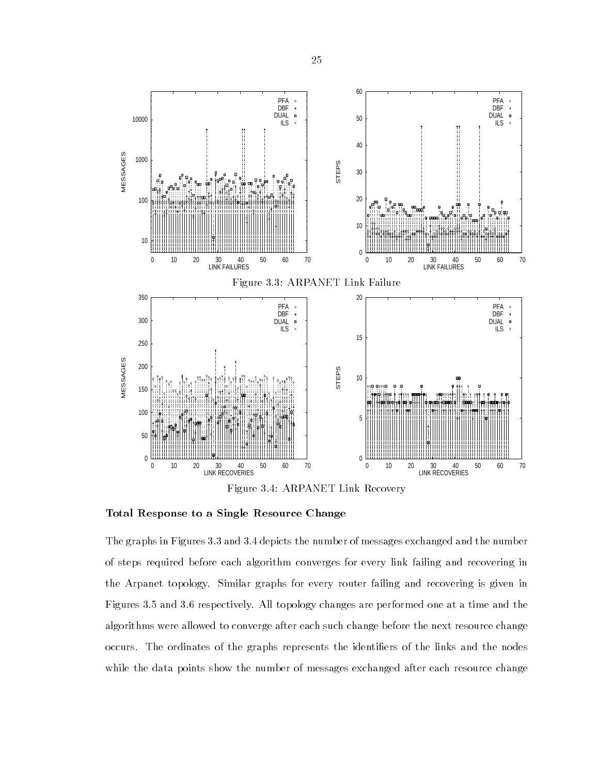

Total Response to a Single Resource Change

The graphs in Figures 3.3 and 3.4 depicts the number of messages exchanged and the number of steps required before each algorithm converges for every link failing and recovering in the Arpanet topology. Similar graphs for every router failing and recovering is given in Figures 3.5 and 3.6 respectively. All topology changes are performed one at a time and the algorithms were allowed to converge after each such change before the next resource change occurs. The ordinates of the graphs represents the identiers of the links and the nodes while the data points show the number of messages exchanged after each resource change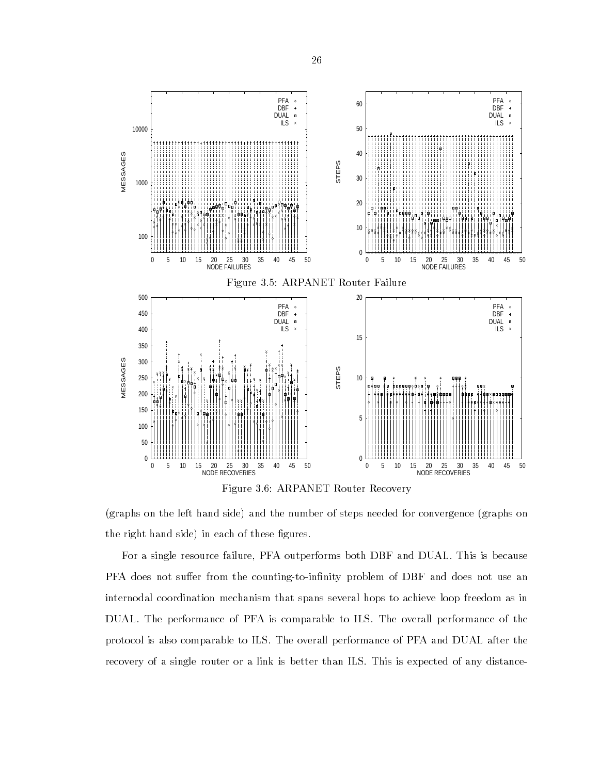

Figure 3.6: ARPANET Router Recovery

(graphs on the left hand side) and the number of steps needed for convergence (graphs on the right hand side) in each of these figures.

For a single resource failure, PFA outperforms both DBF and DUAL. This is because PFA does not suffer from the counting-to-infinity problem of DBF and does not use an internodal coordination mechanism that spans several hops to achieve loop freedom as in DUAL. The performance of PFA is comparable to ILS. The overall performance of the protocol is also comparable to ILS. The overall performance of PFA and DUAL after the recovery of a single router or a link is better than ILS. This is expected of any distance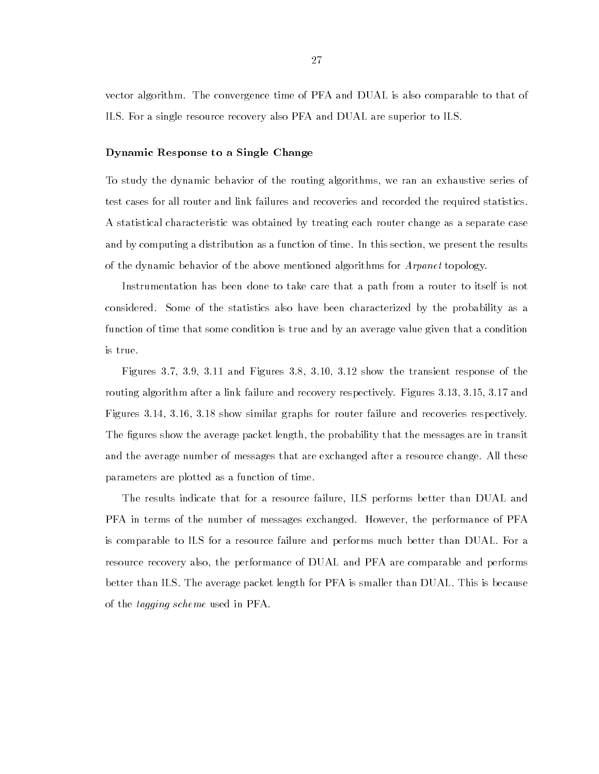vector algorithm. The convergence time of PFA and DUAL is also comparable to that of ILS. For a single resource recovery also PFA and DUAL are superior to ILS.

#### Dynamic Response to a Single Change

To study the dynamic behavior of the routing algorithms, we ran an exhaustive series of test cases for all router and link failures and recoveries and recorded the required statistics. A statistical characteristic was obtained by treating each router change as a separate case and by computing a distribution as a function of time. In this section, we present the results of the dynamic behavior of the above mentioned algorithms for Arpanet topology.

Instrumentation has been done to take care that a path from a router to itself is not considered. Some of the statistics also have been characterized by the probability as a function of time that some condition is true and by an average value given that a condition is true.

Figures 3.7, 3.9, 3.11 and Figures 3.8, 3.10, 3.12 show the transient response of the routing algorithm after a link failure and recovery respectively. Figures 3.13, 3.15, 3.17 and Figures 3.14, 3.16, 3.18 show similar graphs for router failure and recoveries respectively. The figures show the average packet length, the probability that the messages are in transit and the average number of messages that are exchanged after a resource change. All these parameters are plotted as a function of time.

The results indicate that for a resource failure, ILS performs better than DUAL and PFA in terms of the number of messages exchanged. However, the performance of PFA is comparable to ILS for a resource failure and performs much better than DUAL. For a resource recovery also, the performance of DUAL and PFA are comparable and performs better than ILS. The average packet length for PFA is smaller than DUAL. This is because of the tagging scheme used in PFA.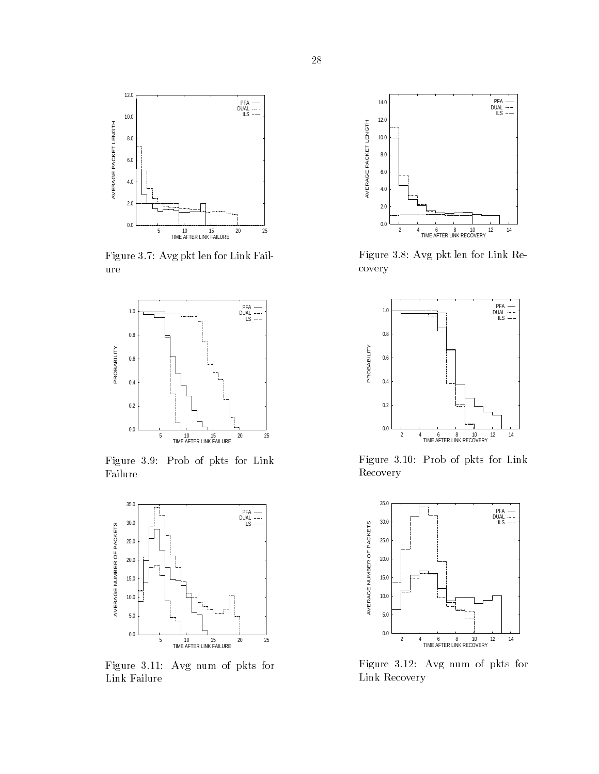

Figure 3.7: Avg pkt len for Link Failure



Figure 3.9: Prob of pkts for Link Failure



Figure 3.11: Avg num of pkts for Link Failure



Figure 3.8: Avg pkt len for Link Recovery



Figure 3.10: Prob of pkts for Link Recovery



Figure 3.12: Avg num of pkts for Link Recovery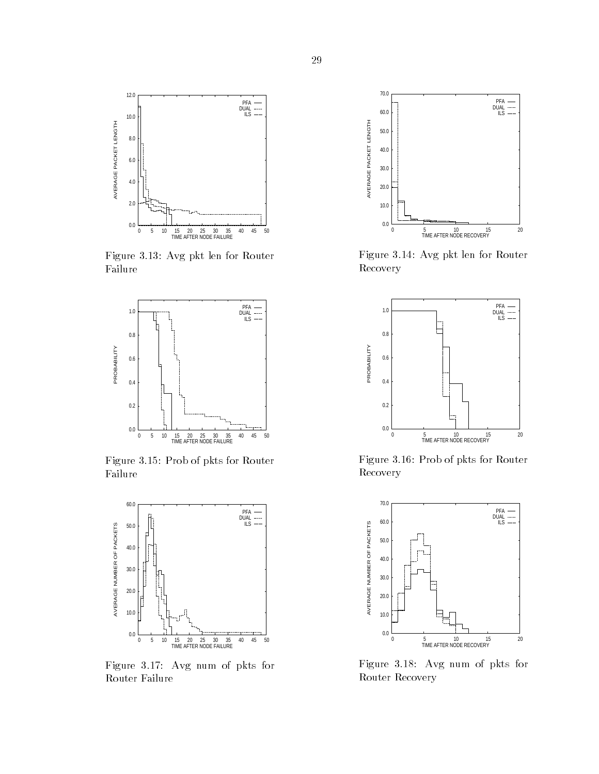

Figure 3.13: Avg pkt len for Router Failure



Figure 3.15: Prob of pkts for Router Failure



Figure 3.17: Avg num of pkts for Router Failure



Figure 3.14: Avg pkt len for Router Recovery



Figure 3.16: Prob of pkts for Router Recovery



Figure 3.18: Avg num of pkts for Router Recovery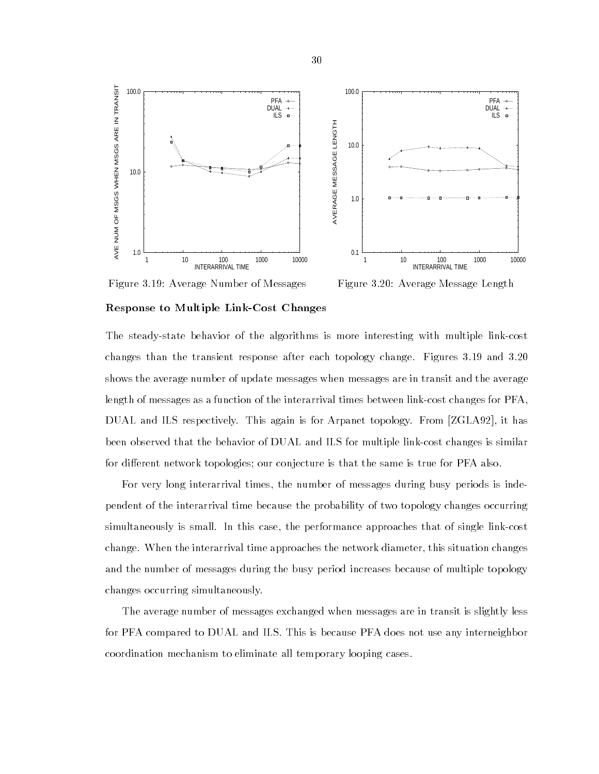

Figure 3.19: Average Number of Messages

Figure 3.20: Average Message Length

#### Response to Multiple Link-Cost Changes

The steady-state behavior of the algorithms is more interesting with multiple link-cost changes than the transient response after each topology change. Figures 3.19 and 3.20 shows the average number of update messages when messages are in transit and the average length of messages as a function of the interarrival times between link-cost changes for PFA, DUAL and ILS respectively. This again is for Arpanet topology. From [ZGLA92], it has been observed that the behavior of DUAL and ILS for multiple link-cost changes is similar for different network topologies; our conjecture is that the same is true for PFA also.

For very long interarrival times, the number of messages during busy periods is independent of the interarrival time because the probability of two topology changes occurring simultaneously is small. In this case, the performance approaches that of single link-cost change. When the interarrival time approaches the network diameter, this situation changes and the number of messages during the busy period increases because of multiple topology changes occurring simultaneously.

The average number of messages exchanged when messages are in transit is slightly less for PFA compared to DUAL and ILS. This is because PFA does not use any interneighbor coordination mechanism to eliminate all temporary looping cases.

30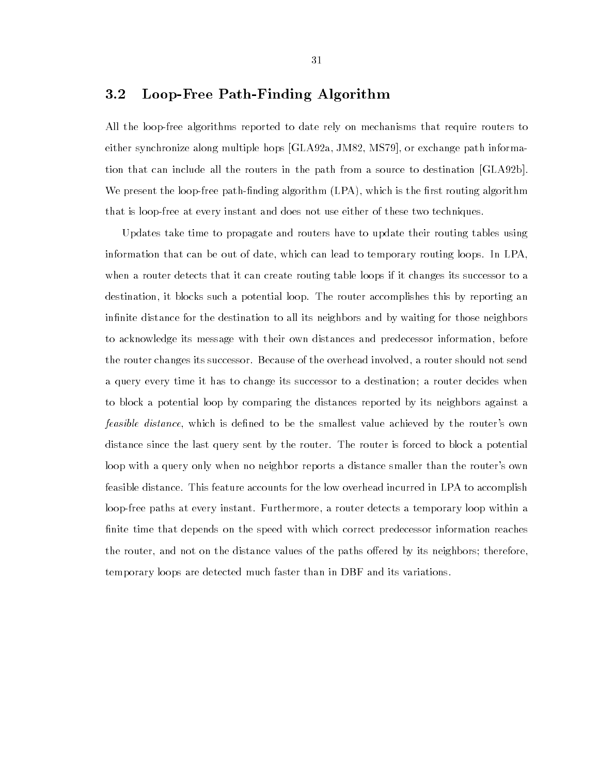# 3.2 Loop-Free Path-Finding Algorithm

All the loop-free algorithms reported to date rely on mechanisms that require routers to either synchronize along multiple hops [GLA92a, JM82, MS79], or exchange path information that can include all the routers in the path from a source to destination [GLA92b]. We present the loop-free path-finding algorithm  $(LPA)$ , which is the first routing algorithm that is loop-free at every instant and does not use either of these two techniques.

Updates take time to propagate and routers have to update their routing tables using information that can be out of date, which can lead to temporary routing loops. In LPA, when a router detects that it can create routing table loops if it changes its successor to a destination, it blocks such a potential loop. The router accomplishes this by reporting an infinite distance for the destination to all its neighbors and by waiting for those neighbors to acknowledge its message with their own distances and predecessor information, before the router changes its successor. Because of the overhead involved, a router should not send a query every time it has to change its successor to a destination; a router decides when to block a potential loop by comparing the distances reported by its neighbors against a *feasible distance*, which is defined to be the smallest value achieved by the router's own distance since the last query sent by the router. The router is forced to block a potential loop with a query only when no neighbor reports a distance smaller than the router's own feasible distance. This feature accounts for the low overhead incurred in LPA to accomplish loop-free paths at every instant. Furthermore, a router detects a temporary loop within a finite time that depends on the speed with which correct predecessor information reaches the router, and not on the distance values of the paths offered by its neighbors; therefore, temporary loops are detected much faster than in DBF and its variations.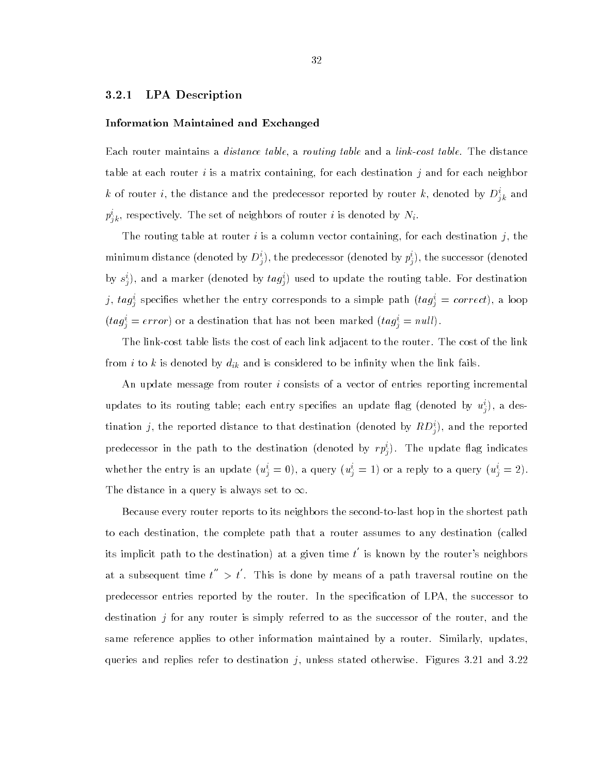### 3.2.1 LPA Description

#### Information Maintained and Exchanged

Each router maintains a distance table, a routing table and a link-cost table. The distance table at each router i is a matrix containing, for each destination j and for each neighbor k of router *i*, the distance and the predecessor reported by router k, denoted by  $D_{ik}^*$  and  $p_{ik}^*$ , respectively. The set of neighbors of router *i* is denoted by  $N_i$ .

The routing table at router  $i$  is a column vector containing, for each destination  $j$ , the minimum distance (denoted by  $D^*_j$ ), the predecessor (denoted by  $p^*_j$ ), the successor (denoted by  $s_j^i$ ), and a marker (denoted by  $u g_j^i$ ) used to update the routing table. For destination  $j, \; u g_j^*$  specifies whether the entry corresponds to a simple path  $(u g_j^* \equiv correct)$ , a loop  $(tag_{j} = error)$  or a destination that has not been marked  $(tag_{j} = null)$ .

The link-cost table lists the cost of each link adjacent to the router. The cost of the link from i to k is denoted by  $d_{ik}$  and is considered to be infinity when the link fails.

An update message from router i consists of a vector of entries reporting incremental updates to its routing table; each entry specifies an update hag (denoted by  $u_j^i$ ), a destination  $j$ , the reported distance to that destination (denoted by  $\overline{R}D_{j}^{z}$ ), and the reported predecessor in the path to the destination (denoted by  $rp_{\hat{i}})$ . The update hag indicates whether the entry is an update  $(u_i=0)$ , a query  $(u_i=1)$  or a reply to a query  $(u_i=2)$ . The distance in a query is always set to  $\infty$ .

Because every router reports to its neighbors the second-to-last hop in the shortest path to each destination, the complete path that a router assumes to any destination (called its implicit path to the destination) at a given time  $t'$  is known by the router's neighbors at a subsequent time t  $\mu'' > t'$ . . This is done by means of a path traversal routine on the predecessor entries reported by the router. In the specification of LPA, the successor to destination j for any router is simply referred to as the successor of the router, and the same reference applies to other information maintained by a router. Similarly, updates, queries and replies refer to destination  $j$ , unless stated otherwise. Figures 3.21 and 3.22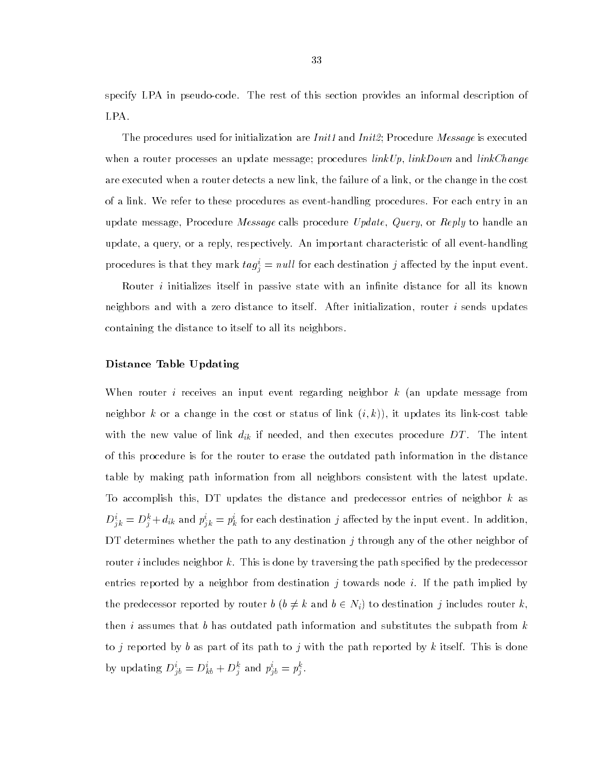specify LPA in pseudo-code. The rest of this section provides an informal description of LPA.

The procedures used for initialization are  $Init1$  and  $Init2$ ; Procedure Message is executed when a router processes an update message; procedures  $linkUp$ ,  $linkDown$  and  $linkChange$ are executed when a router detects a new link, the failure of a link, or the change in the cost of a link. We refer to these procedures as event-handling procedures. For each entry in an update message, Procedure *Message* calls procedure *Update, Query*, or *Reply* to handle an update, a query, or a reply, respectively. An important characteristic of all event-handling procedures is that they mark  $\iota a g_j = n u \iota$  for each destination  $j$  allected by the input event.

Router *i* initializes itself in passive state with an infinite distance for all its known neighbors and with a zero distance to itself. After initialization, router  $i$  sends updates containing the distance to itself to all its neighbors.

# Distance Table Updating

When router *i* receives an input event regarding neighbor  $k$  (an update message from neighbor k or a change in the cost or status of link  $(i, k)$ , it updates its link-cost table with the new value of link  $d_{ik}$  if needed, and then executes procedure DT. The intent of this procedure is for the router to erase the outdated path information in the distance table by making path information from all neighbors consistent with the latest update. To accomplish this, DT updates the distance and predecessor entries of neighbor  $k$  as  $D_{ik}^{\perp} = D_{ij}^{\perp} + a_{ik}$  and  $p_{ik}^{\perp} = p_k^{\perp}$  for each destination  $j$  affected by the input event. In addition, DT determines whether the path to any destination  $j$  through any of the other neighbor of router *i* includes neighbor k. This is done by traversing the path specified by the predecessor entries reported by a neighbor from destination j towards node i. If the path implied by the predecessor reported by router  $b$   $(b \neq k$  and  $b \in N_i)$  to destination j includes router k, then i assumes that b has outdated path information and substitutes the subpath from  $k$ to j reported by b as part of its path to j with the path reported by k itself. This is done by updating  $D_{ib} = D_{kb} + D_i^T$  and  $p_{ib} = p_i^T$ .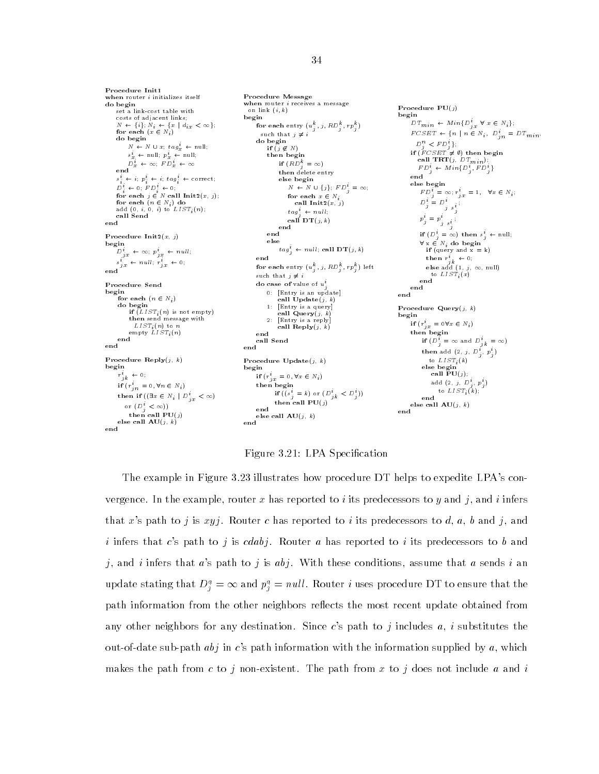Procedure Init1 when router *i* initializes itself do begin set a link-cost table with  $N \leftarrow \{i\}; N_i \leftarrow \{x \mid d_{i,x} \leq \textbf{for each } (x \in N_i)\}$  $\langle \infty \rangle$ do begin  $N \; \leftarrow \; N \; \cup \; x; \; tag^{i}_{x} \; \leftarrow \text{null};$  $s_x \leftarrow$  null;  $p_x \leftarrow$  null;  $D_x + \infty; \quad F D_x + \infty$  $s_i^* \leftarrow i; p_i^* \leftarrow i; tag_i^* \leftarrow correct;$  $D_i^* \leftarrow 0; \quad F D_i^* \leftarrow 0;$ for each  $j \in N$  call  $Init2(x, j);$ for each  $(n \in N_i)$  do<br>add  $(0, i, 0, i)$  to  $LIST_i(n);$ call Send Procedure Init $2(x, j)$  $\label{eq:optimal} \begin{aligned} \mathbf{begin}} & \mathbf{begin}} \mathbf{q} \end{aligned} \begin{aligned} \mathbf{begin}} \mathbf{q} \end{aligned} \leftarrow \begin{aligned} \mathbf{p}_{jx}^i \leftarrow \mathbf{q} \mathbf{q} \end{aligned} \begin{aligned} \mathbf{p}_{jx}^i \leftarrow null; \end{aligned}$  $s_{ix} \leftarrow null; r_{ix} \leftarrow 0;$ Procedure Send begin for each  $(n \in N_i)$ <br>do begin  $\mathbf{if} \left( LIST_i(n) \text{ is not empty}\right)$ then send message with  $\mathrm{empty} \; \overset{\scriptscriptstyle\bullet}{L} \overset{\scriptscriptstyle\bullet}{I} \overset{\scriptscriptstyle\bullet}{S}T_i(n)$ end<br>end Procedure  $\text{Reply}(j, k)$ begin  $r_{jk}^i$   $\leftarrow$  0;  $\mathbf{if} \nvert (r_{jn}^i = 0, \forall n \in N_i)$ then if  $((\exists x \in N_i \mid D_{jx}^i < \infty))$ or  $(D_s^i < \infty)$ ) then call  $PU(j)$ else call  $AU(j, k)$ 

Procedure Message when router *i* receives a message on link  $(i, k)$ begin for each entry  $(u_j^-, j, \hbar D_j^-, rp_j^+)$ ) such that  $j \neq i$ do begin if  $(j \notin N)$ <br>then begin if  $(RD_j^k = \infty)$ then delete entry else begin  $N \leftarrow N \cup \{j\}; FP_{j}^{i} = \infty;$ for each  $x \in N$ : call  $\text{Init2}(x, j)$  $tag_{\mathcal{I}}^{\dagger} \leftarrow null_{\mathcal{I}}$ call  $DT(j, k)$ end else  $tag_{j}^{t} \leftarrow null$ ; call  $DT(j, k)$ end for each entry  $(u_j^-, j, \hbox{\scriptsize $\kappa$} \nu_j^-, rp_j^+)$  left such that  $j \neq i$ do case of value of  $u_i^i$ 0: [Entry is an update] call  $Update(j, k)$ [Entry is a query]  $\mathbf{1}$ : call  $\mathbf{Query}(j, k)$ call  $\text{Reply}(j, k)$ end call Send Procedure  $Update(j, k)$ begins and the second second second second second second second second second second second second second second second second second second second second second second second second second second second second second seco if  $(r_{jx}^* = 0, \forall x \in N_i)$ <br>then begin if  $((s_i = k)$  or  $(D_{ik} < D_i)$ then call  $PU(j)$  $_{\text{end}}$ else call  $AU(j, k)$ <br>end

```
Procedure PU(j)begin<br>DT_{min} \leftarrow Min\{D_{jx}^{i} \forall x \in N_{i}\};FCSET \leftarrow {n | n \in N<sub>i</sub>, D_{jn}^{i} = DT_{min},
        \begin{array}{c} D_j^n < FD_j^i\};\ \text{if}\,\, (FC\,SET \neq \emptyset)\,\, \text{then begin} \ \text{call} \,\, \textbf{TRT}(j,\, DT_{min}); \end{array}FD_i^i \leftarrow Min\{D_j^i, FD_j^i\}else begin
            F D_j^i = \infty; r_{jx}^i = 1, \quad \forall x \in N_i;D_j = D_{j \, s_j^i}\boldsymbol{p}_j^i = \boldsymbol{p}_j^ij s<sub>i</sub>
            if (D_j^t = \infty) then s_j^t \leftarrow \text{null};\forall x \in N_i do begin<br>if (query and x = k)
               then r_{jk}^i \leftarrow 0;
                 else add (1, j, \infty, \text{null})to List and List and List and List and List and List and List and List and List and List and List and List and
            end
end
Procedure Query(j, k)if (r_{jx}^i = 0 \forall x \in N_i)then begin
            if (D_i^i = \infty and D_{jk}^i = \infty)then add (2, j, D_j, p_j)to LIST_i(k)<br>else begin
              call PU(j);
                   add (2, 3, D<sub>j</sub>, p_j)
                                                  )
                     to LIST_i(k);
        else call \mathbf{A}\mathbf{U}(j,\ k)end
```
Figure 3.21: LPA Specification

The example in Figure 3.23 illustrates how procedure DT helps to expedite LPA's convergence. In the example, router x has reported to i its predecessors to y and j, and i infers that x's path to j is xyj. Router c has reported to i its predecessors to d, a, b and j, and i infers that c's path to j is cdabj. Router a has reported to i its predecessors to b and j, and i infers that a's path to j is abj. With these conditions, assume that a sends i an update stating that  $D_i^a = \infty$  and  $p_i^a = null$ . Router i uses procedure DT to ensure that the path information from the other neighbors reflects the most recent update obtained from any other neighbors for any destination. Since c's path to j includes  $a, i$  substitutes the out-of-date sub-path  $abj$  in c's path information with the information supplied by a, which makes the path from c to j non-existent. The path from x to j does not include a and i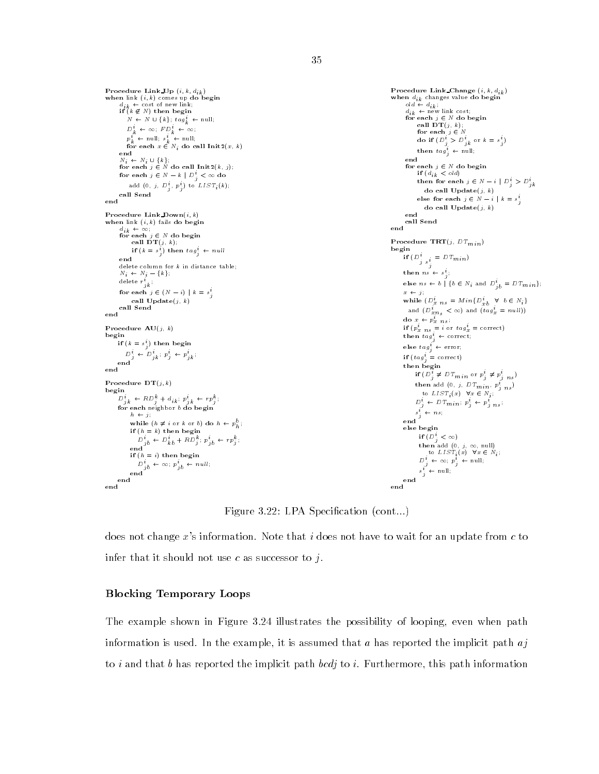```
when link (i, k) comes up do begin<br>
d_{ik} \leftarrow \text{cost of new link};<br>
if (k \not\in N) then begin
                                                                                                                                                       when d_{ik} changes value do begin<br>
old \leftarrow d_{ik}<br>
d_{ik} \leftarrow new link cost;
           N \; \leftarrow \; N \; \cup \; \{k\}; \; tag_k^t \; \leftarrow \; \text{null};for each j \in N do begin<br>call DT(j, k);<br>for each j \in ND_k^i \leftarrow \infty; FD_k^i \leftarrow \infty;
            p_k^* \leftarrow \text{null}; \; s_k^* \leftarrow \text{null}; \ \text{for each } x \in N_i \; \text{do call } \text{Init2}(x, \, k)do if (D_i > D_{ik} or k = s_i)
                                                                                                                                                              then \operatorname{tag}_j^i \leftarrow \text{null};<br>end
        N_i \leftarrow N_i \cup \{k\};for each j \in N do begin<br>if (d_{ik} \leq old)for each j \in N do call Init2(k, j);
       for each j \in N - k \mid D_j^i < \infty do
                                                                                                                                                                    then for each j \in N - i \mid D_j^i > D_{jk}^iadd (0, j, D<sup>2</sup><sub>j</sub>, p<sup>2</sup><sub>j</sub>) to LIST<sub>i</sub>(k);
                                                                                                                                                                       do call 
                                                                                                                                                                    else for each j \in N - i \mid k = s_j^iend
                                                                                                                                                                       do call \textbf{Update}(j, k)Procedure Link_Down(i, k)----<br>call Send
 Procedure Link Down(i; k) when link (i, k) fails do begin
                                                                                                                                                      end
        d_{ik} \leftarrow \infty;<br>for each j \in N do begin
                                                                                                                                                      Procedure \text{TRT}(j, DT_{min})if (k = s_i^i) then tag_i^i \leftarrow nullbegin
                                                                                                                                                              \prod_{j} \bigcup_{s_i^i} = D T_{min}end
delete column for k in distance table; N_i \leftarrow N_j - \{k\};then ns \leftarrow s_{ji}delete r_{jk}^i ;
                                                                                                                                                             else ns \leftarrow b | {b \in N_i and D_{jb}^i = DT_{min}};
       for each j \in (N - i) \mid k = s<sup>i</sup>
                                                                                                                                                             x \leftarrow j;
                                                                                                                                                             while (D_{x,ns}^i = Min\{D_{xb}^i \quad \forall \quad b \in N_i\}call \textbf{Update}(j, k)call Send
                                                                                                                                                              and (D_{x,n_S}^i < \infty) and (t a g_x^i = null))
end
                                                                                                                                                              do x \leftarrow p_x ns;
Procedure AU(j, k)if (p_x \, n_s = i \text{ or } tag_x = \text{correct})<br>then tag_i^i \leftarrow \text{correct};begin
                                                                                                                                                            else \textit{tag}^i_j \leftarrow \text{error}_iif (\kappa = s_j) then begin
      D_j^i + D_{jk}^i; p_j^i + p_{jk}^i;<br>end
                                                                                                                                                            if (tag_i^i = \text{correct})then begin
                                                                                                                                                                   if (D_j^i \neq D T_{min} or p_j^i \neq p_{j \, ns}^i)then add (0, j, DT_{min}, p_{j,ns}^{t})Procedure DT(j, k)to LIST_i(x) \forall x \in N_i;
 D_{jk}^i \leftarrow RD_j^k + d_{ik} ; p_{jk}^i \leftarrow rp_j^k;D_j^{\cdot} \leftarrow D T_{min}; p_j^{\cdot} \leftarrow p_{j \, ns}^{\cdot};
      for each neighbor b do begin
             h \leftarrow j;
                                                                                                                                                                    s_j \leftarrow ns_jwhile (h \neq i or k or b) do h \leftarrow p_h^o;
                                                                                                                                                              else begin
                                                                                                                                                                    if (D_i^i < \infty)\overrightarrow{D}_{jb} \leftarrow \overrightarrow{D}_{kb}^i + R\overrightarrow{D}_{j}^k; \ \overrightarrow{p}_{jb} \leftarrow \overrightarrow{rp}_{j}^k;then add (0, j, \infty, \text{null})<br>to LIST_i(x) \forall x \in N_i;
             if (h = i) then begin
                                                                                                                                                                     D^i_j \; \leftarrow \; \infty; \; p^{\hat{i}}_j \; \leftarrow \; \text{null};D^c_{jb} \leftarrow \infty; p^c_{jb} \leftarrow null;<br>end
                                                                                                                                                                     s_j^i \leftarrow \text{null};end
                                                                                                                                                      end
```
Figure 3.22: LPA Specification (cont...)

does not change  $x$ 's information. Note that i does not have to wait for an update from  $c$  to infer that it should not use c as successor to  $j$ .

# Blocking Temporary Loops

The example shown in Figure 3.24 illustrates the possibility of looping, even when path information is used. In the example, it is assumed that a has reported the implicit path  $aj$ to i and that b has reported the implicit path bcdj to i. Furthermore, this path information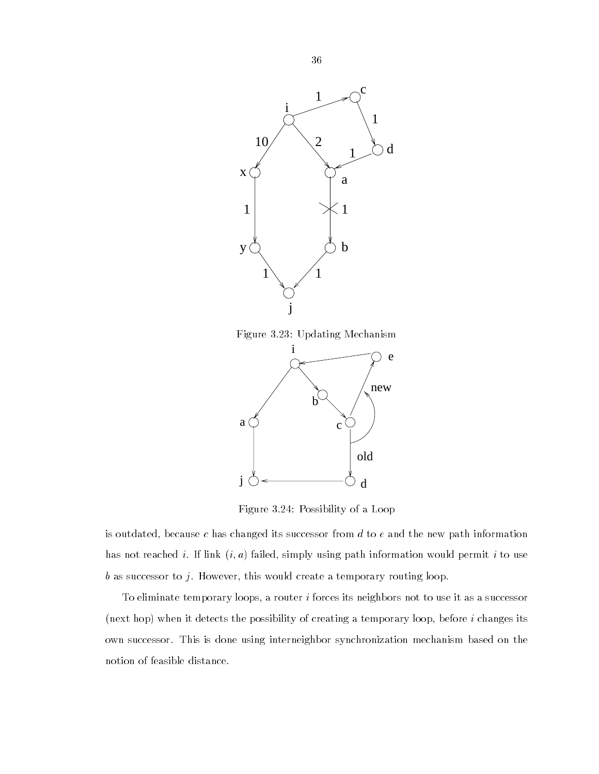

Figure 3.23: Updating Mechanism



Figure 3.24: Possibility of a Loop

is outdated, because c has changed its successor from  $d$  to  $e$  and the new path information has not reached i. If link  $(i, a)$  failed, simply using path information would permit i to use  $b$  as successor to  $j$ . However, this would create a temporary routing loop.

To eliminate temporary loops, a router  $i$  forces its neighbors not to use it as a successor (next hop) when it detects the possibility of creating a temporary loop, before  $i$  changes its own successor. This is done using interneighbor synchronization mechanism based on the notion of feasible distance.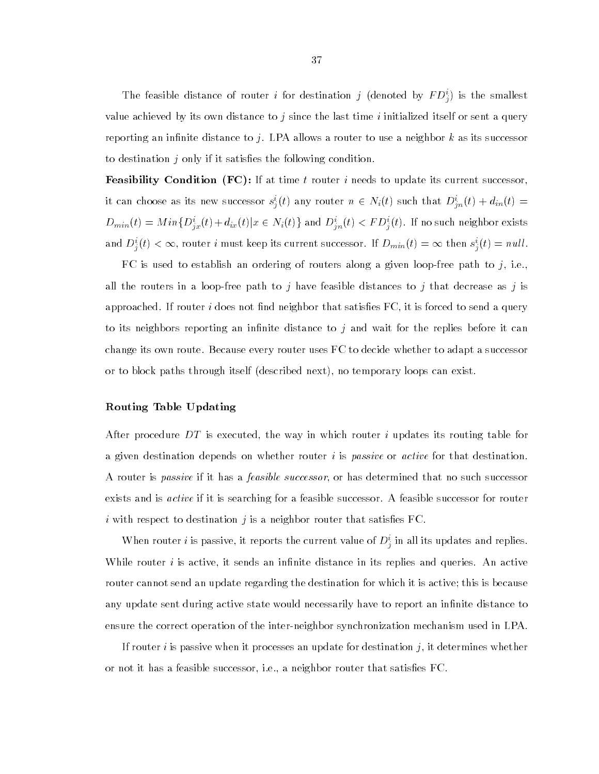The reasible distance of router i for destination j (denoted by  $F\,D^{\pm}_{j})$  is the smallest value achieved by its own distance to j since the last time i initialized itself or sent a query reporting an infinite distance to j. LPA allows a router to use a neighbor k as its successor to destination  $j$  only if it satisfies the following condition.

**Feasibility Condition (FC):** If at time t router i needs to update its current successor, it can choose as its new successor  $s_j^i(t)$  any router  $n \in N_i(t)$  such that  $D_{jn}^i(t) + d_{in}(t) = 0$  $D_{min}(t) = Min\{D_{ix}^i(t) + d_{ix}(t)|x \in N_i(t)\}$  and  $D_{in}^i(t) < FD_i^i(t)$ . If no such neighbor exists and  $D_i^i(t) < \infty$ , router i must keep its current successor. If  $D_{min}(t) = \infty$  then  $s_i^i(t) = null$ .

FC is used to establish an ordering of routers along a given loop-free path to  $j$ , i.e., all the routers in a loop-free path to j have feasible distances to j that decrease as j is approached. If router  $i$  does not find neighbor that satisfies FC, it is forced to send a query to its neighbors reporting an infinite distance to  $j$  and wait for the replies before it can change its own route. Because every router uses FC to decide whether to adapt a successor or to block paths through itself (described next), no temporary loops can exist.

#### Routing Table Updating

After procedure DT is executed, the way in which router i updates its routing table for a given destination depends on whether router  $i$  is passive or active for that destination. A router is *passive* if it has a *feasible successor*, or has determined that no such successor exists and is *active* if it is searching for a feasible successor. A feasible successor for router i with respect to destination j is a neighbor router that satisfies FC.

When router t is passive, it reports the current value of  $D_j^*$  in all its updates and replies. While router  $i$  is active, it sends an infinite distance in its replies and queries. An active router cannot send an update regarding the destination for which it is active; this is because any update sent during active state would necessarily have to report an infinite distance to ensure the correct operation of the inter-neighbor synchronization mechanism used in LPA.

If router i is passive when it processes an update for destination j, it determines whether or not it has a feasible successor, i.e., a neighbor router that satisfies FC.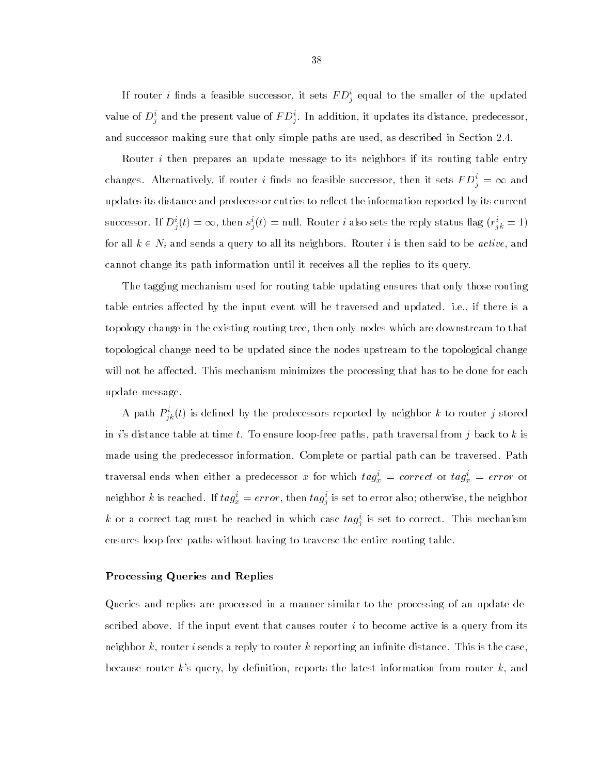If router  $i$  linds a feasible successor, it sets  $F\,D_{j}^{\ast}$  equal to the smaller of the updated value of  $D_j^{\perp}$  and the present value of  $F\bar{D_j^{\perp}}$ . In addition, it updates its distance, predecessor, and successor making sure that only simple paths are used, as described in Section 2.4.

Router  $i$  then prepares an update message to its neighbors if its routing table entry changes. Alternatively, if router i finds no feasible successor, then it sets  $FD_i^i = \infty$  and updates its distance and predecessor entries to reflect the information reported by its current successor. If  $D_i^i(t) = \infty$ , then  $s_i^i(t) =$  null. Router *i* also sets the reply status flag  $(r_{ik}^i = 1)$ for all  $k \in N_i$  and sends a query to all its neighbors. Router  $i$  is then said to be  $\emph{active},$  and cannot change its path information until it receives all the replies to its query.

The tagging mechanism used for routing table updating ensures that only those routing table entries affected by the input event will be traversed and updated. i.e., if there is a topology change in the existing routing tree, then only nodes which are downstream to that topological change need to be updated since the nodes upstream to the topological change will not be affected. This mechanism minimizes the processing that has to be done for each update message.

A path  $P_{ik}^{\ast}(t)$  is defined by the predecessors reported by neighbor  $\kappa$  to router  $j$  stored in i's distance table at time t. To ensure loop-free paths, path traversal from j back to  $k$  is made using the predecessor information. Complete or partial path can be traversed. Path traversal ends when either a predecessor x for which  $tag_x^i = correct$  or  $tag_x^i = error$  or neignbor  $\kappa$  is reached. If  $\iota ag_x = error,$  then  $\iota ag_{\tilde{i}}$  is set to error also; otherwise, the neignbor  $\kappa$  or a correct tag must be reached in which case  $\iota a g_{\hat{j}}$  is set to correct. This mechanism ensures loop-free paths without having to traverse the entire routing table.

#### Processing Queries and Replies

Queries and replies are processed in a manner similar to the processing of an update described above. If the input event that causes router  $i$  to become active is a query from its neighbor k, router i sends a reply to router k reporting an infinite distance. This is the case, because router k's query, by definition, reports the latest information from router  $k$ , and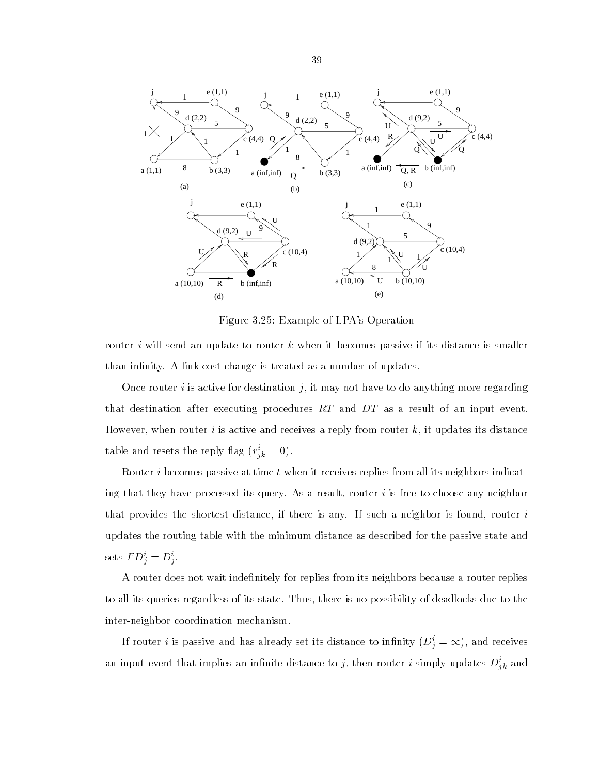

Figure 3.25: Example of LPA's Operation

router i will send an update to router k when it becomes passive if its distance is smaller than infinity. A link-cost change is treated as a number of updates.

Once router i is active for destination j, it may not have to do anything more regarding that destination after executing procedures RT and DT as a result of an input event. However, when router i is active and receives a reply from router  $k$ , it updates its distance table and resets the reply hag  $(r_{ik} = 0)$ .

Router i becomes passive at time t when it receives replies from all its neighbors indicating that they have processed its query. As a result, router  $i$  is free to choose any neighbor that provides the shortest distance, if there is any. If such a neighbor is found, router  $i$ updates the routing table with the minimum distance as described for the passive state and sets  $F D_i = D_i$ .

A router does not wait indenitely for replies from its neighbors because a router replies to all its queries regardless of its state. Thus, there is no possibility of deadlocks due to the inter-neighbor coordination mechanism.

If router i is passive and has already set its distance to infinity  $(D_i^* = \infty)$ , and receives an input event that implies an infinite distance to  $j$ , then router  $i$  simply updates  $D_{ik}^{\circ}$  and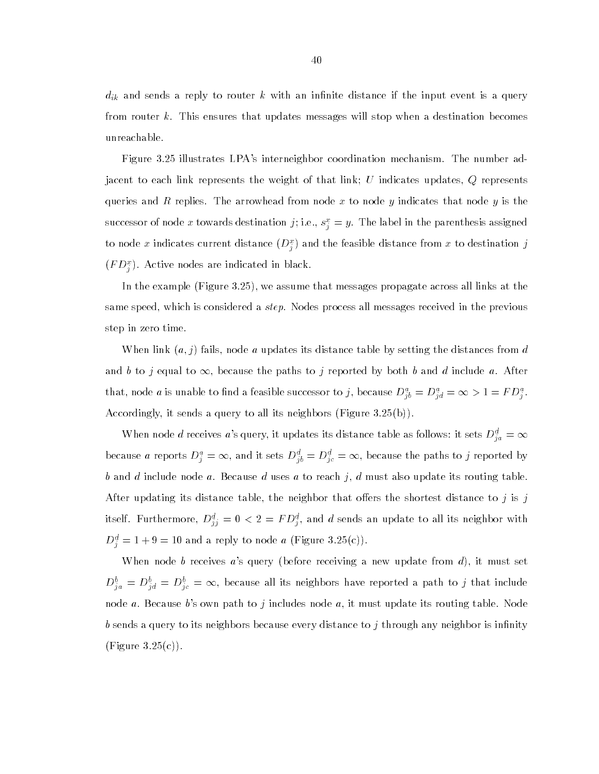$d_{ik}$  and sends a reply to router  $k$  with an infinite distance if the input event is a query from router k. This ensures that updates messages will stop when a destination becomes unreachable.

Figure 3.25 illustrates LPA's interneighbor coordination mechanism. The number adjacent to each link represents the weight of that link; U indicates updates,  $Q$  represents queries and R replies. The arrowhead from node x to node y indicates that node y is the successor of node x towards destination  $j;$  i.e.,  $s_j^* = y$ . The label in the parenthesis assigned to node x indicates current distance  $(D^{\pm}_{i})$  and the feasible distance from x to destination  $j$  $(F\,D_7^\tau)$ . Active nodes are indicated in black.

In the example (Figure 3.25), we assume that messages propagate across all links at the same speed, which is considered a step. Nodes process all messages received in the previous step in zero time.

When link  $(a, j)$  fails, node a updates its distance table by setting the distances from d and b to j equal to  $\infty$ , because the paths to j reported by both b and d include a. After that, node *a* is unable to find a feasible successor to *j*, because  $D_{jb}^a = D_{jd}^a = \infty > 1 = FD_j^a$ . Accordingly, it sends a query to all its neighbors (Figure 3.25(b)).

When node  $d$  receives  $a$ 's query, it updates its distance table as follows: it sets  $D_{\,i\,a}^d=\infty$ because a reports  $D_i^a = \infty$ , and it sets  $D_{ib}^d = D_{ic}^d = \infty$ , because the paths to  $j$  reported by b and d include node a. Because d uses a to reach j, d must also update its routing table. After updating its distance table, the neighbor that offers the shortest distance to  $j$  is  $j$ itsen. Furthermore,  $D_{jj}^{\pm} = 0 < z = r D_j^{\pm}$ , and a sends an update to all its neighbor with  $D_i^* = 1 + 9 = 10$  and a reply to node a (Figure 3.25(c)).

When node b receives  $a$ 's query (before receiving a new update from  $d$ ), it must set  $D_{ia}^b = D_{id}^b = D_{ic}^b = \infty$ , because all its neighbors have reported a path to j that include node a. Because b's own path to j includes node a, it must update its routing table. Node b sends a query to its neighbors because every distance to j through any neighbor is infinity (Figure  $3.25(c)$ ).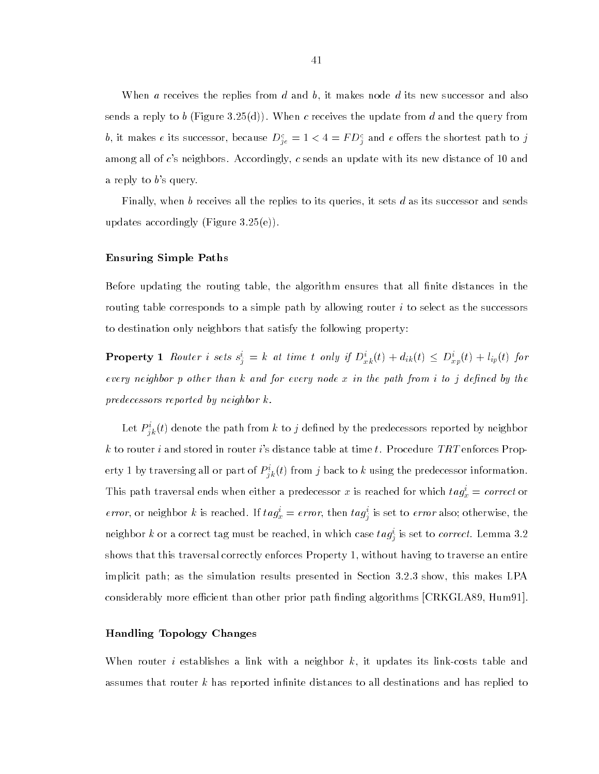When  $\alpha$  receives the replies from  $d$  and  $b$ , it makes node  $d$  its new successor and also sends a reply to b (Figure 3.25(d)). When c receives the update from d and the query from  $v$ , it makes e its successor, because  $D_{ie}^* = 1 < 4 \equiv r D_i^*$  and e oners the shortest path to  $j$ among all of c's neighbors. Accordingly, c sends an update with its new distance of 10 and a reply to  $b$ 's query.

Finally, when b receives all the replies to its queries, it sets d as its successor and sends updates accordingly (Figure 3.25(e)).

# Ensuring Simple Paths

Before updating the routing table, the algorithm ensures that all finite distances in the routing table corresponds to a simple path by allowing router  $i$  to select as the successors to destination only neighbors that satisfy the following property:

**Property** 1 Router i sets  $s_i^i = k$  at time t only if  $D_{x_k}^i(t) + d_{ik}(t) \le D_{x_p}^i(t) + l_{ip}(t)$  for every neighbor  $p$  other than  $k$  and for every node  $x$  in the path from i to  $j$  defined by the predecessors reported by neighbor k.

Let  ${P}_{ik}^{\ast}(t)$  denote the path from  $\kappa$  to  $\jmath$  defined by the predecessors reported by neighbor k to router i and stored in router i's distance table at time t. Procedure TRT enforces Property 1 by traversing all or part of  $\overline{P}_{ik}^{\;\;\mu}(t)$  from  $j$  back to  $\kappa$  using the predecessor information. This path traversal ends when either a predecessor x is reached for which  $tag_x^i = correct$  or *error*, or neignbor k is reached. If  $\iota ag_x = error$ , then  $\iota ag_j$  is set to *error* also; otherwise, the neighbor  $\kappa$  or a correct tag must be reached, in which case  $\iota a g_{\hat{j}}$  is set to *correct*. Lemma 5.2 shows that this traversal correctly enforces Property 1, without having to traverse an entire implicit path; as the simulation results presented in Section 3.2.3 show, this makes LPA considerably more efficient than other prior path finding algorithms [CRKGLA89, Hum91].

# Handling Topology Changes

When router *i* establishes a link with a neighbor  $k$ , it updates its link-costs table and assumes that router  $k$  has reported infinite distances to all destinations and has replied to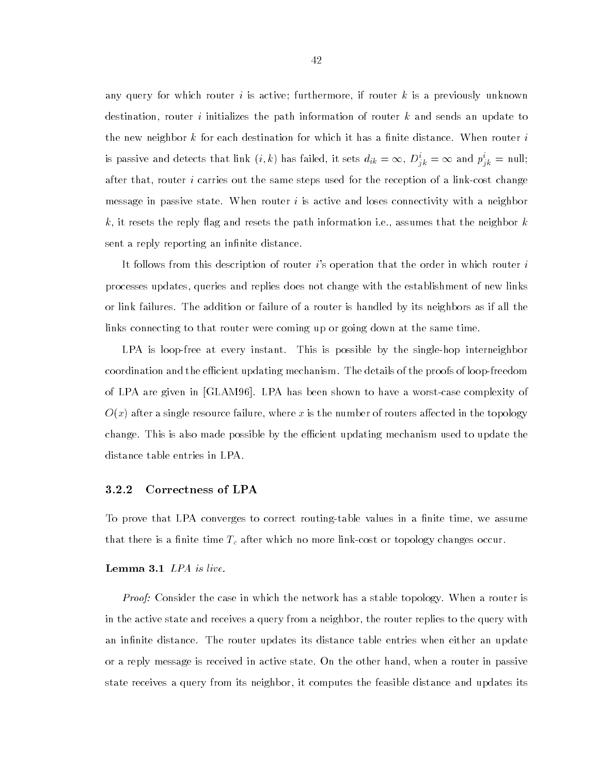any query for which router  $i$  is active; furthermore, if router  $k$  is a previously unknown destination, router i initializes the path information of router  $k$  and sends an update to the new neighbor k for each destination for which it has a finite distance. When router  $i$ is passive and detects that link  $(i,k)$  has failed, it sets  $d_{ik} = \infty$ ,  $D_{jk}^i = \infty$  and  $p_{jk}^i = \text{null};$ after that, router i carries out the same steps used for the reception of a link-cost change message in passive state. When router  $i$  is active and loses connectivity with a neighbor k, it resets the reply flag and resets the path information i.e., assumes that the neighbor  $k$ sent a reply reporting an infinite distance.

It follows from this description of router  $i$ 's operation that the order in which router  $i$ processes updates, queries and replies does not change with the establishment of new links or link failures. The addition or failure of a router is handled by its neighbors as if all the links connecting to that router were coming up or going down at the same time.

LPA is loop-free at every instant. This is possible by the single-hop interneighbor coordination and the efficient updating mechanism. The details of the proofs of loop-freedom of LPA are given in [GLAM96]. LPA has been shown to haveaworst-case complexity of  $O(x)$  after a single resource failure, where x is the number of routers affected in the topology change. This is also made possible by the efficient updating mechanism used to update the distance table entries in LPA.

## 3.2.2 Correctness of LPA

To prove that LPA converges to correct routing-table values in a finite time, we assume that there is a finite time  $T_c$  after which no more link-cost or topology changes occur.

# Lemma 3.1 LPA is live.

*Proof:* Consider the case in which the network has a stable topology. When a router is in the active state and receives a query from a neighbor, the router replies to the query with an infinite distance. The router updates its distance table entries when either an update or a reply message is received in active state. On the other hand, when a router in passive state receives a query from its neighbor, it computes the feasible distance and updates its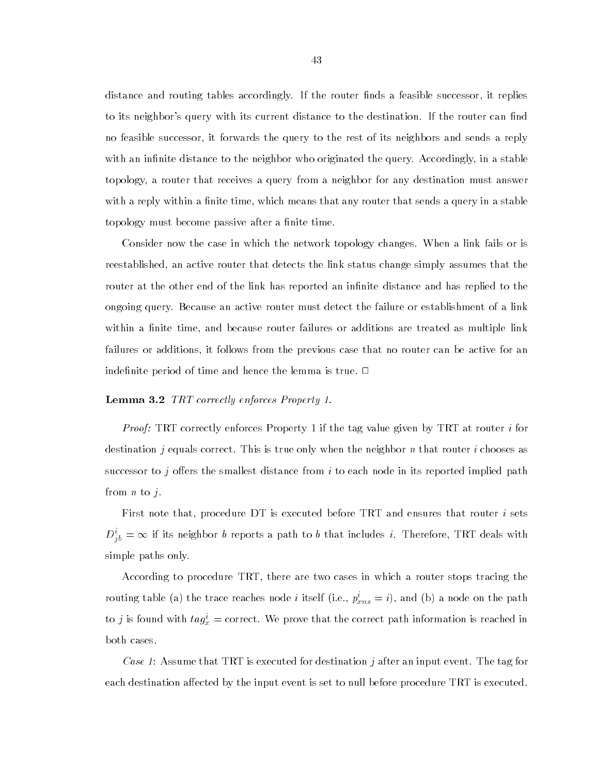distance and routing tables accordingly. If the router finds a feasible successor, it replies to its neighbor's query with its current distance to the destination. If the router can find no feasible successor, it forwards the query to the rest of its neighbors and sends a reply with an infinite distance to the neighbor who originated the query. Accordingly, in a stable topology, a router that receives a query from a neighbor for any destination must answer with a reply within a finite time, which means that any router that sends a query in a stable topology must become passive after a finite time.

Consider now the case in which the network topology changes. When a link fails or is reestablished, an active router that detects the link status change simply assumes that the router at the other end of the link has reported an infinite distance and has replied to the ongoing query. Because an active router must detect the failure or establishment of a link within a finite time, and because router failures or additions are treated as multiple link failures or additions, it follows from the previous case that no router can be active for an indefinite period of time and hence the lemma is true.  $\Box$ 

#### Lemma 3.2 TRT correctly enforces Property 1.

*Proof:* TRT correctly enforces Property 1 if the tag value given by TRT at router i for destination j equals correct. This is true only when the neighbor n that router i chooses as successor to j offers the smallest distance from i to each node in its reported implied path from  $n$  to  $j$ .

First note that, procedure DT is executed before TRT and ensures that router i sets  $D_{ib}^i = \infty$  if its neighbor  $b$  reports a path to  $b$  that includes  $i$ . Therefore, TRT deals with simple paths only.

According to procedure TRT, there are two cases in which a router stops tracing the routing table (a) the trace reaches node *i* itself (i.e.,  $p_{xns}^i = i$ ), and (b) a node on the path to j is found with  $tag_x^i =$  correct. We prove that the correct path information is reached in both cases.

Case 1: Assume that TRT is executed for destination j after an input event. The tag for each destination affected by the input event is set to null before procedure TRT is executed.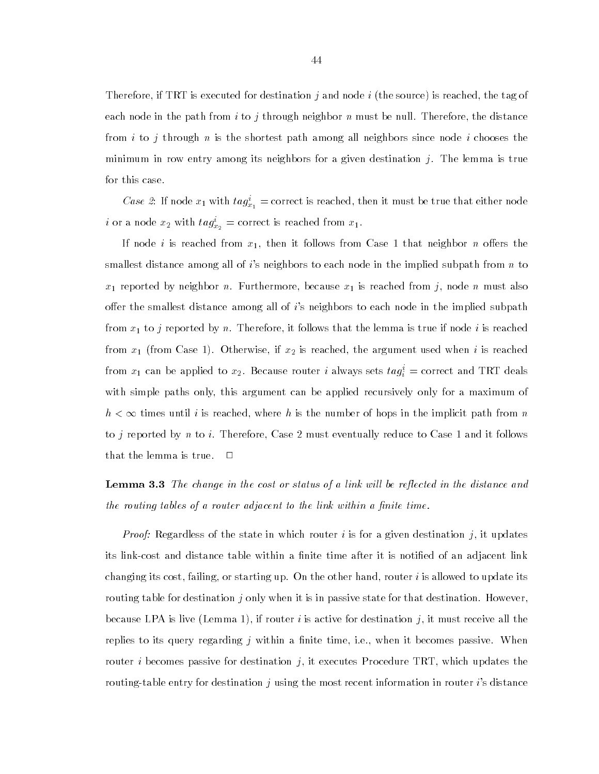Therefore, if TRT is executed for destination j and node i (the source) is reached, the tag of each node in the path from i to j through neighbor n must be null. Therefore, the distance from i to j through n is the shortest path among all neighbors since node i chooses the minimum in row entry among its neighbors for a given destination  $j$ . The lemma is true for this case.

*Case 2*: If node  $x_1$  with  $tag_{x_1}^i$  = correct is reached, then it must be true that either node *i* or a node  $x_2$  with  $tag_{x_2}^i =$  correct is reached from  $x_1$ .

If node i is reached from  $x_1$ , then it follows from Case 1 that neighbor n offers the smallest distance among all of  $i$ 's neighbors to each node in the implied subpath from  $n$  to  $x_1$  reported by neighbor n. Furthermore, because  $x_1$  is reached from j, node n must also offer the smallest distance among all of  $i$ 's neighbors to each node in the implied subpath from  $x_1$  to j reported by n. Therefore, it follows that the lemma is true if node i is reached from  $x_1$  (from Case 1). Otherwise, if  $x_2$  is reached, the argument used when i is reached from  $x_1$  can be applied to  $x_2$ . Because router  $i$  always sets  $\iota a g_i = {\rm correct}$  and TRT deals with simple paths only, this argument can be applied recursively only for a maximum of  $h < \infty$  times until i is reached, where h is the number of hops in the implicit path from n to  $j$  reported by  $n$  to  $i$ . Therefore, Case 2 must eventually reduce to Case 1 and it follows that the lemma is true.  $\Box$ 

**Lemma 3.3** The change in the cost or status of a link will be reflected in the distance and the routing tables of a router adjacent to the link within a finite time.

*Proof:* Regardless of the state in which router i is for a given destination j, it updates its link-cost and distance table within a finite time after it is notified of an adjacent link changing its cost, failing, or starting up. On the other hand, router  $i$  is allowed to update its routing table for destination  $j$  only when it is in passive state for that destination. However, because LPA is live (Lemma 1), if router i is active for destination j, it must receive all the replies to its query regarding  $j$  within a finite time, i.e., when it becomes passive. When router i becomes passive for destination j, it executes Procedure TRT, which updates the routing-table entry for destination j using the most recent information in router i's distance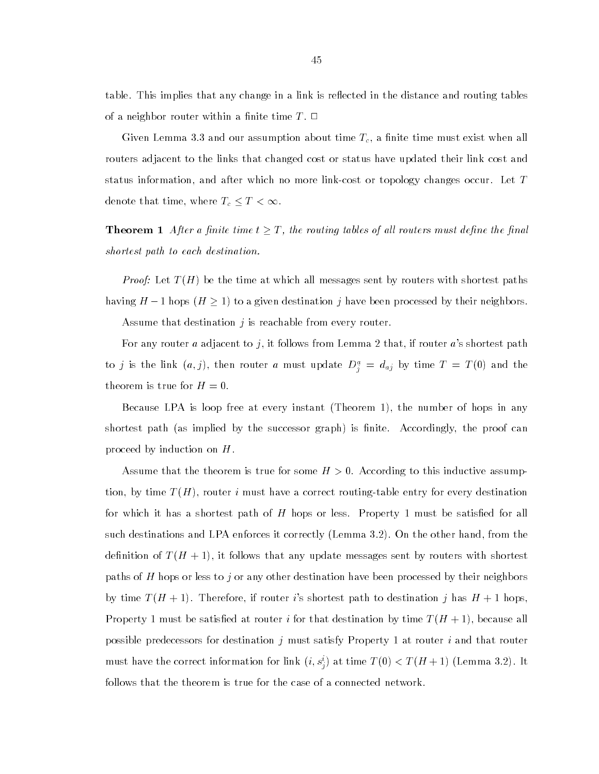table. This implies that any change in a link is reflected in the distance and routing tables of a neighbor router within a finite time  $T$ .  $\Box$ 

Given Lemma 3.3 and our assumption about time  $T_c$ , a finite time must exist when all routers adjacent to the links that changed cost or status have updated their link cost and status information, and after which no more link-cost or topology changes occur. Let T denote that time, where  $T_c \leq T < \infty$ .

**Theorem 1** After a finite time  $t \geq T$ , the routing tables of all routers must define the final shortest path to each destination.

*Proof:* Let  $T(H)$  be the time at which all messages sent by routers with shortest paths having  $H-1$  hops  $(H \geq 1)$  to a given destination j have been processed by their neighbors.

Assume that destination  $j$  is reachable from every router.

For any router a adjacent to j, it follows from Lemma 2 that, if router a's shortest path to j is the link  $(a, j)$ , then router a must update  $D_i^* = a_{aj}$  by time  $I = I$  (0) and the theorem is true for  $H = 0$ .

Because LPA is loop free at every instant (Theorem 1), the number of hops in any shortest path (as implied by the successor graph) is finite. Accordingly, the proof can proceed by induction on  $H$ .

Assume that the theorem is true for some  $H > 0$ . According to this inductive assumption, by time  $T(H)$ , router i must have a correct routing-table entry for every destination for which it has a shortest path of  $H$  hops or less. Property 1 must be satisfied for all such destinations and LPA enforces it correctly (Lemma 3.2). On the other hand, from the definition of  $T(H + 1)$ , it follows that any update messages sent by routers with shortest paths of H hops or less to j or any other destination have been processed by their neighbors by time  $T(H + 1)$ . Therefore, if router i's shortest path to destination j has  $H + 1$  hops, Property 1 must be satisfied at router i for that destination by time  $T(H + 1)$ , because all possible predecessors for destination j must satisfy Property 1 at router i and that router must have the correct information for link  $(i, s_j)$  at time  $T(0) < T(H+1)$  (Lemma 3.2). It follows that the theorem is true for the case of a connected network.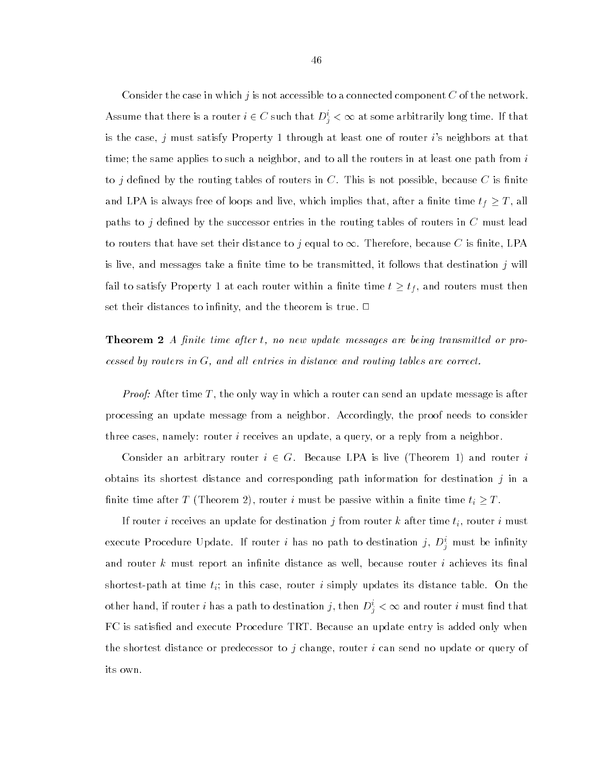Consider the case in which  $j$  is not accessible to a connected component  $C$  of the network. Assume that there is a router  $i \in C$  such that  $D_i^i < \infty$  at some arbitrarily long time. If that is the case,  $j$  must satisfy Property 1 through at least one of router  $i$ 's neighbors at that time; the same applies to such a neighbor, and to all the routers in at least one path from  $i$ to j defined by the routing tables of routers in C. This is not possible, because C is finite and LPA is always free of loops and live, which implies that, after a finite time  $t_f \geq T$ , all paths to j defined by the successor entries in the routing tables of routers in  $C$  must lead to routers that have set their distance to j equal to  $\infty$ . Therefore, because C is finite, LPA is live, and messages take a finite time to be transmitted, it follows that destination  $j$  will fail to satisfy Property 1 at each router within a finite time  $t\geq t_{f},$  and routers must then set their distances to infinity, and the theorem is true.  $\Box$ 

**Theorem 2** A finite time after t, no new update messages are being transmitted or processed by routers in  $G$ , and all entries in distance and routing tables are correct.

*Proof:* After time T, the only way in which a router can send an update message is after processing an update message from a neighbor. Accordingly, the proof needs to consider three cases, namely: router i receives an update, a query, or a reply from a neighbor.

Consider an arbitrary router  $i \in G$ . Because LPA is live (Theorem 1) and router i obtains its shortest distance and corresponding path information for destination  $j$  in a finite time after T (Theorem 2), router *i* must be passive within a finite time  $t_i \geq T$ .

If router *i* receives an update for destination  $j$  from router  $k$  after time  $t_i$ , router  $i$  must execute Procedure Opdate. If router  $i$  has no path to destination  $j, D_i$  must be infinity and router  $k$  must report an infinite distance as well, because router  $i$  achieves its final shortest-path at time  $t_i$ ; in this case, router i simply updates its distance table. On the other hand, if router i has a path to destination j, then  $D_i^i < \infty$  and router i must find that FC is satisfied and execute Procedure TRT. Because an update entry is added only when the shortest distance or predecessor to  $j$  change, router  $i$  can send no update or query of its own.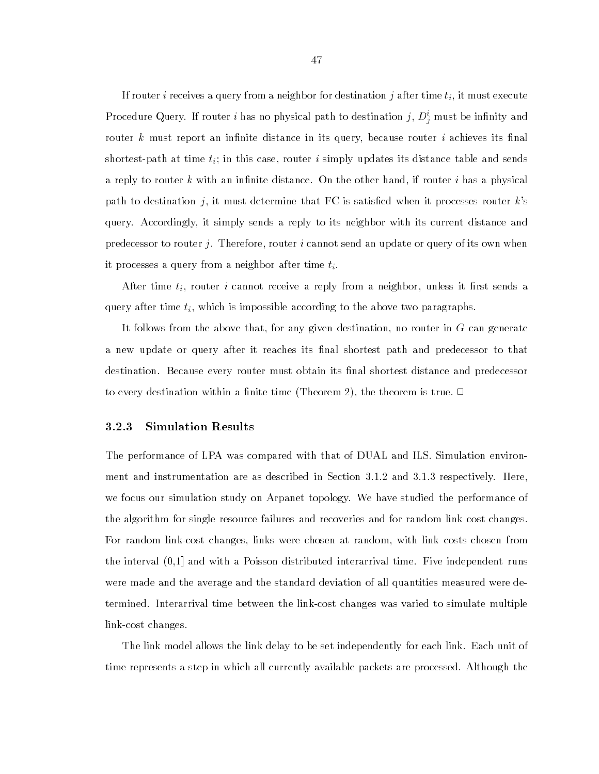If router i receives a query from a neighbor for destination j after time  $t_i$ , it must execute Procedure Query. If router  $i$  has no physical path to destination  $j, D_j$  must be infinity and router k must report an infinite distance in its query, because router i achieves its final shortest-path at time  $t_i$ ; in this case, router i simply updates its distance table and sends a reply to router  $k$  with an infinite distance. On the other hand, if router  $i$  has a physical path to destination j, it must determine that FC is satisfied when it processes router  $k$ 's query. Accordingly, it simply sends a reply to its neighbor with its current distance and predecessor to router j. Therefore, router i cannot send an update or query of its own when it processes a query from a neighbor after time  $t_i$ .

After time  $t_i$ , router i cannot receive a reply from a neighbor, unless it first sends a query after time  $t_i$ , which is impossible according to the above two paragraphs.

It follows from the above that, for any given destination, no router in G can generate a new update or query after it reaches its final shortest path and predecessor to that destination. Because every router must obtain its final shortest distance and predecessor to every destination within a finite time (Theorem 2), the theorem is true.  $\Box$ 

## 3.2.3 Simulation Results

The performance of LPA was compared with that of DUAL and ILS. Simulation environment and instrumentation are as described in Section 3.1.2 and 3.1.3 respectively. Here, we focus our simulation study on Arpanet topology. We have studied the performance of the algorithm for single resource failures and recoveries and for random link cost changes. For random link-cost changes, links were chosen at random, with link costs chosen from the interval (0,1] and with a Poisson distributed interarrival time. Five independent runs were made and the average and the standard deviation of all quantities measured were determined. Interarrival time between the link-cost changes was varied to simulate multiple link-cost changes.

The link model allows the link delay to be set independently for each link. Each unit of time represents a step in which all currently available packets are processed. Although the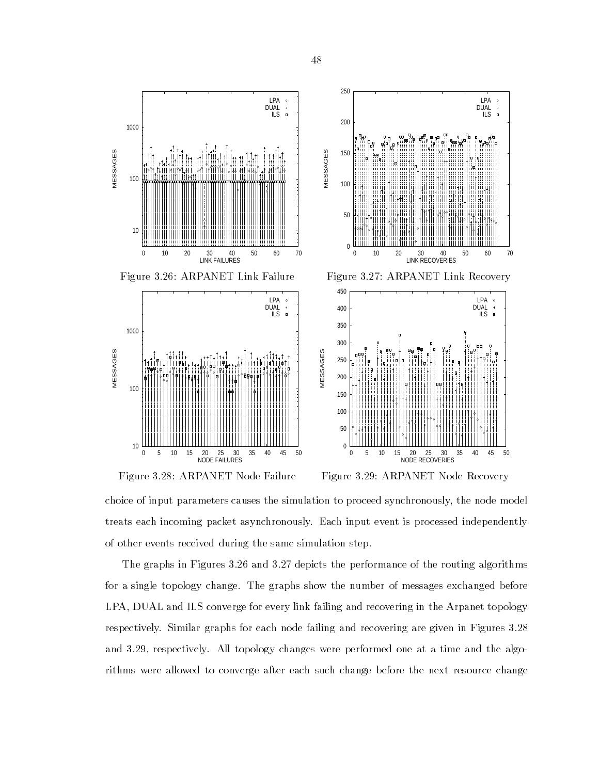



Figure 3.29: ARPANET Node Recovery

choice of input parameters causes the simulation to proceed synchronously, the node model treats each incoming packet asynchronously. Each input event is processed independently of other events received during the same simulation step.

The graphs in Figures 3.26 and 3.27 depicts the performance of the routing algorithms for a single topology change. The graphs show the number of messages exchanged before LPA, DUAL and ILS converge for every link failing and recovering in the Arpanet topology respectively. Similar graphs for each node failing and recovering are given in Figures 3.28 and 3.29, respectively. All topology changes were performed one at a time and the algorithms were allowed to converge after each such change before the next resource change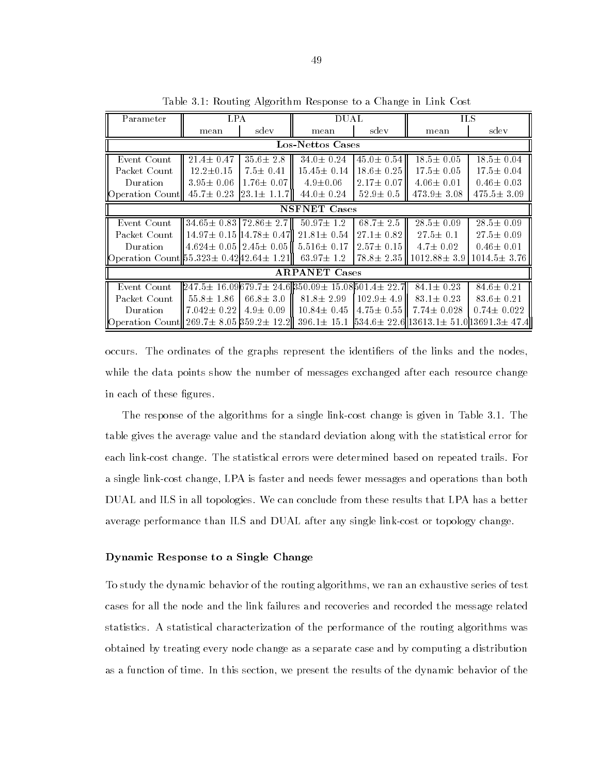| Parameter                                         | <b>LPA</b>                                     |                    | DUAL                                                                  |                  | НS                                                                       |                   |
|---------------------------------------------------|------------------------------------------------|--------------------|-----------------------------------------------------------------------|------------------|--------------------------------------------------------------------------|-------------------|
|                                                   | mean                                           | sdev               | mean                                                                  | sdev             | mean                                                                     | sdev              |
| Los-Nettos Cases                                  |                                                |                    |                                                                       |                  |                                                                          |                   |
| Event Count                                       | $21.4 \pm 0.47$                                | $35.6 \pm 2.8$     | $34.0 \pm 0.24$                                                       | $45.0 \pm 0.54$  | $18.5 \pm 0.05$                                                          | $18.5 \pm 0.04$   |
| Packet Count                                      | $12.2 \pm 0.15$                                | $7.5 \pm 0.41$     | $15.45 \pm 0.14$                                                      | $18.6 \pm 0.25$  | $17.5 \pm 0.05$                                                          | $17.5 \pm 0.04$   |
| Duration                                          | $3.95 \pm 0.06$                                | $1.76 \pm 0.07$    | $4.9 \pm 0.06$                                                        | $2.17 \pm 0.07$  | $4.06 \pm 0.01$                                                          | $0.46 \pm 0.03$   |
| Operation Count                                   | $45.7 \pm 0.23$                                | $[23.1 \pm 1.1.7]$ | $44.0 \pm 0.24$                                                       | $52.9 \pm 0.5$   | $473.9 \pm 3.08$                                                         | $475.5 \pm 3.09$  |
| <b>NSFNET</b> Cases                               |                                                |                    |                                                                       |                  |                                                                          |                   |
| Event Count                                       | $34.65 \pm 0.83$   72.86 $\pm$ 2.7             |                    | $50.97 \pm 1.2$                                                       | $68.7 \pm 2.5$   | $28.5 \pm 0.09$                                                          | $28.5 \pm 0.09$   |
| Packet Count                                      | $14.97 \pm 0.15$  14.78 $\pm 0.47$             |                    | $21.81 \pm 0.54$                                                      | $27.1 \pm 0.82$  | $27.5 \pm 0.1$                                                           | $27.5 \pm 0.09$   |
| Duration                                          | $\parallel$ 4.624 $\pm$ 0.05   2.45 $\pm$ 0.05 |                    | $5.516 \pm 0.17$                                                      | $2.57 \pm 0.15$  | $4.7 \pm 0.02$                                                           | $0.46 \pm 0.01$   |
| Operation Count $55.323 \pm 0.4242.64 \pm 1.21$   |                                                |                    | $63.97 \pm 1.2$                                                       | $78.8 \pm 2.35$  | $1012.88 \pm 3.9$                                                        | $1014.5 \pm 3.76$ |
| <b>ARPANET</b> Cases                              |                                                |                    |                                                                       |                  |                                                                          |                   |
| Event Count                                       |                                                |                    | $[247.5 \pm 16.09679.7 \pm 24.6]$ 350.09 $\pm 15.08$ 501.4 $\pm 22.7$ |                  | $84.1 \pm 0.23$                                                          | $84.6 \pm 0.21$   |
| Packet Count                                      | $55.8 \pm 1.86$                                | $66.8 \pm 3.0$     | $81.8 \pm 2.99$                                                       | $102.9 \pm 4.9$  | $83.1 \pm 0.23$                                                          | $83.6 \pm 0.21$   |
| Duration                                          | II 7.042± 0.22 I                               | $4.9 \pm 0.09$     | $10.84 \pm 0.45$                                                      | $+4.75 \pm 0.55$ | $7.74 \pm 0.028$                                                         | $0.74 \pm 0.022$  |
| Operation Count 269.7 $\pm$ 8.05 359.2 $\pm$ 12.2 |                                                |                    |                                                                       |                  | $396.1\pm 15.1$ $534.6\pm 22.6$   13613.1 $\pm 51.0$  13691.3 $\pm 47.4$ |                   |

Table 3.1: Routing Algorithm Response to a Change in Link Cost

occurs. The ordinates of the graphs represent the identifiers of the links and the nodes, while the data points show the number of messages exchanged after each resource change in each of these figures.

The response of the algorithms for a single link-cost change is given in Table 3.1. The table gives the average value and the standard deviation along with the statistical error for each link-cost change. The statistical errors were determined based on repeated trails. For a single link-cost change, LPA is faster and needs fewer messages and operations than both DUAL and ILS in all topologies. We can conclude from these results that LPA has a better average performance than ILS and DUAL after any single link-cost or topology change.

### Dynamic Response to a Single Change

To study the dynamic behavior of the routing algorithms, we ran an exhaustive series of test cases for all the node and the link failures and recoveries and recorded the message related statistics. A statistical characterization of the performance of the routing algorithms was obtained by treating every node change as a separate case and by computing a distribution as a function of time. In this section, we present the results of the dynamic behavior of the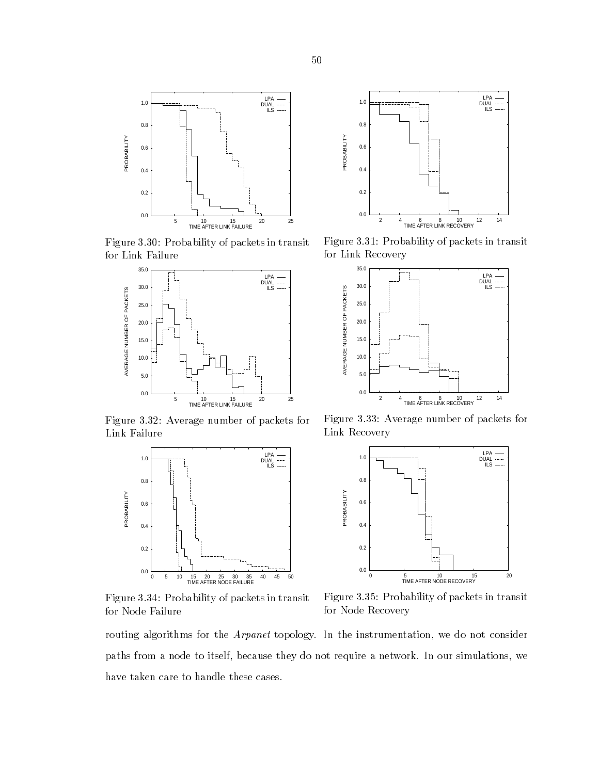

Figure 3.30: Probability of packets in transit for Link Failure



Figure 3.32: Average number of packets for Link Failure



Figure 3.34: Probability of packets in transit for Node Failure



Figure 3.31: Probability of packets in transit for Link Recovery



Figure 3.33: Average number of packets for Link Recovery



Figure 3.35: Probability of packets in transit for Node Recovery

routing algorithms for the *Arpanet* topology. In the instrumentation, we do not consider paths from a node to itself, because they do not require a network. In our simulations, we have taken care to handle these cases.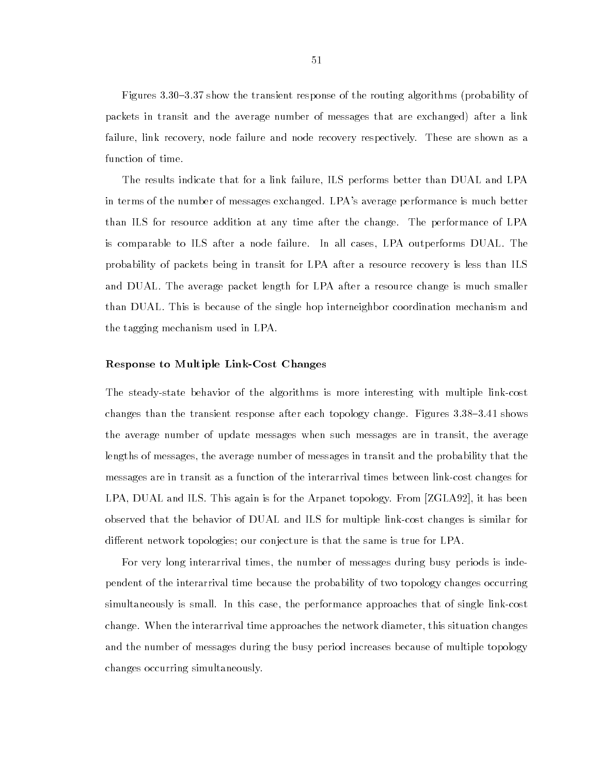Figures 3.30–3.37 show the transient response of the routing algorithms (probability of packets in transit and the average number of messages that are exchanged) after a link failure, link recovery, node failure and node recovery respectively. These are shown as a function of time.

The results indicate that for a link failure, ILS performs better than DUAL and LPA in terms of the number of messages exchanged. LPA's average performance is much better than ILS for resource addition at any time after the change. The performance of LPA is comparable to ILS after a node failure. In all cases, LPA outperforms DUAL. The probability of packets being in transit for LPA after a resource recovery is less than ILS and DUAL. The average packet length for LPA after a resource change is much smaller than DUAL. This is because of the single hop interneighbor coordination mechanism and the tagging mechanism used in LPA.

## Response to Multiple Link-Cost Changes

The steady-state behavior of the algorithms is more interesting with multiple link-cost changes than the transient response after each topology change. Figures  $3.38{\text -}3.41$  shows the average number of update messages when such messages are in transit, the average lengths of messages, the average number of messages in transit and the probability that the messages are in transit as a function of the interarrival times between link-cost changes for LPA, DUAL and ILS. This again is for the Arpanet topology. From [ZGLA92], it has been observed that the behavior of DUAL and ILS for multiple link-cost changes is similar for different network topologies; our conjecture is that the same is true for LPA.

For very long interarrival times, the number of messages during busy periods is independent of the interarrival time because the probability of two topology changes occurring simultaneously is small. In this case, the performance approaches that of single link-cost change. When the interarrival time approaches the network diameter, this situation changes and the number of messages during the busy period increases because of multiple topology changes occurring simultaneously.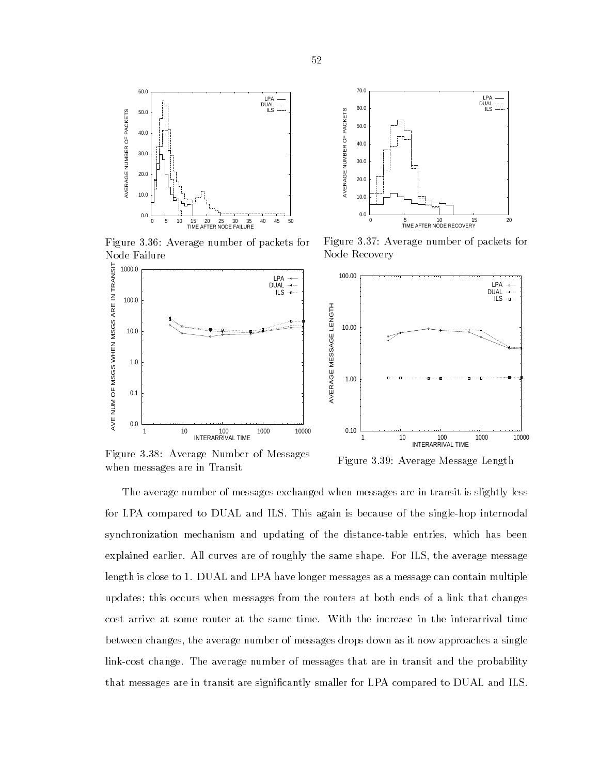



Figure 3.36: Average number of packets for Node Failure

Figure 3.37: Average number of packets for Node Recovery



Figure 3.38: Average Number of Messages when messages are in Transit

Figure 3.39: Average Message Length

The average number of messages exchanged when messages are in transit is slightly less for LPA compared to DUAL and ILS. This again is because of the single-hop internodal synchronization mechanism and updating of the distance-table entries, which has been explained earlier. All curves are of roughly the same shape. For ILS, the average message length is close to 1. DUAL and LPA have longer messages as a message can contain multiple updates; this occurs when messages from the routers at both ends of a link that changes cost arrive at some router at the same time. With the increase in the interarrival time between changes, the average number of messages drops down as it now approaches a single link-cost change. The average number of messages that are in transit and the probability that messages are in transit are signicantly smaller for LPA compared to DUAL and ILS.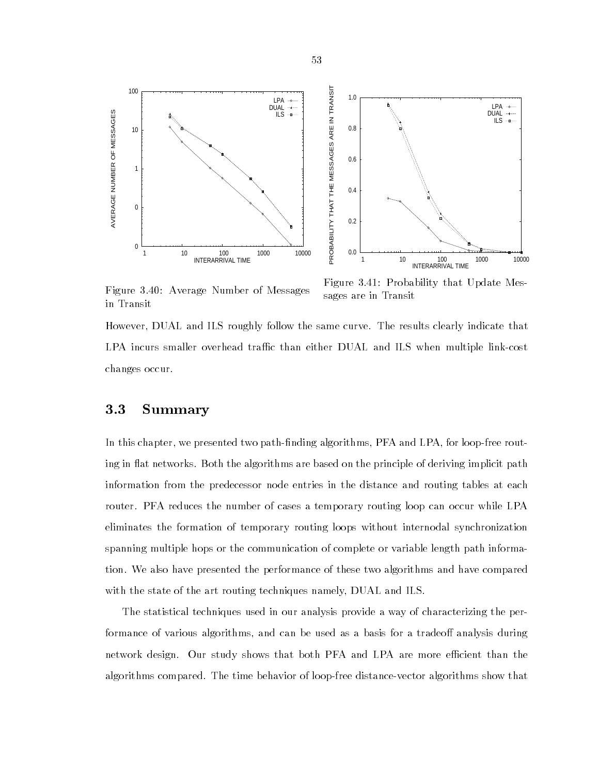



Figure 3.40: Average Number of Messages in Transit

Figure 3.41: Probability that Update Messages are in Transit

However, DUAL and ILS roughly follow the same curve. The results clearly indicate that LPA incurs smaller overhead traffic than either DUAL and ILS when multiple link-cost changes occur.

# 3.3 Summary

In this chapter, we presented two path-finding algorithms, PFA and LPA, for loop-free routing in flat networks. Both the algorithms are based on the principle of deriving implicit path information from the predecessor node entries in the distance and routing tables at each router. PFA reduces the number of cases a temporary routing loop can occur while LPA eliminates the formation of temporary routing loops without internodal synchronization spanning multiple hops or the communication of complete or variable length path information. We also have presented the performance of these two algorithms and have compared with the state of the art routing techniques namely, DUAL and ILS.

The statistical techniques used in our analysis provide a way of characterizing the performance of various algorithms, and can be used as a basis for a tradeoff analysis during network design. Our study shows that both PFA and LPA are more efficient than the algorithms compared. The time behavior of loop-free distance-vector algorithms show that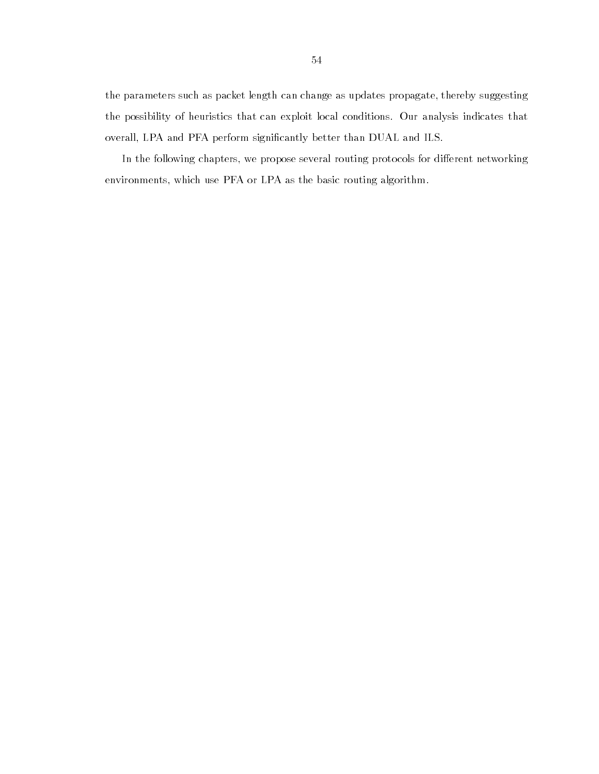the parameters such as packet length can change as updates propagate, thereby suggesting the possibility of heuristics that can exploit local conditions. Our analysis indicates that overall, LPA and PFA perform significantly better than DUAL and ILS.

In the following chapters, we propose several routing protocols for different networking environments, which use PFA or LPA as the basic routing algorithm.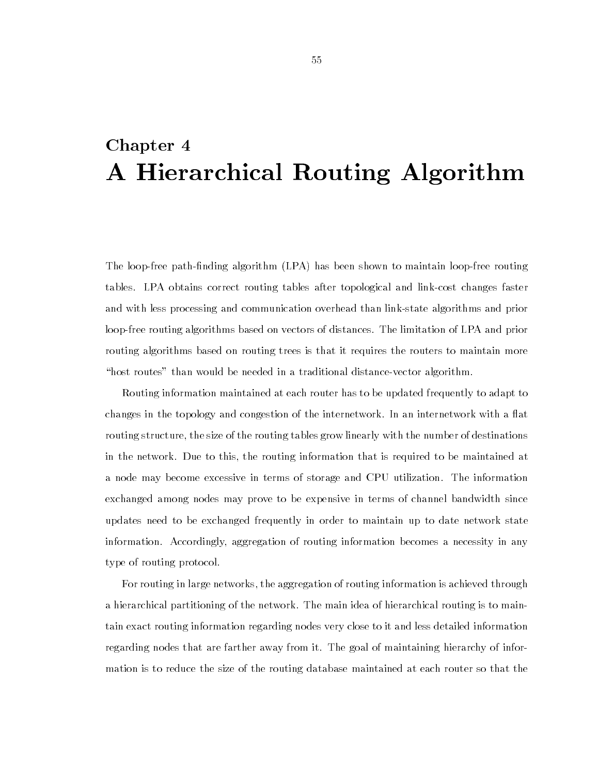# Chapter 4 A Hierarchical Routing Algorithm

The loop-free path-finding algorithm (LPA) has been shown to maintain loop-free routing tables. LPA obtains correct routing tables after topological and link-cost changes faster and with less processing and communication overhead than link-state algorithms and prior loop-free routing algorithms based on vectors of distances. The limitation of LPA and prior routing algorithms based on routing trees is that it requires the routers to maintain more "host routes" than would be needed in a traditional distance-vector algorithm.

Routing information maintained at each router has to be updated frequently to adapt to changes in the topology and congestion of the internetwork. In an internetwork with a flat routing structure, the size of the routing tables grow linearly with the number of destinations in the network. Due to this, the routing information that is required to be maintained at a node may become excessive in terms of storage and CPU utilization. The information exchanged among nodes may prove to be expensive in terms of channel bandwidth since updates need to be exchanged frequently in order to maintain up to date network state information. Accordingly, aggregation of routing information becomes a necessity in any type of routing protocol.

For routing in large networks, the aggregation of routing information is achieved through a hierarchical partitioning of the network. The main idea of hierarchical routing is to maintain exact routing information regarding nodes very close to it and less detailed information regarding nodes that are farther away from it. The goal of maintaining hierarchy of information is to reduce the size of the routing database maintained at each router so that the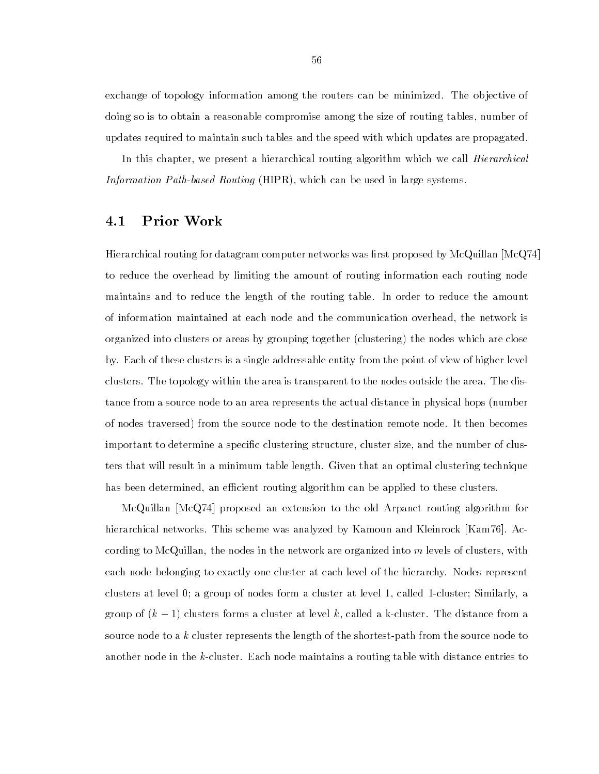exchange of topology information among the routers can be minimized. The objective of doing so is to obtain a reasonable compromise among the size of routing tables, number of updates required to maintain such tables and the speed with which updates are propagated.

In this chapter, we present a hierarchical routing algorithm which we call *Hierarchical* Information Path-based Routing (HIPR), which can be used in large systems.

# 4.1 Prior Work

Hierarchical routing for datagram computer networks was first proposed by McQuillan [McQ74] to reduce the overhead by limiting the amount of routing information each routing node maintains and to reduce the length of the routing table. In order to reduce the amount of information maintained at each node and the communication overhead, the network is organized into clusters or areas by grouping together (clustering) the nodes which are close by. Each of these clusters is a single addressable entity from the point of view of higher level clusters. The topology within the area is transparent to the nodes outside the area. The distance from a source node to an area represents the actual distance in physical hops (number of nodes traversed) from the source node to the destination remote node. It then becomes important to determine a specific clustering structure, cluster size, and the number of clusters that will result in a minimum table length. Given that an optimal clustering technique has been determined, an efficient routing algorithm can be applied to these clusters.

McQuillan [McQ74] proposed an extension to the old Arpanet routing algorithm for hierarchical networks. This scheme was analyzed by Kamoun and Kleinrock [Kam76]. According to McQuillan, the nodes in the network are organized into  $m$  levels of clusters, with each node belonging to exactly one cluster at each level of the hierarchy. Nodes represent clusters at level 0; a group of nodes form a cluster at level 1, called 1-cluster; Similarly, a group of  $(k - 1)$  clusters forms a cluster at level k, called a k-cluster. The distance from a source node to a k cluster represents the length of the shortest-path from the source node to another node in the k-cluster. Each node maintains a routing table with distance entries to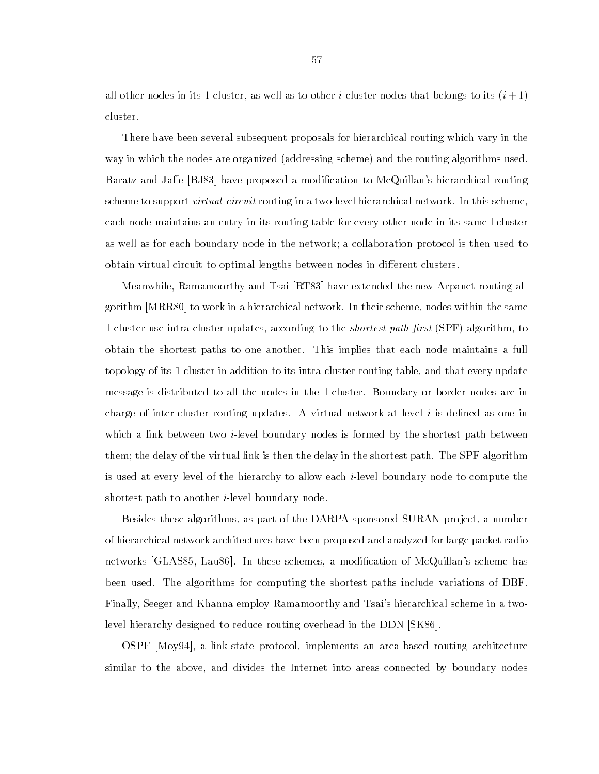all other nodes in its 1-cluster, as well as to other *i*-cluster nodes that belongs to its  $(i+1)$ cluster.

There have been several subsequent proposals for hierarchical routing which vary in the way in which the nodes are organized (addressing scheme) and the routing algorithms used. Baratz and Jaffe [BJ83] have proposed a modification to McQuillan's hierarchical routing scheme to support *virtual-circuit* routing in a two-level hierarchical network. In this scheme, each node maintains an entry in its routing table for every other node in its same l-cluster as well as for each boundary node in the network; a collaboration protocol is then used to obtain virtual circuit to optimal lengths between nodes in different clusters.

Meanwhile, Ramamoorthy and Tsai [RT83] have extended the new Arpanet routing algorithm [MRR80] to work in a hierarchical network. In their scheme, nodes within the same 1-cluster use intra-cluster updates, according to the *shortest-path first* (SPF) algorithm, to obtain the shortest paths to one another. This implies that each node maintains a full topology of its 1-cluster in addition to its intra-cluster routing table, and that every update message is distributed to all the nodes in the 1-cluster. Boundary or border nodes are in charge of inter-cluster routing updates. A virtual network at level  $i$  is defined as one in which a link between two *i*-level boundary nodes is formed by the shortest path between them; the delay of the virtual link is then the delay in the shortest path. The SPF algorithm is used at every level of the hierarchy to allow each i-level boundary node to compute the shortest path to another i-level boundary node.

Besides these algorithms, as part of the DARPA-sponsored SURAN project, a number of hierarchical network architectures have been proposed and analyzed for large packet radio networks [GLAS85, Lau86]. In these schemes, a modification of McQuillan's scheme has been used. The algorithms for computing the shortest paths include variations of DBF. Finally, Seeger and Khanna employ Ramamoorthy and Tsai's hierarchical scheme in a twolevel hierarchy designed to reduce routing overhead in the DDN [SK86].

OSPF [Moy94], a link-state protocol, implements an area-based routing architecture similar to the above, and divides the Internet into areas connected by boundary nodes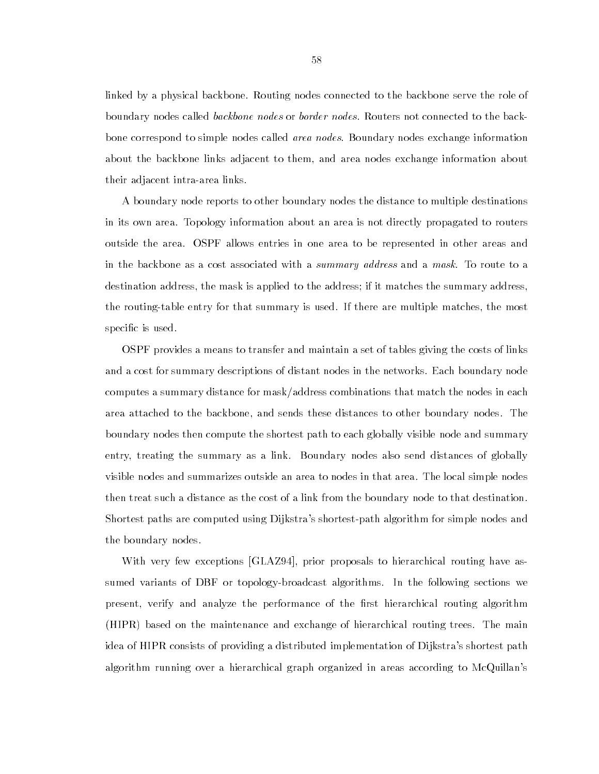linked by a physical backbone. Routing nodes connected to the backbone serve the role of boundary nodes called *backbone nodes* or *border nodes*. Routers not connected to the backbone correspond to simple nodes called *area nodes*. Boundary nodes exchange information about the backbone links adjacent to them, and area nodes exchange information about their adjacent intra-area links.

A boundary node reports to other boundary nodes the distance to multiple destinations in its own area. Topology information about an area is not directly propagated to routers outside the area. OSPF allows entries in one area to be represented in other areas and in the backbone as a cost associated with a summary address and a mask. To route to a destination address, the mask is applied to the address; if it matches the summary address, the routing-table entry for that summary is used. If there are multiple matches, the most specific is used.

OSPF provides a means to transfer and maintain a set of tables giving the costs of links and a cost for summary descriptions of distant nodes in the networks. Each boundary node computes a summary distance for mask/address combinations that match the nodes in each area attached to the backbone, and sends these distances to other boundary nodes. The boundary nodes then compute the shortest path to each globally visible node and summary entry, treating the summary as a link. Boundary nodes also send distances of globally visible nodes and summarizes outside an area to nodes in that area. The local simple nodes then treat such a distance as the cost of a link from the boundary node to that destination. Shortest paths are computed using Dijkstra's shortest-path algorithm for simple nodes and the boundary nodes.

With very few exceptions [GLAZ94], prior proposals to hierarchical routing have assumed variants of DBF or topology-broadcast algorithms. In the following sections we present, verify and analyze the performance of the first hierarchical routing algorithm (HIPR) based on the maintenance and exchange of hierarchical routing trees. The main idea of HIPR consists of providing a distributed implementation of Dijkstra's shortest path algorithm running over a hierarchical graph organized in areas according to McQuillan's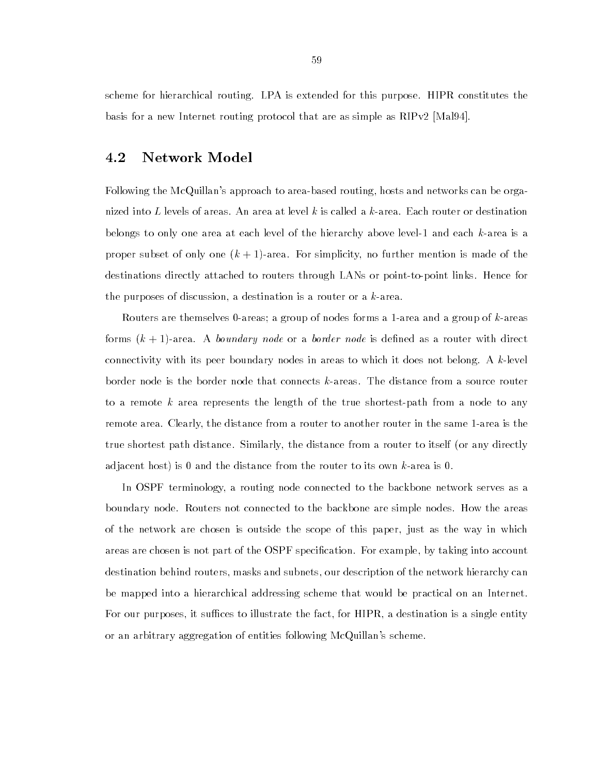scheme for hierarchical routing. LPA is extended for this purpose. HIPR constitutes the basis for a new Internet routing protocol that are as simple as RIPv2 [Mal94].

# 4.2 Network Model

Following the McQuillan's approach to area-based routing, hosts and networks can be organized into L levels of areas. An area at level k is called a  $k$ -area. Each router or destination belongs to only one area at each level of the hierarchy above level-1 and each k-area is a proper subset of only one  $(k + 1)$ -area. For simplicity, no further mention is made of the destinations directly attached to routers through LANs or point-to-point links. Hence for the purposes of discussion, a destination is a router or a k-area.

Routers are themselves 0-areas; a group of nodes forms a 1-area and a group of k-areas forms  $(k + 1)$ -area. A boundary node or a border node is defined as a router with direct connectivity with its peer boundary nodes in areas to which it does not belong. A k-level border node is the border node that connects k-areas. The distance from a source router to a remote  $k$  area represents the length of the true shortest-path from a node to any remote area. Clearly, the distance from a router to another router in the same 1-area is the true shortest path distance. Similarly, the distance from a router to itself (or any directly adjacent host) is 0 and the distance from the router to its own k-area is 0.

In OSPF terminology, a routing node connected to the backbone network serves as a boundary node. Routers not connected to the backbone are simple nodes. How the areas of the network are chosen is outside the scope of this paper, just as the way in which areas are chosen is not part of the OSPF specication. For example, by taking into account destination behind routers, masks and subnets, our description of the network hierarchy can be mapped into a hierarchical addressing scheme that would be practical on an Internet. For our purposes, it suffices to illustrate the fact, for HIPR, a destination is a single entity or an arbitrary aggregation of entities following McQuillan's scheme.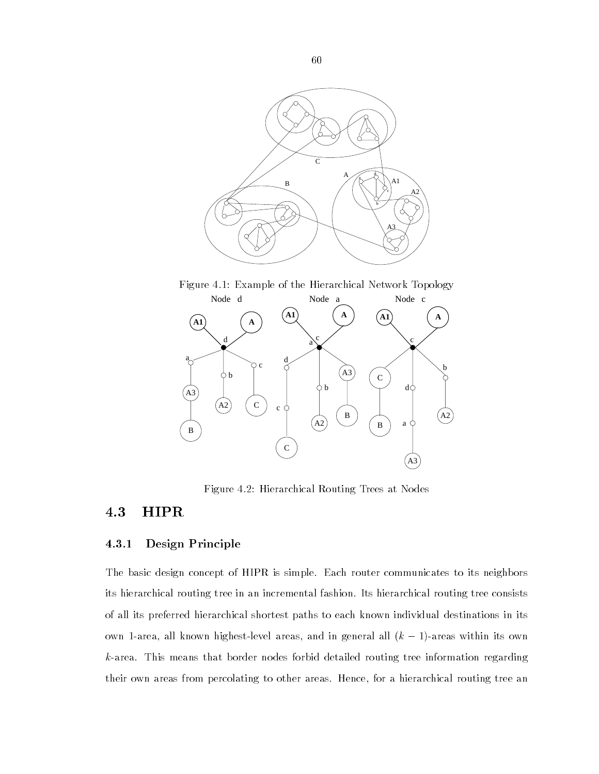

Figure 4.1: Example of the Hierarchical Network Topology



Figure 4.2: Hierarchical Routing Trees at Nodes

# 4.3 HIPR

## 4.3.1 Design Principle

The basic design concept of HIPR is simple. Each router communicates to its neighbors its hierarchical routing tree in an incremental fashion. Its hierarchical routing tree consists of all its preferred hierarchical shortest paths to each known individual destinations in its own 1-area, all known highest-level areas, and in general all  $(k - 1)$ -areas within its own  $k$ -area. This means that border nodes forbid detailed routing tree information regarding their own areas from percolating to other areas. Hence, for a hierarchical routing tree an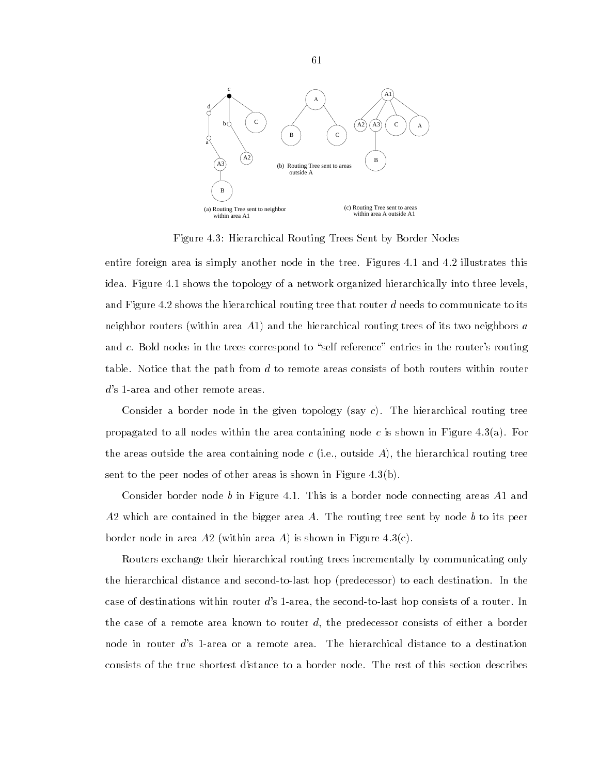

Figure 4.3: Hierarchical Routing Trees Sent by Border Nodes

entire foreign area is simply another node in the tree. Figures 4.1 and 4.2 illustrates this idea. Figure 4.1 shows the topology of a network organized hierarchically into three levels, and Figure 4.2 shows the hierarchical routing tree that router  $d$  needs to communicate to its neighbor routers (within area  $A1$ ) and the hierarchical routing trees of its two neighbors  $a$ and  $c$ . Bold nodes in the trees correspond to "self reference" entries in the router's routing table. Notice that the path from  $d$  to remote areas consists of both routers within router d's 1-area and other remote areas.

Consider a border node in the given topology (say  $c$ ). The hierarchical routing tree propagated to all nodes within the area containing node c is shown in Figure 4.3(a). For the areas outside the area containing node c (i.e., outside A), the hierarchical routing tree sent to the peer nodes of other areas is shown in Figure 4.3(b).

Consider border node b in Figure 4.1. This is a border node connecting areas A1 and  $A2$  which are contained in the bigger area A. The routing tree sent by node b to its peer border node in area A2 (within area A) is shown in Figure 4.3(c).

Routers exchange their hierarchical routing trees incrementally by communicating only the hierarchical distance and second-to-last hop (predecessor) to each destination. In the case of destinations within router d's 1-area, the second-to-last hop consists of a router. In the case of a remote area known to router  $d$ , the predecessor consists of either a border node in router d's 1-area or a remote area. The hierarchical distance to a destination consists of the true shortest distance to a border node. The rest of this section describes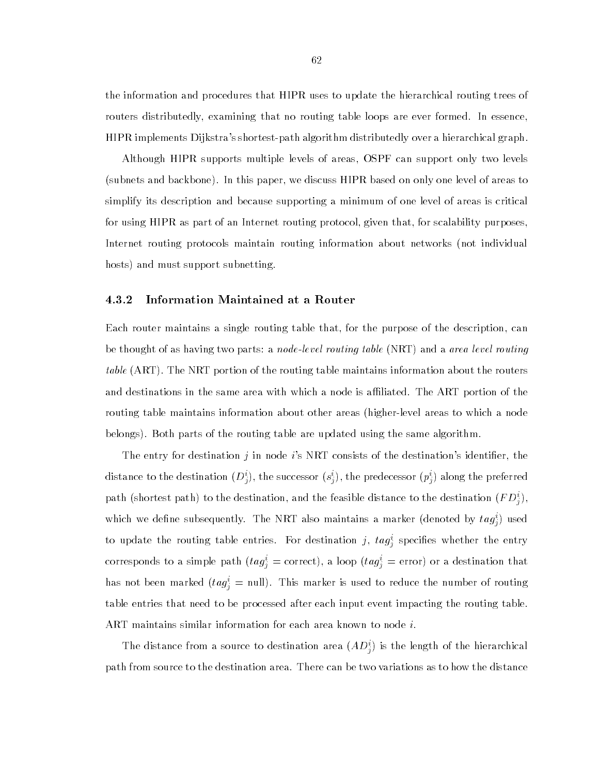the information and procedures that HIPR uses to update the hierarchical routing trees of routers distributedly, examining that no routing table loops are ever formed. In essence, HIPR implements Dijkstra's shortest-path algorithm distributedly over a hierarchical graph.

Although HIPR supports multiple levels of areas, OSPF can support only two levels (subnets and backbone). In this paper, we discuss HIPR based on only one level of areas to simplify its description and because supporting a minimum of one level of areas is critical for using HIPR as part of an Internet routing protocol, given that, for scalability purposes, Internet routing protocols maintain routing information about networks (not individual hosts) and must support subnetting.

### 4.3.2 Information Maintained at a Router

Each router maintains a single routing table that, for the purpose of the description, can be thought of as having two parts: a *node-level routing table* (NRT) and a *area level routing* table (ART). The NRT portion of the routing table maintains information about the routers and destinations in the same area with which a node is affiliated. The ART portion of the routing table maintains information about other areas (higher-level areas to which a node belongs). Both parts of the routing table are updated using the same algorithm.

The entry for destination j in node i's NRT consists of the destination's identifier, the distance to the destination  $(D^*_j)$ , the successor  $(s^*_j)$ , the predecessor  $(p^*_j)$  along the preferred path (shortest path) to the destination, and the feasible distance to the destination  $(FD_i^*)$ , which we define subsequently. The NRT also maintains a marker (denoted by  $\iota a g_{\hat{j}}$ ) used to update the routing table entries. For destination  $j, \; u y_j$  specifies whether the entry corresponds to a simple path  $(\iota a g) = \text{correct}$ , a loop  $(\iota a g) = \text{error}$  or a destination that has not been marked  $(tag_i) =$  null). This marker is used to reduce the number of routing table entries that need to be processed after each input event impacting the routing table. ART maintains similar information for each area known to node i.

The distance from a source to destination area  $(AD<sub>j</sub>)$  is the length of the hierarchical path from source to the destination area. There can be two variations as to how the distance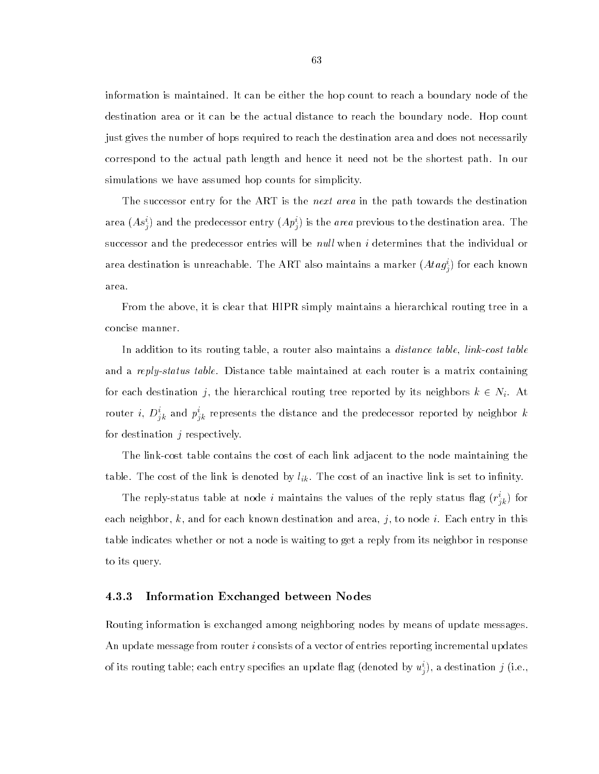information is maintained. It can be either the hop count to reach a boundary node of the destination area or it can be the actual distance to reach the boundary node. Hop count just gives the number of hops required to reach the destination area and does not necessarily correspond to the actual path length and hence it need not be the shortest path. In our simulations we have assumed hop counts for simplicity.

The successor entry for the ART is the *next area* in the path towards the destination area (As<sub>i</sub>) and the predecessor entry (A $p_j$ ) is the *area* previous to the destination area. The successor and the predecessor entries will be *null* when  $i$  determines that the individual or area destination is unreachable. The ART also maintains a marker (Ata $g^{\scriptscriptstyle \ast}_{i})$  for each known area.

From the above, it is clear that HIPR simply maintains a hierarchical routing tree in a concise manner.

In addition to its routing table, a router also maintains a *distance table, link-cost table* and a reply-status table. Distance table maintained at each router is a matrix containing for each destination j, the hierarchical routing tree reported by its neighbors  $k \in N_i$ . At router  $i, \ D_{jk}^+$  and  $p_{jk}^-$  represents the distance and the predecessor reported by neighbor  $\kappa$ for destination  $j$  respectively.

The link-cost table contains the cost of each link adjacent to the node maintaining the  $t = k$ . The cost of an inactive link is denoted by link is set to inactive link is set to indicate link is set to in

The reply-status table at hode  $i$  maintains the values of the reply status hag  $(r_{jk}^*)$  for each neighbor, k, and for each known destination and area, j, to node i. Each entry in this table indicates whether or not a node is waiting to get a reply from its neighbor in response to its query.

### 4.3.3 Information Exchanged between Nodes

Routing information is exchanged among neighboring nodes by means of update messages. An update message from router *i* consists of a vector of entries reporting incremental updates of its routing table; each entry specifies an update hag (denoted by  $u_j$ ), a destination  $j$  (i.e.,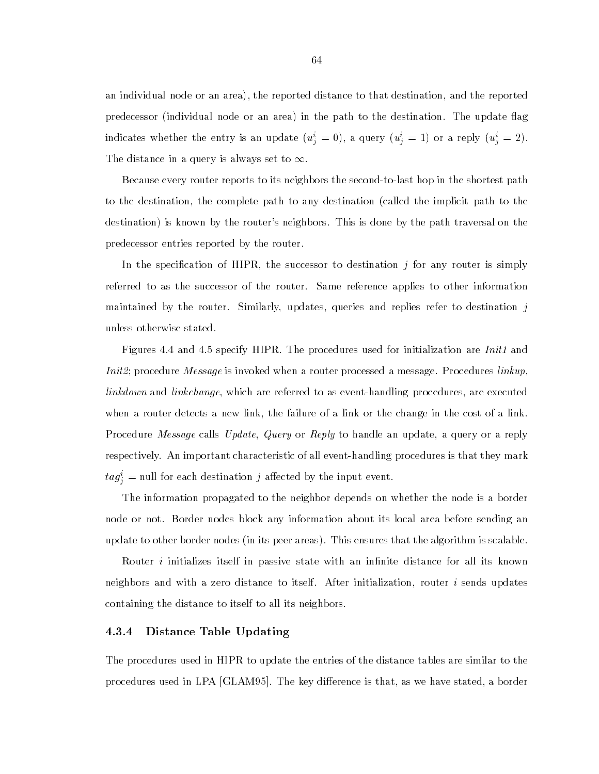an individual node or an area), the reported distance to that destination, and the reported predecessor (individual node or an area) in the path to the destination. The update flag indicates whether the entry is an update  $(u_j = 0)$ , a query  $(u_j = 1)$  or a reply  $(u_j = 2)$ . The distance in a query is always set to  $\infty.$ 

Because every router reports to its neighbors the second-to-last hop in the shortest path to the destination, the complete path to any destination (called the implicit path to the destination) is known by the router's neighbors. This is done by the path traversal on the predecessor entries reported by the router.

In the specification of HIPR, the successor to destination  $j$  for any router is simply referred to as the successor of the router. Same reference applies to other information maintained by the router. Similarly, updates, queries and replies refer to destination  $j$ unless otherwise stated.

Figures 4.4 and 4.5 specify HIPR. The procedures used for initialization are *Init1* and Init2; procedure Message is invoked when a router processed a message. Procedures linkup, linkdown and linkchange, which are referred to as event-handling procedures, are executed when a router detects a new link, the failure of a link or the change in the cost of a link. Procedure *Message* calls Update, Query or Reply to handle an update, a query or a reply respectively. An important characteristic of all event-handling procedures is that they mark  $iag_{\hat{j}}=$  null for each destination  $j$  allected by the input event.

The information propagated to the neighbor depends on whether the node is a border node or not. Border nodes block any information about its local area before sending an update to other border nodes (in its peer areas). This ensures that the algorithm is scalable.

Router *i* initializes itself in passive state with an infinite distance for all its known neighbors and with a zero distance to itself. After initialization, router i sends updates containing the distance to itself to all its neighbors.

#### 4.3.4 Distance Table Updating

The procedures used in HIPR to update the entries of the distance tables are similar to the procedures used in LPA [GLAM95]. The key difference is that, as we have stated, a border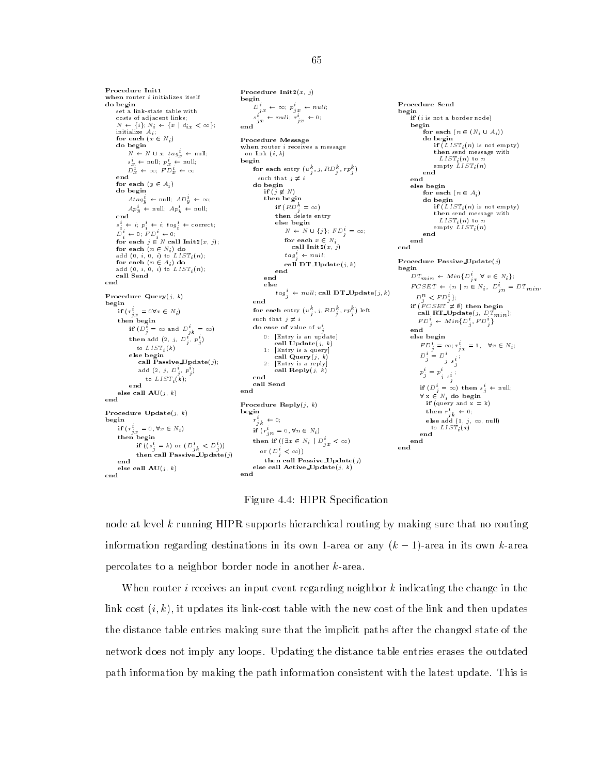Procedure Init1 Procedure Init $2(x, j)$ **Procedure Initializes itself** do begin  $D_{jx}^{i} \leftarrow \infty; p_{jx}^{i} \leftarrow null;$ Procedure Send set a link-state table with  $\int$  if (*i* is not a border node) costs of adjacent links;  $s_{jx} \leftarrow null; r_{jx} \leftarrow 0;$  $N \leftarrow \{i\}; N_i \leftarrow \{x \mid d_{i,x}$ <br>initialize  $A_{i}$ ;  $\langle \infty \rangle$ ; end for each  $(n \in (N_i \cup A_i))$ for each  $(x \in N_i)$ Procedure Message do begin when router  $i$  receives a message  $N \leftarrow N \cup x$ ;  $tag\{x}{x} \leftarrow null$ ; on link  $(i, k)$  $s_x^i \leftarrow \text{null}; \ p_x^i \leftarrow \text{null};$ begin  $D_x^i + \infty$ ;  $FD_x^i + \infty$ for each entry  $(u_j^-, j, \kappa \nu_j^-, rp_j^+)$ ) end such that  $j\,\neq\,i$ end for each  $(y \in A_i)$ do begin if  $(j \notin N)$ for each  $(n \in A_i)$ then begin  $Atag<sup>t</sup><sub>y</sub> \leftarrow null; AD<sup>t</sup><sub>y</sub> \leftarrow \infty;$  $Ap_y^i \leftarrow \text{null}; \; Ap_y^i \leftarrow \text{null};$ if  $(RD_i) = \infty$ then delete entry end else begin  $s_i \leftarrow i; p_i \leftarrow i; tag_i \leftarrow correct;$  $N \leftarrow N \cup \{j\}; FP_{j}^{t} = \infty;$  $D_i^+ \leftarrow 0; \quad F D_i^+ \leftarrow 0;$ for each  $x \in N_i$ for each  $j \in N$  call  $\text{Init2}(x, j)$ ; end call  $\text{Init2}(x, j)$ for each  $(n \in N_i)$  do<br>add  $(0, i, 0, i)$  to  $LIST_i(n)$ ; end  $tag_i^i \leftarrow null;$ Procedure Passive Update( $j$ )<br>begin for each  $(n \in A_i)$  do call  $DT\_Update(j, k)$ add (0,  $i,$  0,  $i)$  to  ${\cal L} {\cal I} {\cal S} {\cal T}_i$   $(n);$ end call Send  $DT_{min} \; \leftarrow Min\, \{D_{jx}^{i} \; \forall \; x \in N_{i}\};$ end else  $FCSET \leftarrow \{n \mid n \in N_i, D_{jn}^i = DT_{min},$  $tag^i \leftarrow null$ ; call DT\_Update(j, k) Procedure Query $(j, k)$ <br>begin  $D_j^n \lt FD_j^n$ ; end if  $(FCSET \neq \emptyset)$  then begin beginning and the second contract of the second contract of the second contract of the second contract of the if  $(r'_{jx} = 0 \forall x \in N_i)$ call RT\_Update( $j, D_{\parallel}T_{min}$ ); for each entry  $(u_j^-, j, \mathit{RD}_j^-, \mathit{rp}_j^+)$  left  $\hspace{0.2cm}$ such that  $j \neq i$ if  $(D_i^{\vec{i}} = \infty$  and  $D_{ik}^{\vec{i}} = \infty)$ do case of value of  $u_j^i$ 0: [Entry is an update] else begin then add  $(2, j, D_j, p_j)$ call  $Update(j, k)$ to  $LIST_i(k)$ 1: [Entry is a query] else begin call Passive Update(j);  $2<sup>1</sup>$  $2:$  [Entry is a reply] call  $\mathbf{Reply}(j)$ add (2, *j, D<sub>j</sub>, P<sub>j</sub>)* to  $LIST_i(k)$ ; end call Send <sub>ond</sub> else call  $AU(j, k)$ end Procedure  $\mathrm{Reply}(j, k)$ Procedure  $Update(j, k)$ begin begin  $r^i_{jk} \leftarrow 0;$ if  $(r_{jx}^i = 0, \forall x \in N_i)$ if  $(r_{in}^* = 0, \forall n \in N_i)$ end then begin then if  $((\exists x \in N_i \mid D_{jx}^i < \infty))$ end if  $((s_i = k)$  or  $(D_{ik} < D_i)$ or  $(D_j^{\dagger} < \infty)$ ) then call Passive Update(j)  $\mathbf{A}$ then call  $P$  and  $P$  are  $\mathcal{L}$  and  $\mathcal{L}$  and  $\mathcal{L}$ else call Active Update $(j, k)$ else call  $\mathbf{A}\mathbf{U}(j,\;k)$ end

Figure 4.4: HIPR Specification

node at level k running HIPR supports hierarchical routing by making sure that no routing information regarding destinations in its own 1-area or any  $(k - 1)$ -area in its own k-area percolates to a neighbor border node in another k-area.

When router *i* receives an input event regarding neighbor  $k$  indicating the change in the link cost  $(i, k)$ , it updates its link-cost table with the new cost of the link and then updates the distance table entries making sure that the implicit paths after the changed state of the network does not imply any loops. Updating the distance table entries erases the outdated path information by making the path information consistent with the latest update. This is

#### 65

do begin<br>if  $(LIST_i(n)$  is not empty) then send message with

do begin<br>if  $(LIST_i(n)$  is not empty)  $\lim_{x \to \infty}$  then send message with

 $\text{empty } LIST_i(n)$ 

 $LIST: (n)$  to n

 $FD_i^i \leftarrow Min\{D_j^i, FD_j^i\}$ 

 $D_j = D_{j \, s_j}$  $p_j^i = p_j^i$ 

 $j$  s<sub>i</sub>  $\textbf{if} \ (D^i_{\,j} \,=\, \infty) \ \ \textbf{then} \ \ s^i_{\,j} \ \leftarrow \ \textbf{null};$  $\forall x \in N_i$  do begin if  $(query \text{ and } x = k)$ then  $r_{jk} \leftarrow 0;$ <br>else add (1, j,  $\infty$ , null)

to  $LIST_i(x)$ 

 $FD_j^* = \infty; r_{jx}^* = 1, \quad \forall x \in N_i;$ 

 $LIST_i(n)$  to n empty  $LIST_i(n)$ 

end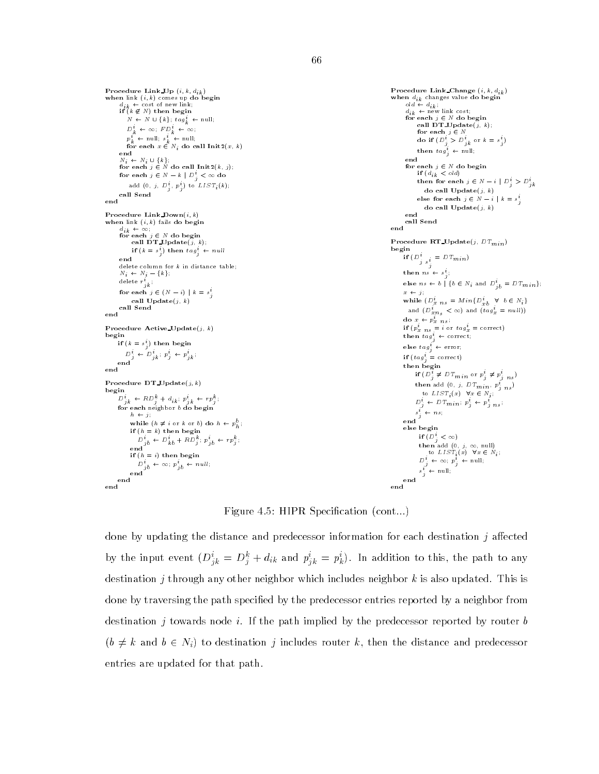```
when link (i, k) comes up do begin<br>
d_{ik} \leftarrow \text{cost of new link};<br>
if (k \not\in N) then begin
                                                                                                                                                             when d_{ik} changes value do begin<br>
old \leftarrow d_{ik};<br>
d_{ik} \leftarrow new link cost;<br>
for each j \in N do begin<br>
call DT_Update(j, k);
           N \leftarrow N \cup \{k\}; \, tag_k^t \leftarrow \text{null};D_k^i \leftarrow \infty; FD_k^i \leftarrow \infty;
                                                                                                                                                                          for each j \in Np_k^* \leftarrow \text{null}; \; s_k^* \leftarrow \text{null}; \ \text{for each } x \in N_i \; \text{do call } \text{Init2}(x, \, k)do if (D_i > D_{ik} or k = s_i)
                                                                                                                                                                    then \operatorname{tag}_j^i \leftarrow \text{null};<br>end
        \begin{aligned} N_i &\leftarrow N_i \, \cup \, \{k\}; \ \textbf{for each}\,\, j \in N \textbf{ do call } \textbf{Init2}(k,\,j); \end{aligned}for each j \in N do begin<br>if (d_{ik} \leq old)for each j \in N - k \mid D_j^i < \infty do
                                                                                                                                                                          then for each j \in N - i \mid D_i^i > D_{ik}^iadd (0, j, D<sup>2</sup><sub>j</sub>, p<sup>2</sup><sub>j</sub>) to LIST<sub>i</sub>(k);
                                                                                                                                                                              do call 
                                                                                                                                                                          else for each j \in N - i \mid k = s_j^iend
                                                                                                                                                                              do call Update(j, k)Procedure Link_Down(i, k)----<br>call Send
 Procedure Link Down(i; k) when link (i, k) fails do begin
                                                                                                                                                            end
        d_{ik} \leftarrow \infty;<br>for each j \in N do begin
                                                                                                                                                            Procedure RT_Update(j, DT_{min})
              call DT\_Update(j, k);
                                                                                                                                                            begin
               if (k = s_j) then tag_j \leftarrow null\prod_{j} \bigcup_{s_i^i} = D T_{min}end
delete column for k in distance table; N_i \leftarrow N_j - \{k\};then ns \leftarrow s_{ji}delete r_{jk}^i ;
                                                                                                                                                                   else ns \leftarrow b | {b \in N_i and D_{jb}^i = DT_{min}};
        for each j \in (N - i) \mid k = s<sup>i</sup>
                                                                                                                                                                   x \leftarrow j;
                                                                                                                                                                   while (D_{x \ n s}^i = Min\{D_{xb}^i \ \forall \ b \in N_i\}call \textbf{Update}(j, k)call Send
                                                                                                                                                                    and (D_{x,n_s}^i < \infty) and (ta g_x^i = null)end
                                                                                                                                                                    do x \leftarrow p_x ns;
Procedure Active Update(j, k)if (p_x \, n_s = i \text{ or } tag_x = \text{correct})<br>then tag_i^i \leftarrow \text{correct};begin<br>if (k = s_j^i) then begin
                                                                                                                                                                  else \text{tag}^i_j \leftarrow \text{error};if (k = s_j) then begin<br>
D_j^i \leftarrow D_{jk}^i : p_j^i \leftarrow p_{jk}^i;<br>
end
                                                                                                                                                                  if (tag_i^i = \text{correct})then begin
end
                                                                                                                                                                         if (D_j^i \neq D T_{min} or p_j^i \neq p_{j \, ns}^i)then add (0, j, DT_{min}, p_{j}^{i} ns)
Procedure DT\_Update(j, k)begin
                                                                                                                                                                           to LIST_i(x) \forall x \in N_i;
 D_{jk}^i \leftarrow RD_j^k + d_{ik} ; p_{jk}^i \leftarrow rp_j^k;D_j^{\cdot} \leftarrow D T_{min}; p_j^{\cdot} \leftarrow p_{j \, ns}^{\cdot};
       for each neighbor b do begin
             h \leftarrow j;
                                                                                                                                                                          s_j \leftarrow ns;
              while (h \neq i or k or b) do h \leftarrow p_h^o;
                                                                                                                                                                    else begin
              \overrightarrow{D}_{jb} \leftarrow \overrightarrow{D}_{kb}^i + \overrightarrow{RD}_{j}^k; \ \overrightarrow{p}_{jb} \leftarrow \overrightarrow{rp}_{j}^k;if (D_j < \infty)<br>
then add (0, j, \infty, \text{null})<br>
to LIST_i(x) \quad \forall x \in N_i;
              if (h = i) then begin
             D^i_{jb} \leftarrow \infty; \ p^i_{jb} \leftarrow null;<br>end
                                                                                                                                                                            D_j^* \leftarrow \infty; p_j^* \leftarrow \text{null};s_j^i \leftarrow \text{null};end
                                                                                                                                                            end
```
Figure 4.5: HIPR Specification (cont...)

done by updating the distance and predecessor information for each destination  $j$  affected by the input event  $(D_{jk}^* = D_j^* + a_{ik}^*$  and  $p_{jk}^* = p_k^*$ ). In addition to this, the path to any destination j through any other neighbor which includes neighbor k is also updated. This is done by traversing the path specied by the predecessor entries reported by a neighbor from destination j towards node i. If the path implied by the predecessor reported by router b  $(b \neq k$  and  $b \in N_i)$  to destination j includes router k, then the distance and predecessor entries are updated for that path.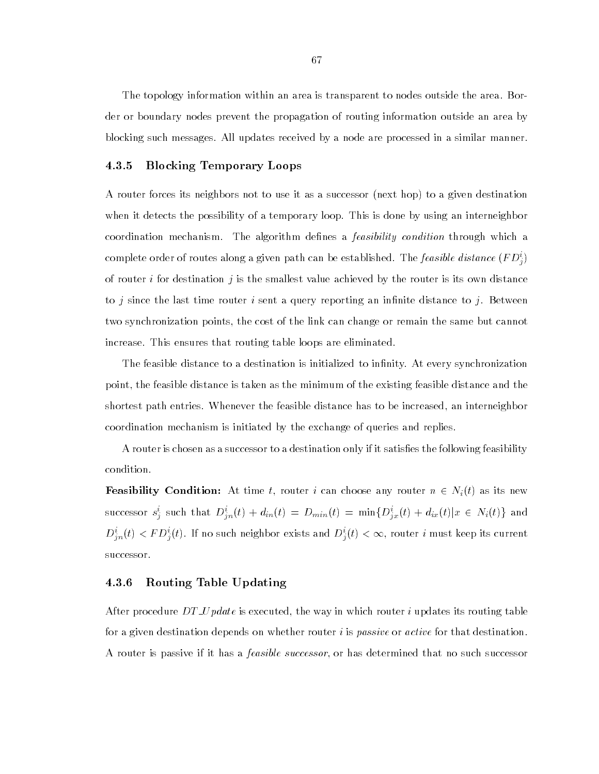The topology information within an area is transparent to nodes outside the area. Border or boundary nodes prevent the propagation of routing information outside an area by blocking such messages. All updates received by a node are processed in a similar manner.

### 4.3.5 Blocking Temporary Loops

A router forces its neighbors not to use it as a successor (next hop) to a given destination when it detects the possibility of a temporary loop. This is done by using an interneighbor coordination mechanism. The algorithm defines a *feasibility condition* through which a complete order of routes along a given path can be established. The *feasible alstance* (FD<sub>i</sub>) of router i for destination j is the smallest value achieved by the router is its own distance to j since the last time router i sent a query reporting an infinite distance to j. Between two synchronization points, the cost of the link can change or remain the same but cannot increase. This ensures that routing table loops are eliminated.

The feasible distance to a destination is initialized to infinity. At every synchronization point, the feasible distance is taken as the minimum of the existing feasible distance and the shortest path entries. Whenever the feasible distance has to be increased, an interneighbor coordination mechanism is initiated by the exchange of queries and replies.

A router is chosen as a successor to a destination only if it satisfies the following feasibility condition.

**Feasibility Condition:** At time t, router i can choose any router  $n \in N_i(t)$  as its new successor  $s_i^i$  such that  $D_{in}^i(t) + d_{in}(t) = D_{min}(t) = \min\{D_{ix}^i(t) + d_{ix}(t) | x \in N_i(t)\}\)$  and  $D_{in}^i(t) < FD_i^i(t)$ . If no such neighbor exists and  $D_i^i(t) < \infty$ , router  $i$  must keep its current successor.

#### $4.3.6$ 4.3.6 Routing Table Updating

After procedure  $DT\_Update$  is executed, the way in which router i updates its routing table for a given destination depends on whether router  $i$  is *passive* or *active* for that destination. A router is passive if it has a *feasible successor*, or has determined that no such successor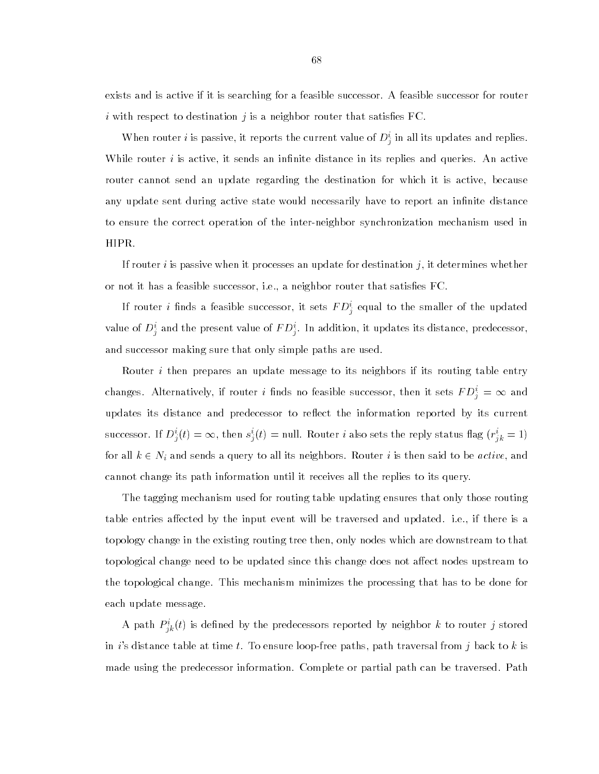exists and is active if it is searching for a feasible successor. A feasible successor for router i with respect to destination  $j$  is a neighbor router that satisfies FC.

When router t is passive, it reports the current value of  $D_j^*$  in all its updates and replies. While router  $i$  is active, it sends an infinite distance in its replies and queries. An active router cannot send an update regarding the destination for which it is active, because any update sent during active state would necessarily have to report an infinite distance to ensure the correct operation of the inter-neighbor synchronization mechanism used in HIPR.

If router *i* is passive when it processes an update for destination *j*, it determines whether or not it has a feasible successor, i.e., a neighbor router that satisfies FC.

If router  $i$  linds a feasible successor, it sets  $F\,D_{j}^{\ast}$  equal to the smaller of the updated value of  $D_i^*$  and the present value of  $rD_i^*$ . In addition, it updates its distance, predecessor, and successor making sure that only simple paths are used.

Router *i* then prepares an update message to its neighbors if its routing table entry changes. Alternatively, if router i finds no feasible successor, then it sets  $FD_i^i = \infty$  and updates its distance and predecessor to reflect the information reported by its current successor. If  $D_i^i(t) = \infty$ , then  $s_i^i(t) =$  null. Router *i* also sets the reply status flag  $(r_{ik}^i = 1)$ for all  $k \in N_i$  and sends a query to all its neighbors. Router  $i$  is then said to be  $\emph{active},$  and cannot change its path information until it receives all the replies to its query.

The tagging mechanism used for routing table updating ensures that only those routing table entries affected by the input event will be traversed and updated. i.e., if there is a topology change in the existing routing tree then, only nodes which are downstream to that topological change need to be updated since this change does not affect nodes upstream to the topological change. This mechanism minimizes the processing that has to be done for each update message.

A path  $P_{ik}^{\dagger}(t)$  is defined by the predecessors reported by neighbor  $\kappa$  to router  $j$  stored in i's distance table at time t. To ensure loop-free paths, path traversal from j back to k is made using the predecessor information. Complete or partial path can be traversed. Path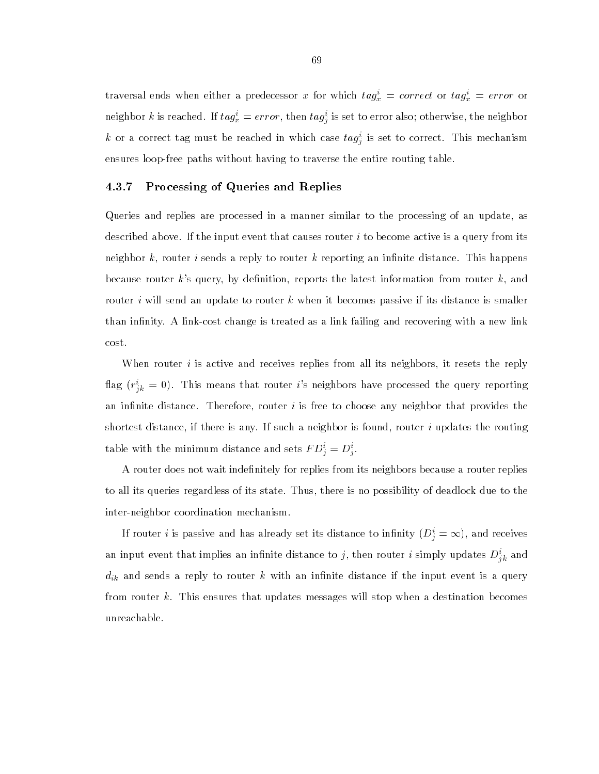traversal ends when either a predecessor x for which  $tag_x^i = correct$  or  $tag_x^i = error$  or neighbor  $\kappa$  is reached. If  $\iota a g_x = error,$  then  $\iota a g_j$  is set to error also; otherwise, the neighbor  $\kappa$  or a correct tag must be reached in which case  $\iota a g_j^{\bot}$  is set to correct. This mechanism ensures loop-free paths without having to traverse the entire routing table.

## 4.3.7 Processing of Queries and Replies

Queries and replies are processed in a manner similar to the processing of an update, as described above. If the input event that causes router  $i$  to become active is a query from its neighbor  $k$ , router i sends a reply to router k reporting an infinite distance. This happens because router  $k$ 's query, by definition, reports the latest information from router  $k$ , and router i will send an update to router k when it becomes passive if its distance is smaller than infinity. A link-cost change is treated as a link failing and recovering with a new link cost.

When router  $i$  is active and receives replies from all its neighbors, it resets the reply flag ( $r^i_{jk} = 0$ ). This means that router  $i$ 's neighbors have processed the query reporting an infinite distance. Therefore, router  $i$  is free to choose any neighbor that provides the shortest distance, if there is any. If such a neighbor is found, router i updates the routing table with the minimum distance and sets  $F D_j^* = D_j^*$ .

A router does not wait indefinitely for replies from its neighbors because a router replies to all its queries regardless of its state. Thus, there is no possibility of deadlock due to the inter-neighbor coordination mechanism.

If router  $i$  is passive and has already set its distance to infinity  $(D_j^i=\infty),$  and receives an input event that implies an infinite distance to  $j,$  then router  $i$  simply updates  $D_{jk}^{\circ}$  and  $d_{ik}$  and sends a reply to router k with an infinite distance if the input event is a query from router k. This ensures that updates messages will stop when a destination becomes unreachable.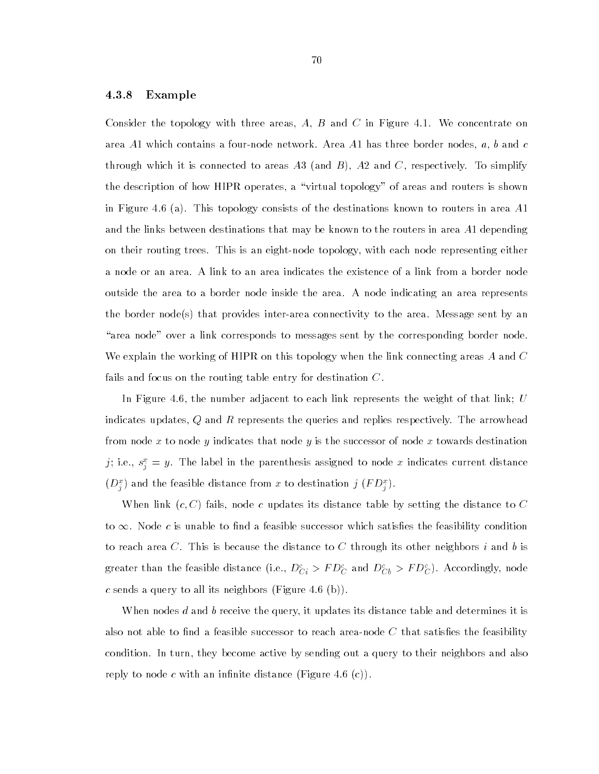#### 4.3.8 Example

Consider the topology with three areas,  $A, B$  and  $C$  in Figure 4.1. We concentrate on area A1 which contains a four-node network. Area A1 has three border nodes,  $a, b$  and  $c$ through which it is connected to areas  $A3$  (and  $B$ ),  $A2$  and  $C$ , respectively. To simplify the description of how HIPR operates, a \virtual topology" of areas and routers is shown in Figure 4.6 (a). This topology consists of the destinations known to routers in area A1 and the links between destinations that may be known to the routers in area A1 depending on their routing trees. This is an eight-node topology, with each node representing either a node or an area. A link to an area indicates the existence of a link from a border node outside the area to a border node inside the area. A node indicating an area represents the border node(s) that provides inter-area connectivity to the area. Message sent by an "area node" over a link corresponds to messages sent by the corresponding border node. We explain the working of HIPR on this topology when the link connecting areas A and C fails and focus on the routing table entry for destination  $C$ .

In Figure 4.6, the number adjacent to each link represents the weight of that link; U indicates updates,  $Q$  and  $R$  represents the queries and replies respectively. The arrowhead from node x to node y indicates that node y is the successor of node x towards destination ); i.e.,  $s_{\hat{i}} = y$ . The label in the parenthesis assigned to node x indicates current distance  $(D_i^{\pi})$  and the feasible distance from x to destination  $j$  (F  $D_i^{\pi})$ .

When link  $(c, C)$  fails, node c updates its distance table by setting the distance to C to  $\infty$ . Node c is unable to find a feasible successor which satisfies the feasibility condition to reach area C. This is because the distance to C through its other neighbors  $i$  and  $b$  is greater than the feasible distance (i.e.,  $D_{Ci}^c > FD_C^c$  and  $D_{Cb}^c > FD_C^c$ ). Accordingly, node c sends a query to all its neighbors (Figure 4.6 (b)).

When nodes  $d$  and  $b$  receive the query, it updates its distance table and determines it is also not able to find a feasible successor to reach area-node  $C$  that satisfies the feasibility condition. In turn, they become active by sending out a query to their neighbors and also reply to node c with an infinite distance (Figure 4.6 (c)).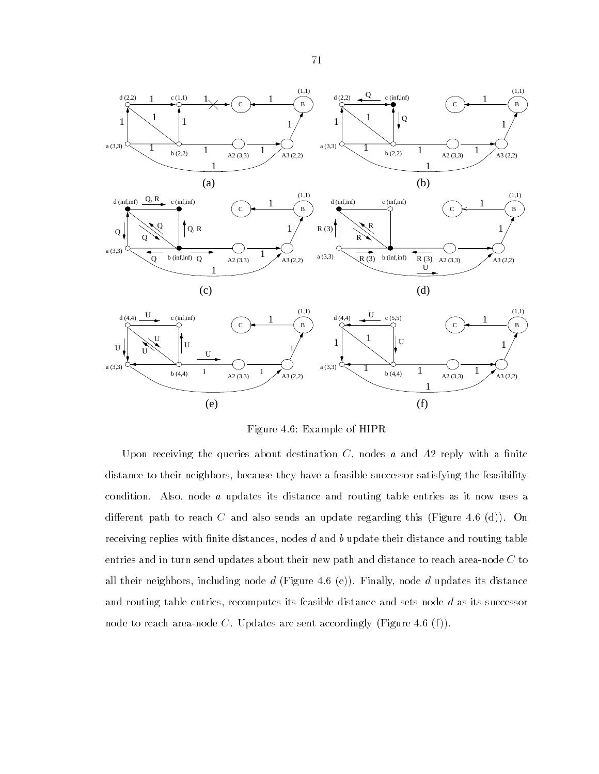

Figure 4.6: Example of HIPR

Upon receiving the queries about destination  $C$ , nodes  $a$  and  $A2$  reply with a finite distance to their neighbors, because they have a feasible successor satisfying the feasibility condition. Also, node a updates its distance and routing table entries as it now uses a different path to reach C and also sends an update regarding this (Figure 4.6 (d)). On receiving replies with finite distances, nodes  $d$  and  $b$  update their distance and routing table entries and in turn send updates about their new path and distance to reach area-node C to all their neighbors, including node d (Figure 4.6 (e)). Finally, node d updates its distance and routing table entries, recomputes its feasible distance and sets node  $d$  as its successor node to reach area-node C. Updates are sent accordingly (Figure 4.6 (f)).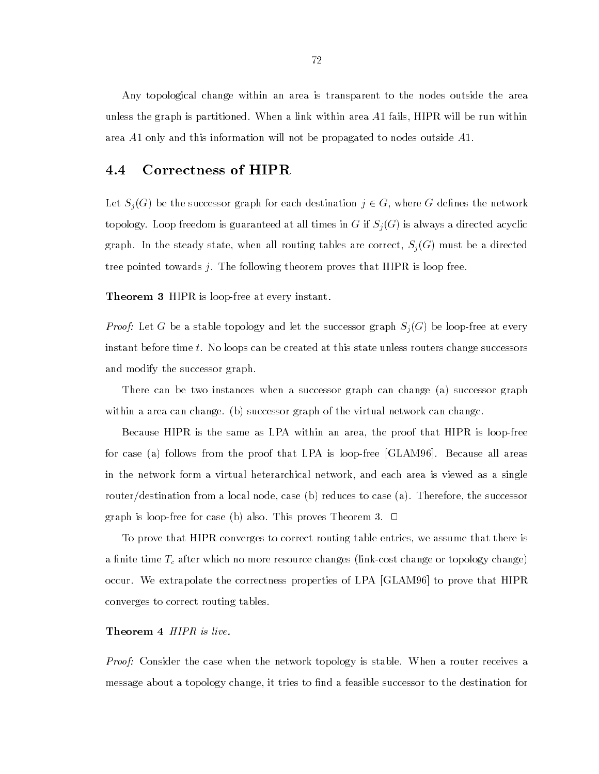Any topological change within an area is transparent to the nodes outside the area unless the graph is partitioned. When a link within area A1 fails, HIPR will be run within area A1 only and this information will not be propagated to nodes outside A1.

#### 4.4 Correctness of HIPR  $4.4$

Let  $S_j(G)$  be the successor graph for each destination  $j \in G,$  where  $G$  defines the network topology. Loop freedom is guaranteed at all times in  $G$  if  $S_j(G)$  is always a directed acyclic graph. In the steady state, when all routing tables are correct,  $S_j(G)$  must be a directed tree pointed towards j. The following theorem proves that HIPR is loop free.

Theorem 3 HIPR is loop-free at every instant.

*Proof:* Let G be a stable topology and let the successor graph  $S_j(G)$  be loop-free at every instant before time t. No loops can be created at this state unless routers change successors and modify the successor graph.

There can be two instances when a successor graph can change (a) successor graph within a area can change. (b) successor graph of the virtual network can change.

Because HIPR is the same as LPA within an area, the proof that HIPR is loop-free for case (a) follows from the proof that LPA is loop-free [GLAM96]. Because all areas in the network form a virtual heterarchical network, and each area is viewed as a single router/destination from a local node, case (b) reduces to case (a). Therefore, the successor graph is loop-free for case (b) also. This proves Theorem 3.  $\Box$ 

To prove that HIPR converges to correct routing table entries, we assume that there is a finite time  $T_c$  after which no more resource changes (link-cost change or topology change) occur. We extrapolate the correctness properties of LPA [GLAM96] to prove that HIPR converges to correct routing tables.

#### Theorem 4 HIPR is live.

*Proof:* Consider the case when the network topology is stable. When a router receives a message about a topology change, it tries to find a feasible successor to the destination for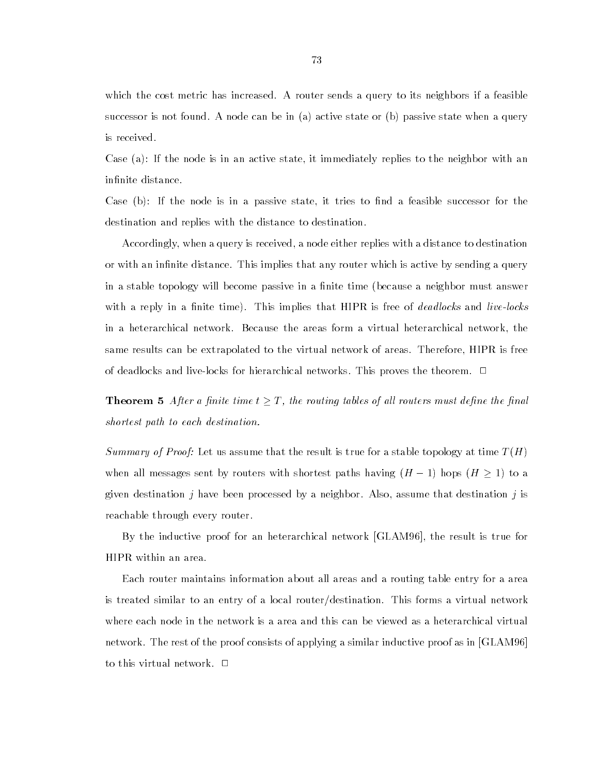which the cost metric has increased. A router sends a query to its neighbors if a feasible successor is not found. A node can be in (a) active state or (b) passive state when a query is received.

Case (a): If the node is in an active state, it immediately replies to the neighbor with an infinite distance.

Case  $(b)$ : If the node is in a passive state, it tries to find a feasible successor for the destination and replies with the distance to destination.

Accordingly, when a query is received, a node either replies with a distance to destination or with an infinite distance. This implies that any router which is active by sending a query in a stable topology will become passive in a finite time (because a neighbor must answer with a reply in a finite time). This implies that  $HIPR$  is free of *deadlocks* and *live-locks* in a heterarchical network. Because the areas form a virtual heterarchical network, the same results can be extrapolated to the virtual network of areas. Therefore, HIPR is free of deadlocks and live-locks for hierarchical networks. This proves the theorem.  $\Box$ 

**Theorem 5** After a finite time  $t \geq T$ , the routing tables of all routers must define the final shortest path to each destination.

Summary of Proof: Let us assume that the result is true for a stable topology at time  $T(H)$ when all messages sent by routers with shortest paths having  $(H - 1)$  hops  $(H \ge 1)$  to a given destination j have been processed by a neighbor. Also, assume that destination j is reachable through every router.

By the inductive proof for an heterarchical network [GLAM96], the result is true for HIPR within an area.

Each router maintains information about all areas and a routing table entry for a area is treated similar to an entry of a local router/destination. This forms a virtual network where each node in the network is a area and this can be viewed as a heterarchical virtual network. The rest of the proof consists of applying a similar inductive proof as in [GLAM96] to this virtual network.  $\Box$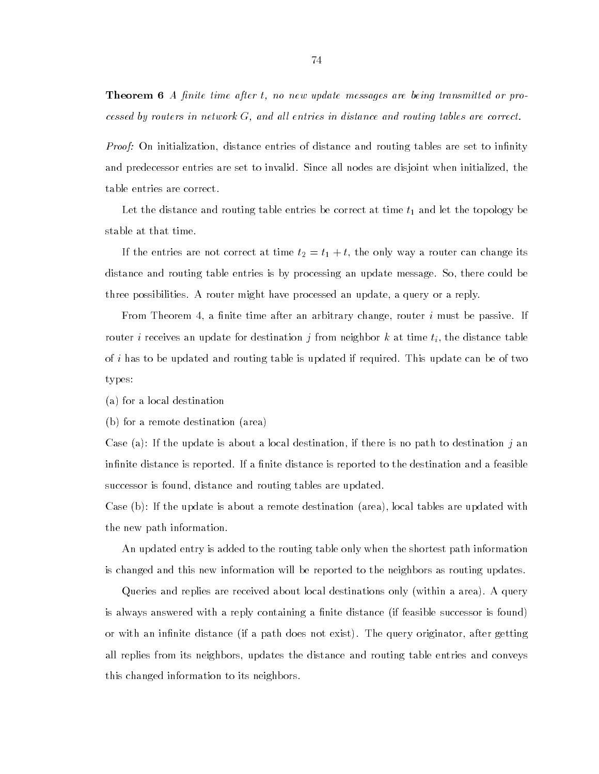**Theorem 6** A finite time after t, no new update messages are being transmitted or processed by routers in network  $G$ , and all entries in distance and routing tables are correct.

*Proof:* On initialization, distance entries of distance and routing tables are set to infinity and predecessor entries are set to invalid. Since all nodes are disjoint when initialized, the table entries are correct.

Let the distance and routing table entries be correct at time  $t_1$  and let the topology be stable at that time.

If the entries are not correct at time  $t_2 = t_1 + t$ , the only way a router can change its distance and routing table entries is by processing an update message. So, there could be three possibilities. A router might have processed an update, a query or a reply.

From Theorem 4, a finite time after an arbitrary change, router  $i$  must be passive. If router i receives an update for destination j from neighbor k at time  $t_i$ , the distance table of i has to be updated and routing table is updated if required. This update can be of two types:

(a) for a local destination

(b) for a remote destination (area)

Case (a): If the update is about a local destination, if there is no path to destination j an infinite distance is reported. If a finite distance is reported to the destination and a feasible successor is found, distance and routing tables are updated.

Case (b): If the update is about a remote destination (area), local tables are updated with the new path information.

An updated entry is added to the routing table only when the shortest path information is changed and this new information will be reported to the neighbors as routing updates.

Queries and replies are received about local destinations only (within a area). A query is always answered with a reply containing a finite distance (if feasible successor is found) or with an infinite distance (if a path does not exist). The query originator, after getting all replies from its neighbors, updates the distance and routing table entries and conveys this changed information to its neighbors.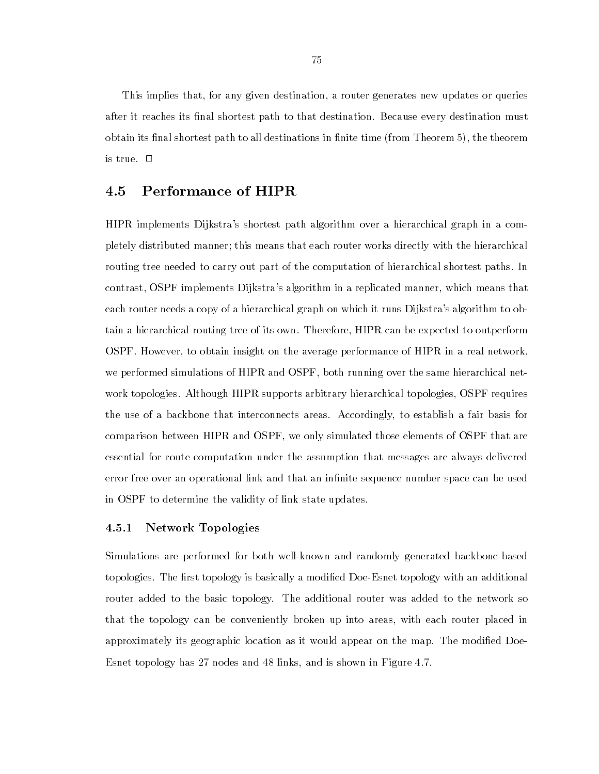This implies that, for any given destination, a router generates new updates or queries after it reaches its final shortest path to that destination. Because every destination must obtain its final shortest path to all destinations in finite time (from Theorem 5), the theorem is true.  $\Box$ 

#### Performance of HIPR 4.5

HIPR implements Dijkstra's shortest path algorithm over a hierarchical graph in a completely distributed manner; this means that each router works directly with the hierarchical routing tree needed to carry out part of the computation of hierarchical shortest paths. In contrast, OSPF implements Dijkstra's algorithm in a replicated manner, which means that each router needs a copy of a hierarchical graph on which it runs Dijkstra's algorithm to obtain a hierarchical routing tree of its own. Therefore, HIPR can be expected to outperform OSPF. However, to obtain insight on the average performance of HIPR in a real network, we performed simulations of HIPR and OSPF, both running over the same hierarchical network topologies. Although HIPR supports arbitrary hierarchical topologies, OSPF requires the use of a backbone that interconnects areas. Accordingly, to establish a fair basis for comparison between HIPR and OSPF, we only simulated those elements of OSPF that are essential for route computation under the assumption that messages are always delivered error free over an operational link and that an infinite sequence number space can be used in OSPF to determine the validity of link state updates.

#### 4.5.1 Network Topologies

Simulations are performed for both well-known and randomly generated backbone-based topologies. The first topology is basically a modified Doe-Esnet topology with an additional router added to the basic topology. The additional router was added to the network so that the topology can be conveniently broken up into areas, with each router placed in approximately its geographic location as it would appear on the map. The modied Doe-Esnet topology has 27 nodes and 48 links, and is shown in Figure 4.7.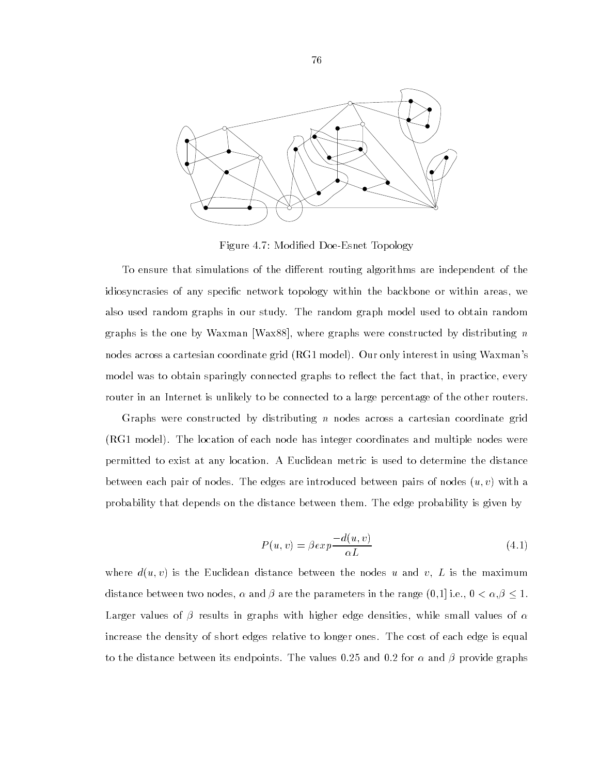

Figure 4.7: Modied Doe-Esnet Topology

To ensure that simulations of the different routing algorithms are independent of the idiosyncrasies of any specic network topology within the backbone or within areas, we also used random graphs in our study. The random graph model used to obtain random graphs is the one by Waxman [Wax88], where graphs were constructed by distributing  $n$ nodes across a cartesian coordinate grid (RG1 model). Our only interest in using Waxman's model was to obtain sparingly connected graphs to reflect the fact that, in practice, every router in an Internet is unlikely to be connected to a large percentage of the other routers.

Graphs were constructed by distributing  $n$  nodes across a cartesian coordinate grid (RG1 model). The location of each node has integer coordinates and multiple nodes were permitted to exist at any location. A Euclidean metric is used to determine the distance between each pair of nodes. The edges are introduced between pairs of nodes  $(u, v)$  with a probability that depends on the distance between them. The edge probability is given by

$$
P(u,v) = \beta \exp \frac{-d(u,v)}{\alpha L} \tag{4.1}
$$

where  $d(u, v)$  is the Euclidean distance between the nodes u and v, L is the maximum distance between two nodes,  $\alpha$  and  $\beta$  are the parameters in the range  $(0,1]$  i.e.,  $0 < \alpha, \beta \leq 1$ . Larger values of  $\beta$  results in graphs with higher edge densities, while small values of  $\alpha$ increase the density of short edges relative to longer ones. The cost of each edge is equal to the distance between its endpoints. The values 0.25 and 0.2 for  $\alpha$  and  $\beta$  provide graphs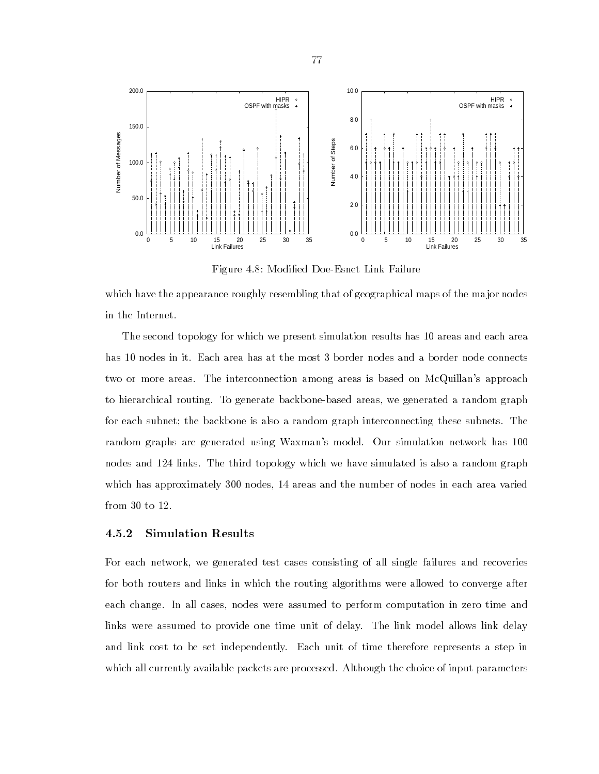

Figure 4.8: Modied Doe-Esnet Link Failure

which have the appearance roughly resembling that of geographical maps of the major nodes in the Internet.

The second topology for which we present simulation results has 10 areas and each area has 10 nodes in it. Each area has at the most 3 border nodes and a border node connects two or more areas. The interconnection among areas is based on McQuillan's approach to hierarchical routing. To generate backbone-based areas, we generated a random graph for each subnet; the backbone is also a random graph interconnecting these subnets. The random graphs are generated using Waxman's model. Our simulation network has 100 nodes and 124 links. The third topology which we have simulated is also a random graph which has approximately 300 nodes, 14 areas and the number of nodes in each area varied from 30 to 12.

## 4.5.2 Simulation Results

For each network, we generated test cases consisting of all single failures and recoveries for both routers and links in which the routing algorithms were allowed to converge after each change. In all cases, nodes were assumed to perform computation in zero time and links were assumed to provide one time unit of delay. The link model allows link delay and link cost to be set independently. Each unit of time therefore represents a step in which all currently available packets are processed. Although the choice of input parameters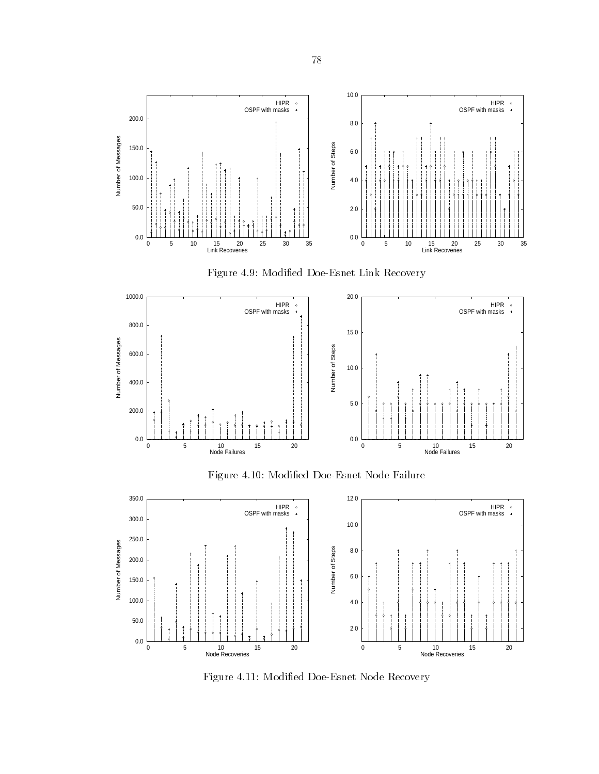





Figure 4.10: Modied Doe-Esnet Node Failure



Figure 4.11: Modied Doe-Esnet Node Recovery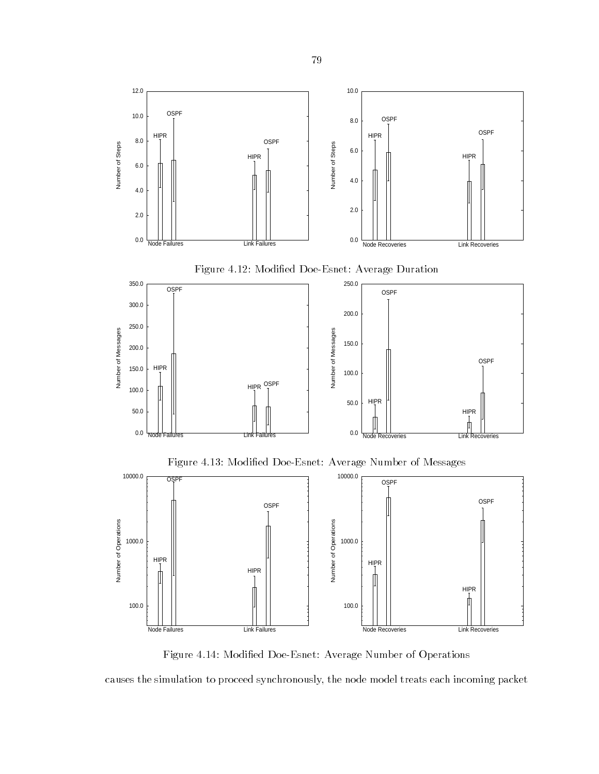

Figure 4.14: Modied Doe-Esnet: Average Number of Operations

causes the simulation to proceed synchronously, the node model treats each incoming packet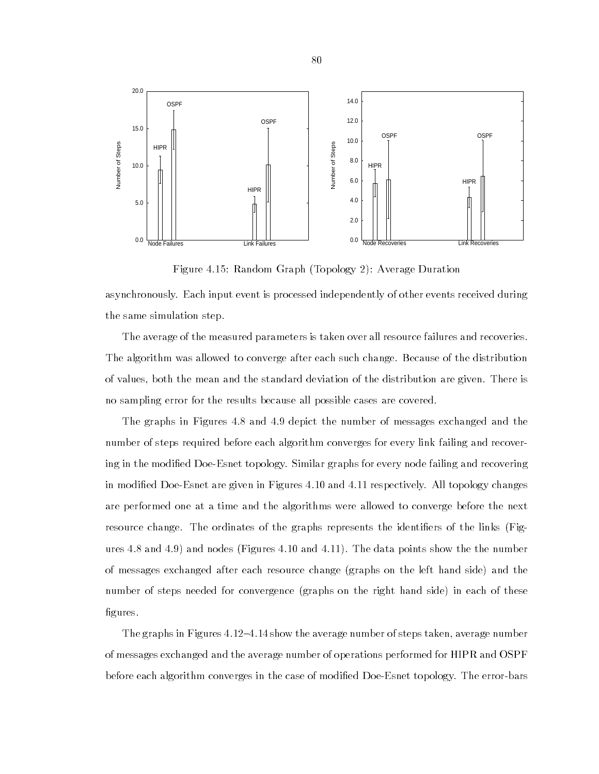

Figure 4.15: Random Graph (Topology 2): Average Duration

asynchronously. Each input event is processed independently of other events received during the same simulation step.

The average of the measured parameters is taken over all resource failures and recoveries. The algorithm was allowed to converge after each such change. Because of the distribution of values, both the mean and the standard deviation of the distribution are given. There is no sampling error for the results because all possible cases are covered.

The graphs in Figures 4.8 and 4.9 depict the number of messages exchanged and the number of steps required before each algorithm converges for every link failing and recovering in the modied Doe-Esnet topology. Similar graphs for every node failing and recovering in modied Doe-Esnet are given in Figures 4.10 and 4.11 respectively. All topology changes are performed one at a time and the algorithms were allowed to converge before the next resource change. The ordinates of the graphs represents the identifiers of the links (Figures 4.8 and 4.9) and nodes (Figures 4.10 and 4.11). The data points show the the number of messages exchanged after each resource change (graphs on the left hand side) and the number of steps needed for convergence (graphs on the right hand side) in each of these figures.

The graphs in Figures  $4.12-4.14$  show the average number of steps taken, average number of messages exchanged and the average number of operations performed for HIPR and OSPF before each algorithm converges in the case of modified Doe-Esnet topology. The error-bars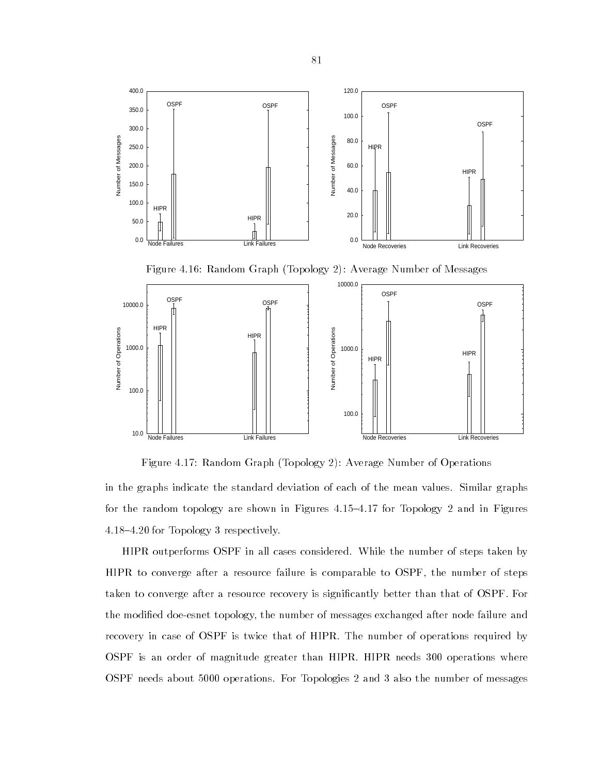

Figure 4.17: Random Graph (Topology 2): Average Number of Operations

in the graphs indicate the standard deviation of each of the mean values. Similar graphs for the random topology are shown in Figures  $4.15{-}4.17$  for Topology 2 and in Figures 4.18{4.20 for Topology 3 respectively.

HIPR outperforms OSPF in all cases considered. While the number of steps taken by HIPR to converge after a resource failure is comparable to OSPF, the number of steps taken to converge after a resource recovery is significantly better than that of OSPF. For the modied doe-esnet topology, the number of messages exchanged after node failure and recovery in case of OSPF is twice that of HIPR. The number of operations required by OSPF is an order of magnitude greater than HIPR. HIPR needs 300 operations where OSPF needs about 5000 operations. For Topologies 2 and 3 also the number of messages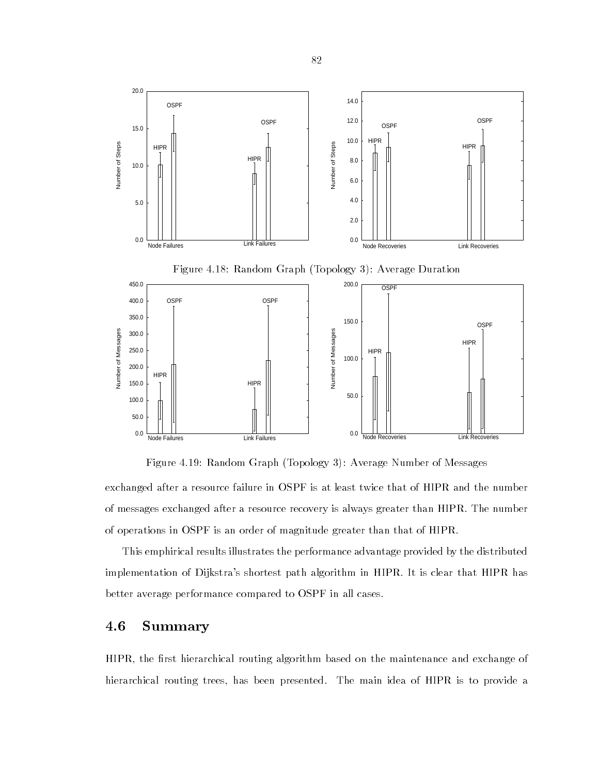

Figure 4.19: Random Graph (Topology 3): Average Number of Messages

exchanged after a resource failure in OSPF is at least twice that of HIPR and the number of messages exchanged after a resource recovery is always greater than HIPR. The number of operations in OSPF is an order of magnitude greater than that of HIPR.

This emphirical results illustrates the performance advantage provided by the distributed implementation of Dijkstra's shortest path algorithm in HIPR. It is clear that HIPR has better average performance compared to OSPF in all cases.

# 4.6 Summary

HIPR, the first hierarchical routing algorithm based on the maintenance and exchange of hierarchical routing trees, has been presented. The main idea of HIPR is to provide a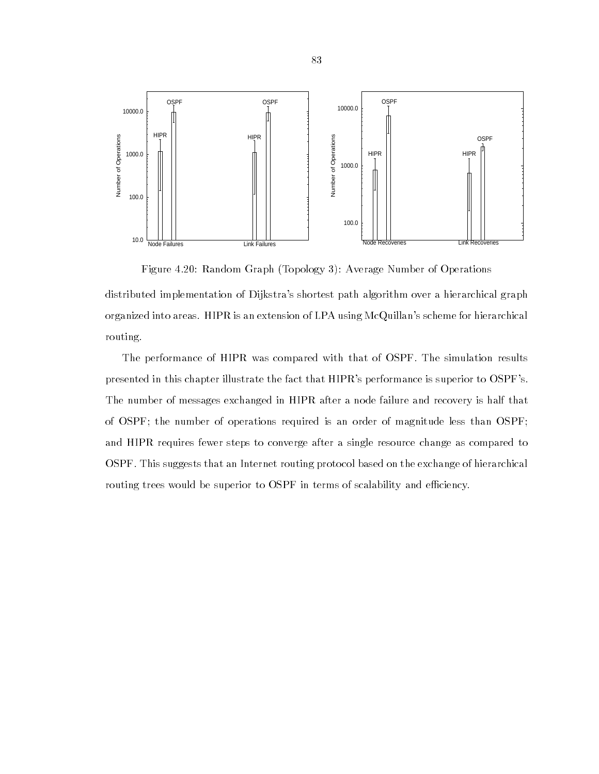

Figure 4.20: Random Graph (Topology 3): Average Number of Operations distributed implementation of Dijkstra's shortest path algorithm over a hierarchical graph organized into areas. HIPR is an extension of LPA using McQuillan's scheme for hierarchical routing.

The performance of HIPR was compared with that of OSPF. The simulation results presented in this chapter illustrate the fact that HIPR's performance is superior to OSPF's. The number of messages exchanged in HIPR after a node failure and recovery is half that of OSPF; the number of operations required is an order of magnitude less than OSPF; and HIPR requires fewer steps to converge after a single resource change as compared to OSPF. This suggests that an Internet routing protocol based on the exchange of hierarchical routing trees would be superior to OSPF in terms of scalability and efficiency.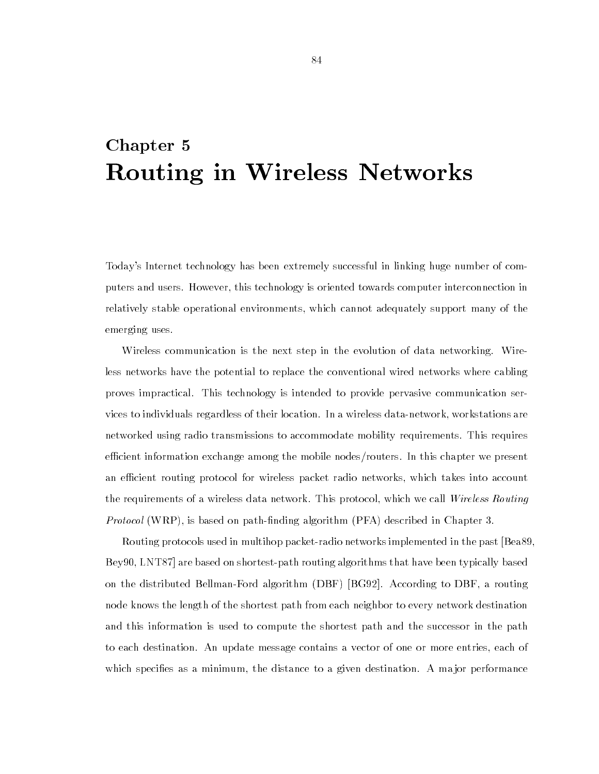# Chapter 5 Routing in Wireless Networks

Today's Internet technology has been extremely successful in linking huge number of computers and users. However, this technology is oriented towards computer interconnection in relatively stable operational environments, which cannot adequately support many of the emerging uses.

Wireless communication is the next step in the evolution of data networking. Wireless networks have the potential to replace the conventional wired networks where cabling proves impractical. This technology is intended to provide pervasive communication services to individuals regardless of their location. In a wireless data-network, workstations are networked using radio transmissions to accommodate mobility requirements. This requires efficient information exchange among the mobile nodes/routers. In this chapter we present an efficient routing protocol for wireless packet radio networks, which takes into account the requirements of a wireless data network. This protocol, which we call Wireless Routing Protocol (WRP), is based on path-finding algorithm (PFA) described in Chapter 3.

Routing protocols used in multihop packet-radio networks implemented in the past [Bea89, Bey90, LNT87] are based on shortest-path routing algorithms that have been typically based on the distributed Bellman-Ford algorithm (DBF) [BG92]. According to DBF, a routing node knows the length of the shortest path from each neighbor to every network destination and this information is used to compute the shortest path and the successor in the path to each destination. An update message contains a vector of one or more entries, each of which specifies as a minimum, the distance to a given destination. A major performance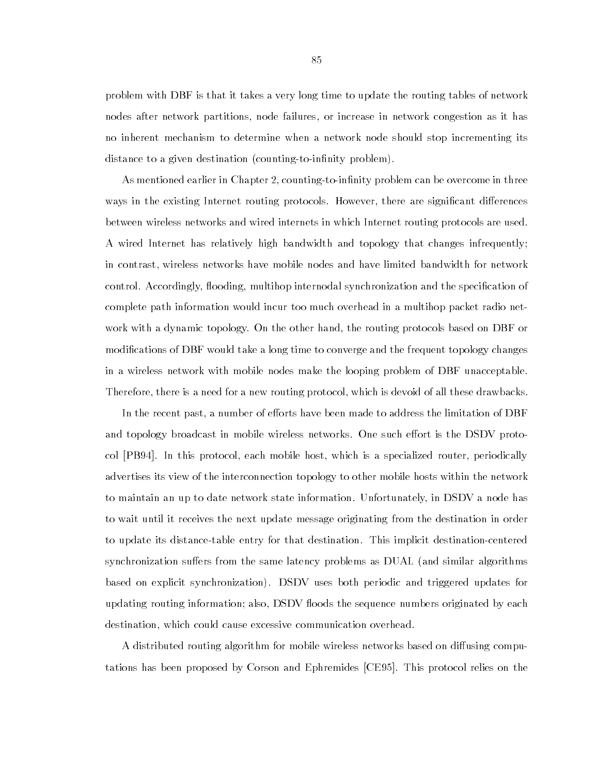problem with DBF is that it takes a very long time to update the routing tables of network nodes after network partitions, node failures, or increase in network congestion as it has no inherent mechanism to determine when a network node should stop incrementing its distance to a given destination (counting-to-infinity problem).

As mentioned earlier in Chapter 2, counting-to-infinity problem can be overcome in three ways in the existing Internet routing protocols. However, there are significant differences between wireless networks and wired internets in which Internet routing protocols are used. A wired Internet has relatively high bandwidth and topology that changes infrequently; in contrast, wireless networks have mobile nodes and have limited bandwidth for network control. Accordingly, flooding, multihop internodal synchronization and the specification of complete path information would incur too much overhead in a multihop packet radio network with a dynamic topology. On the other hand, the routing protocols based on DBF or modications of DBF would take a long time to converge and the frequent topology changes in a wireless network with mobile nodes make the looping problem of DBF unacceptable. Therefore, there is a need for a new routing protocol, which is devoid of all these drawbacks.

In the recent past, a number of efforts have been made to address the limitation of DBF and topology broadcast in mobile wireless networks. One such effort is the DSDV protocol [PB94]. In this protocol, each mobile host, which is a specialized router, periodically advertises its view of the interconnection topology to other mobile hosts within the network to maintain an up to date network state information. Unfortunately, in DSDV a node has to wait until it receives the next update message originating from the destination in order to update its distance-table entry for that destination. This implicit destination-centered synchronization suffers from the same latency problems as DUAL (and similar algorithms based on explicit synchronization). DSDV uses both periodic and triggered updates for updating routing information; also, DSDV floods the sequence numbers originated by each destination, which could cause excessive communication overhead.

A distributed routing algorithm for mobile wireless networks based on diffusing computations has been proposed by Corson and Ephremides [CE95]. This protocol relies on the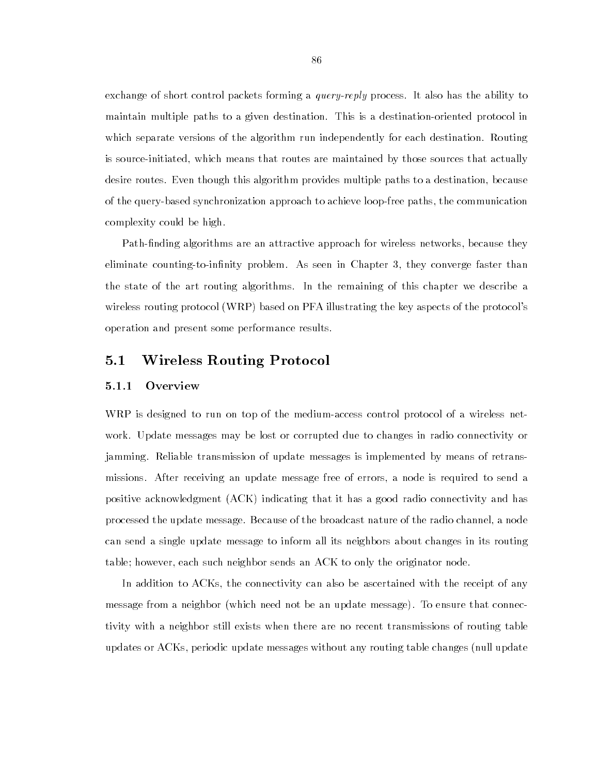exchange of short control packets forming a *query-reply* process. It also has the ability to maintain multiple paths to a given destination. This is a destination-oriented protocol in which separate versions of the algorithm run independently for each destination. Routing is source-initiated, which means that routes are maintained by those sources that actually desire routes. Even though this algorithm provides multiple paths to a destination, because of the query-based synchronization approach to achieve loop-free paths, the communication complexity could be high.

Path-finding algorithms are an attractive approach for wireless networks, because they eliminate counting-to-infinity problem. As seen in Chapter 3, they converge faster than the state of the art routing algorithms. In the remaining of this chapter we describe a wireless routing protocol (WRP) based on PFA illustrating the key aspects of the protocol's operation and present some performance results.

#### $5.1$ 5.1 Wireless Routing Protocol

## 5.1.1 Overview

WRP is designed to run on top of the medium-access control protocol of a wireless network. Update messages may be lost or corrupted due to changes in radio connectivity or jamming. Reliable transmission of update messages is implemented by means of retransmissions. After receiving an update message free of errors, a node is required to send a positive acknowledgment (ACK) indicating that it has a good radio connectivity and has processed the update message. Because of the broadcast nature of the radio channel, a node can send a single update message to inform all its neighbors about changes in its routing table; however, each such neighbor sends an ACK to only the originator node.

In addition to ACKs, the connectivity can also be ascertained with the receipt of any message from a neighbor (which need not be an update message). To ensure that connectivity with a neighbor still exists when there are no recent transmissions of routing table updates or ACKs, periodic update messages without any routing table changes (null update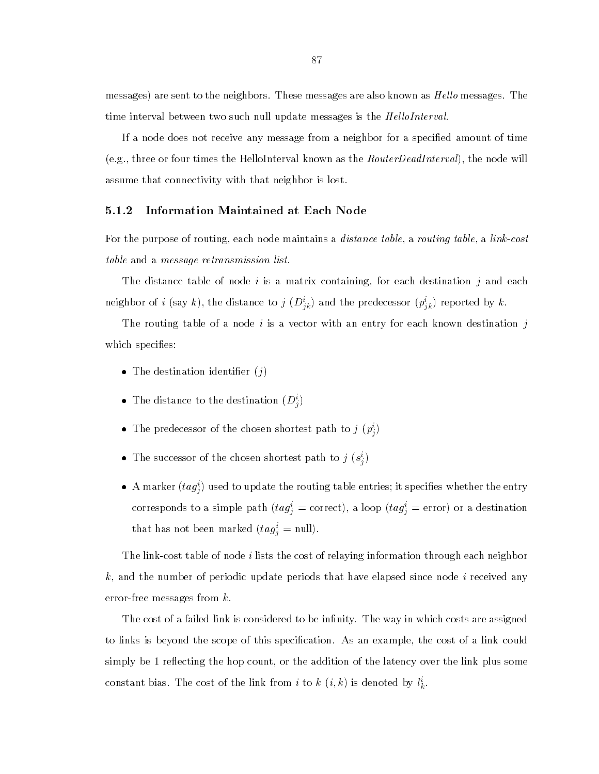messages) are sent to the neighbors. These messages are also known as *Hello* messages. The time interval between two such null update messages is the *HelloInterval*.

If a node does not receive any message from a neighbor for a specified amount of time (e.g., three or four times the HelloInterval known as the *RouterDeadInterval*), the node will assume that connectivity with that neighbor is lost.

## 5.1.2 Information Maintained at Each Node

For the purpose of routing, each node maintains a *distance table*, a *routing table*, a *link-cost* table and a message retransmission list.

The distance table of node i is a matrix containing, for each destination j and each neighbor of  $i$  (say  $\kappa$ ), the distance to  $j$  ( $D_{ik}$ ) and the predecessor ( $p_{ik}$ ) reported by  $\kappa$ .

The routing table of a node i is a vector with an entry for each known destination j which specifies:

- The destination identier (j)
- The distance to the destination  $(D_i^i)$
- The predecessor of the chosen shortest path to  $j$   $(p_i^i)$
- The successor of the chosen shortest path to  $j$  ( $s_j$ )
- $\bullet$  A marker  $(t a g_i^i)$  used to update the routing table entries; it specifies whether the entry corresponds to a simple path  $(\iota u g) = \text{correct}$ , a loop  $(\iota u g) = \text{error}$  or a destination that has not been marked  $(\iota a g_j = \text{null}).$

The link-cost table of node i lists the cost of relaying information through each neighbor k, and the number of periodic update periods that have elapsed since node i received any error-free messages from k.

The cost of a failed link is considered to be infinity. The way in which costs are assigned to links is beyond the scope of this specication. As an example, the cost of a link could simply be 1 reflecting the hop count, or the addition of the latency over the link plus some constant bias. The cost of the link from  $i$  to  $\kappa^-(i,\kappa)$  is denoted by  $i_{\vec{k}}.$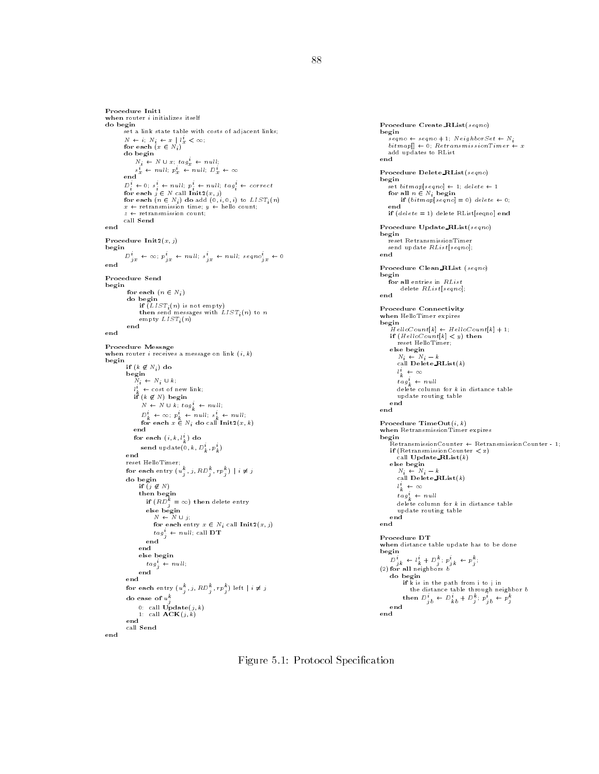```
when router i initializes itself
do begin
         set a link state table with costs of adjacent links; N \leftarrow i; N_i \leftarrow x \mid l_x^* < \infty;<br>for each (x \in N_i)do begin N_i \leftarrow N \cup x_i tag\frac{i}{x} \leftarrow null_is_x^* \leftarrow null; p_x^* \leftarrow null; D_x^* \leftarrow \infty<br>end
          D_i^* \leftarrow 0; s_i^* \leftarrow null; p_i^* \leftarrow null; tag_i^* \leftarrow correctfor each j \in N call \text{Init2}(x, j)for each (n \in N_i) do add (0, i, 0, i) to LIST_i(n)<br>x \leftarrow retransmission time; y \leftarrow hello count;
         z \leftarrow retransmission count;
         call Send
Procedure Init2(x, j)begin<br>
D_{jx}^{i} \leftarrow \infty; p_{jx}^{i} \leftarrow null; s_{jx}^{i} \leftarrow null; seqno_{jx}^{i} \leftarrow 0<br>
end
Procedure Send
begin
          for each (n\in N_i) do begin
            if \tilde(LIST_i(n) is not empty)<br>then send messages with LIST_i(n) to n
          empty LIST_i(n)end
when router i receives a message on link (i, k)begin
          if (k \notin N_i) do
           \vec{N}_i \leftarrow N_i \cup k_i\leftarrow cost of new link;
             i\mathbf{f} (k \notin N) begin
                 N \leftarrow N \cup k; \, tag_k^i \leftarrow null;D_k^i \leftarrow \infty; \; p_k^i \leftarrow null; \; s_k^i \leftarrow null;<br>for each x \in N_i do call Init2(x, k)for each \left(\imath,\kappa,\imath_{k}\right) do \left(\varepsilon\right)send update(0, \kappa , \overline{\nu}_k , \overline{p}_k )
                                                             ) reset HelloTimer;<br>for each entry (u_{j}^{k},j,RD_{j}^{k},rp_{j}^{k}) | i \neq jif (j \notin N)<br>then begin<br>if (RD_j^k = \infty) then delete entry
                      N \leftarrow N \cup j;<br>for each entry x \in N_i call \text{Init2}(x, j)\int tag^i_{\hat{j}} \leftarrow null; call DTend
                  else begin
                 tag\text{end}<sub>j</sub> \leftarrow null;
           for each entry (u_{\hat{j}}^{\kappa},j,RD_{\hat{j}}^{\kappa},rp_{\hat{j}}^{\kappa}) left |i\neq jdo case of u_i^k0: call \textbf{Update}(j, k)1: call \mathbf{ACK}(j,k)
```
end call Send

Procedure Create RList(seqno)  $b = \text{sgn} \epsilon + \text{sgn} \epsilon + 1$ ;  $N \text{e} \text{g} \text{h} \text{b} \text{or} \text{S} \text{e} \text{t} \leftarrow N_i$  $bithmap[] \leftarrow 0; Returns missionTimer \leftarrow x$ add updates to RList Procedure Delete\_RList(seqno) set bitmap[seqno]  $\leftarrow$  1; delete  $\leftarrow$  1 for all  $n \in N_i$  begin if  $(bitmap[seqno] = 0)$  delete  $\leftarrow 0$ ;<br>end if (*delete* = 1) delete RList[seqno] end Procedure Update RList(seqno) begin reset RetransmissionTimer send update RList[seqno]; end Procedure Clean RList (seqno) for all entries in  $RList$ delete RList[seqno]; end Procedure Connectivity when HelloTimer expires<br>begin  $\overrightarrow{H}$ elloCount $[k] \leftarrow$  HelloCount $[k] + 1$ ;  $r$  reset HelloTimer;  $N_i \leftarrow N_i - k$ <br>call Delete RList(k)  $l_k^i \leftarrow \infty$  $tag_{k}^{i} \leftarrow null$ delete column for  $k$  in distance table update routing table end<br>end Procedure TimeOut $(i, k)$ when RetransmissionTimer expires  $\begin{array}{l} \texttt{begin} \\ \texttt{RetransmissionCounter} \leftarrow \texttt{RetransmissionCounter - 1}; \\ \texttt{if (RetransmissionCounter < z)} \end{array} \end{array}$ call  $$  $N_i \leftarrow N_i - k$ <br>call Delete RList(k)  $l_k^i \leftarrow \infty$ tag $_k^* \leftarrow n$ ull delete column for  $k$  in distance table update routing table end Procedure DT when distance table update has to be done  $D^i_{jk} \leftarrow l^i_k + D^k_j; p^i_{jk} \leftarrow p^k_j;$  $\mathcal{L} = \mathcal{L}$  for all neighbors because by a set of  $\mathcal{L}$ do begin if k is in the path from i to j in the distance table through neighbor b then  $D_{jb}^* \leftarrow D_{kb}^* + D_j^* : p_{jb}^* \leftarrow p_j^*$ end end

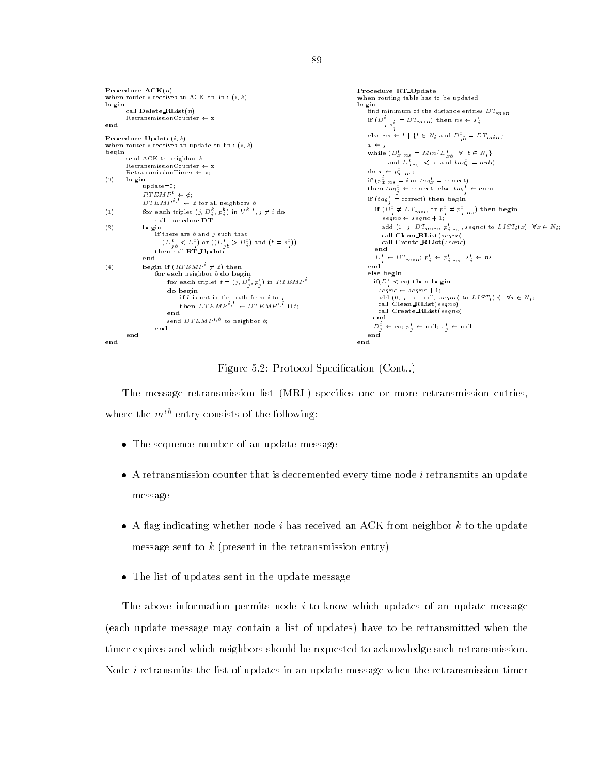```
Procedure ACK(n)Procedure RT Update when router i receives an ACK on link (i, k)when routing table has to be updated
begin \text{call Delete\_RList}(n):
                                                                                                          find minimum of the distance entries DT_{min}RetransmissionCounter \leftarrow z;
                                                                                                               if \sum_{j}^{i} s_j^i = D T_{min} then n s \leftarrow s_jend
                                                                                                              else n s \leftarrow b \mid \{b \in N_i \text{ and } D_{jb}^t = DT_{min}\};Procedure \mathbf{Update}(i, k)when router i receives an update on link (i, k)x \leftarrow j;
begin
                                                                                                              while (D_x^i n_s = Min\{D_{xb}^i \forall b \in N_i\}send ACK to neighbor k and D_{xn_s}^t < \infty and tag_x^t = nullRetransmissionCounter \leftarrow z;
                                                                                                              do x_{\scriptscriptstyle\parallel} \leftarrow p_{x \hspace{0.2cm} n \hspace{0.2cm} s}^i ;
         RetransmissionTimer \leftarrow x;(0) begin \text{update}=0;
                                                                                                              if (p_{x \, n s}^i = i \text{ or } tag_x^i = \text{ correct})then tag_{i}^{i} \leftarrow correct else tag_{i}^{i} \leftarrow error
                RT EMP^i \leftarrow \phi;
                                                                                                              if (tag_i^i = \text{correct}) then begin
                DTEMP^{i,b} \leftarrow \phi for all neighbors b
                                                                                                                if (D_j^i \neq DT_{min} or p_j^i \neq p_{j \ n s}^i) then begin
(1) for each triplet (j, D_j^n, p_j^n) in V^{n+1}, j \neq i do
                                                                                                                    \mathit{seqno} \leftarrow \mathit{seqno} + 1;call procedure DT
                                                                                                                    add (0, j, DT_{min}, p_{j+ns}^t, seqno) to LIST_i(x) \quad \forall x \in N_i;
if there are b and j such that
                                                                                                                    call Clean RList(seqno)
                                                                                                                    call Create RList(seqno) (\nu_{j\bar{b}} < \nu_j) or ((\nu_{j\bar{b}} > \nu_j) and (\bar{b} = s_j))then call \overrightarrow{RT\_Update}\frac{D_j^i}{\text{end}} \leftarrow DT_{min}; \ p_j^i \leftarrow p_{j \; ns}^i; \ s_j^i \leftarrow ns(4) begin if (RTEMP^i \neq \phi) then
                     for each neighbor b do begin
                                                                                                               else begin
                                                                                                                if(D_s^i < \infty) then begin
                          for each triplet t = (j, D_j, p_j) in R1 EMPseqno \leftarrow seqno + 1;<br>add (0, j, \infty, \text{null}, seqno) to LIST_i(x) \quad \forall x \in N_i;if b is not in the path from i to j<br>then DTEMP^{i,b} \leftarrow DTEMP^{i,b} \cup t;
                                                                                                                  call Clean RList(seqno) call Create RList(seqno) end send DTEMP^{i,b} to neighbor b;
                                                                                                                D_j^i \leftarrow \infty; \ p_j^i \leftarrow \text{null}; \ s_j^i \leftarrow \text{null}end
                                                                                                          end<br>end
end
```
Figure 5.2: Protocol Specification (Cont..)

The message retransmission list (MRL) species one or more retransmission entries, where the  $m^{th}$  entry consists of the following:

- The sequence number of an update message
- A retransmission counter that is decremented every time node i retransmits an update message
- A 
ag indicating whether node i has received an ACK from neighbor k to the update message sent to  $k$  (present in the retransmission entry)
- The list of updates sent in the update message

The above information permits node  $i$  to know which updates of an update message (each update message may contain a list of updates) have to be retransmitted when the timer expires and which neighbors should be requested to acknowledge such retransmission. Node i retransmits the list of updates in an update message when the retransmission timer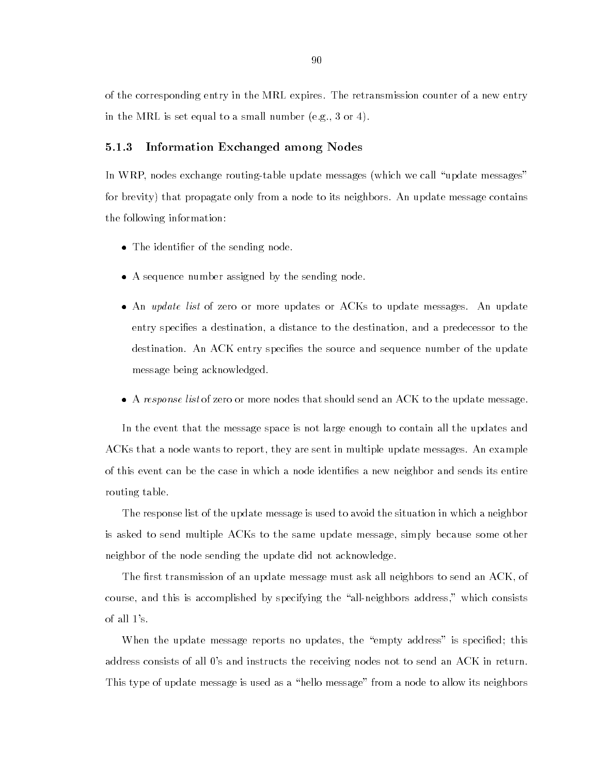of the corresponding entry in the MRL expires. The retransmission counter of a new entry in the MRL is set equal to a small number (e.g., 3 or 4).

## 5.1.3 Information Exchanged among Nodes

In WRP, nodes exchange routing-table update messages (which we call \update messages" for brevity) that propagate only from a node to its neighbors. An update message contains the following information:

- The identier of the sending node.
- A sequence number assigned by the sending node.
- An update list of zero or more updates or ACKs to update messages. An update entry species a destination, a distance to the destination, and a predecessor to the destination. An ACK entry specifies the source and sequence number of the update message being acknowledged.
- A response list of zero or more nodes that should send an ACK to the update message.

In the event that the message space is not large enough to contain all the updates and ACKs that a node wants to report, they are sent in multiple update messages. An example of this event can be the case in which a node identies a new neighbor and sends its entire routing table.

The response list of the update message is used to avoid the situation in which a neighbor is asked to send multiple ACKs to the same update message, simply because some other neighbor of the node sending the update did not acknowledge.

The first transmission of an update message must ask all neighbors to send an  $ACK$ , of course, and this is accomplished by specifying the "all-neighbors address," which consists of all 1's.

When the update message reports no updates, the "empty address" is specified; this address consists of all 0's and instructs the receiving nodes not to send an ACK in return. This type of update message is used as a "hello message" from a node to allow its neighbors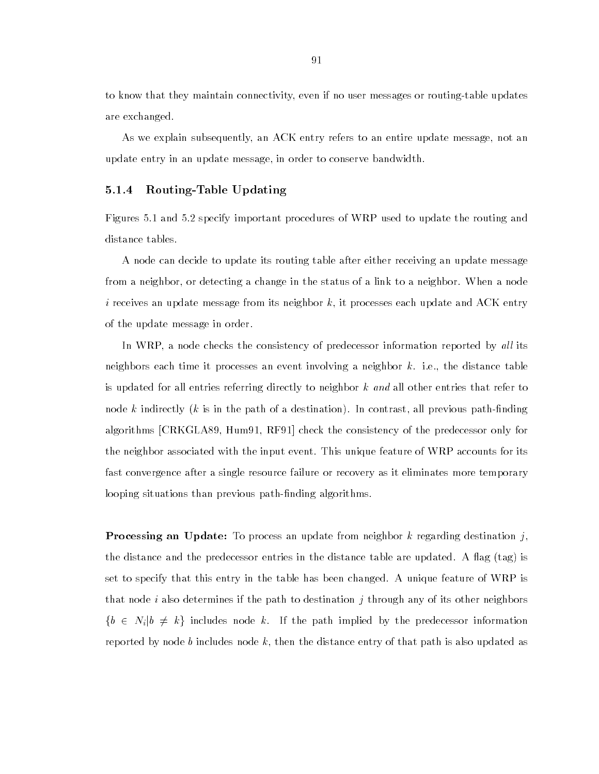to know that they maintain connectivity, even if no user messages or routing-table updates are exchanged.

As we explain subsequently, an ACK entry refers to an entire update message, not an update entry in an update message, in order to conserve bandwidth.

## 5.1.4 Routing-Table Updating

Figures 5.1 and 5.2 specify important procedures of WRP used to update the routing and distance tables.

A node can decide to update its routing table after either receiving an update message from a neighbor, or detecting a change in the status of a link to a neighbor. When a node i receives an update message from its neighbor  $k$ , it processes each update and ACK entry of the update message in order.

In WRP, a node checks the consistency of predecessor information reported by all its neighbors each time it processes an event involving a neighbor  $k$ . i.e., the distance table is updated for all entries referring directly to neighbor  $k$  and all other entries that refer to node k indirectly (k is in the path of a destination). In contrast, all previous path-finding algorithms [CRKGLA89, Hum91, RF91] check the consistency of the predecessor only for the neighbor associated with the input event. This unique feature of WRP accounts for its fast convergence after a single resource failure or recovery as it eliminates more temporary looping situations than previous path-finding algorithms.

**Processing an Update:** To process an update from neighbor k regarding destination j, the distance and the predecessor entries in the distance table are updated. A flag  $(\text{tag})$  is set to specify that this entry in the table has been changed. A unique feature of WRP is that node i also determines if the path to destination j through any of its other neighbors  $\{b \in N_i | b \neq k\}$  includes node k. If the path implied by the predecessor information reported by node b includes node k, then the distance entry of that path is also updated as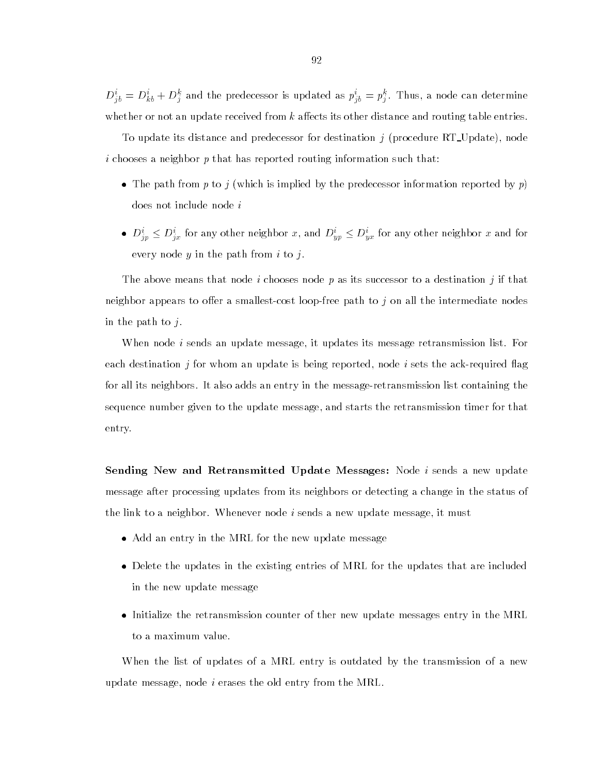$D_{jb}^{\dagger} = D_{kb}^{\dagger} + D_{j}^{\dagger}$  and the predecessor is updated as  $p_{jb}^{\dagger} = p_{j}^{\dagger}$ . Thus, a node can determine whether or not an update received from  $k$  affects its other distance and routing table entries.

To update its distance and predecessor for destination  $j$  (procedure RT\_Update), node i chooses a neighbor p that has reported routing information such that:

- The path from p to j (which is implied by the predecessor information reported by p) does not include node i
- $\bullet$   $D_{ip}^i \leq D_{ix}^i$  for any other neighbor x, and  $D_{yp}^i \leq D_{yx}^i$  for any other neighbor x and for every node  $y$  in the path from  $i$  to  $j$ .

The above means that node i chooses node p as its successor to a destination j if that neighbor appears to offer a smallest-cost loop-free path to  $j$  on all the intermediate nodes in the path to  $j$ .

When node *i* sends an update message, it updates its message retransmission list. For each destination *j* for whom an update is being reported, node *i* sets the ack-required flag for all its neighbors. It also adds an entry in the message-retransmission list containing the sequence number given to the update message, and starts the retransmission timer for that entry.

Sending New and Retransmitted Update Messages: Node *i* sends a new update message after processing updates from its neighbors or detecting a change in the status of the link to a neighbor. Whenever node i sends a new update message, it must

- $\mathbf{A}$
- Delete the updates in the existing entries of MRL for the updates that are included in the new update message
- Initialize the retransmission counter of ther new update messages entry in the MRL to a maximum value.

When the list of updates of a MRL entry is outdated by the transmission of a new update message, node  $i$  erases the old entry from the MRL.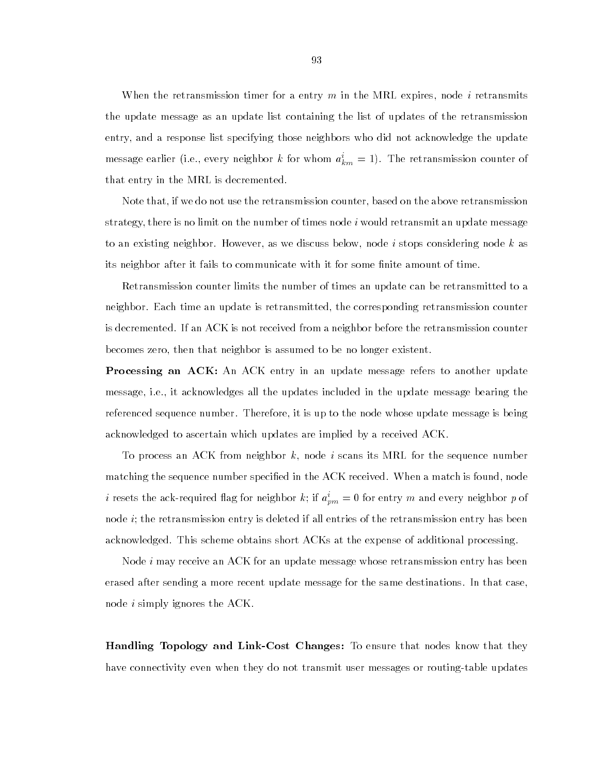When the retransmission timer for a entry  $m$  in the MRL expires, node  $i$  retransmits the update message as an update list containing the list of updates of the retransmission entry, and a response list specifying those neighbors who did not acknowledge the update message earlier (i.e., every neighbor  $\kappa$  for whom  $a_{km} = 1$ ). The retransmission counter of that entry in the MRL is decremented.

Note that, if we do not use the retransmission counter, based on the above retransmission strategy, there is no limit on the number of times node i would retransmit an update message to an existing neighbor. However, as we discuss below, node i stops considering node k as its neighbor after it fails to communicate with it for some finite amount of time.

Retransmission counter limits the number of times an update can be retransmitted to a neighbor. Each time an update is retransmitted, the corresponding retransmission counter is decremented. If an ACK is not received from a neighbor before the retransmission counter becomes zero, then that neighbor is assumed to be no longer existent.

Processing an ACK: An ACK entry in an update message refers to another update message, i.e., it acknowledges all the updates included in the update message bearing the referenced sequence number. Therefore, it is up to the node whose update message is being acknowledged to ascertain which updates are implied by a received ACK.

To process an ACK from neighbor  $k$ , node i scans its MRL for the sequence number matching the sequence number specified in the ACK received. When a match is found, node  $i$  resets the ack-required hag for neighbor  $\kappa;$  if  $a_{pm}^{\phantom{\dag}}=0$  for entry  $m$  and every neighbor  $p$  of node  $i$ ; the retransmission entry is deleted if all entries of the retransmission entry has been acknowledged. This scheme obtains short ACKs at the expense of additional processing.

Node i may receive an ACK for an update message whose retransmission entry has been erased after sending a more recent update message for the same destinations. In that case, node *i* simply ignores the ACK.

Handling Topology and Link-Cost Changes: To ensure that nodes know that they have connectivity even when they do not transmit user messages or routing-table updates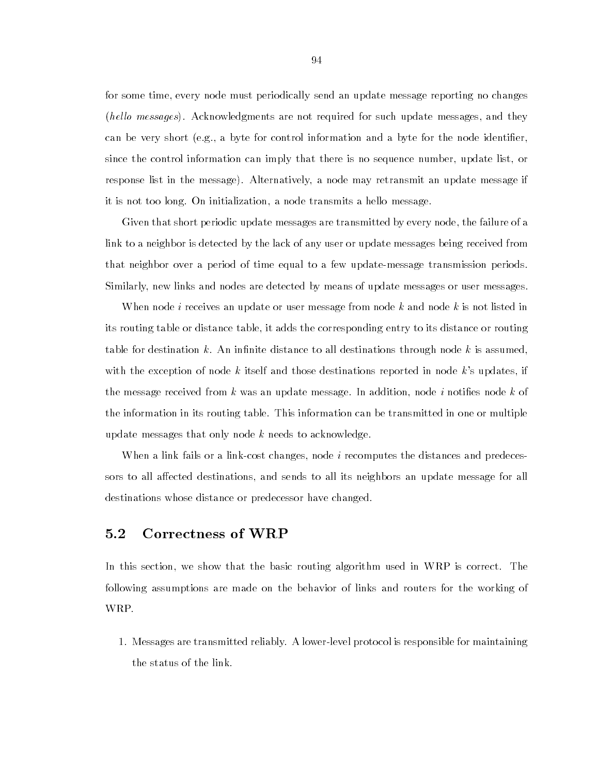for some time, every node must periodically send an update message reporting no changes (hello messages). Acknowledgments are not required for such update messages, and they can be very short (e.g., a byte for control information and a byte for the node identier, since the control information can imply that there is no sequence number, update list, or response list in the message). Alternatively, a node may retransmit an update message if it is not too long. On initialization, a node transmits a hello message.

Given that short periodic update messages are transmitted by every node, the failure of a link to a neighbor is detected by the lack of any user or update messages being received from that neighbor over a period of time equal to a few update-message transmission periods. Similarly, new links and nodes are detected by means of update messages or user messages.

When node *i* receives an update or user message from node k and node k is not listed in its routing table or distance table, it adds the corresponding entry to its distance or routing table for destination  $k$ . An infinite distance to all destinations through node  $k$  is assumed, with the exception of node k itself and those destinations reported in node k's updates, if the message received from  $k$  was an update message. In addition, node i notifies node  $k$  of the information in its routing table. This information can be transmitted in one or multiple update messages that only node  $k$  needs to acknowledge.

When a link fails or a link-cost changes, node i recomputes the distances and predecessors to all affected destinations, and sends to all its neighbors an update message for all destinations whose distance or predecessor have changed.

#### $5.2$ **Correctness of WRP**

In this section, we show that the basic routing algorithm used in WRP is correct. The following assumptions are made on the behavior of links and routers for the working of WRP.

1. Messages are transmitted reliably. A lower-level protocol is responsible for maintaining the status of the link.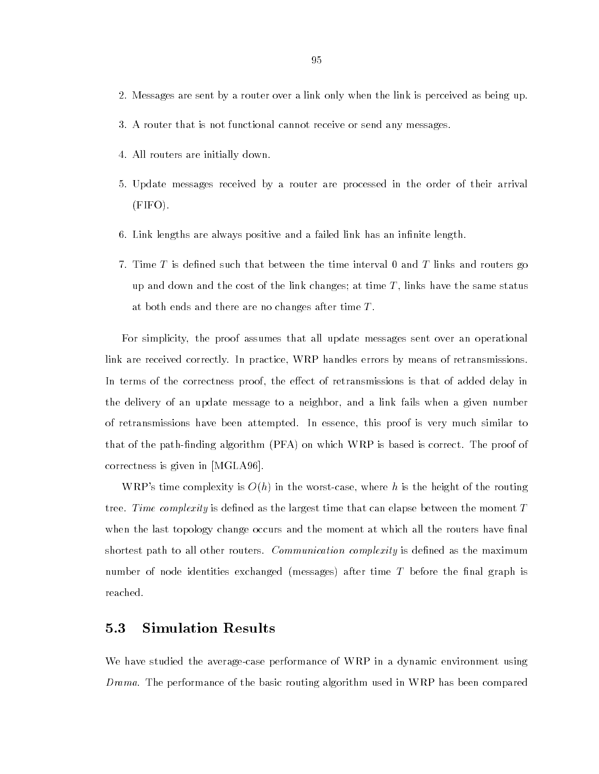- 2. Messages are sent by a router over a link only when the link is perceived as being up.
- 3. A router that is not functional cannot receive or send any messages.
- 4. All routers are initially down.
- 5. Update messages received by a router are processed in the order of their arrival (FIFO).
- 6. Link lengths are always positive and a failed link has an infinite length.
- 7. Time T is defined such that between the time interval 0 and T links and routers go up and down and the cost of the link changes; at time  $T$ , links have the same status at both ends and there are no changes after time  $T$ .

For simplicity, the proof assumes that all update messages sent over an operational link are received correctly. In practice, WRP handles errors by means of retransmissions. In terms of the correctness proof, the effect of retransmissions is that of added delay in the delivery of an update message to a neighbor, and a link fails when a given number of retransmissions have been attempted. In essence, this proof is very much similar to that of the path-nding algorithm (PFA) on which WRP is based is correct. The proof of correctness is given in [MGLA96].

WRP's time complexity is  $O(h)$  in the worst-case, where h is the height of the routing tree. Time complexity is defined as the largest time that can elapse between the moment  $T$ when the last topology change occurs and the moment at which all the routers have final shortest path to all other routers. *Communication complexity* is defined as the maximum number of node identities exchanged (messages) after time T before the final graph is reached.

## 5.3 Simulation Results

We have studied the average-case performance of WRP in a dynamic environment using Drama. The performance of the basic routing algorithm used in WRP has been compared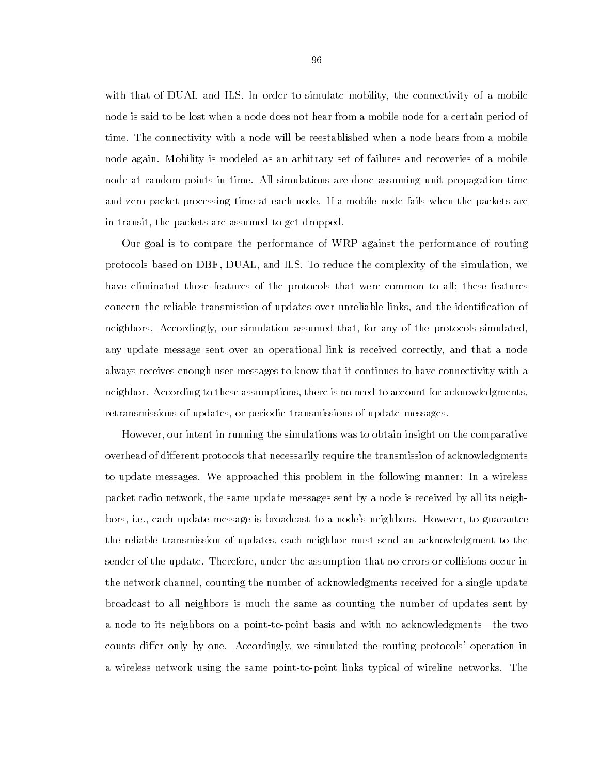with that of DUAL and ILS. In order to simulate mobility, the connectivity of a mobile node is said to be lost when a node does not hear from a mobile node for a certain period of time. The connectivity with a node will be reestablished when a node hears from a mobile node again. Mobility is modeled as an arbitrary set of failures and recoveries of a mobile node at random points in time. All simulations are done assuming unit propagation time and zero packet processing time at each node. If a mobile node fails when the packets are in transit, the packets are assumed to get dropped.

Our goal is to compare the performance of WRP against the performance of routing protocols based on DBF, DUAL, and ILS. To reduce the complexity of the simulation, we have eliminated those features of the protocols that were common to all; these features concern the reliable transmission of updates over unreliable links, and the identication of neighbors. Accordingly, our simulation assumed that, for any of the protocols simulated, any update message sent over an operational link is received correctly, and that a node always receives enough user messages to know that it continues to have connectivity with a neighbor. According to these assumptions, there is no need to account for acknowledgments, retransmissions of updates, or periodic transmissions of update messages.

However, our intent in running the simulations was to obtain insight on the comparative overhead of different protocols that necessarily require the transmission of acknowledgments to update messages. We approached this problem in the following manner: In a wireless packet radio network, the same update messages sent by a node is received by all its neighbors, i.e., each update message is broadcast to a node's neighbors. However, to guarantee the reliable transmission of updates, each neighbor must send an acknowledgment to the sender of the update. Therefore, under the assumption that no errors or collisions occur in the network channel, counting the number of acknowledgments received for a single update broadcast to all neighbors is much the same as counting the number of updates sent by a node to its neighbors on a point-to-point basis and with no acknowledgments—the two counts differ only by one. Accordingly, we simulated the routing protocols' operation in a wireless network using the same point-to-point links typical of wireline networks. The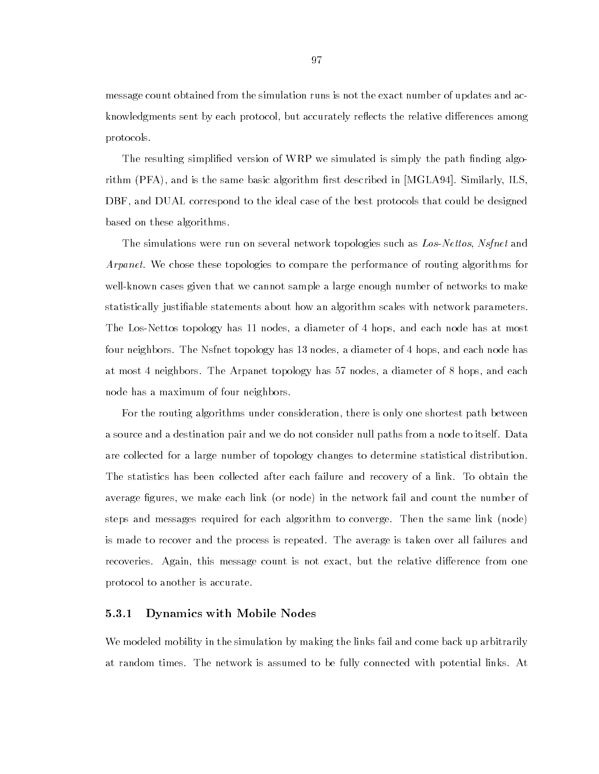message count obtained from the simulation runs is not the exact number of updates and acknowledgments sent by each protocol, but accurately reflects the relative differences among protocols.

The resulting simplified version of WRP we simulated is simply the path finding algorithm (PFA), and is the same basic algorithm first described in [MGLA94]. Similarly, ILS. DBF, and DUAL correspond to the ideal case of the best protocols that could be designed based on these algorithms.

The simulations were run on several network topologies such as Los-Nettos, Nsfnet and Arpanet. We chose these topologies to compare the performance of routing algorithms for well-known cases given that we cannot sample a large enough number of networks to make statistically justiable statements about how an algorithm scales with network parameters. The Los-Nettos topology has 11 nodes, a diameter of 4 hops, and each node has at most four neighbors. The Nsfnet topology has 13 nodes, a diameter of 4 hops, and each node has at most 4 neighbors. The Arpanet topology has 57 nodes, a diameter of 8 hops, and each node has a maximum of four neighbors.

For the routing algorithms under consideration, there is only one shortest path between a source and a destination pair and we do not consider null paths from a node to itself. Data are collected for a large number of topology changes to determine statistical distribution. The statistics has been collected after each failure and recovery of a link. To obtain the average figures, we make each link (or node) in the network fail and count the number of steps and messages required for each algorithm to converge. Then the same link (node) is made to recover and the process is repeated. The average is taken over all failures and recoveries. Again, this message count is not exact, but the relative difference from one protocol to another is accurate.

# 5.3.1 Dynamics with Mobile Nodes

We modeled mobility in the simulation by making the links fail and come back up arbitrarily at random times. The network is assumed to be fully connected with potential links. At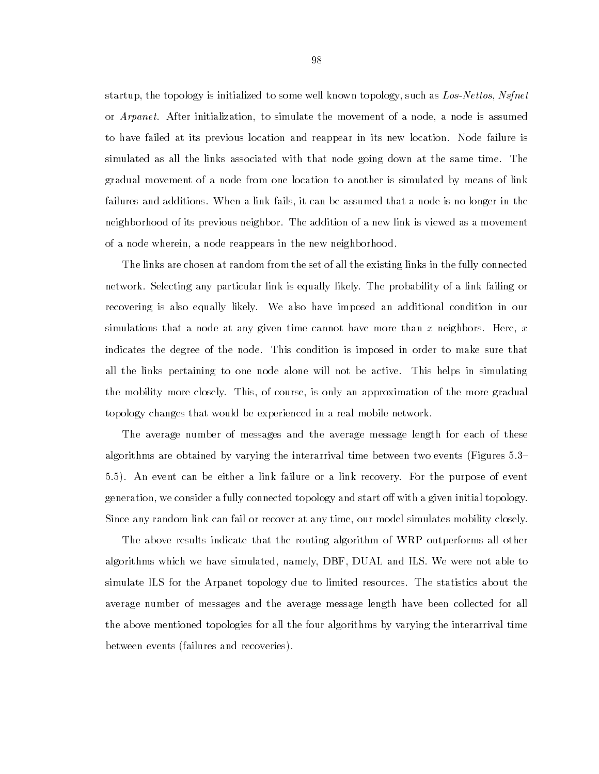startup, the topology is initialized to some well known topology, such as Los-Nettos, Nsfnet or *Arpanet*. After initialization, to simulate the movement of a node, a node is assumed to have failed at its previous location and reappear in its new location. Node failure is simulated as all the links associated with that node going down at the same time. The gradual movement of a node from one location to another is simulated by means of link failures and additions. When a link fails, it can be assumed that a node is no longer in the neighborhood of its previous neighbor. The addition of a new link is viewed as a movement of a node wherein, a node reappears in the new neighborhood.

The links are chosen at random from the set of all the existing links in the fully connected network. Selecting any particular link is equally likely. The probability of a link failing or recovering is also equally likely. We also have imposed an additional condition in our simulations that a node at any given time cannot have more than x neighbors. Here,  $x$ indicates the degree of the node. This condition is imposed in order to make sure that all the links pertaining to one node alone will not be active. This helps in simulating the mobility more closely. This, of course, is only an approximation of the more gradual topology changes that would be experienced in a real mobile network.

The average number of messages and the average message length for each of these algorithms are obtained by varying the interarrival time between two events (Figures 5.3– 5.5). An event can be either a link failure or a link recovery. For the purpose of event generation, we consider a fully connected topology and start off with a given initial topology. Since any random link can fail or recover at any time, our model simulates mobility closely.

The above results indicate that the routing algorithm of WRP outperforms all other algorithms which we have simulated, namely, DBF, DUAL and ILS. We were not able to simulate ILS for the Arpanet topology due to limited resources. The statistics about the average number of messages and the average message length have been collected for all the above mentioned topologies for all the four algorithms by varying the interarrival time between events (failures and recoveries).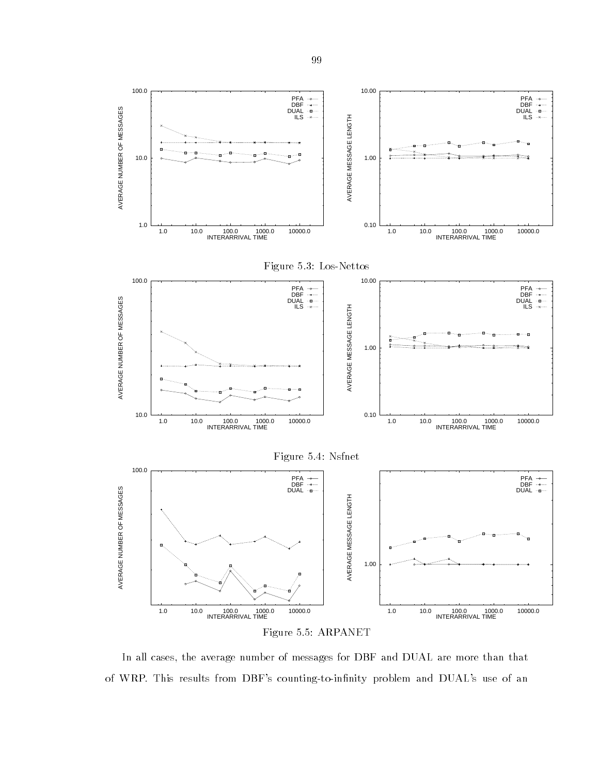

Figure 5.5: ARPANET

In all cases, the average number of messages for DBF and DUAL are more than that of WRP. This results from DBF's counting-to-infinity problem and DUAL's use of an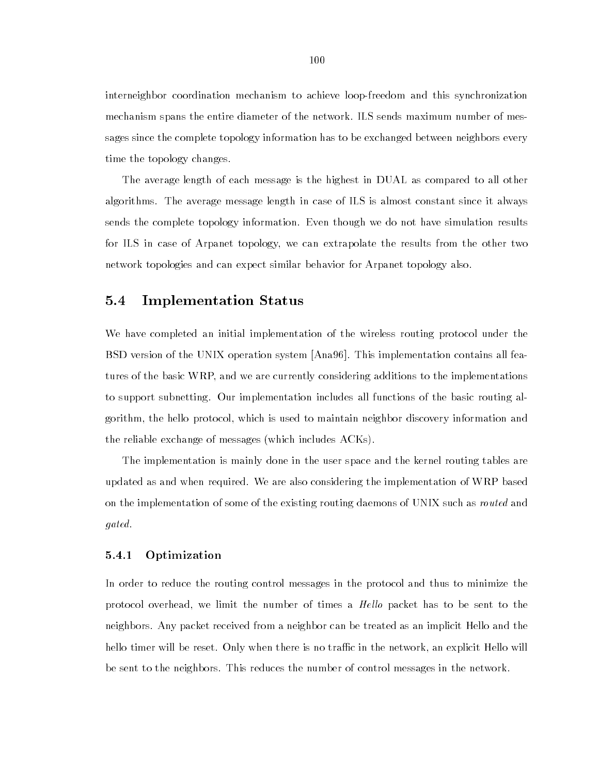interneighbor coordination mechanism to achieve loop-freedom and this synchronization mechanism spans the entire diameter of the network. ILS sends maximum number of messages since the complete topology information has to be exchanged between neighbors every time the topology changes.

The average length of each message is the highest in DUAL as compared to all other algorithms. The average message length in case of ILS is almost constant since it always sends the complete topology information. Even though we do not have simulation results for ILS in case of Arpanet topology, we can extrapolate the results from the other two network topologies and can expect similar behavior for Arpanet topology also.

# 5.4 Implementation Status

We have completed an initial implementation of the wireless routing protocol under the BSD version of the UNIX operation system [Ana96]. This implementation contains all features of the basic WRP, and we are currently considering additions to the implementations to support subnetting. Our implementation includes all functions of the basic routing algorithm, the hello protocol, which is used to maintain neighbor discovery information and the reliable exchange of messages (which includes ACKs).

The implementation is mainly done in the user space and the kernel routing tables are updated as and when required. We are also considering the implementation of WRP based on the implementation of some of the existing routing daemons of UNIX such as routed and gated.

# 5.4.1 Optimization

In order to reduce the routing control messages in the protocol and thus to minimize the protocol overhead, we limit the number of times a *Hello* packet has to be sent to the neighbors. Any packet received from a neighbor can be treated as an implicit Hello and the hello timer will be reset. Only when there is no traffic in the network, an explicit Hello will be sent to the neighbors. This reduces the number of control messages in the network.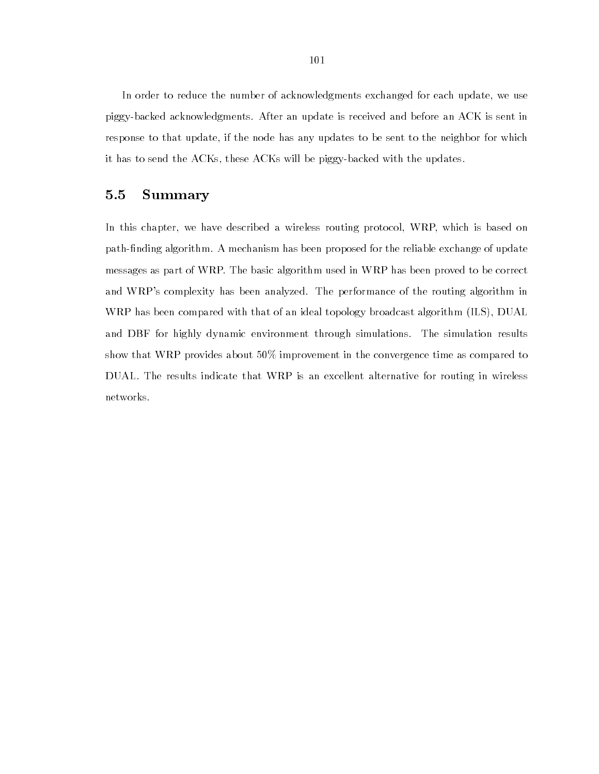In order to reduce the number of acknowledgments exchanged for each update, we use piggy-backed acknowledgments. After an update is received and before an ACK is sent in response to that update, if the node has any updates to be sent to the neighbor for which it has to send the ACKs, these ACKs will be piggy-backed with the updates.

# 5.5 Summary

In this chapter, we have described a wireless routing protocol, WRP, which is based on path-finding algorithm. A mechanism has been proposed for the reliable exchange of update messages as part of WRP. The basic algorithm used in WRP has been proved to be correct and WRP's complexity has been analyzed. The performance of the routing algorithm in WRP has been compared with that of an ideal topology broadcast algorithm (ILS), DUAL and DBF for highly dynamic environment through simulations. The simulation results show that WRP provides about 50% improvement in the convergence time as compared to DUAL. The results indicate that WRP is an excellent alternative for routing in wireless networks.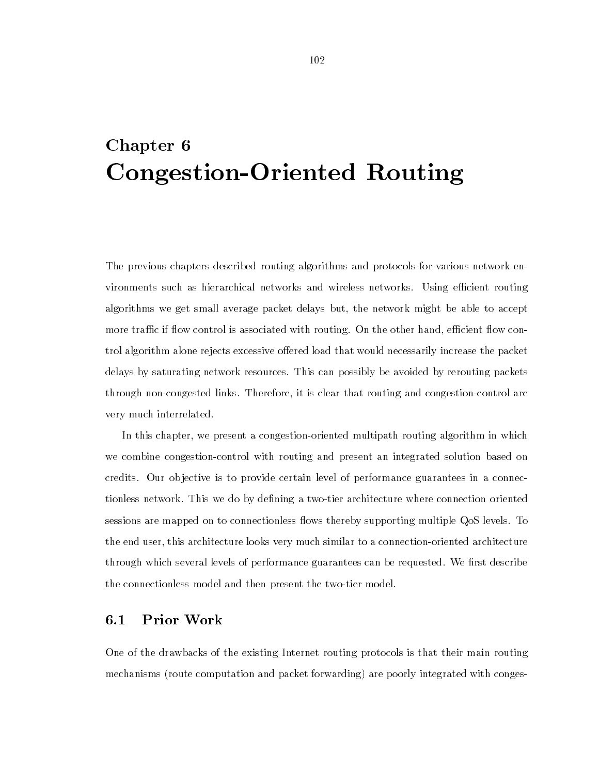# Chapter 6 Congestion-Oriented Routing

The previous chapters described routing algorithms and protocols for various network environments such as hierarchical networks and wireless networks. Using efficient routing algorithms we get small average packet delays but, the network might be able to accept more traffic if flow control is associated with routing. On the other hand, efficient flow control algorithm alone rejects excessive offered load that would necessarily increase the packet delays by saturating network resources. This can possibly be avoided by rerouting packets through non-congested links. Therefore, it is clear that routing and congestion-control are very much interrelated.

In this chapter, we present a congestion-oriented multipath routing algorithm in which we combine congestion-control with routing and present an integrated solution based on credits. Our ob jective is to provide certain level of performance guarantees in a connectionless network. This we do by defining a two-tier architecture where connection oriented sessions are mapped on to connectionless flows thereby supporting multiple QoS levels. To the end user, this architecture looks very much similar to a connection-oriented architecture through which several levels of performance guarantees can be requested. We first describe the connectionless model and then present the two-tier model.

# 6.1 Prior Work

One of the drawbacks of the existing Internet routing protocols is that their main routing mechanisms (route computation and packet forwarding) are poorly integrated with conges-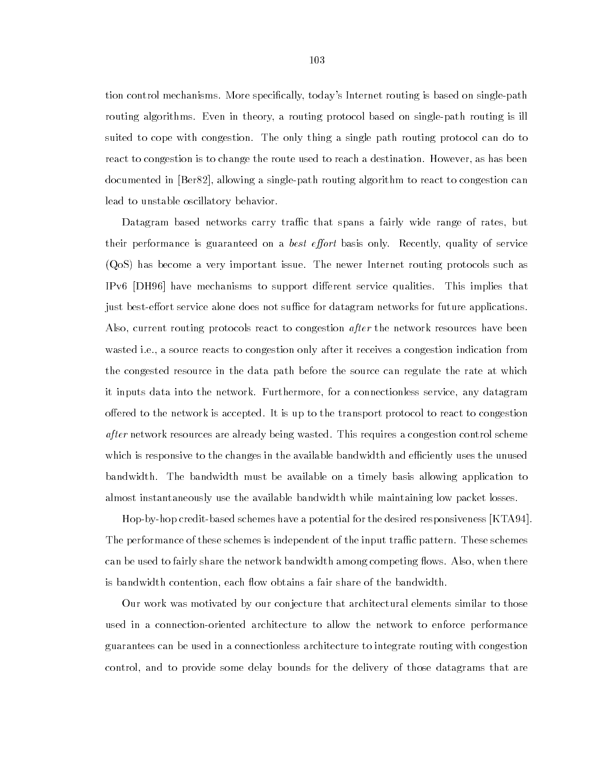tion control mechanisms. More specifically, today's Internet routing is based on single-path routing algorithms. Even in theory, a routing protocol based on single-path routing is ill suited to cope with congestion. The only thing a single path routing protocol can do to react to congestion is to change the route used to reach a destination. However, as has been documented in [Ber82], allowing a single-path routing algorithm to react to congestion can lead to unstable oscillatory behavior.

Datagram based networks carry traffic that spans a fairly wide range of rates, but their performance is guaranteed on a *best effort* basis only. Recently, quality of service (QoS) has become a very important issue. The newer Internet routing protocols such as IPv6  $[DH96]$  have mechanisms to support different service qualities. This implies that just best-effort service alone does not suffice for datagram networks for future applications. Also, current routing protocols react to congestion *after* the network resources have been wasted i.e., a source reacts to congestion only after it receives a congestion indication from the congested resource in the data path before the source can regulate the rate at which it inputs data into the network. Furthermore, for a connectionless service, any datagram offered to the network is accepted. It is up to the transport protocol to react to congestion after network resources are already being wasted. This requires a congestion control scheme which is responsive to the changes in the available bandwidth and efficiently uses the unused bandwidth. The bandwidth must be available on a timely basis allowing application to almost instantaneously use the available bandwidth while maintaining low packet losses.

Hop-by-hop credit-based schemes have a potential for the desired responsiveness [KTA94]. The performance of these schemes is independent of the input traffic pattern. These schemes can be used to fairly share the network bandwidth among competing flows. Also, when there is bandwidth contention, each flow obtains a fair share of the bandwidth.

Our work was motivated by our conjecture that architectural elements similar to those used in a connection-oriented architecture to allow the network to enforce performance guarantees can be used in a connectionless architecture to integrate routing with congestion control, and to provide some delay bounds for the delivery of those datagrams that are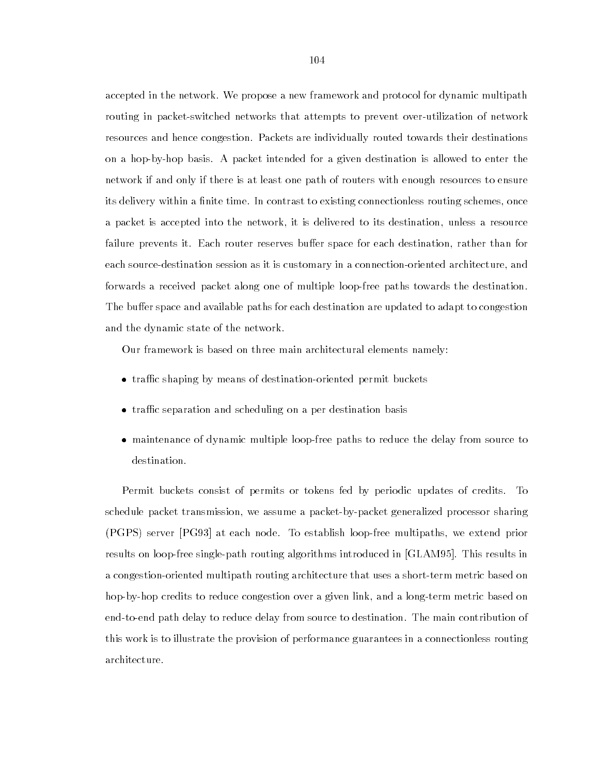accepted in the network. We propose a new framework and protocol for dynamic multipath routing in packet-switched networks that attempts to prevent over-utilization of network resources and hence congestion. Packets are individually routed towards their destinations on a hop-by-hop basis. A packet intended for a given destination is allowed to enter the network if and only if there is at least one path of routers with enough resources to ensure its delivery within a finite time. In contrast to existing connectionless routing schemes, once a packet is accepted into the network, it is delivered to its destination, unless a resource failure prevents it. Each router reserves buffer space for each destination, rather than for each source-destination session as it is customary in a connection-oriented architecture, and forwards a received packet along one of multiple loop-free paths towards the destination. The buffer space and available paths for each destination are updated to adapt to congestion and the dynamic state of the network.

Our framework is based on three main architectural elements namely:

- trac shaping by means of destination-oriented permit buckets
- trac separation and scheduling on a per destination basis
- maintenance of dynamic multiple loop-free paths to reduce the delay from source to destination.

Permit buckets consist of permits or tokens fed by periodic updates of credits. To schedule packet transmission, we assume a packet-by-packet generalized processor sharing (PGPS) server [PG93] at each node. To establish loop-free multipaths, we extend prior results on loop-free single-path routing algorithms introduced in [GLAM95]. This results in a congestion-oriented multipath routing architecture that uses a short-term metric based on hop-by-hop credits to reduce congestion over a given link, and a long-term metric based on end-to-end path delay to reduce delay from source to destination. The main contribution of this work is to illustrate the provision of performance guarantees in a connectionless routing architecture.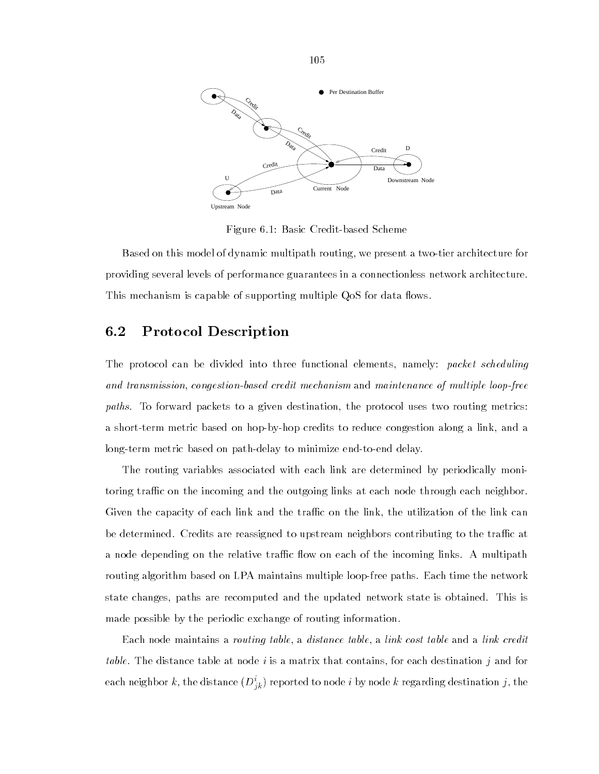

Figure 6.1: Basic Credit-based Scheme

Based on this model of dynamic multipath routing, we presentatwo-tier architecture for providing several levels of performance guarantees in a connectionless network architecture. This mechanism is capable of supporting multiple QoS for data flows.

# 6.2 Protocol Description

The protocol can be divided into three functional elements, namely: packet scheduling and transmission, congestion-based credit mechanism and maintenance of multiple loop-free paths. To forward packets to a given destination, the protocol uses two routing metrics: a short-term metric based on hop-by-hop credits to reduce congestion along a link, and a long-term metric based on path-delay to minimize end-to-end delay.

The routing variables associated with each link are determined by periodically monitoring traffic on the incoming and the outgoing links at each node through each neighbor. Given the capacity of each link and the traffic on the link, the utilization of the link can be determined. Credits are reassigned to upstream neighbors contributing to the traffic at a node depending on the relative traffic flow on each of the incoming links. A multipath routing algorithm based on LPA maintains multiple loop-free paths. Each time the network state changes, paths are recomputed and the updated network state is obtained. This is made possible by the periodic exchange of routing information.

Each node maintains a *routing table*, a *distance table*, a *link cost table* and a *link credit* table. The distance table at node i is a matrix that contains, for each destination j and for each neighbor  $\kappa$ , the distance  $(D_{ik}^*)$  reported to node  $i$  by node  $\kappa$  regarding destination  $j,$  the

105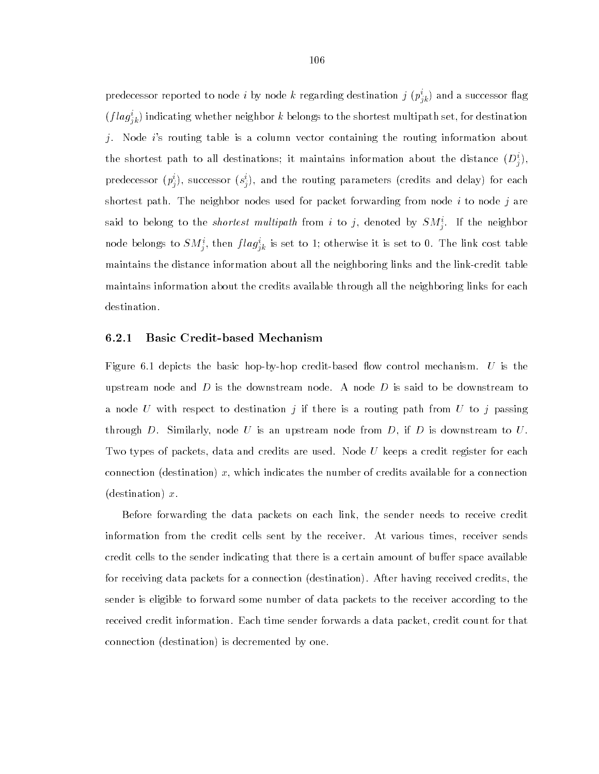predecessor reported to node  $i$  by node  $k$  regarding destination  $j$  ( $p_{jk}$ ) and a successor hag  $(f\iota a g_{ik}^*)$  indicating whether neighbor  $\kappa$  belongs to the shortest multipath set, for destination j. Node i's routing table is a column vector containing the routing information about the shortest path to all destinations; it maintains information about the distance  $(D^{\circ}_i) ,$ predecessor  $(p_j)$ , successor  $(s_j)$ , and the routing parameters (credits and delay) for each shortest path. The neighbor nodes used for packet forwarding from node  $i$  to node  $j$  are said to belong to the *shortest multipath* from  $i$  to  $j$ , denoted by  $\mathcal{S}M_{\hat{j}}$ . If the neighbor node belongs to  $SM_{\,i}^{\,i}$ , then  $flag_{\,ik}^{\,i}$  is set to 1; otherwise it is set to 0. The link cost table maintains the distance information about all the neighboring links and the link-credit table maintains information about the credits available through all the neighboring links for each destination.

# 6.2.1 Basic Credit-based Mechanism

Figure 6.1 depicts the basic hop-by-hop credit-based flow control mechanism. U is the upstream node and D is the downstream node. A node D is said to be downstream to a node U with respect to destination j if there is a routing path from U to j passing through D. Similarly, node U is an upstream node from D, if D is downstream to U. Two types of packets, data and credits are used. Node  $U$  keeps a credit register for each connection (destination) x, which indicates the number of credits available for a connection (destination)  $x$ .

Before forwarding the data packets on each link, the sender needs to receive credit information from the credit cells sent by the receiver. At various times, receiver sends credit cells to the sender indicating that there is a certain amount of buffer space available for receiving data packets for a connection (destination). After having received credits, the sender is eligible to forward some number of data packets to the receiver according to the received credit information. Each time sender forwards a data packet, credit count for that connection (destination) is decremented by one.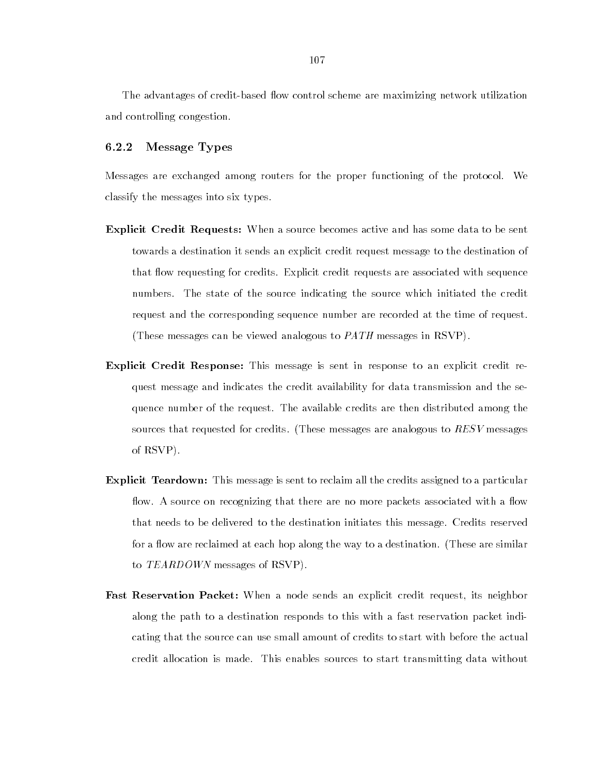The advantages of credit-based flow control scheme are maximizing network utilization and controlling congestion.

#### $6.2.2$ Message Types

Messages are exchanged among routers for the proper functioning of the protocol. We classify the messages into six types.

- Explicit Credit Requests: When a source becomes active and has some data to be sent towards a destination it sends an explicit credit request message to the destination of that flow requesting for credits. Explicit credit requests are associated with sequence numbers. The state of the source indicating the source which initiated the credit request and the corresponding sequence number are recorded at the time of request. (These messages can be viewed analogous to PATH messages in RSVP).
- Explicit Credit Response: This message is sent in response to an explicit credit request message and indicates the credit availability for data transmission and the sequence number of the request. The available credits are then distributed among the sources that requested for credits. (These messages are analogous to  $RESV$  messages of RSVP).
- Explicit Teardown: This message is sent to reclaim all the credits assigned to a particular flow. A source on recognizing that there are no more packets associated with a flow that needs to be delivered to the destination initiates this message. Credits reserved for a flow are reclaimed at each hop along the way to a destination. (These are similar to TEARDOWN messages of RSVP).
- Fast Reservation Packet: When a node sends an explicit credit request, its neighbor along the path to a destination responds to this with a fast reservation packet indicating that the source can use small amount of credits to start with before the actual credit allocation is made. This enables sources to start transmitting data without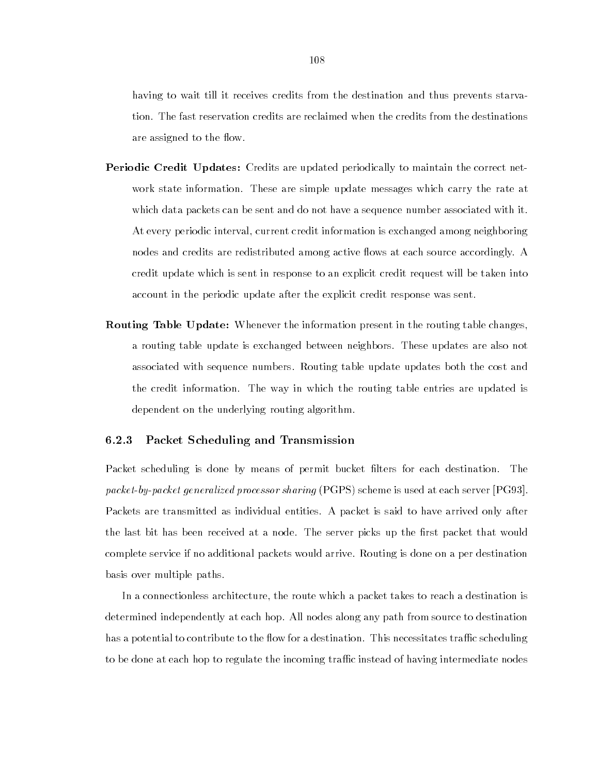having to wait till it receives credits from the destination and thus prevents starvation. The fast reservation credits are reclaimed when the credits from the destinations are assigned to the flow.

- **Periodic Credit Updates:** Credits are updated periodically to maintain the correct network state information. These are simple update messages which carry the rate at which data packets can be sent and do not have a sequence number associated with it. At every periodic interval, current credit information is exchanged among neighboring nodes and credits are redistributed among active flows at each source accordingly. A credit update which is sent in response to an explicit credit request will be taken into account in the periodic update after the explicit credit response was sent.
- Routing Table Update: Whenever the information present in the routing table changes, a routing table update is exchanged between neighbors. These updates are also not associated with sequence numbers. Routing table update updates both the cost and the credit information. The way in which the routing table entries are updated is dependent on the underlying routing algorithm.

# 6.2.3 Packet Scheduling and Transmission

Packet scheduling is done by means of permit bucket lters for each destination. The packet-by-packet generalized processor sharing (PGPS) scheme is used at each server [PG93]. Packets are transmitted as individual entities. A packet is said to have arrived only after the last bit has been received at a node. The server picks up the first packet that would complete service if no additional packets would arrive. Routing is done on a per destination basis over multiple paths.

In a connectionless architecture, the route which a packet takes to reach a destination is determined independently at each hop. All nodes along any path from source to destination has a potential to contribute to the flow for a destination. This necessitates traffic scheduling to be done at each hop to regulate the incoming traffic instead of having intermediate nodes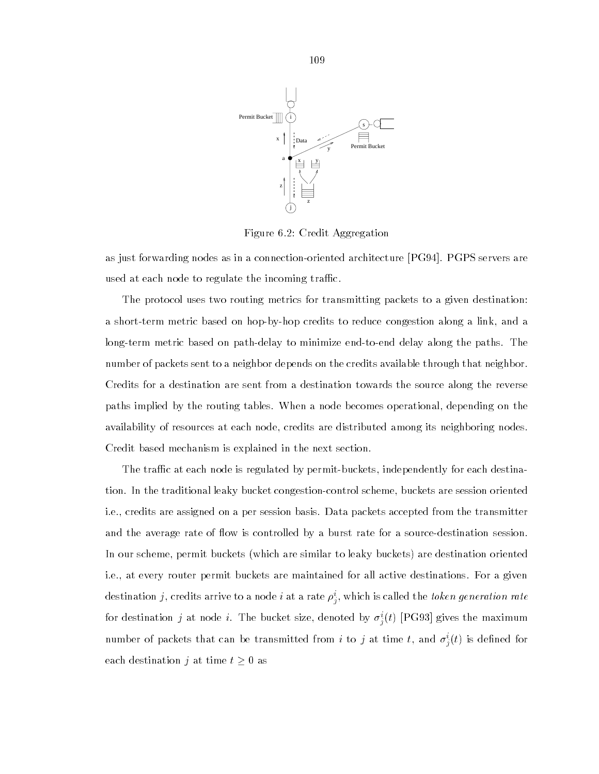

Figure 6.2: Credit Aggregation

as just forwarding nodes as in a connection-oriented architecture [PG94]. PGPS servers are used at each node to regulate the incoming traffic.

The protocol uses two routing metrics for transmitting packets to a given destination: a short-term metric based on hop-by-hop credits to reduce congestion along a link, and a long-term metric based on path-delay to minimize end-to-end delay along the paths. The number of packets sent to a neighbor depends on the credits available through that neighbor. Credits for a destination are sent from a destination towards the source along the reverse paths implied by the routing tables. When a node becomes operational, depending on the availability of resources at each node, credits are distributed among its neighboring nodes. Credit based mechanism is explained in the next section.

The traffic at each node is regulated by permit-buckets, independently for each destination. In the traditional leaky bucket congestion-control scheme, buckets are session oriented i.e., credits are assigned on a per session basis. Data packets accepted from the transmitter and the average rate of flow is controlled by a burst rate for a source-destination session. In our scheme, permit buckets (which are similar to leaky buckets) are destination oriented i.e., at every router permit buckets are maintained for all active destinations. For a given destination  $j,$  credits arrive to a node  $i$  at a rate  $\rho_j^*,$  which is called the *token generation rate* for destination  $j$  at node  $i$ . The bucket size, denoted by  $\sigma_j(\iota)$  [PG95] gives the maximum number of packets that can be transmitted from  $i$  to  $j$  at time  $\iota,$  and  $\sigma_j(\iota)$  is defined for each destination j at time  $t \geq 0$  as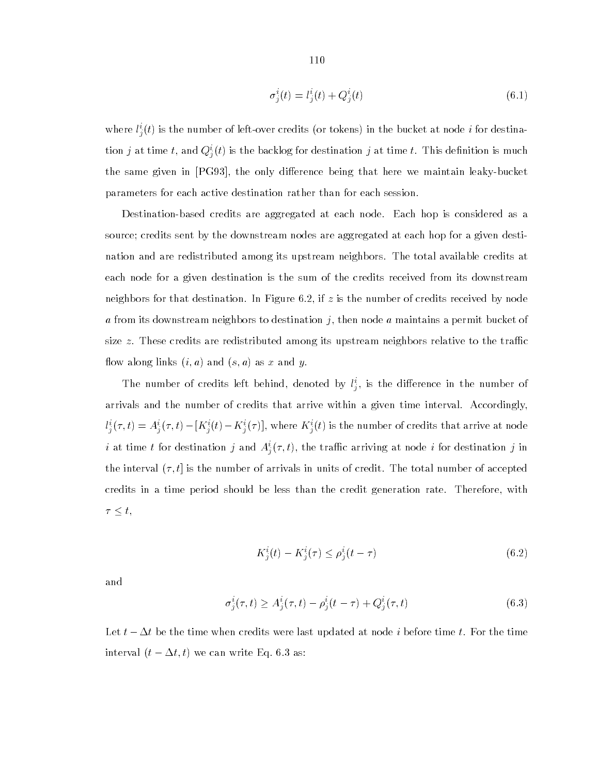$$
\sigma_j^i(t) = l_j^i(t) + Q_j^i(t) \tag{6.1}
$$

where  $i_j(t)$  is the number of left-over credits (or tokens) in the bucket at node t for destination  $j$  at time  $i$ , and  $Q_j^*(t)$  is the backlog for destination  $j$  at time  $i$ . This definition is much the same given in [PG93], the only difference being that here we maintain leaky-bucket parameters for each active destination rather than for each session.

Destination-based credits are aggregated at each node. Each hop is considered as a source; credits sent by the downstream nodes are aggregated at each hop for a given destination and are redistributed among its upstream neighbors. The total available credits at each node for a given destination is the sum of the credits received from its downstream neighbors for that destination. In Figure 6.2, if  $z$  is the number of credits received by node a from its downstream neighbors to destination j, then node a maintains a permit bucket of size  $z$ . These credits are redistributed among its upstream neighbors relative to the traffic flow along links  $(i, a)$  and  $(s, a)$  as x and y.

The number of credits left behind, denoted by  $\iota^*_j$ , is the difference in the number of arrivals and the number of credits that arrive within a given time interval. Accordingly,  $l_j^i(\tau,t) = A_j^i(\tau,t) - [K_j^i(t) - K_j^i(\tau)],$  where  $K_j^i(t)$  is the number of credits that arrive at node  $i$  at time  $i$  for destination  $j$  and  $A_{j}(\tau,i),$  the trailic arriving at node  $i$  for destination  $j$  in the interval  $(\tau, t]$  is the number of arrivals in units of credit. The total number of accepted credits in a time period should be less than the credit generation rate. Therefore, with  $\tau \leq t$ ,

$$
K_j^i(t) - K_j^i(\tau) \le \rho_j^i(t - \tau) \tag{6.2}
$$

and

$$
\sigma_j^i(\tau, t) \ge A_j^i(\tau, t) - \rho_j^i(t - \tau) + Q_j^i(\tau, t)
$$
\n(6.3)

Let  $t - \Delta t$  be the time when credits were last updated at node i before time t. For the time interval  $(t - \Delta t, t)$  we can write Eq. 6.3 as: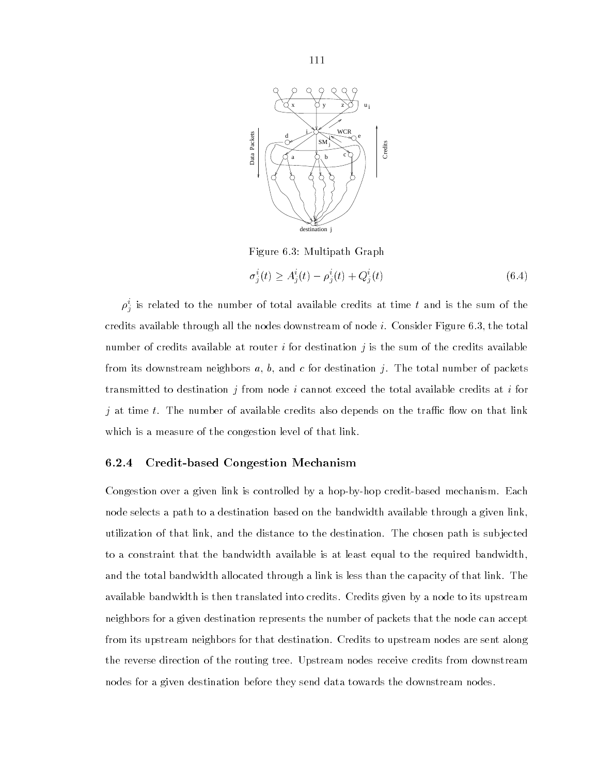

Figure 6.3: Multipath Graph

$$
\sigma_i^i(t) \ge A_i^i(t) - \rho_i^i(t) + Q_i^i(t) \tag{6.4}
$$

 $\rho_j^{\vee}$  is related to the number of total available credits at time  $\iota$  and is the sum of the credits available through all the nodes downstream of node  $i$ . Consider Figure 6.3, the total number of credits available at router i for destination j is the sum of the credits available from its downstream neighbors a, b, and c for destination j. The total number of packets transmitted to destination j from node i cannot exceed the total available credits at i for  $j$  at time  $t$ . The number of available credits also depends on the traffic flow on that link which is a measure of the congestion level of that link.

# 6.2.4 Credit-based Congestion Mechanism

Congestion over a given link is controlled by a hop-by-hop credit-based mechanism. Each node selects a path to a destination based on the bandwidth available through a given link, utilization of that link, and the distance to the destination. The chosen path is sub jected to a constraint that the bandwidth available is at least equal to the required bandwidth, and the total bandwidth allocated through a link is less than the capacity of that link. The available bandwidth is then translated into credits. Credits given by a node to its upstream neighbors for a given destination represents the number of packets that the node can accept from its upstream neighbors for that destination. Credits to upstream nodes are sent along the reverse direction of the routing tree. Upstream nodes receive credits from downstream nodes for a given destination before they send data towards the downstream nodes.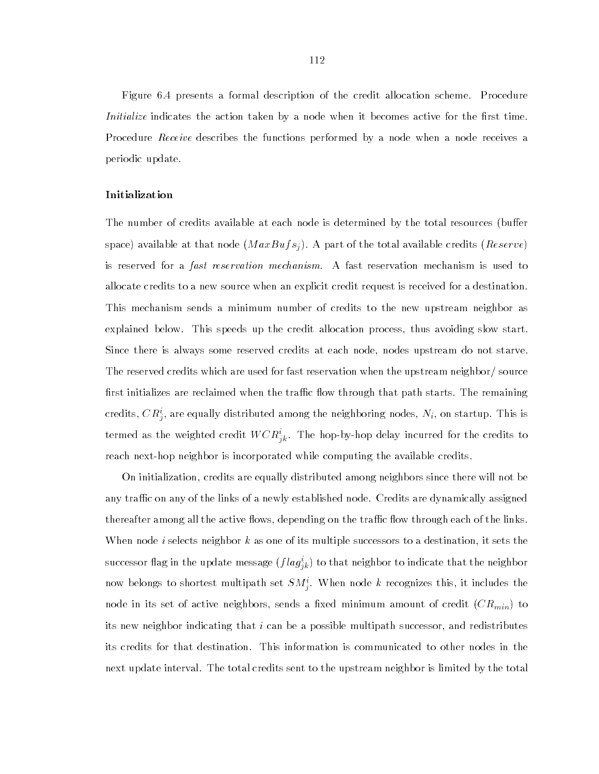Figure 6.4 presents a formal description of the credit allocation scheme. Procedure *Initialize* indicates the action taken by a node when it becomes active for the first time. Procedure Receive describes the functions performed by a node when a node receives a periodic update.

## Initialization

The number of credits available at each node is determined by the total resources (buffer space) available at that node  $(MaxBufs<sub>j</sub>)$ . A part of the total available credits  $(Reserve)$ is reserved for a fast reservation mechanism. A fast reservation mechanism is used to allocate credits to a new source when an explicit credit request is received for a destination. This mechanism sends a minimum number of credits to the new upstream neighbor as explained below. This speeds up the credit allocation process, thus avoiding slow start. Since there is always some reserved credits at each node, nodes upstream do not starve. The reserved credits which are used for fast reservation when the upstream neighbor/ source first initializes are reclaimed when the traffic flow through that path starts. The remaining credits,  $\cup R_i^{\vee}$ , are equally distributed among the neighboring nodes,  $N_i,$  on startup. This is termed as the weighted credit  $W \cup R_{ik}^+$ . The hop-by-hop delay incurred for the credits to reach next-hop neighbor is incorporated while computing the available credits.

On initialization, credits are equally distributed among neighbors since there will not be any traffic on any of the links of a newly established node. Credits are dynamically assigned thereafter among all the active flows, depending on the traffic flow through each of the links. When node *i* selects neighbor k as one of its multiple successors to a destination, it sets the successor hag in the update message  $(j \, \iota \, a \, g_{jk})$  to that neighbor to indicate that the neighbor how belongs to shortest multipath set  $SM_{j}$ . When hode k recognizes this, it includes the node in its set of active neighbors, sends a fixed minimum amount of credit  $(CR_{min})$  to its new neighbor indicating that  $i$  can be a possible multipath successor, and redistributes its credits for that destination. This information is communicated to other nodes in the next update interval. The total credits sent to the upstream neighbor is limited by the total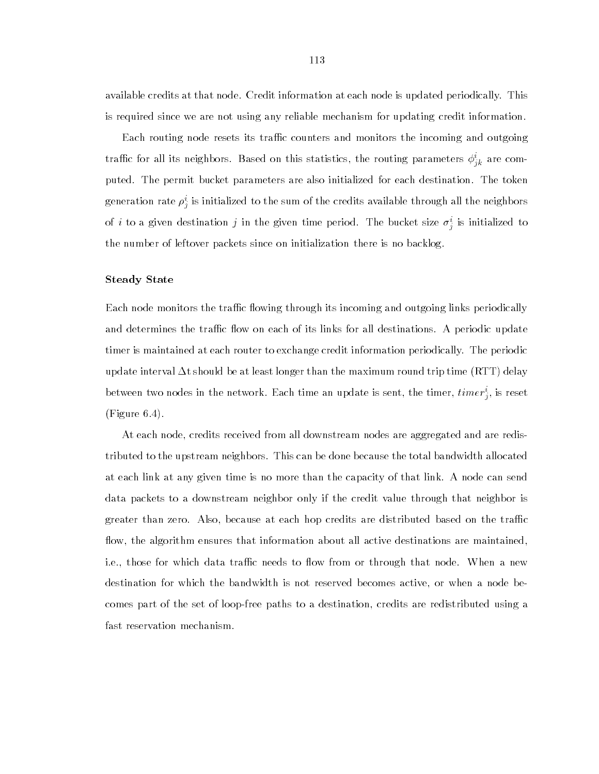available credits at that node. Credit information at each node is updated periodically. This is required since we are not using any reliable mechanism for updating credit information.

Each routing node resets its traffic counters and monitors the incoming and outgoing trainc for all its neighbors. Based on this statistics, the routing parameters  $\varphi_{j k}^*$  are computed. The permit bucket parameters are also initialized for each destination. The token generation rate  $\rho_j^*$  is initialized to the sum of the credits available through all the neighbors of  $i$  to a given destination  $j$  in the given time period. The bucket size  $\sigma_j^{\perp}$  is initialized to the number of leftover packets since on initialization there is no backlog.

# Steady State

Each node monitors the traffic flowing through its incoming and outgoing links periodically and determines the traffic flow on each of its links for all destinations. A periodic update timer is maintained at each router to exchange credit information periodically. The periodic update interval  $\Delta t$  should be at least longer than the maximum round trip time (RTT) delay between two nodes in the network. Each time an update is sent, the timer,  $\iota$ *timer*; is reset (Figure 6.4).

At each node, credits received from all downstream nodes are aggregated and are redistributed to the upstream neighbors. This can be done because the total bandwidth allocated at each link at any given time is no more than the capacity of that link. A node can send data packets to a downstream neighbor only if the credit value through that neighbor is greater than zero. Also, because at each hop credits are distributed based on the traffic flow, the algorithm ensures that information about all active destinations are maintained. i.e., those for which data traffic needs to flow from or through that node. When a new destination for which the bandwidth is not reserved becomes active, or when a node becomes part of the set of loop-free paths to a destination, credits are redistributed using a fast reservation mechanism.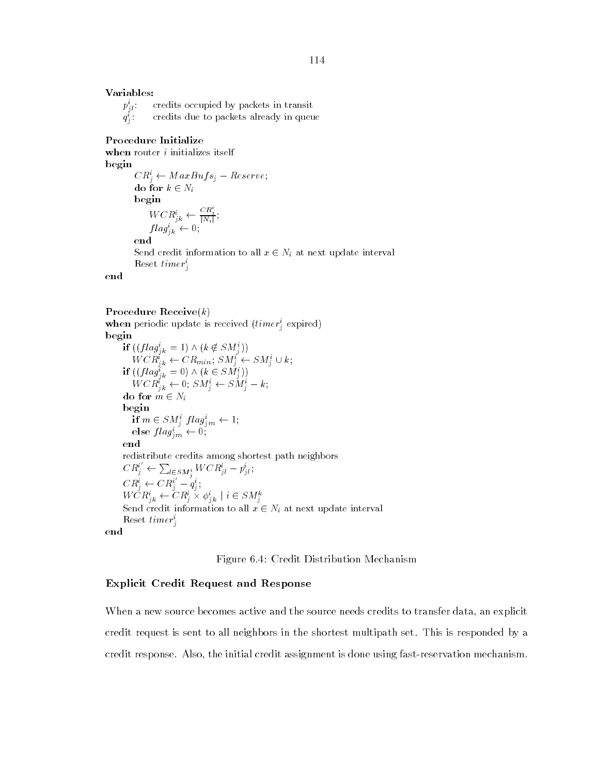# Variables:

 $p_{j\,l}^i$ credits occupied by packets in transit  $q_j$  is a set of  $q_j$ : credits due to packets already in queue

### Procedure Initialize

when router  $i$  initializes itself begin

> $C R_i^* \leftarrow MaxButs_j - Reserve;$ do for  $k \in N_i$ begins the contract of the contract of the contract of the contract of the contract of the contract of the contract of the contract of the contract of the contract of the contract of the contract of the contract of the con  $WCR_{ik}^i \leftarrow \frac{CR_j}{|N_i|}$  $|N_i|$  ;  $|$  $flag_{ik}^* \leftarrow 0;$ end Send credit information to all  $x \in N_i$  at next update interval  $\text{Reset } \text{time } r_i$

## Procedure Receive $(k)$

**when** periodic update is received  $(time_i$  expired) if  $((flag<sub>i<sub>k</sub></sub> = 1) \wedge (k \notin SM<sub>i</sub><sup>i</sup>))$  $WCR_{jk}^i \leftarrow CR_{min}; SM_j^i \leftarrow SM_j^i \cup k;$ if  $((flag_{ik}^i = 0) \wedge (k \in SM_i^i))$  $WCR_{ik}^* \leftarrow 0; SM_i^* \leftarrow SM_i^* - k;$ do for  $m \in N_i$ begin if  $m \in SM$ ;  $flag_{im} \leftarrow 1$ ; else  $flag_{im}^* \leftarrow 0;$ end redistribute credits among shortest path neighbors  $CR_j^i \leftarrow \sum_{l \in SM_j^i} WCR_{jl}^i - p_{jl}^i;$  $CR_i^i \leftarrow CR_i^i - q_i^i;$  $WCR_{jk}^i \leftarrow CR_j^i \times \phi_{jk}^i \mid i \in SM_j^k$ Send credit information to all  $x \in N_i$  at next update interval Reset timer<sup>1</sup> je poznata u predstavanje postavanje postavanje postavanje postavanje postavanje postavanje postavanje postava end

# Figure 6.4: Credit Distribution Mechanism

# Explicit Credit Request and Response

When a new source becomes active and the source needs credits to transfer data, an explicit credit request is sent to all neighbors in the shortest multipath set. This is responded by a credit response. Also, the initial credit assignment is done using fast-reservation mechanism.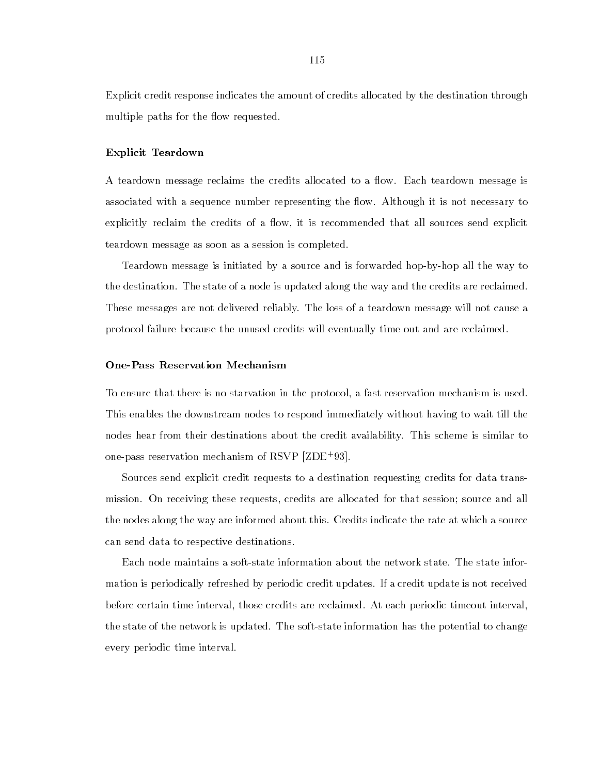Explicit credit response indicates the amount of credits allocated by the destination through multiple paths for the flow requested.

## Explicit Teardown

A teardown message reclaims the credits allocated to a flow. Each teardown message is associated with a sequence number representing the flow. Although it is not necessary to explicitly reclaim the credits of a flow, it is recommended that all sources send explicit teardown message as soon as a session is completed.

Teardown message is initiated by a source and is forwarded hop-by-hop all the way to the destination. The state of a node is updated along the way and the credits are reclaimed. These messages are not delivered reliably. The loss of a teardown message will not cause a protocol failure because the unused credits will eventually time out and are reclaimed.

# One-Pass Reservation Mechanism

To ensure that there is no starvation in the protocol, a fast reservation mechanism is used. This enables the downstream nodes to respond immediately without having to wait till the nodes hear from their destinations about the credit availability. This scheme is similar to one-pass reservation mechanism of RSVP [ZDE+ 93].

Sources send explicit credit requests to a destination requesting credits for data transmission. On receiving these requests, credits are allocated for that session; source and all the nodes along the way are informed about this. Credits indicate the rate at which a source can send data to respective destinations.

Each node maintains a soft-state information about the network state. The state information is periodically refreshed by periodic credit updates. If a credit update is not received before certain time interval, those credits are reclaimed. At each periodic timeout interval, the state of the network is updated. The soft-state information has the potential to change every periodic time interval.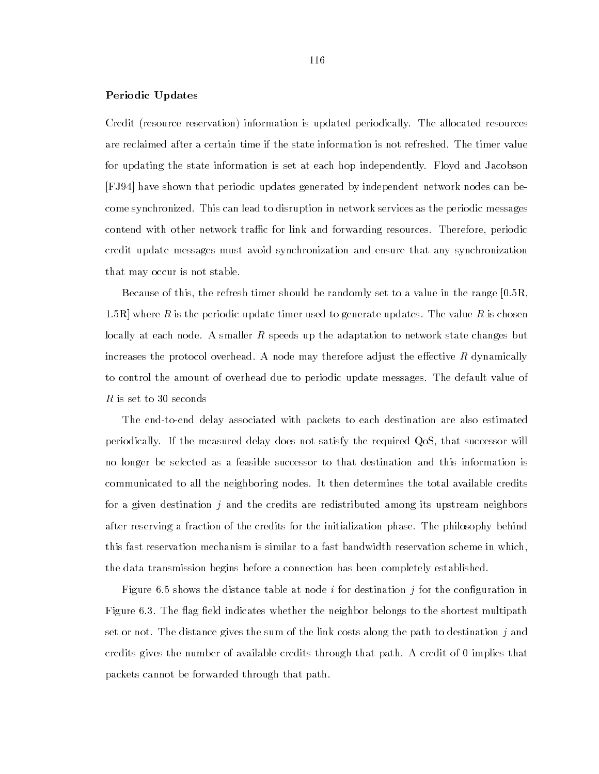# Periodic Updates

Credit (resource reservation) information is updated periodically. The allocated resources are reclaimed after a certain time if the state information is not refreshed. The timer value for updating the state information is set at each hop independently. Floyd and Jacobson [FJ94] have shown that periodic updates generated by independent network nodes can become synchronized. This can lead to disruption in network services as the periodic messages contend with other network traffic for link and forwarding resources. Therefore, periodic credit update messages must avoid synchronization and ensure that any synchronization that may occur is not stable.

Because of this, the refresh timer should be randomly set to a value in the range [0.5R, 1.5R] where R is the periodic update timer used to generate updates. The value R is chosen locally at each node. A smaller R speeds up the adaptation to network state changes but increases the protocol overhead. A node may therefore adjust the effective  $R$  dynamically to control the amount of overhead due to periodic update messages. The default value of R is set to 30 seconds

The end-to-end delay associated with packets to each destination are also estimated periodically. If the measured delay does not satisfy the required QoS, that successor will no longer be selected as a feasible successor to that destination and this information is communicated to all the neighboring nodes. It then determines the total available credits for a given destination  $j$  and the credits are redistributed among its upstream neighbors after reserving a fraction of the credits for the initialization phase. The philosophy behind this fast reservation mechanism is similar to a fast bandwidth reservation scheme in which, the data transmission begins before a connection has been completely established.

Figure 6.5 shows the distance table at node  $i$  for destination  $j$  for the configuration in Figure 6.3. The flag field indicates whether the neighbor belongs to the shortest multipath set or not. The distance gives the sum of the link costs along the path to destination  $j$  and credits gives the number of available credits through that path. A credit of 0 implies that packets cannot be forwarded through that path.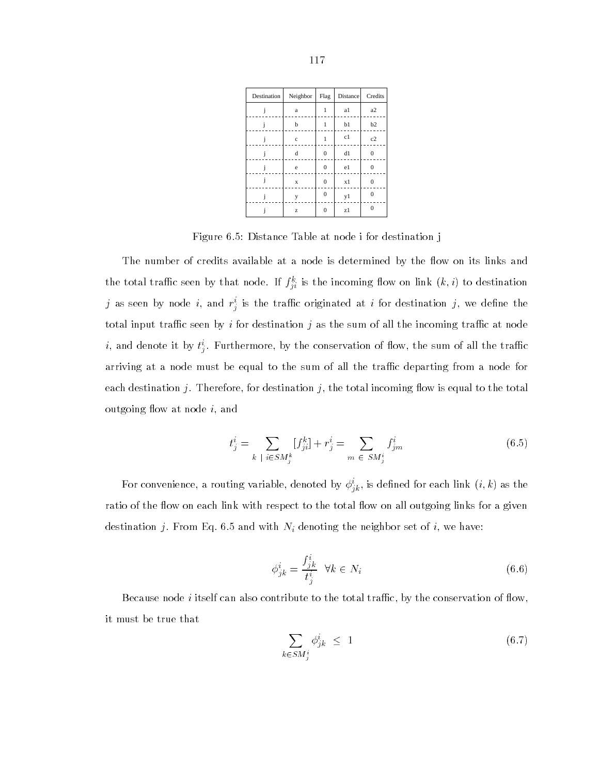| Destination | Neighbor    | Flag           | <b>Distance</b> | Credits  |
|-------------|-------------|----------------|-----------------|----------|
|             | a           | 1              | a1              | a2       |
|             | b           |                | b1              | b2       |
|             | $\mathbf c$ | 1              | c1              | c2       |
|             | $\mathbf d$ | $\bf{0}$       | d1              | $\Omega$ |
|             | e           | $\bf{0}$       | e1              | 0        |
| İ           | $\mathbf x$ | $\bf{0}$       | x1              | 0        |
|             | y           | $\overline{0}$ | y1              | $\Omega$ |
|             | Z           | $\mathbf{0}$   | z1              | $\Omega$ |

Figure 6.5: Distance Table at node i for destination j

The number of credits available at a node is determined by the flow on its links and the total trainc seen by that houe. If  $f_{ii}$  is the incoming now on link  $(\kappa, \tau)$  to destination  $j$  as seen by node  $i,$  and  $r_j^\downarrow$  is the trainc originated at  $i$  for destination  $j,$  we define the total input traffic seen by i for destination j as the sum of all the incoming traffic at node  $i$ , and denote it by  $\iota_j^{\ldots}$  rurthermore, by the conservation of now, the sum of all the trainc arriving at a node must be equal to the sum of all the traffic departing from a node for each destination j. Therefore, for destination j, the total incoming flow is equal to the total outgoing flow at node  $i$ , and

$$
t_j^i = \sum_{k \; | \; i \in SM_j^k} [f_{ji}^k] + r_j^i = \sum_{m \; \in SM_j^i} f_{jm}^i \tag{6.5}
$$

For convenience, a routing variable, denoted by  $\varphi_{i k}$ , is defined for each link  $(i,k)$  as the ratio of the flow on each link with respect to the total flow on all outgoing links for a given destination j. From Eq. 6.5 and with  $N_i$  denoting the neighbor set of i, we have:

$$
\phi_{jk}^i = \frac{f_{jk}^i}{t_j^i} \quad \forall k \in N_i \tag{6.6}
$$

Because node  $i$  itself can also contribute to the total traffic, by the conservation of flow, it must be true that

$$
\sum_{k \in SM_j^i} \phi_{jk}^i \le 1 \tag{6.7}
$$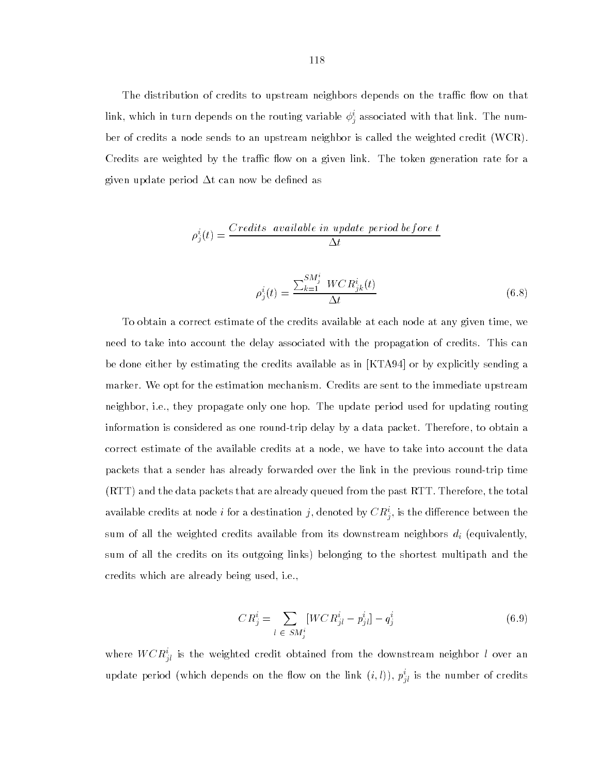The distribution of credits to upstream neighbors depends on the traffic flow on that link, which in turn depends on the routing variable  $\varphi_{j}$  associated with that link. The number of credits a node sends to an upstream neighbor is called the weighted credit (WCR). Credits are weighted by the traffic flow on a given link. The token generation rate for a given update period  $\Delta t$  can now be defined as

$$
\rho_j^i(t) = \frac{Credits \,\text{ available in update period before t}}{\Delta t}
$$

$$
\rho_j^i(t) = \frac{\sum_{k=1}^{SM_j^i} WCR_{jk}^i(t)}{\Delta t}
$$
\n(6.8)

To obtain a correct estimate of the credits available at each node at any given time, we need to take into account the delay associated with the propagation of credits. This can be done either by estimating the credits available as in [KTA94] or by explicitly sending a marker. We opt for the estimation mechanism. Credits are sent to the immediate upstream neighbor, i.e., they propagate only one hop. The update period used for updating routing information is considered as one round-trip delay by a data packet. Therefore, to obtain a correct estimate of the available credits at a node, we have to take into account the data packets that a sender has already forwarded over the link in the previous round-trip time (RTT) and the data packets that are already queued from the past RTT. Therefore, the total available credits at node  $i$  for a destination  $j,$  denoted by  $\cup K_j,$  is the difference between the sum of all the weighted credits available from its downstream neighbors  $d_i$  (equivalently, sum of all the credits on its outgoing links) belonging to the shortest multipath and the credits which are already being used, i.e.,

$$
CR_j^i = \sum_{l \in SM_j^i} [WCR_{jl}^i - p_{jl}^i] - q_j^i \tag{6.9}
$$

where  $W \cup \overline{R}_{jl}$  is the weighted credit obtained from the downstream neighbor  $l$  over an update period (which depends on the llow on the link  $(i, i)$ ),  $p_{\bar{i}l}$  is the number of credits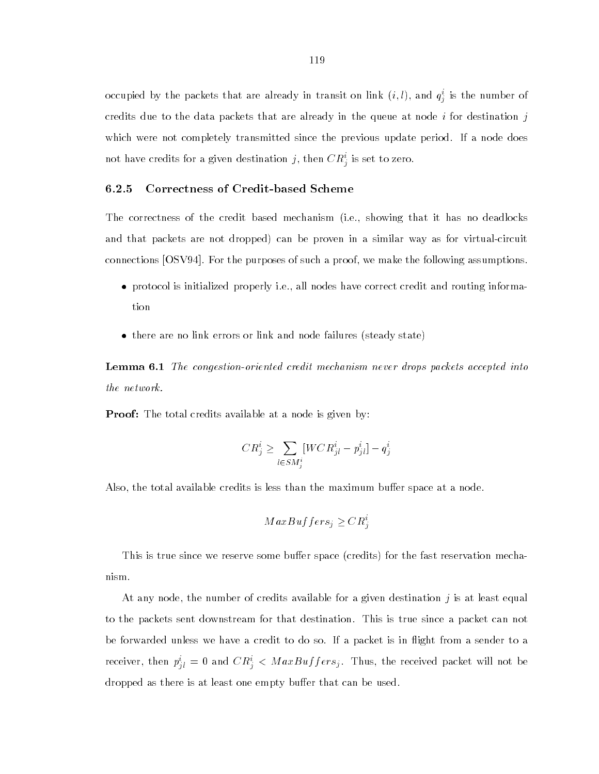occupied by the packets that are already in transit on link  $(i, i)$ , and  $q_j^{\perp}$  is the number of credits due to the data packets that are already in the queue at node  $i$  for destination  $j$ which were not completely transmitted since the previous update period. If a node does not have credits for a given destination  $j,$  then  $\mathcal{C}R_{j}^{+}$  is set to zero.

# 6.2.5 Correctness of Credit-based Scheme

The correctness of the credit based mechanism (i.e., showing that it has no deadlocks and that packets are not dropped) can be proven in a similar way as for virtual-circuit connections [OSV94]. For the purposes of such a proof, we make the following assumptions.

- protocol is initialized properly i.e., all nodes have correct credit and routing information
- there are no link errors or link and node failures (steady state)

**Lemma 6.1** The congestion-oriented credit mechanism never drops packets accepted into the network.

**Proof:** The total credits available at a node is given by:

$$
CR_j^i \geq \sum_{l \in SM_j^i} [WCR_{jl}^i - p_{jl}^i] - q_j^i
$$

Also, the total available credits is less than the maximum buffer space at a node.

$$
MaxBuffers_i \geq CR_i^i
$$

the contract of the contract of the contract of the contract of the contract of

This is true since we reserve some buffer space (credits) for the fast reservation mechanism.

At any node, the number of credits available for a given destination  $j$  is at least equal to the packets sent downstream for that destination. This is true since a packet can not be forwarded unless we have a credit to do so. If a packet is in 
ight from a sender to a receiver, then  $p_{jl}^* = 0$  and  $\cup R_j^* <$  *MaxBuffersj*. Thus, the received packet will not be dropped as there is at least one empty buffer that can be used.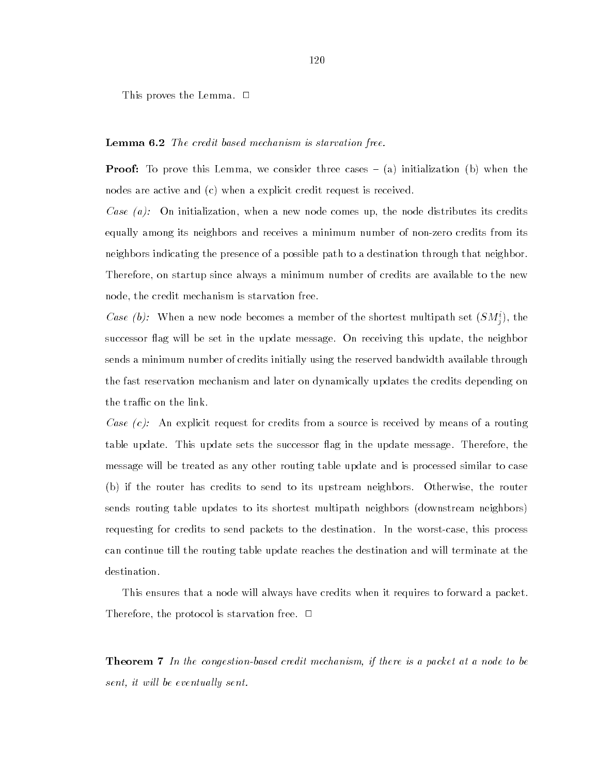This proves the Lemma.  $\Box$ 

## Lemma 6.2 The credit based mechanism is starvation free.

**Proof:** To prove this Lemma, we consider three cases  $-$  (a) initialization (b) when the nodes are active and (c) when a explicit credit request is received.

Case  $(a)$ : On initialization, when a new node comes up, the node distributes its credits equally among its neighbors and receives a minimum number of non-zero credits from its neighbors indicating the presence of a possible path to a destination through that neighbor. Therefore, on startup since always a minimum number of credits are available to the new node, the credit mechanism is starvation free.

Case (b): When a new hode becomes a member of the shortest multipath set  $(SM_i)$ , the successor flag will be set in the update message. On receiving this update, the neighbor sends a minimum number of credits initially using the reserved bandwidth available through the fast reservation mechanism and later on dynamically updates the credits depending on the traffic on the link.

Case  $(c)$ : An explicit request for credits from a source is received by means of a routing table update. This update sets the successor flag in the update message. Therefore, the message will be treated as any other routing table update and is processed similar to case (b) if the router has credits to send to its upstream neighbors. Otherwise, the router sends routing table updates to its shortest multipath neighbors (downstream neighbors) requesting for credits to send packets to the destination. In the worst-case, this process can continue till the routing table update reaches the destination and will terminate at the destination.

This ensures that a node will always have credits when it requires to forward a packet. Therefore, the protocol is starvation free.  $\Box$ 

Theorem 7 In the congestion-based credit mechanism, if there is a packet at a node to be sent, it will be eventually sent.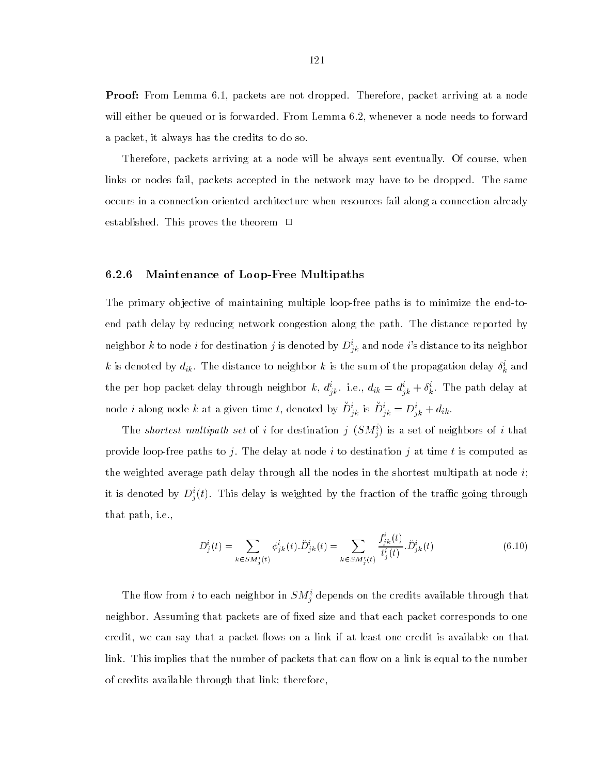**Proof:** From Lemma 6.1, packets are not dropped. Therefore, packet arriving at a node will either be queued or is forwarded. From Lemma 6.2, whenever a node needs to forward a packet, it always has the credits to do so.

Therefore, packets arriving at a node will be always sent eventually. Of course, when links or nodes fail, packets accepted in the network may have to be dropped. The same occurs in a connection-oriented architecture when resources fail along a connection already established. This proves the theorem  $\Box$ 

# 6.2.6 Maintenance of Loop-Free Multipaths

The primary objective of maintaining multiple loop-free paths is to minimize the end-toend path delay by reducing network congestion along the path. The distance reported by neighbor  $k$  to node  $i$  for destination  $j$  is denoted by  $D^i_{\ ik}$  and node  $i$ 's distance to its neighbor  $\kappa$  is denoted by  $a_{ik}.$  The distance to neighbor  $\kappa$  is the sum of the propagation delay  $\sigma_{k}$  and the per hop packet delay through heighbor  $\kappa, u_{jk}$ . i.e.,  $u_{ik} = u_{jk} + o_k$ . The path delay at node *i* along node k at a given time *t*, denoted by  $D_{ik}^{\dagger}$  is  $D_{ik}^{\dagger} = D_{ik}^{\dagger} + a_{ik}$ .

The *shortest multipath set* of i for destination  $j$  (SM<sub>i</sub>) is a set of neighbors of i that provide loop-free paths to j. The delay at node i to destination j at time t is computed as the weighted average path delay through all the nodes in the shortest multipath at node  $i$ ; it is denoted by  $D_{j}^{\ast}(t)$ . This delay is weighted by the fraction of the trailic going through that path, i.e.,

$$
D_j^i(t) = \sum_{k \in SM_j^i(t)} \phi_{jk}^i(t) \cdot \tilde{D}_{jk}^i(t) = \sum_{k \in SM_j^i(t)} \frac{f_{jk}^i(t)}{t_j^i(t)} \cdot \tilde{D}_{jk}^i(t)
$$
(6.10)

The now from  $i$  to each neighbor in  $SM_{ij}^{\perp}$  depends on the credits available through that neighbor. Assuming that packets are of fixed size and that each packet corresponds to one credit, we can say that a packet flows on a link if at least one credit is available on that link. This implies that the number of packets that can flow on a link is equal to the number of credits available through that link; therefore,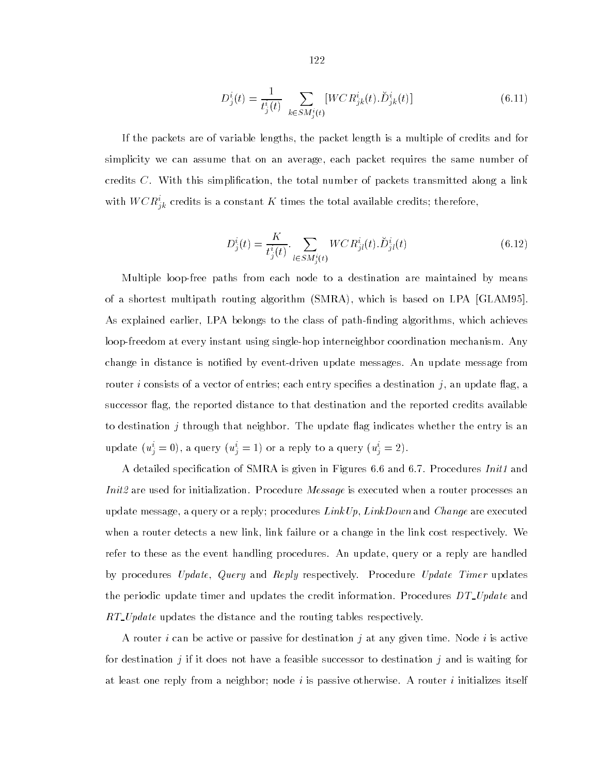$$
D_j^i(t) = \frac{1}{t_j^i(t)} \sum_{k \in SM_j^i(t)} [WCR_{jk}^i(t).\breve{D}_{jk}^i(t)] \tag{6.11}
$$

If the packets are of variable lengths, the packet length is a multiple of credits and for simplicity we can assume that on an average, each packet requires the same number of credits  $C$ . With this simplification, the total number of packets transmitted along a link with WCR<sub>ik</sub> credits is a constant K times the total available credits; therefore,

$$
D_j^i(t) = \frac{K}{t_j^i(t)} \cdot \sum_{l \in SM_j^i(t)} WCR_{jl}^i(t).D_{jl}^i(t)
$$
\n(6.12)

Multiple loop-free paths from each node to a destination are maintained by means of a shortest multipath routing algorithm (SMRA), which is based on LPA [GLAM95]. As explained earlier, LPA belongs to the class of path-finding algorithms, which achieves loop-freedom at every instant using single-hop interneighbor coordination mechanism. Any change in distance is notied by event-driven update messages. An update message from router i consists of a vector of entries; each entry specifies a destination j, an update flag, a successor flag, the reported distance to that destination and the reported credits available to destination  $j$  through that neighbor. The update flag indicates whether the entry is an update  $(u_i = 0)$ , a query  $(u_i = 1)$  or a reply to a query  $(u_i = 2)$ .

A detailed specification of SMRA is given in Figures 6.6 and 6.7. Procedures *Init1* and Init2 are used for initialization. Procedure *Message* is executed when a router processes an update message, a query or a reply; procedures  $LinkUp, LinkDown$  and  $Change$  are executed when a router detects a new link, link failure or a change in the link cost respectively. We refer to these as the event handling procedures. An update, query or a reply are handled by procedures Update, Query and Reply respectively. Procedure Update Timer updates the periodic update timer and updates the credit information. Procedures  $DT\_Update$  and RT Update updates the distance and the routing tables respectively.

A router i can be active or passive for destination j at any given time. Node i is active for destination j if it does not have a feasible successor to destination j and is waiting for at least one reply from a neighbor; node  $i$  is passive otherwise. A router  $i$  initializes itself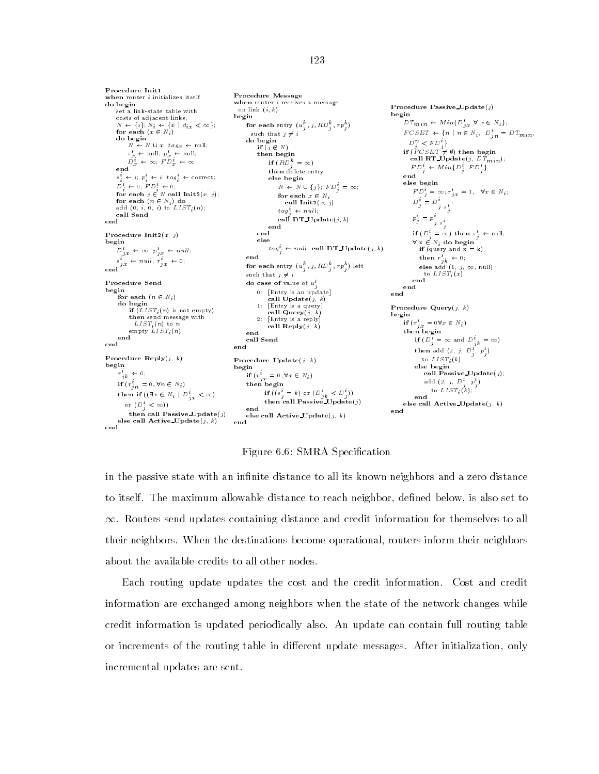Procedure Init1 **Procedure Initializes itself** Procedure Message when router *i* receives a message Procedure Passive\_Update $(j)$ set a link-state table with on link  $(i, k)$ begin<br> $DT_{min} \leftarrow Min\{D_{jx}^{i} \quad \forall x \in N_i\};$ begin costs of adjacent links;  $N \leftarrow \{i\}; N_i \leftarrow \{x \mid d_{i,x} < \infty\};$ <br>for each  $(x \in N_i)$ for each entry  $(u_j^-, j, \kappa \nu_j^-, rp_j^+)$ such that  $j\,\neq\, i$  $FCSET$   $\leftarrow$  {n | n  $\in$  N<sub>i</sub>,  $D_{jn}^{i} = DT_{min}$ ,  $N \leftarrow N \cup x$ ;  $tag_x \leftarrow null$ ;  $\frac{D}{j}^n \leq FD_j^i\};$ <br>if  $(FCSET \neq \emptyset)$  then begin if  $(j \notin N)$  $s_x^i \leftarrow \text{null}; \ p_x^i \leftarrow \text{null};$ then begin call RT\_Update(j,  $DT_{min}$ );  $D_x^i \leftarrow \infty$ ;  $FD_x^i \leftarrow \infty$ if  $\left( \kappa D_i \right) = \infty$  $FD_j^i \leftarrow Min\{D_j^i, FD_j^i\}$ then delete entry else begin  $s_i \leftarrow i; p_i \leftarrow i; tag_i \leftarrow correct;$ else begin  $N \; \leftarrow \; N \; \cup \; \{\,j\,\}; \; \mathit{FD}^i_j \; = \; \infty;$  $D_i^+ \leftarrow 0; \quad F D_i^+ \leftarrow 0;$  $FD_i^* = \infty; r_{ix}^* = 1, \quad \forall x \in N_i;$ for each  $x \in N_i$ for each  $j \in N$  call  $\text{Init2}(x, j)$ ;<br>for each  $(n \in N_i)$  do<br>add  $(0, i, 0, i)$  to  $LIST_i(n)$ ;  $D_j^i = D_j^i$ call  $Init2(x, j)$  $j$  s<sub>i</sub>  $tag_{i}^{t} \leftarrow null_{i}$ call Send call DT\_Update $(j, k)$ end  $p_j = p_{j \ s_j^i}$ end end Procedure Init $2(x, j)$ if  $(D_j^* = \infty)$  then  $s_j^* \leftarrow \text{null};$ <br> $\forall x \in N_i$  do begin else  $\label{eq:3.1} \begin{aligned} \text{begin} \\[-2.5ex] D_{jx}^i \; \leftarrow \; \infty ; \; p_{jx}^i \; \leftarrow \; null; \end{aligned}$  $tag_{i}^{t} \leftarrow null$ ; call DT\_Update $(j, k)$ if (query and  $x = k$ )  $s_{jx}^{i} \leftarrow null; \tilde{r}_{jx}^{i} \leftarrow 0;$ end then  $r_{jk}^i \leftarrow 0$ ; for each entry  $(u_j^-,j,RD_j^-,rp_j^+)$  left  $\hspace{0.2cm}$ end else add  $(1, j, \infty, \text{null})$ such that  $j\,\neq\, i$ to List and List and List and List and List and List and List and List and List and Procedure Send do case of value of  $u_i^i$ end 0: [Entry is an update] for each  $(n \in N_i)$ call  $\mathbf{U}_{\mathbf{P}}$ date $(j, k)$ do begin<br>if  $(LIST_i(n)$  is not empty) Procedure Query $(i, k)$  $\text{call Query}(j, k)$  $\sum_{i=1}^{n}$  if  $\sum_{i=1}^{n}$  is not empty) 2: [Entry is a reply] begins the contract of the contract of the contract of the contract of the contract of the contract of the contract of the contract of the contract of the contract of the contract of the contract of the contract of the con if  $(r_{jx}^{\dagger} = 0 \forall x \in N_i)$ call  $\mathbf{Reply}(j, k)$  $\epsilon$ mpty  $LIST_i(n)$ then begin end end call Send if  $(D_j^i = \infty$  and  $D_{jk}^i = \infty)$ then add  $(Z_i, j, D_j, p_j)$ to  $LIST_i(k)$ Procedure  $\text{Reply}(j, k)$ Procedure  $\mathbf{Update}(j, k)$ begin else begin begin  $r_{jk}^{i} \leftarrow 0$ ; call Passive Update(j); if  $(r_{jx}^i = 0, \forall x \in N_i)$ then begin add (2, *j, D*<sub>j</sub>, *p*<sub>j</sub>) if  $(r'_{in} = 0, \forall n \in N_i)$ to  $LIST_i(k)$ ; then if  $((\exists x\, \in N_i ~|~ D^i_{j\, x} < \infty)$ if  $((s_i = k)$  or  $(D_{ik} < D_i))$ end then call Passive Update( $j$ or  $(D_i^i < \infty)$ ) else call  $\textbf{Active\_Update}(j, k)$ end then call Passive Update(j) end else call Active\_Update $(j, k)$ <br>end else call  ${\bf Active\_Update}(j,\ k)$ 

Figure 6.6: SMRA Specification

end

in the passive state with an infinite distance to all its known neighbors and a zero distance to itself. The maximum allowable distance to reach neighbor, defined below, is also set to  $\infty$ . Routers send updates containing distance and credit information for themselves to all their neighbors. When the destinations become operational, routers inform their neighbors about the available credits to all other nodes.

Each routing update updates the cost and the credit information. Cost and credit information are exchanged among neighbors when the state of the network changes while credit information is updated periodically also. An update can contain full routing table or increments of the routing table in different update messages. After initialization, only incremental updates are sent.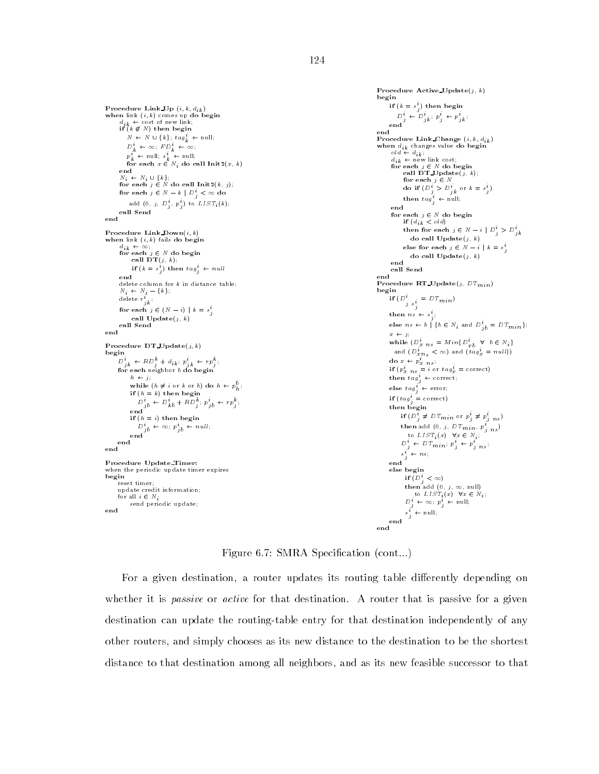```
when link (i, k) comes up do begin<br>
d_{ik} \leftarrow \text{cost of new link};<br>
if (k \notin N) then begin
          N \leftarrow N \cup \{k\}; \, tag_k^t \leftarrow \text{null};D_k^i + \infty; FD_k^i + \infty;
          p_k^i \leftarrow \text{null}; s_k^i \leftarrow \text{null};for each x \in N_i do call Init2(x, k)<br>end
       \begin{aligned} N_i &\leftarrow N_i \, \cup \, \{k\}; \ \textbf{for each}\,\, j \in N \textbf{ do call } \textbf{Init2}(k,\,j); \end{aligned}for each j \in N - k \mid D_j^i < \infty do
            add (0, j, D<sub>j</sub>, p_j) to \text{LIST}_i(k);
      call Send
Procedure Link_Down(i, k)when link (i, k) fails do begin
       d_{ik} \leftarrow \infty;<br>for each j \in N do begin
            call DT(j, k);
             if (k = s_j) then tag_j \leftarrow nulldelete column for k in distance table;
       N_i \leftarrow N_i - \{k\};delete r_{jk}^i ;
       for each j \in (N - i) \mid k = s_j^icall Update(j, k)call Send
end
Procedure DT_Update(j, k)<br>begin
 D_{jk}^i \leftarrow RD_j^k + d_{ik} ; p_{jk}^i \leftarrow rp_j^k;for each neighbor b do begin
            h \leftarrow j;
             while (h \neq i or k or b) do h \leftarrow p_h^o;
            if (h = k) then begin
                D_{ib} \leftarrow D_{kb} + RD_{j} \cdot p_{ib} \leftarrow rp_{j}if (h = i) then begin
             D^c_{jb} \leftarrow \infty; p^c_{jb} \leftarrow null;<br>end
      end
```

```
Procedure Update Timer: when the periodic update timer expires
begin<br>reset timer;
    update credit information;
   for all i \in N_isend periodic update; end
```

```
Procedure Active Update(j, k)begin
       If (k = s_j) then begin<br>
D_j^i \leftarrow D_{jk}^i : p_j^i \leftarrow p_{jk}^i;<br>
end
Procedure Link_Change (i, k, d_{ik})when d_{ik} changes value do begin<br>
dd \leftarrow d_{ik};<br>
d_i \leftarrow new link cost;
        for each j \in N do begin<br>call DT_Update(j, k);
             for each j \in Ndo if \bigcup_{j} > D_{jk} or \kappa = s_{ij};<br>then tag_{j}^{i} \leftarrow null;
        for each j \in N do begin<br>if (d_{ik} < old)then for each j \in N - i \mid D_i^i > D_{jk}^ido call \textbf{Update}(j, \; k)else for each j \in N - i \mid k = s_j^ido call \textbf{Update}(j, k)end
      call Send
end
Procedure RT_Update(j, D T_{min})begin
             D^i_{\substack{j \ s_j^i}} = DT_{min})if (D^{\dagger})then ns \leftarrow s_{ji}else ns \leftarrow b \mid \{b \in N_i \text{ and } D^i_{jb} = DT_{min}\};x \leftarrow j;
      while (D_x^i\; n_s = Min\{D_{xb}^i\; \; \forall \; b\in N_i\}and (D_{x,n_S}^i < \infty) and (t a g_x^i = null)do x \leftarrow p_{x}\ { }_{n\,s} ;
       if (p_x \, n_s = i \text{ or } tag_x = \text{correct})<br>then tag_i^i \leftarrow \text{correct};else \operatorname{tag}^i_j \leftarrow \operatorname{error};
     if (tag_i^i = correct)then begin
           if (D_j^i \neq DT_{min} or p_j^i \neq p_{j \, n \, s}^i)then add (0, j, DT_{min}, p_{j, ns}^{\dagger})to LIST_i\left(x\right) \ \ \forall x \in \left. N_i \right);D_j^i \leftarrow DT_{min}; p_j^i \leftarrow p_j^i<sub>ns</sub>;
            s_j^i \leftarrow ns_jend
      else begin
             if (D_i^i < \infty)then add (0, j, \infty, \text{null})to LIST_i(x) \forall x \in N_i;
               D_j^i \leftarrow \infty; \ p_j^i \leftarrow \text{null};s_j^i \leftarrow \text{null};end
end
```
Figure 6.7: SMRA Specification (cont...)

For a given destination, a router updates its routing table differently depending on whether it is *passive* or *active* for that destination. A router that is passive for a given destination can update the routing-table entry for that destination independently of any other routers, and simply chooses as its new distance to the destination to be the shortest distance to that destination among all neighbors, and as its new feasible successor to that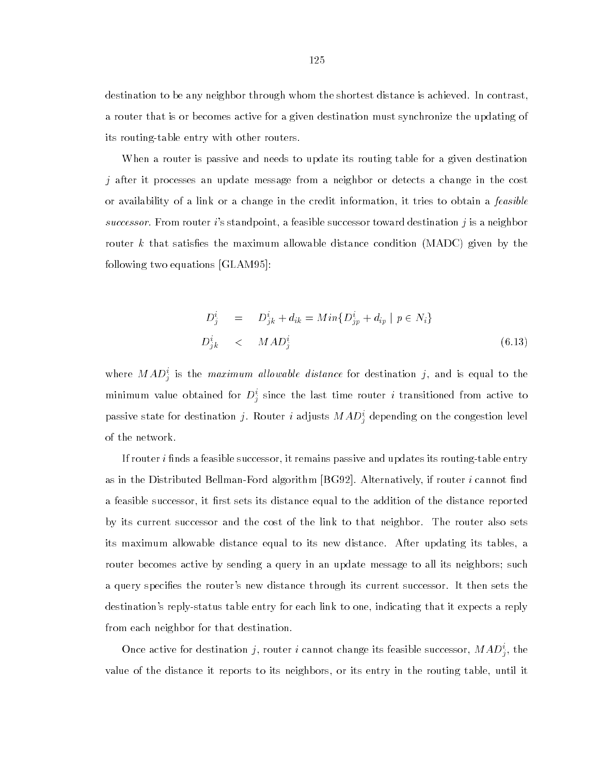destination to be any neighbor through whom the shortest distance is achieved. In contrast, a router that is or becomes active for a given destination must synchronize the updating of its routing-table entry with other routers.

When a router is passive and needs to update its routing table for a given destination j after it processes an update message from a neighbor or detects a change in the cost or availability of a link or a change in the credit information, it tries to obtain a feasible successor. From router i's standpoint, a feasible successor toward destination  $j$  is a neighbor router k that satisfies the maximum allowable distance condition (MADC) given by the following two equations [GLAM95]:

$$
D_j^i = D_{jk}^i + d_{ik} = Min\{D_{jp}^i + d_{ip} \mid p \in N_i\}
$$
  

$$
D_{jk}^i \leq MAD_j^i \tag{6.13}
$$

where  $MAD_j^{\perp}$  is the *maximum allowable alstance* for destination *j*, and is equal to the minimum value obtained for  $D^*_j$  since the last time router  $i$  transitioned from active to  $\hspace{0.1mm}$ passive state for destination *J*. Router *i* adjusts *MAD*<sub>i</sub> depending on the congestion level of the network.

If router *i* finds a feasible successor, it remains passive and updates its routing-table entry as in the Distributed Bellman-Ford algorithm [BG92]. Alternatively, if router  $i$  cannot find a feasible successor, it first sets its distance equal to the addition of the distance reported by its current successor and the cost of the link to that neighbor. The router also sets its maximum allowable distance equal to its new distance. After updating its tables, a router becomes active by sending a query in an update message to all its neighbors; such a query species the router's new distance through its current successor. It then sets the destination's reply-status table entry for each link to one, indicating that it expects a reply from each neighbor for that destination.

Once active for destination  $j$ , router  $i$  cannot change its feasible successor,  $MAD_{\tilde{j}}^{\cdot}$ , the value of the distance it reports to its neighbors, or its entry in the routing table, until it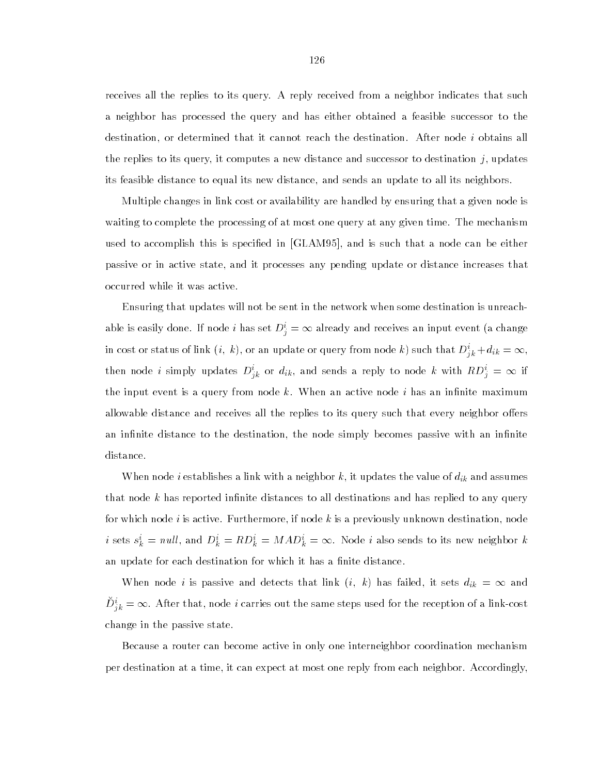receives all the replies to its query. A reply received from a neighbor indicates that such a neighbor has processed the query and has either obtained a feasible successor to the destination, or determined that it cannot reach the destination. After node i obtains all the replies to its query, it computes a new distance and successor to destination  $j$ , updates its feasible distance to equal its new distance, and sends an update to all its neighbors.

Multiple changes in link cost or availability are handled by ensuring that a given node is waiting to complete the processing of at most one query at any given time. The mechanism used to accomplish this is specified in [GLAM95], and is such that a node can be either passive or in active state, and it processes any pending update or distance increases that occurred while it was active.

Ensuring that updates will not be sent in the network when some destination is unreachable is easily done. If node i has set  $D_i^i = \infty$  already and receives an input event (a change in cost or status of link  $(i, k)$ , or an update or query from node k) such that  $D_{ik}^i + d_{ik} = \infty$ , then node *i* simply updates  $D_{jk}^i$  or  $d_{ik}$ , and sends a reply to node *k* with  $RD_j^i = \infty$  if the input event is a query from node  $k$ . When an active node  $i$  has an infinite maximum allowable distance and receives all the replies to its query such that every neighbor offers an infinite distance to the destination, the node simply becomes passive with an infinite distance.

When node *i* establishes a link with a neighbor k, it updates the value of  $d_{ik}$  and assumes that node  $k$  has reported infinite distances to all destinations and has replied to any query for which node  $i$  is active. Furthermore, if node  $k$  is a previously unknown destination, node *i* sets  $s_k^i = null$ , and  $D_k^i = RD_k^i = MAD_k^i = \infty$ . Node *i* also sends to its new neighbor *k* an update for each destination for which it has a finite distance.

When node *i* is passive and detects that link  $(i, k)$  has failed, it sets  $d_{ik} = \infty$  and  $D_{ik}^{i} = \infty$ . After that, node i carries out the same steps used for the reception of a link-cost change in the passive state.

Because a router can become active in only one interneighbor coordination mechanism per destination at a time, it can expect at most one reply from each neighbor. Accordingly,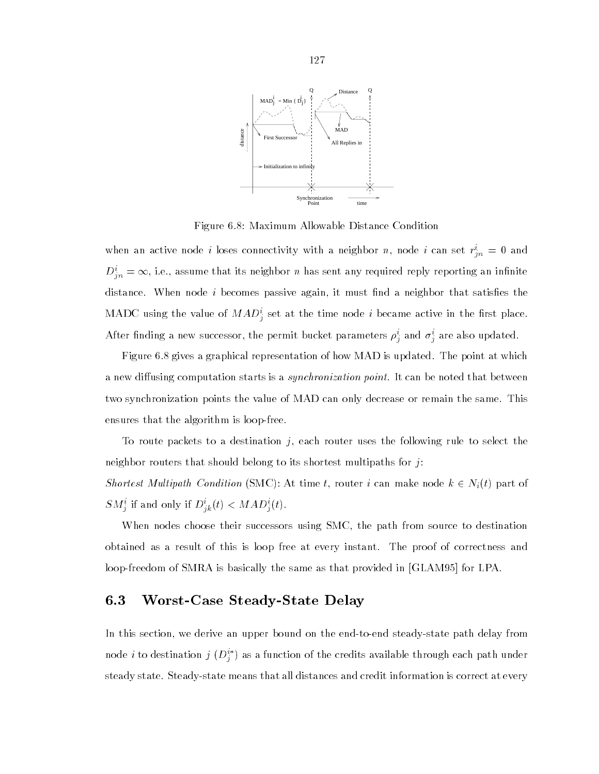

Figure 6.8: Maximum Allowable Distance Condition

when an active node *i* loses connectivity with a neighbor  $n$ , node *i* can set  $r_{in} = 0$  and  $D_{in}^i = \infty$ , i.e., assume that its neighbor n has sent any required reply reporting an infinite distance. When node *i* becomes passive again, it must find a neighbor that satisfies the MADC using the value of  $MAD_{\tilde{j}}$  set at the time hode  $i$  became active in the first place. After imding a new successor, the permit bucket parameters  $\rho_j$  and  $\sigma_j$  are also updated.

Figure 6.8 gives a graphical representation of how MAD is updated. The point at which a new diffusing computation starts is a *synchronization point*. It can be noted that between two synchronization points the value of MAD can only decrease or remain the same. This ensures that the algorithm is loop-free.

To route packets to a destination  $j$ , each router uses the following rule to select the neighbor routers that should belong to its shortest multipaths for  $j$ :

Shortest Multipath Condition (SMC): At time t, router i can make node  $k \in N_i(t)$  part of  $\mathcal{S}M_j^{\perp}$  if and only if  $D_{jk}^{\perp}(t) \leq M A D_j^{\perp}(t)$ .

When nodes choose their successors using SMC, the path from source to destination obtained as a result of this is loop free at every instant. The proof of correctness and loop-freedom of SMRA is basically the same as that provided in [GLAM95] for LPA.

# 6.3 Worst-Case Steady-State Delay

In this section, we derive an upper bound on the end-to-end steady-state path delay from hode  $i$  to destination  $j$  ( $D_{j}^{+}$  ) as a function of the credits available through each path under steady state. Steady-state means that all distances and credit information is correct at every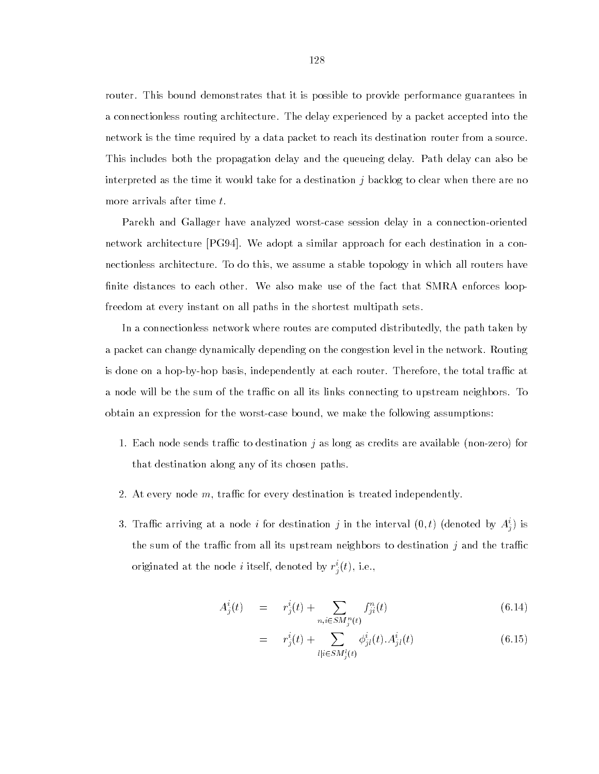router. This bound demonstrates that it is possible to provide performance guarantees in a connectionless routing architecture. The delay experienced by a packet accepted into the network is the time required by a data packet to reach its destination router from a source. This includes both the propagation delay and the queueing delay. Path delay can also be interpreted as the time it would take for a destination  $i$  backlog to clear when there are no more arrivals after time t.

Parekh and Gallager have analyzed worst-case session delay in a connection-oriented network architecture [PG94]. We adopt a similar approach for each destination in a connectionless architecture. To do this, we assume a stable topology in which all routers have finite distances to each other. We also make use of the fact that SMRA enforces loopfreedom at every instant on all paths in the shortest multipath sets.

In a connectionless network where routes are computed distributedly, the path taken by a packet can change dynamically depending on the congestion level in the network. Routing is done on a hop-by-hop basis, independently at each router. Therefore, the total traffic at a node will be the sum of the traffic on all its links connecting to upstream neighbors. To obtain an expression for the worst-case bound, we make the following assumptions:

- 1. Each node sends traffic to destination  $i$  as long as credits are available (non-zero) for that destination along any of its chosen paths.
- 2. At every node  $m$ , traffic for every destination is treated independently.
- 3. Trainc arriving at a node  $i$  for destination  $j$  in the interval  $(0,t)$  (denoted by  $A_{ij}^{\perp}$ ) is the sum of the traffic from all its upstream neighbors to destination  $j$  and the traffic originated at the node  $i$  itself, denoted by  $r_{\overline{i}}(t),$  i.e.,

$$
A_j^i(t) = r_j^i(t) + \sum_{n,i \in SM_j^n(t)} f_{ji}^n(t)
$$
\n(6.14)

$$
= r_j^i(t) + \sum_{l|i \in SM_j^l(t)} \phi_{jl}^i(t) . A_{jl}^i(t)
$$
\n(6.15)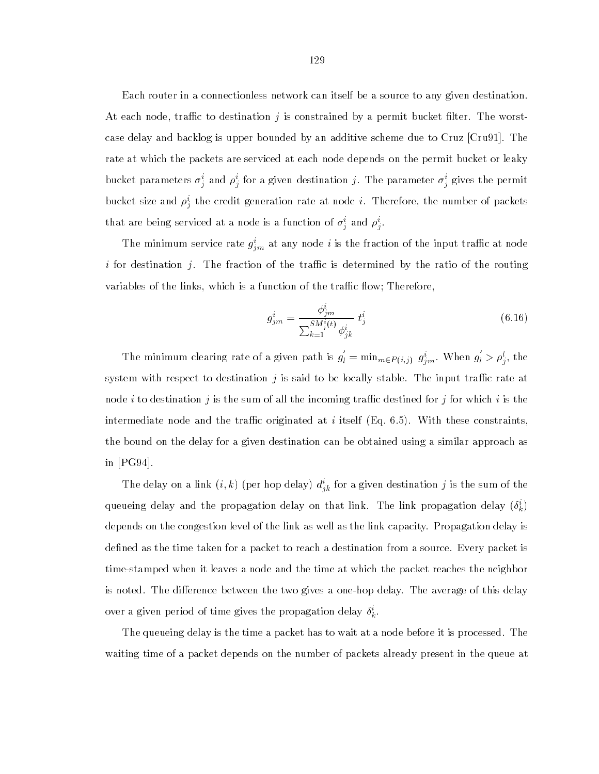Each router in a connectionless network can itself be a source to any given destination. At each node, traffic to destination j is constrained by a permit bucket filter. The worstcase delay and backlog is upper bounded by an additive scheme due to Cruz [Cru91]. The rate at which the packets are serviced at each node depends on the permit bucket or leaky bucket parameters  $\sigma_j$  and  $\rho_j$  for a given destination  $j.$  The parameter  $\sigma_j$  gives the permit bucket size and  $\rho_{j}^{\perp}$  the credit generation rate at node  $i$ . Therefore, the number of packets that are being serviced at a hode is a function of  $\sigma_j$  and  $\rho_j$ .

The minimum service rate  $g_{im}$  at any node  $i$  is the fraction of the input trainc at node i for destination j. The fraction of the traffic is determined by the ratio of the routing variables of the links, which is a function of the traffic flow; Therefore,

$$
g_{j m}^{i} = \frac{\phi_{j m}^{i}}{\sum_{k=1}^{SM_{j}^{i}(t)} \phi_{j k}^{i}} t_{j}^{i}
$$
 (6.16)

The minimum clearing rate of a given path is g  $g'_{l} = \min_{m \in P(i,j)} g^i_{im}$ . When  $g'_{l} > 0$  $\mu_l' > \rho_j^l$ , the system with respect to destination  $j$  is said to be locally stable. The input traffic rate at node i to destination j is the sum of all the incoming traffic destined for j for which i is the intermediate node and the traffic originated at i itself (Eq. 6.5). With these constraints, the bound on the delay for a given destination can be obtained using a similar approach as in [PG94].

The delay on a link  $(i, k)$  (per hop delay)  $a_{ik}$  for a given destination f is the sum of the queueing delay and the propagation delay on that link. The link propagation delay  $(\delta_{k}^{+})$ depends on the congestion level of the link as well as the link capacity. Propagation delay is defined as the time taken for a packet to reach a destination from a source. Every packet is time-stamped when it leaves a node and the time at which the packet reaches the neighbor is noted. The difference between the two gives a one-hop delay. The average of this delay over a given period of time gives the propagation delay  $\delta_{\vec{k}}$ .

The queueing delay is the time a packet has to wait at a node before it is processed. The waiting time of a packet depends on the number of packets already present in the queue at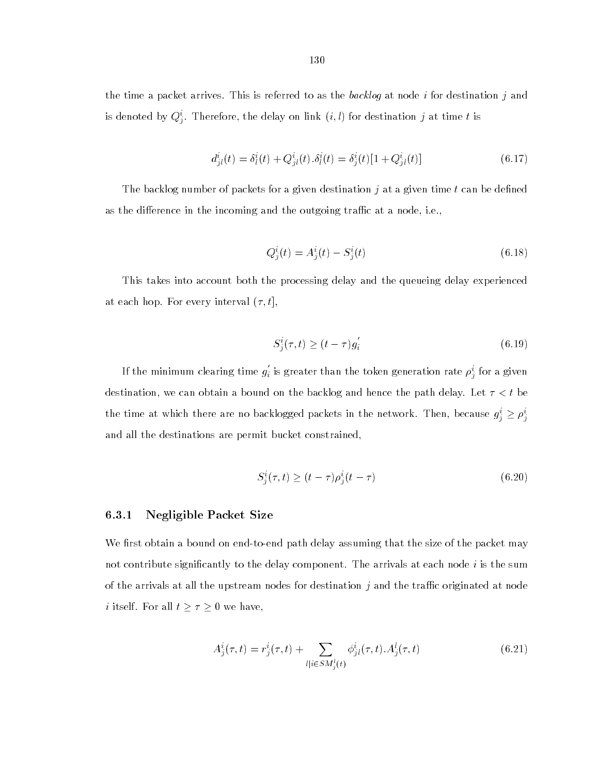the time a packet arrives. This is referred to as the backlog at node  $i$  for destination  $j$  and is denoted by  $Q_j^{\perp}$ . Therefore, the delay on link  $(i, t)$  for destination  $j$  at time  $t$  is

$$
d_{jl}^{i}(t) = \delta_{l}^{i}(t) + Q_{jl}^{i}(t) \cdot \delta_{l}^{i}(t) = \delta_{j}^{i}(t)[1 + Q_{jl}^{i}(t)] \qquad (6.17)
$$

The backlog number of packets for a given destination  $j$  at a given time  $t$  can be defined as the difference in the incoming and the outgoing traffic at a node, i.e.,

$$
Q_j^i(t) = A_j^i(t) - S_j^i(t)
$$
\n(6.18)

This takes into account both the processing delay and the queueing delay experienced at each hop. For every interval  $(\tau, t]$ ,

$$
S_j^i(\tau, t) \ge (t - \tau)g_i' \tag{6.19}
$$

If the minimum clearing time  $q_i'$  is  $_i$  is greater than the token generation rate  $\rho_{\hat{i}}$  for a given destination, we can obtain a bound on the backlog and hence the path delay. Let  $\tau < t$  be the time at which there are no backlogged packets in the network. Then, because  $g^i_j \geq \rho^i_j$ and all the destinations are permit bucket constrained,

$$
S_i^i(\tau, t) \ge (t - \tau) \rho_i^i(t - \tau) \tag{6.20}
$$

# 6.3.1 Negligible Packet Size

We first obtain a bound on end-to-end path delay assuming that the size of the packet may not contribute significantly to the delay component. The arrivals at each node  $i$  is the sum of the arrivals at all the upstream nodes for destination  $j$  and the traffic originated at node *i* itself. For all  $t \geq \tau \geq 0$  we have,

$$
A_j^i(\tau, t) = r_j^i(\tau, t) + \sum_{l|i \in SM_j^i(t)} \phi_{jl}^i(\tau, t) . A_j^l(\tau, t)
$$
\n(6.21)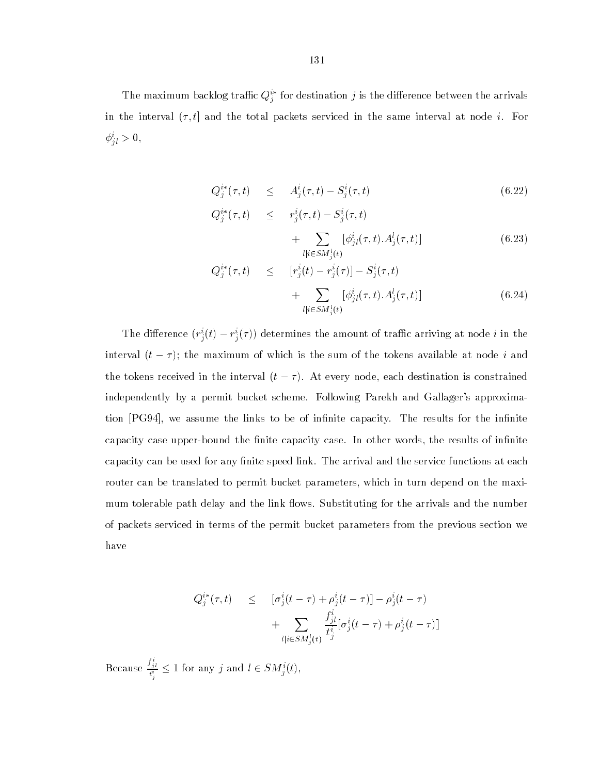The maximum backlog trainc  $Q_j^{\perp}$  for destination *J* is the difference between the arrivals in the interval  $(\tau, t]$  and the total packets serviced in the same interval at node *i*. For  $\varphi_{il} > 0,$ 

$$
Q_j^{i*}(\tau, t) \leq A_j^i(\tau, t) - S_j^i(\tau, t) \tag{6.22}
$$

$$
Q_j^{i*}(\tau, t) \leq r_j^{i}(\tau, t) - S_j^{i}(\tau, t) + \sum_{l \mid i \in SM_j^{i}(t)} [\phi_{jl}^{i}(\tau, t) . A_j^{l}(\tau, t)] \tag{6.23}
$$

$$
Q_j^{i*}(\tau, t) \leq [r_j^i(t) - r_j^i(\tau)] - S_j^i(\tau, t) + \sum_{l|i \in SM_j^l(t)} [\phi_{jl}^i(\tau, t) . A_j^l(\tau, t)] \tag{6.24}
$$

The difference  $(r_j^i(t) - r_j^i(\tau))$  determines the amount of traffic arriving at node  $i$  in the interval  $(t - \tau)$ ; the maximum of which is the sum of the tokens available at node *i* and the tokens received in the interval  $(t - \tau)$ . At every node, each destination is constrained independently by a permit bucket scheme. Following Parekh and Gallager's approximation [PG94], we assume the links to be of infinite capacity. The results for the infinite capacity case upper-bound the finite capacity case. In other words, the results of infinite capacity can be used for any finite speed link. The arrival and the service functions at each router can be translated to permit bucket parameters, which in turn depend on the maximum tolerable path delay and the link flows. Substituting for the arrivals and the number of packets serviced in terms of the permit bucket parameters from the previous section we have

$$
Q_j^{i*}(\tau, t) \leq [\sigma_j^i(t - \tau) + \rho_j^i(t - \tau)] - \rho_j^i(t - \tau) + \sum_{l | i \in SM_j^i(t)} \frac{f_{jl}^i}{t_j^i} [\sigma_j^i(t - \tau) + \rho_j^i(t - \tau)]
$$

Because  $\frac{J_{jl}}{t_j^i}$  :  $\leq 1$  for any j and  $l \in SM_i^i(t)$ ,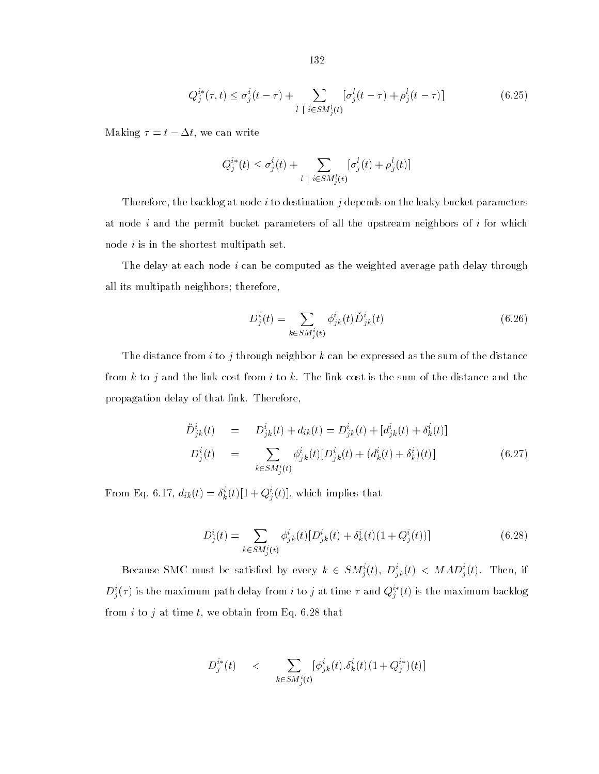$$
Q_j^{i*}(\tau, t) \le \sigma_j^i(t - \tau) + \sum_{l \;|\; i \in SM_j^l(t)} [\sigma_j^l(t - \tau) + \rho_j^l(t - \tau)] \tag{6.25}
$$

Making  $\tau = t - \Delta t$ , we can write

$$
Q_j^{i*}(t) \leq \sigma_j^i(t) + \sum_{l \mid i \in SM_j^l(t)} [\sigma_j^l(t) + \rho_j^l(t)]
$$

Therefore, the backlog at node  $i$  to destination  $j$  depends on the leaky bucket parameters at node i and the permit bucket parameters of all the upstream neighbors of i for which node  $i$  is in the shortest multipath set.

The delay at each node  $i$  can be computed as the weighted average path delay through all its multipath neighbors; therefore,

$$
D_j^i(t) = \sum_{k \in SM_j^i(t)} \phi_{jk}^i(t) \breve{D}_{jk}^i(t)
$$
\n(6.26)

The distance from i to j through neighbor k can be expressed as the sum of the distance from  $k$  to  $j$  and the link cost from  $i$  to  $k$ . The link cost is the sum of the distance and the propagation delay of that link. Therefore,

$$
\breve{D}_{jk}^{i}(t) = D_{jk}^{i}(t) + d_{ik}(t) = D_{jk}^{i}(t) + [d_{jk}^{i}(t) + \delta_{k}^{i}(t)]
$$
\n
$$
D_{j}^{i}(t) = \sum_{k \in SM_{j}^{i}(t)} \phi_{jk}^{i}(t) [D_{jk}^{i}(t) + (d_{k}^{i}(t) + \delta_{k}^{i})(t)] \qquad (6.27)
$$

From Eq. 6.17,  $a_{ik}(t) = o_k(t)[1+Q_i(t)],$  which implies that

$$
D_j^i(t) = \sum_{k \in SM_j^i(t)} \phi_{jk}^i(t) [D_{jk}^i(t) + \delta_k^i(t) (1 + Q_j^i(t))]
$$
\n(6.28)

Because SMC must be satisfied by every  $k \in SM^i_j(t), D^i_{jk}(t) < MAD^i_j(t)$ . Then, if  $D^{\perp}_{j}(\tau)$  is the maximum path delay from  $i$  to  $j$  at time  $\tau$  and  $Q^{\perp}_{j}$  ( $i$ ) is the maximum backlog from  $i$  to  $j$  at time  $t$ , we obtain from Eq. 6.28 that

$$
D_j^{i*}(t) \leq \sum_{k \in SM_j^i(t)} [\phi_{jk}^i(t). \delta_k^i(t) (1 + Q_j^{i*}) (t)]
$$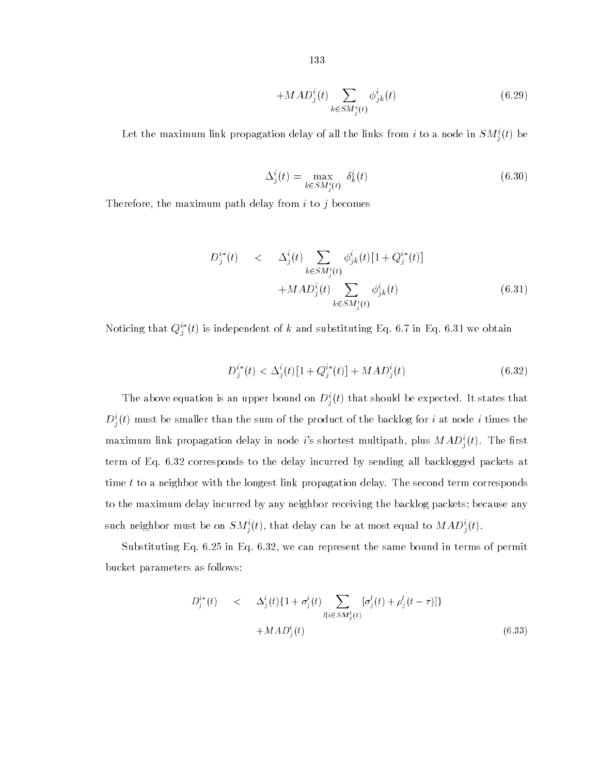$$
+MAD_j^i(t)\sum_{k\in SM_j^i(t)}\phi_{jk}^i(t)\tag{6.29}
$$

Let the maximum link propagation delay of all the links from  $i$  to a node in  $SM_{\frac{i}{2}}(t)$  be

$$
\Delta_j^i(t) = \max_{k \in SM_j^i(t)} \delta_k^i(t) \tag{6.30}
$$

Therefore, the maximum path delay from  $i$  to  $j$  becomes

$$
D_j^{i*}(t) \quad < \quad \Delta_j^i(t) \sum_{k \in SM_j^i(t)} \phi_{jk}^i(t)[1 + Q_j^{i*}(t)] \\
+ MAD_j^i(t) \sum_{k \in SM_j^i(t)} \phi_{jk}^i(t) \tag{6.31}
$$

Noticing that  $Q_j^-(t)$  is independent of k and substituting Eq. 6.7 in Eq. 6.31 we obtain

$$
D_j^{i*}(t) < \Delta_j^i(t)[1 + Q_j^{i*}(t)] + MAD_j^i(t) \tag{6.32}
$$

The above equation is an upper bound on  $D_j^*(t)$  that should be expected. It states that  $D^{\perp}_{i}(t)$  must be smaller than the sum of the product of the backlog for  $i$  at node  $i$  times the maximum link propagation delay in node *i*'s shortest multipath, plus  $MAD_i^i(t)$ . The first term of Eq. 6.32 corresponds to the delay incurred by sending all backlogged packets at time  $t$  to a neighbor with the longest link propagation delay. The second term corresponds to the maximum delay incurred by any neighbor receiving the backlog packets; because any such neighbor must be on  $SM_j^*(t),$  that delay can be at most equal to  $MAD_j^*(t).$ 

Substituting Eq. 6.25 in Eq. 6.32, we can represent the same bound in terms of permit bucket parameters as follows:

$$
D_j^{i*}(t) \quad < \quad \Delta_j^i(t) \{ 1 + \sigma_j^i(t) \sum_{l \mid i \in SM_j^l(t)} [\sigma_j^l(t) + \rho_j^l(t-\tau)] \} \\
 \quad + M \, AD_j^i(t) \tag{6.33}
$$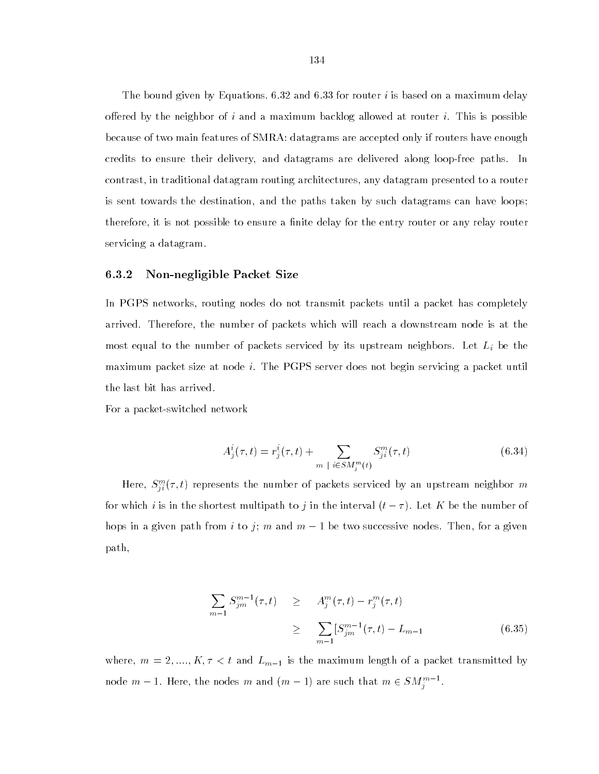The bound given by Equations.  $6.32$  and  $6.33$  for router i is based on a maximum delay offered by the neighbor of i and a maximum backlog allowed at router i. This is possible because of two main features of SMRA: datagrams are accepted only if routers have enough credits to ensure their delivery, and datagrams are delivered along loop-free paths. In contrast, in traditional datagram routing architectures, any datagram presented to a router is sent towards the destination, and the paths taken by such datagrams can have loops; therefore, it is not possible to ensure a finite delay for the entry router or any relay router servicing a datagram.

### 6.3.2 Non-negligible Packet Size

In PGPS networks, routing nodes do not transmit packets until a packet has completely arrived. Therefore, the number of packets which will reach a downstream node is at the most equal to the number of packets serviced by its upstream neighbors. Let  $L_i$  be the maximum packet size at node i. The PGPS server does not begin servicing a packet until the last bit has arrived.

For a packet-switched network

$$
A_j^i(\tau, t) = r_j^i(\tau, t) + \sum_{m \; | \; i \in SM_j^m(t)} S_{ji}^m(\tau, t)
$$
\n(6.34)

Here,  $S_{ii}^{\omega}(\tau,\iota)$  represents the number of packets serviced by an upstream neighbor  $m$ for which i is in the shortest multipath to j in the interval  $(t - \tau)$ . Let K be the number of hops in a given path from i to j; m and  $m-1$  be two successive nodes. Then, for a given path,

$$
\sum_{m=1} S_{jm}^{m-1}(\tau, t) \geq A_j^m(\tau, t) - r_j^m(\tau, t)
$$
\n
$$
\geq \sum_{m=1} [S_{jm}^{m-1}(\tau, t) - L_{m-1} \qquad (6.35)
$$

where,  $m = 2, \ldots, K, \tau < t$  and  $L_{m-1}$  is the maximum length of a packet transmitted by node  $m-1$ . Here, the nodes  $m$  and  $(m-1)$  are such that  $m\in SM^{m-1}_j$ .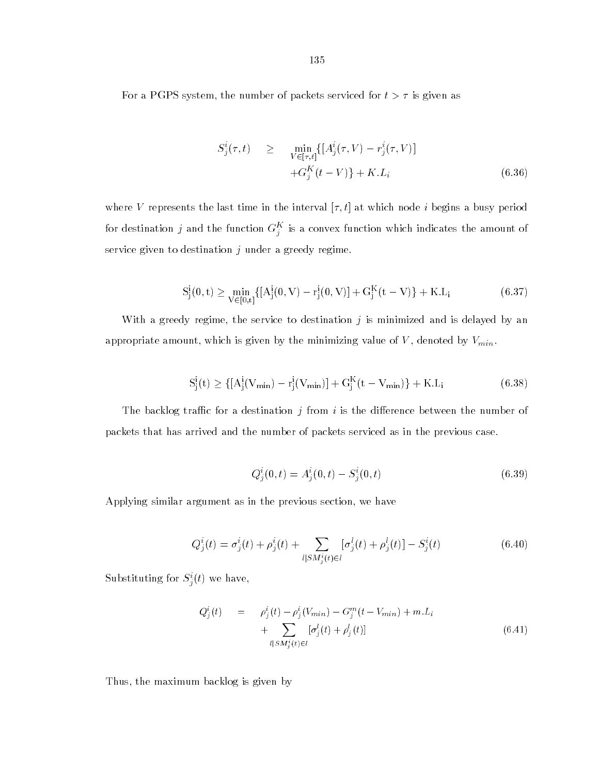For a PGPS system, the number of packets serviced for  $t > \tau$  is given as

$$
S_j^i(\tau, t) \geq \min_{V \in [\tau, t]} \{ [A_j^i(\tau, V) - r_j^i(\tau, V)] + G_j^K(t - V) \} + K.L_i
$$
\n(6.36)

where V represents the last time in the interval  $[\tau, t]$  at which node *i* begins a busy period for destination  $j$  and the function  $G_{j}^{\pm}$  is a convex function which indicates the amount of service given to destination  $j$  under a greedy regime.

$$
S_j^i(0,t) \ge \min_{V \in [0,t]} \{ [A_j^i(0,V) - r_j^i(0,V)] + G_j^K(t-V) \} + K.L_i
$$
 (6.37)

With a greedy regime, the service to destination  $j$  is minimized and is delayed by an appropriate amount, which is given by the minimizing value of  $V$ , denoted by  $V_{min}$ .

$$
S_j^i(t) \geq \{ [A_j^i(V_{\min}) - r_j^i(V_{\min})] + G_j^K(t - V_{\min}) \} + K.L_i
$$
 (6.38)

The backlog traffic for a destination  $j$  from  $i$  is the difference between the number of packets that has arrived and the number of packets serviced as in the previous case.

$$
Q_j^i(0,t) = A_j^i(0,t) - S_j^i(0,t)
$$
\n(6.39)

Applying similar argument as in the previous section, we have

$$
Q_j^i(t) = \sigma_j^i(t) + \rho_j^i(t) + \sum_{l|SM_j^i(t) \in l} [\sigma_j^l(t) + \rho_j^l(t)] - S_j^i(t)
$$
\n(6.40)

Substituting for  $S_i^{\dagger}(t)$  we have,

$$
Q_j^i(t) = \rho_j^i(t) - \rho_j^i(V_{min}) - G_j^m(t - V_{min}) + m.L_i + \sum_{l|S M_j^i(t) \in l} [\sigma_j^l(t) + \rho_j^l(t)]
$$
\n(6.41)

Thus, the maximum backlog is given by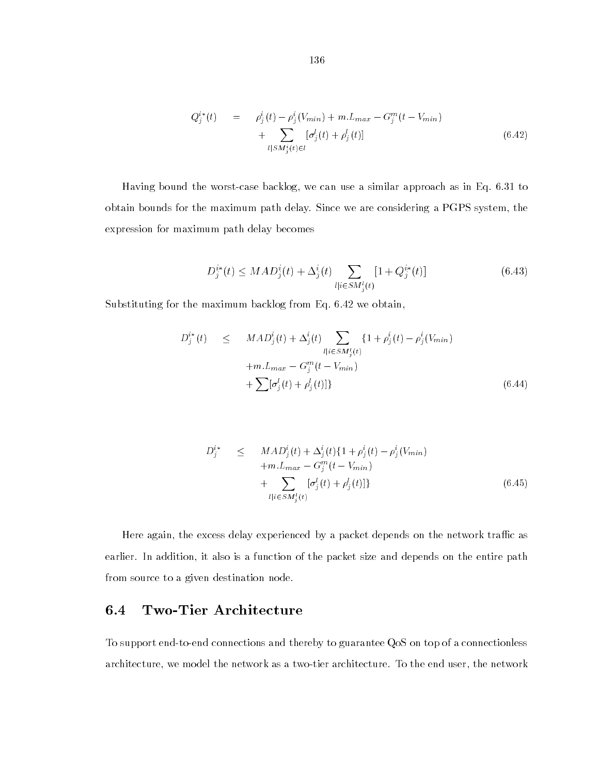$$
Q_j^{i*}(t) = \rho_j^i(t) - \rho_j^i(V_{min}) + m.L_{max} - G_j^m(t - V_{min})
$$
  
+ 
$$
\sum_{l|SM_j^i(t) \in l} [\sigma_j^l(t) + \rho_j^l(t)]
$$
 (6.42)

Having bound the worst-case backlog, we can use a similar approach as in Eq. 6.31 to obtain bounds for the maximum path delay. Since we are considering a PGPS system, the expression for maximum path delay becomes

$$
D_j^{i*}(t) \leq MAD_j^i(t) + \Delta_j^i(t) \sum_{l|i \in SM_j^i(t)} [1 + Q_j^{i*}(t)] \tag{6.43}
$$

Substituting for the maximum backlog from Eq. 6.42 we obtain,

$$
D_j^{i*}(t) \leq MAD_j^{i}(t) + \Delta_j^{i}(t) \sum_{l|i \in SM_j^{i}(t)} \{1 + \rho_j^{i}(t) - \rho_j^{i}(V_{min}) + m.L_{max} - G_j^{m}(t - V_{min}) + \sum [\sigma_j^{l}(t) + \rho_j^{l}(t)]\}
$$
\n(6.44)

$$
D_j^{i*} \leq MAD_j^i(t) + \Delta_j^i(t) \{1 + \rho_j^i(t) - \rho_j^i(V_{min}) + m.L_{max} - G_j^m(t - V_{min}) + \sum_{l|i \in SM_j^i(t)} [\sigma_j^l(t) + \rho_j^l(t)]\}
$$
\n(6.45)

Here again, the excess delay experienced by a packet depends on the network traffic as earlier. In addition, it also is a function of the packet size and depends on the entire path from source to a given destination node.

# 6.4 Two-Tier Architecture

To support end-to-end connections and thereby to guarantee QoS on top of a connectionless architecture, we model the network as a two-tier architecture. To the end user, the network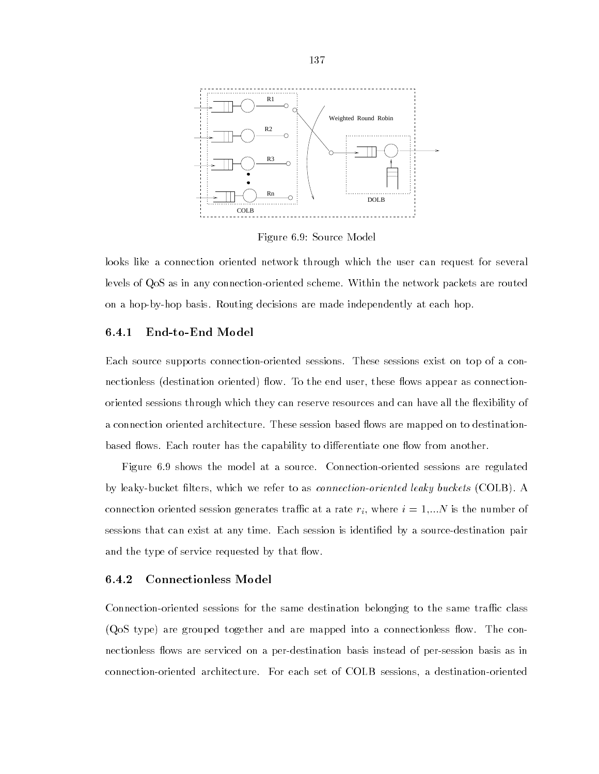

Figure 6.9: Source Model

looks like a connection oriented network through which the user can request for several levels of QoS as in any connection-oriented scheme. Within the network packets are routed on a hop-by-hop basis. Routing decisions are made independently at each hop.

### 6.4.1 End-to-End Model

Each source supports connection-oriented sessions. These sessions exist on top of a connectionless (destination oriented) flow. To the end user, these flows appear as connectionoriented sessions through which they can reserve resources and can have all the flexibility of a connection oriented architecture. These session based flows are mapped on to destinationbased flows. Each router has the capability to differentiate one flow from another.

Figure 6.9 shows the model at a source. Connection-oriented sessions are regulated by leaky-bucket filters, which we refer to as *connection-oriented leaky buckets* (COLB). A connection oriented session generates traffic at a rate  $r_i$ , where  $i = 1,...N$  is the number of sessions that can exist at any time. Each session is identied by a source-destination pair and the type of service requested by that flow.

### 6.4.2 Connectionless Model

Connection-oriented sessions for the same destination belonging to the same traffic class (QoS type) are grouped together and are mapped into a connectionless flow. The connectionless flows are serviced on a per-destination basis instead of per-session basis as in connection-oriented architecture. For each set of COLB sessions, a destination-oriented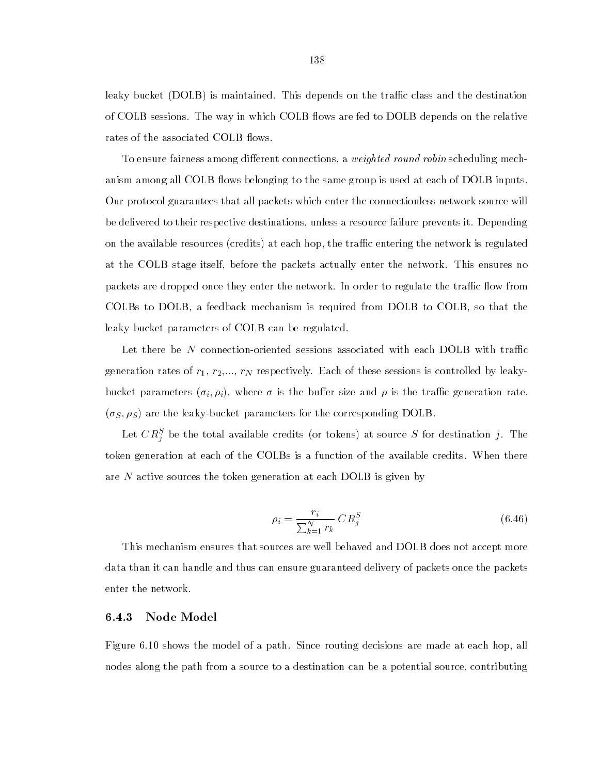leaky bucket (DOLB) is maintained. This depends on the traffic class and the destination of COLB sessions. The way in which COLB flows are fed to DOLB depends on the relative rates of the associated COLB flows.

To ensure fairness among different connections, a *weighted round robin* scheduling mechanism among all COLB flows belonging to the same group is used at each of DOLB inputs. Our protocol guarantees that all packets which enter the connectionless network source will be delivered to their respective destinations, unless a resource failure prevents it. Depending on the available resources (credits) at each hop, the traffic entering the network is regulated at the COLB stage itself, before the packets actually enter the network. This ensures no packets are dropped once they enter the network. In order to regulate the traffic flow from COLBs to DOLB, a feedback mechanism is required from DOLB to COLB, so that the leaky bucket parameters of COLB can be regulated.

Let there be N connection-oriented sessions associated with each DOLB with traffic generation rates of  $r_1, r_2,..., r_N$  respectively. Each of these sessions is controlled by leakybucket parameters  $(\sigma_i, \rho_i)$ , where  $\sigma$  is the buffer size and  $\rho$  is the traffic generation rate.  $(\sigma_S, \rho_S)$  are the leaky-bucket parameters for the corresponding DOLB.

Let  $\mathcal{C}R_{\mathcal{J}}^{\pi}$  be the total available credits (or tokens) at source  $\beta$  for destination  $j$ . The token generation at each of the COLBs is a function of the available credits. When there are N active sources the token generation at each DOLB is given by

$$
\rho_i = \frac{r_i}{\sum_{k=1}^N r_k} \, CR_j^S \tag{6.46}
$$

This mechanism ensures that sources are well behaved and DOLB does not accept more data than it can handle and thus can ensure guaranteed delivery of packets once the packets enter the network.

### 6.4.3 Node Model

Figure 6.10 shows the model of a path. Since routing decisions are made at each hop, all nodes along the path from a source to a destination can be a potential source, contributing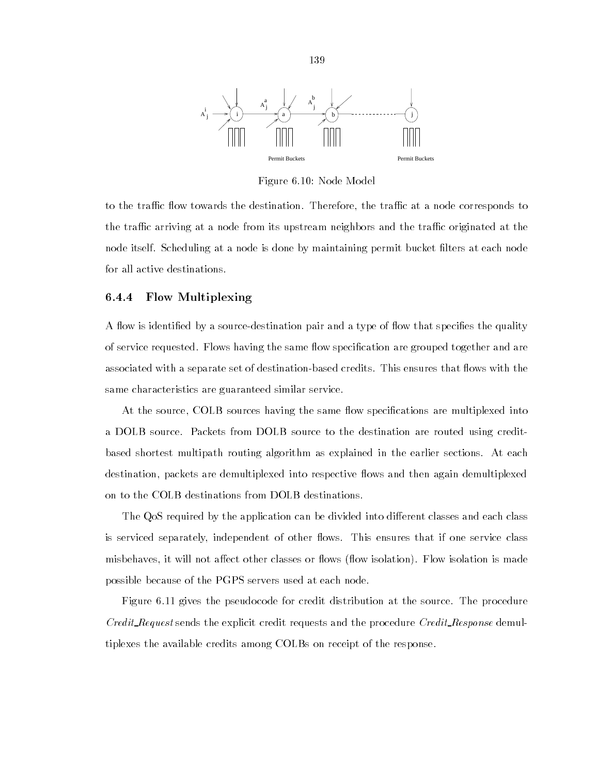

Figure 6.10: Node Model

to the traffic flow towards the destination. Therefore, the traffic at a node corresponds to the traffic arriving at a node from its upstream neighbors and the traffic originated at the node itself. Scheduling at a node is done by maintaining permit bucket lters at each node for all active destinations.

### 6.4.4 Flow Multiplexing

A flow is identified by a source-destination pair and a type of flow that specifies the quality of service requested. Flows having the same flow specification are grouped together and are associated with a separate set of destination-based credits. This ensures that flows with the same characteristics are guaranteed similar service.

At the source, COLB sources having the same flow specifications are multiplexed into a DOLB source. Packets from DOLB source to the destination are routed using creditbased shortest multipath routing algorithm as explained in the earlier sections. At each destination, packets are demultiplexed into respective flows and then again demultiplexed on to the COLB destinations from DOLB destinations.

The QoS required by the application can be divided into different classes and each class is serviced separately, independent of other flows. This ensures that if one service class misbehaves, it will not affect other classes or flows (flow isolation). Flow isolation is made possible because of the PGPS servers used at each node.

Figure 6.11 gives the pseudocode for credit distribution at the source. The procedure Credit\_Request sends the explicit credit requests and the procedure Credit\_Response demultiplexes the available credits among COLBs on receipt of the response.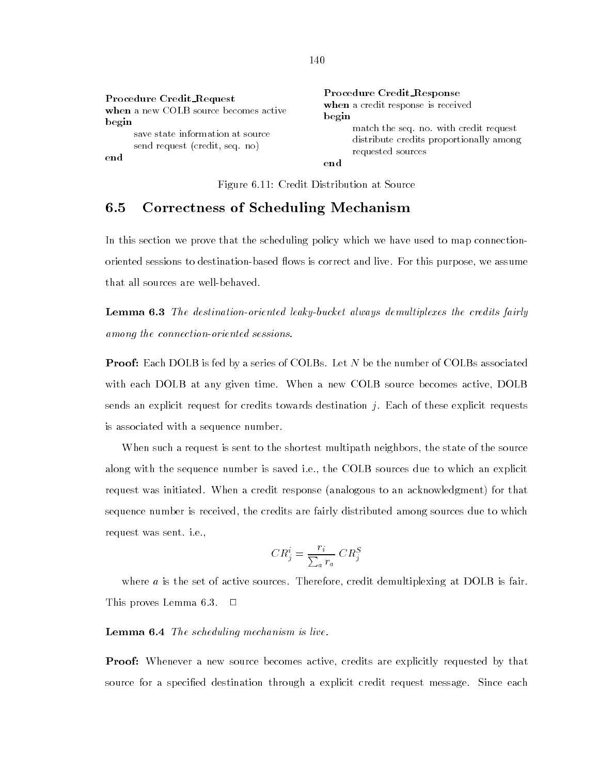Figure 6.11: Credit Distribution at Source

#### $6.5$ 6.5 Correctness of Scheduling Mechanism

In this section we prove that the scheduling policy which we have used to map connectionoriented sessions to destination-based flows is correct and live. For this purpose, we assume that all sources are well-behaved.

**Lemma 6.3** The destination-oriented leaky-bucket always demultiplexes the credits fairly among the connection-oriented sessions.

**Proof:** Each DOLB is fed by a series of COLBs. Let N be the number of COLBs associated with each DOLB at any given time. When a new COLB source becomes active, DOLB sends an explicit request for credits towards destination  $j$ . Each of these explicit requests is associated with a sequence number.

When such a request is sent to the shortest multipath neighbors, the state of the source along with the sequence number is saved i.e., the COLB sources due to which an explicit request was initiated. When a credit response (analogous to an acknowledgment) for that sequence number is received, the credits are fairly distributed among sources due to which request was sent. i.e.,

$$
CR_j^i = \frac{r_i}{\sum_a r_a} \; CR_j^S
$$

where  $a$  is the set of active sources. Therefore, credit demultiplexing at DOLB is fair. This proves Lemma 6.3.  $\Box$ 

### Lemma 6.4 The scheduling mechanism is live.

Proof: Whenever a new source becomes active, credits are explicitly requested by that source for a specified destination through a explicit credit request message. Since each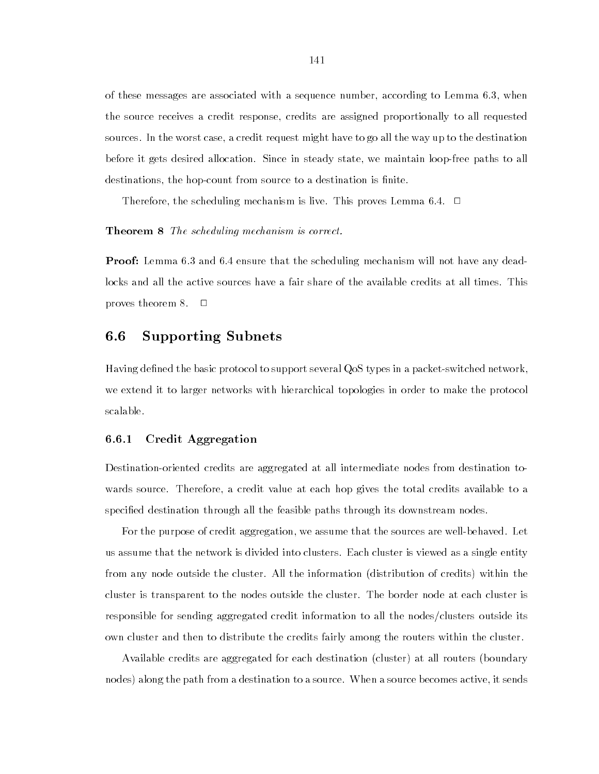of these messages are associated with a sequence number, according to Lemma 6.3, when the source receives a credit response, credits are assigned proportionally to all requested sources. In the worst case, a credit request might have to go all the way up to the destination before it gets desired allocation. Since in steady state, we maintain loop-free paths to all destinations, the hop-count from source to a destination is finite.

Therefore, the scheduling mechanism is live. This proves Lemma 6.4.  $\Box$ 

Theorem 8 The scheduling mechanism is correct.

**Proof:** Lemma 6.3 and 6.4 ensure that the scheduling mechanism will not have any deadlocks and all the active sources have a fair share of the available credits at all times. This proves theorem 8. <sup>2</sup>  $\Box$ 

# 6.6 Supporting Subnets

Having defined the basic protocol to support several QoS types in a packet-switched network, we extend it to larger networks with hierarchical topologies in order to make the protocol scalable.

## 6.6.1 Credit Aggregation

Destination-oriented credits are aggregated at all intermediate nodes from destination towards source. Therefore, a credit value at each hop gives the total credits available to a specied destination through all the feasible paths through its downstream nodes.

For the purpose of credit aggregation, we assume that the sources are well-behaved. Let us assume that the network is divided into clusters. Each cluster is viewed as a single entity from any node outside the cluster. All the information (distribution of credits) within the cluster is transparent to the nodes outside the cluster. The border node at each cluster is responsible for sending aggregated credit information to all the nodes/clusters outside its own cluster and then to distribute the credits fairly among the routers within the cluster.

Available credits are aggregated for each destination (cluster) at all routers (boundary nodes) along the path from a destination to a source. When a source becomes active, it sends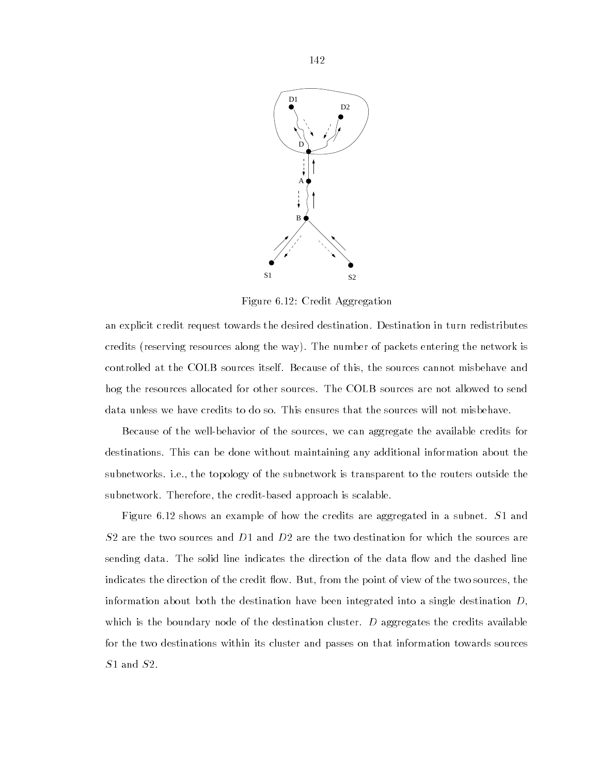

Figure 6.12: Credit Aggregation

an explicit credit request towards the desired destination. Destination in turn redistributes credits (reserving resources along the way). The number of packets entering the network is controlled at the COLB sources itself. Because of this, the sources cannot misbehave and hog the resources allocated for other sources. The COLB sources are not allowed to send data unless we have credits to do so. This ensures that the sources will not misbehave.

Because of the well-behavior of the sources, we can aggregate the available credits for destinations. This can be done without maintaining any additional information about the subnetworks. i.e., the topology of the subnetwork is transparent to the routers outside the subnetwork. Therefore, the credit-based approach is scalable.

Figure 6.12 shows an example of how the credits are aggregated in a subnet. S1 and  $S2$  are the two sources and  $D1$  and  $D2$  are the two destination for which the sources are sending data. The solid line indicates the direction of the data flow and the dashed line indicates the direction of the credit flow. But, from the point of view of the two sources, the information about both the destination have been integrated into a single destination  $D$ , which is the boundary node of the destination cluster.  $D$  aggregates the credits available for the two destinations within its cluster and passes on that information towards sources S<sub>1</sub> and S<sub>2</sub>.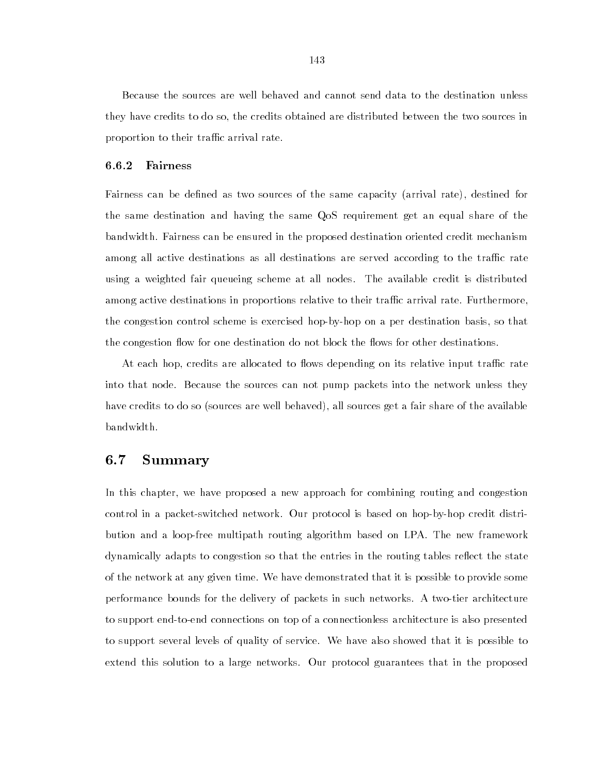Because the sources are well behaved and cannot send data to the destination unless they have credits to do so, the credits obtained are distributed between the two sources in proportion to their traffic arrival rate.

#### 6.6.2 6.6.2 Fairness

Fairness can be defined as two sources of the same capacity (arrival rate), destined for the same destination and having the same QoS requirement get an equal share of the bandwidth. Fairness can be ensured in the proposed destination oriented credit mechanism among all active destinations as all destinations are served according to the traffic rate using a weighted fair queueing scheme at all nodes. The available credit is distributed among active destinations in proportions relative to their traffic arrival rate. Furthermore, the congestion control scheme is exercised hop-by-hop on a per destination basis, so that the congestion flow for one destination do not block the flows for other destinations.

At each hop, credits are allocated to flows depending on its relative input traffic rate into that node. Because the sources can not pump packets into the network unless they have credits to do so (sources are well behaved), all sources get a fair share of the available bandwidth.

# 6.7 Summary

In this chapter, we have proposed a new approach for combining routing and congestion control in a packet-switched network. Our protocol is based on hop-by-hop credit distribution and a loop-free multipath routing algorithm based on LPA. The new framework dynamically adapts to congestion so that the entries in the routing tables reflect the state of the network at any given time. We have demonstrated that it is possible to provide some performance bounds for the delivery of packets in such networks. A two-tier architecture to support end-to-end connections on top of a connectionless architecture is also presented to support several levels of quality of service. We have also showed that it is possible to extend this solution to a large networks. Our protocol guarantees that in the proposed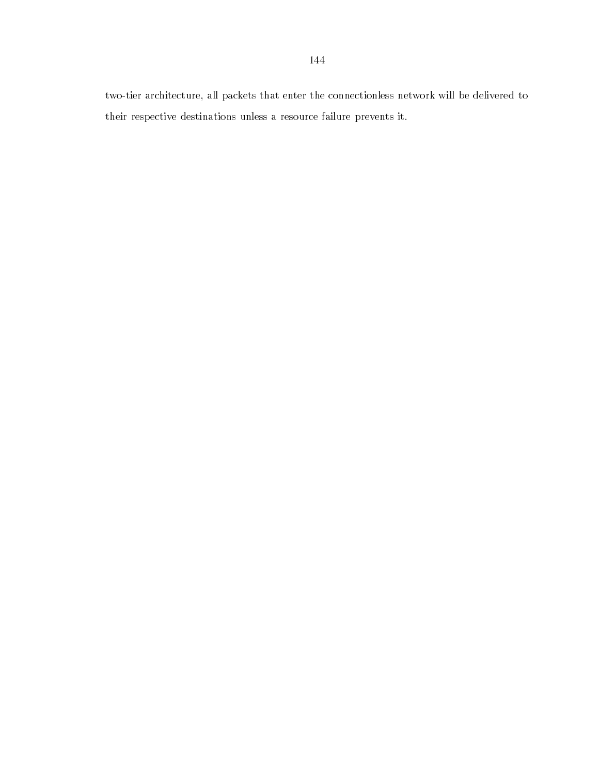two-tier architecture, all packets that enter the connectionless network will be delivered to their respective destinations unless a resource failure prevents it.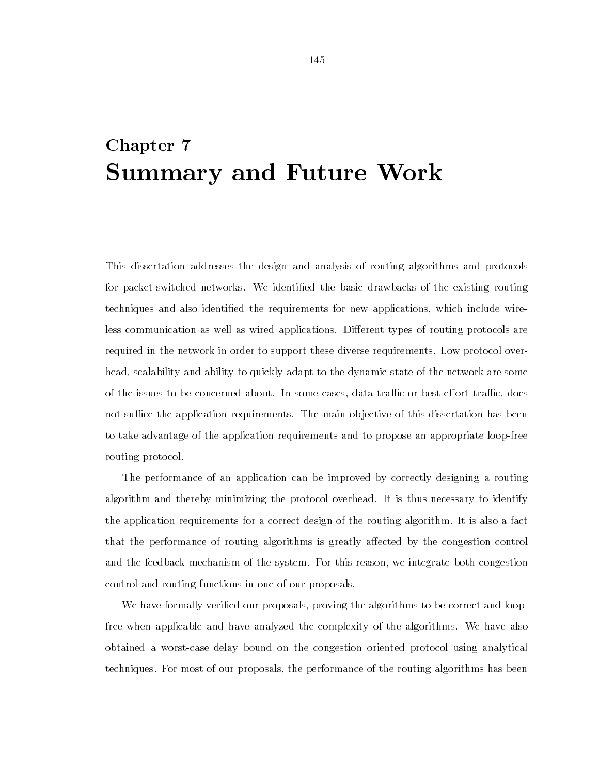# Chapter 7 Summary and Future Work

This dissertation addresses the design and analysis of routing algorithms and protocols for packet-switched networks. We identied the basic drawbacks of the existing routing techniques and also identied the requirements for new applications, which include wireless communication as well as wired applications. Different types of routing protocols are required in the network in order to support these diverse requirements. Low protocol overhead, scalability and ability to quickly adapt to the dynamic state of the network are some of the issues to be concerned about. In some cases, data traffic or best-effort traffic, does not suffice the application requirements. The main objective of this dissertation has been to take advantage of the application requirements and to propose an appropriate loop-free routing protocol.

The performance of an application can be improved by correctly designing a routing algorithm and thereby minimizing the protocol overhead. It is thus necessary to identify the application requirements for a correct design of the routing algorithm. It is also a fact that the performance of routing algorithms is greatly affected by the congestion control and the feedback mechanism of the system. For this reason, we integrate both congestion control and routing functions in one of our proposals.

We have formally veried our proposals, proving the algorithms to be correct and loopfree when applicable and have analyzed the complexity of the algorithms. We have also obtained a worst-case delay bound on the congestion oriented protocol using analytical techniques. For most of our proposals, the performance of the routing algorithms has been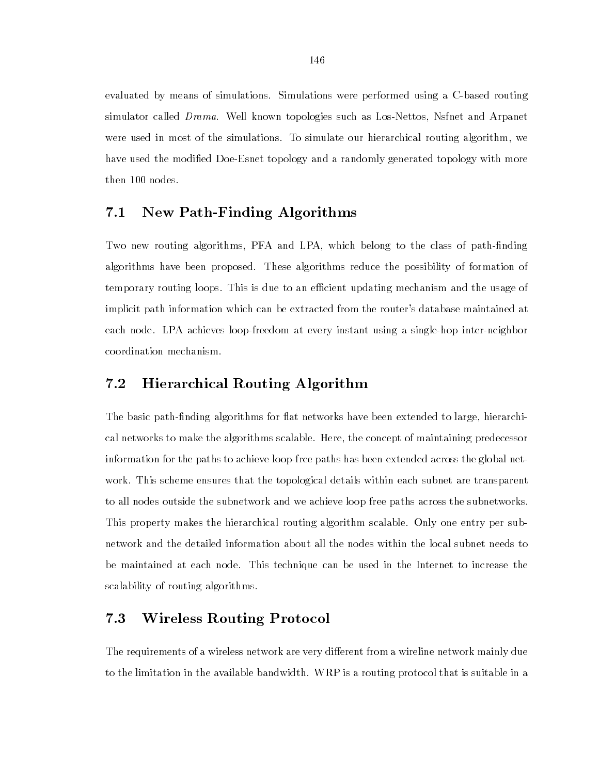evaluated by means of simulations. Simulations were performed using a C-based routing simulator called Drama. Well known topologies such as Los-Nettos, Nsfnet and Arpanet were used in most of the simulations. To simulate our hierarchical routing algorithm, we have used the modied Doe-Esnet topology and a randomly generated topology with more then 100 nodes.

#### $7.1$ New Path-Finding Algorithms

Two new routing algorithms, PFA and LPA, which belong to the class of path-finding algorithms have been proposed. These algorithms reduce the possibility of formation of temporary routing loops. This is due to an efficient updating mechanism and the usage of implicit path information which can be extracted from the router's database maintained at each node. LPA achieves loop-freedom at every instant using a single-hop inter-neighbor coordination mechanism.

# 7.2 Hierarchical Routing Algorithm

The basic path-finding algorithms for flat networks have been extended to large, hierarchical networks to make the algorithms scalable. Here, the concept of maintaining predecessor information for the paths to achieve loop-free paths has been extended across the global network. This scheme ensures that the topological details within each subnet are transparent to all nodes outside the subnetwork and we achieve loop free paths across the subnetworks. This property makes the hierarchical routing algorithm scalable. Only one entry per subnetwork and the detailed information about all the nodes within the local subnet needs to be maintained at each node. This technique can be used in the Internet to increase the scalability of routing algorithms.

#### $7.3$ 7.3 Wireless Routing Protocol

The requirements of a wireless network are very different from a wireline network mainly due to the limitation in the available bandwidth. WRP is a routing protocol that is suitable in a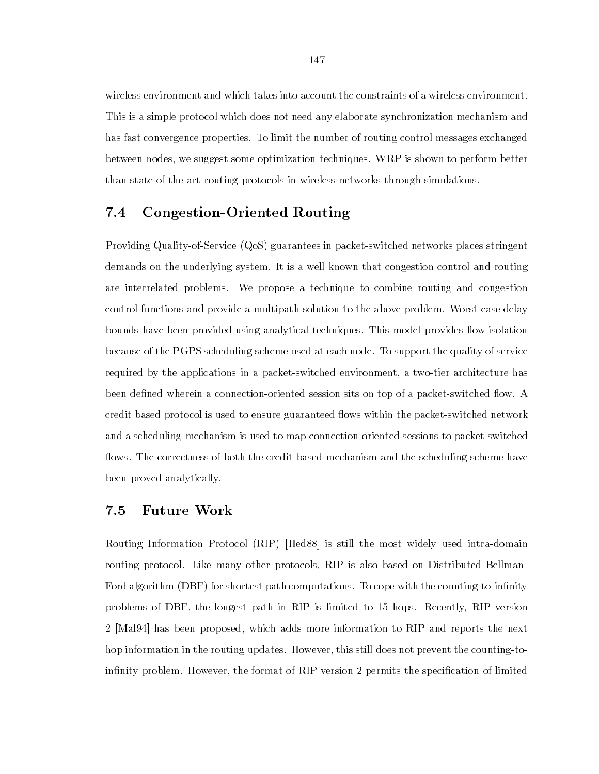wireless environment and which takes into account the constraints of a wireless environment. This is a simple protocol which does not need any elaborate synchronization mechanism and has fast convergence properties. To limit the number of routing control messages exchanged between nodes, we suggest some optimization techniques. WRP is shown to perform better than state of the art routing protocols in wireless networks through simulations.

## 7.4 Congestion-Oriented Routing

Providing Quality-of-Service (QoS) guarantees in packet-switched networks places stringent demands on the underlying system. It is a well known that congestion control and routing are interrelated problems. We propose a technique to combine routing and congestion control functions and provide a multipath solution to the above problem. Worst-case delay bounds have been provided using analytical techniques. This model provides flow isolation because of the PGPS scheduling scheme used at each node. To support the quality of service required by the applications in a packet-switched environment, a two-tier architecture has been defined wherein a connection-oriented session sits on top of a packet-switched flow. A credit based protocol is used to ensure guaranteed flows within the packet-switched network and a scheduling mechanism is used to map connection-oriented sessions to packet-switched flows. The correctness of both the credit-based mechanism and the scheduling scheme have been proved analytically.

# 7.5 Future Work

Routing Information Protocol (RIP) [Hed88] is still the most widely used intra-domain routing protocol. Like many other protocols, RIP is also based on Distributed Bellman-Ford algorithm (DBF) for shortest path computations. To cope with the counting-to-infinity problems of DBF, the longest path in RIP is limited to 15 hops. Recently, RIP version 2 [Mal94] has been proposed, which adds more information to RIP and reports the next hop information in the routing updates. However, this still does not prevent the counting-toinfinity problem. However, the format of RIP version 2 permits the specification of limited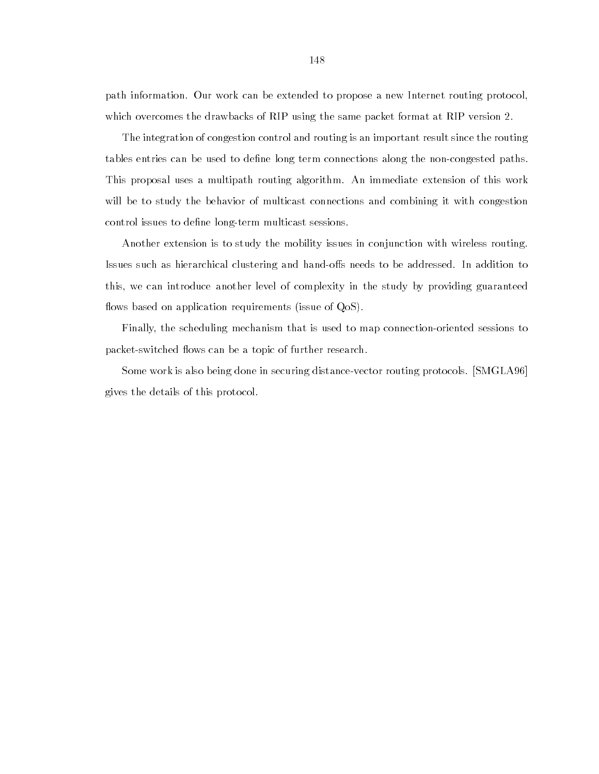path information. Our work can be extended to propose a new Internet routing protocol, which overcomes the drawbacks of RIP using the same packet format at RIP version 2.

The integration of congestion control and routing is an important result since the routing tables entries can be used to define long term connections along the non-congested paths. This proposal uses a multipath routing algorithm. An immediate extension of this work will be to study the behavior of multicast connections and combining it with congestion control issues to define long-term multicast sessions.

Another extension is to study the mobility issues in conjunction with wireless routing. Issues such as hierarchical clustering and hand-offs needs to be addressed. In addition to this, we can introduce another level of complexity in the study by providing guaranteed flows based on application requirements (issue of  $QoS$ ).

Finally, the scheduling mechanism that is used to map connection-oriented sessions to packet-switched flows can be a topic of further research.

Some work is also being done in securing distance-vector routing protocols. [SMGLA96] gives the details of this protocol.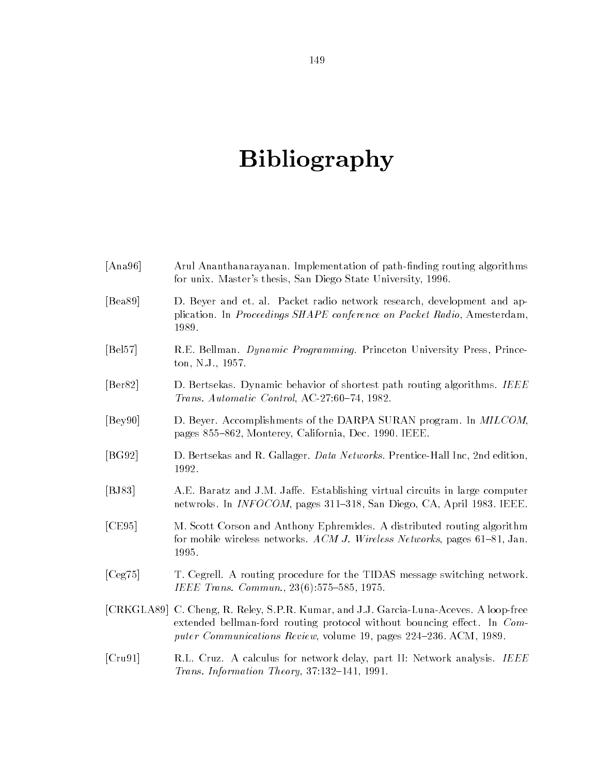# Bibliography

| [Ana96] | Arul Ananthanarayanan. Implementation of path-finding routing algorithms<br>for unix. Master's thesis, San Diego State University, 1996.                                                                                              |
|---------|---------------------------------------------------------------------------------------------------------------------------------------------------------------------------------------------------------------------------------------|
| [Bea89] | D. Beyer and et. al. Packet radio network research, development and ap-<br>plication. In Proceedings SHAPE conference on Packet Radio, Amesterdam,<br>1989.                                                                           |
| [Bel57] | R.E. Bellman. Dynamic Programming. Princeton University Press, Prince-<br>ton, N.J., 1957.                                                                                                                                            |
| [Ber82] | D. Bertsekas. Dynamic behavior of shortest path routing algorithms. IEEE<br>Trans. Automatic Control, AC-27:60-74, 1982.                                                                                                              |
| [Bey90] | D. Beyer. Accomplishments of the DARPA SURAN program. In MILCOM,<br>pages 855-862, Monterey, California, Dec. 1990. IEEE.                                                                                                             |
| [BG92]  | D. Bertsekas and R. Gallager. Data Networks. Prentice-Hall Inc, 2nd edition,<br>1992.                                                                                                                                                 |
| [BJ83]  | A.E. Baratz and J.M. Jaffe. Establishing virtual circuits in large computer<br>netwroks. In <i>INFOCOM</i> , pages 311–318, San Diego, CA, April 1983. IEEE.                                                                          |
| [CE95]  | M. Scott Corson and Anthony Ephremides. A distributed routing algorithm<br>for mobile wireless networks. ACM J. Wireless Networks, pages 61-81, Jan.<br>1995.                                                                         |
| [Ceg75] | T. Cegrell. A routing procedure for the TIDAS message switching network.<br>IEEE Trans. Commun., 23(6):575-585, 1975.                                                                                                                 |
|         | [CRKGLA89] C. Cheng, R. Reley, S.P.R. Kumar, and J.J. Garcia-Luna-Aceves. A loop-free<br>extended bellman-ford routing protocol without bouncing effect. In Com-<br>puter Communications Review, volume 19, pages 224-236. ACM, 1989. |
| [Cru91] | R.L. Cruz. A calculus for network delay, part II: Network analysis. IEEE<br>Trans. Information Theory, 37:132-141, 1991.                                                                                                              |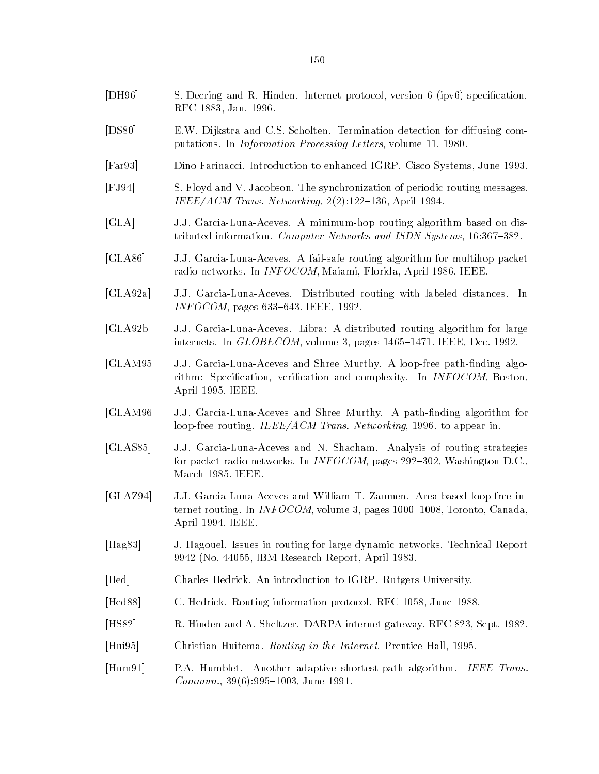- [DH96] S. Deering and R. Hinden. Internet protocol, version 6 (ipv6) specification. RFC 1883, Jan. 1996.
- [DS80] E.W. Dijkstra and C.S. Scholten. Termination detection for diffusing computations. In Information Processing Letters, volume 11. 1980.
- [Far93] Dino Farinacci. Introduction to enhanced IGRP. Cisco Systems, June 1993.
- [FJ94] S. Floyd and V. Jacobson. The synchronization of periodic routing messages. IEEE/ACM Trans. Networking,  $2(2):122-136$ , April 1994.
- [GLA] J.J. Garcia-Luna-Aceves. A minimum-hop routing algorithm based on distributed information. Computer Networks and ISDN Systems, 16:367-382.
- [GLA86] J.J. Garcia-Luna-Aceves. A fail-safe routing algorithm for multihop packet radio networks. In INFOCOM, Maiami, Florida, April 1986. IEEE.
- [GLA92a] J.J. Garcia-Luna-Aceves. Distributed routing with labeled distances. In  $INFOCOM$ , pages 633–643. IEEE, 1992.
- [GLA92b] J.J. Garcia-Luna-Aceves. Libra: A distributed routing algorithm for large internets. In  $GLOBECOM$ , volume 3, pages  $1465-1471$ . IEEE, Dec. 1992.
- [GLAM95] J.J. Garcia-Luna-Aceves and Shree Murthy. A loop-free path-finding algorithm: Specification, verification and complexity. In *INFOCOM*, Boston, April 1995. IEEE.
- [GLAM96] J.J. Garcia-Luna-Aceves and Shree Murthy. A path-finding algorithm for loop-free routing. IEEE/ACM Trans. Networking, 1996. to appear in.
- [GLAS85] J.J. Garcia-Luna-Aceves and N. Shacham. Analysis of routing strategies for packet radio networks. In INFOCOM, pages  $292-302$ , Washington D.C., March 1985. IEEE.
- [GLAZ94] J.J. Garcia-Luna-Aceves and William T. Zaumen. Area-based loop-free internet routing. In INFOCOM, volume 3, pages  $1000{-}1008$ , Toronto, Canada, April 1994. IEEE.
- [Hag83] J. Hagouel. Issues in routing for large dynamic networks. Technical Report 9942 (No. 44055, IBM Research Report, April 1983.
- [Hed] Charles Hedrick. An introduction to IGRP. Rutgers University.
- [Hed88] C. Hedrick. Routing information protocol. RFC 1058, June 1988.
- [HS82] R. Hinden and A. Sheltzer. DARPA internet gateway. RFC 823, Sept. 1982.
- [Hui95] Christian Huitema. Routing in the Internet. Prentice Hall, 1995.
- [Hum91] P.A. Humblet. Another adaptive shortest-path algorithm. IEEE Trans.  $Common., 39(6): 995–1003, June 1991.$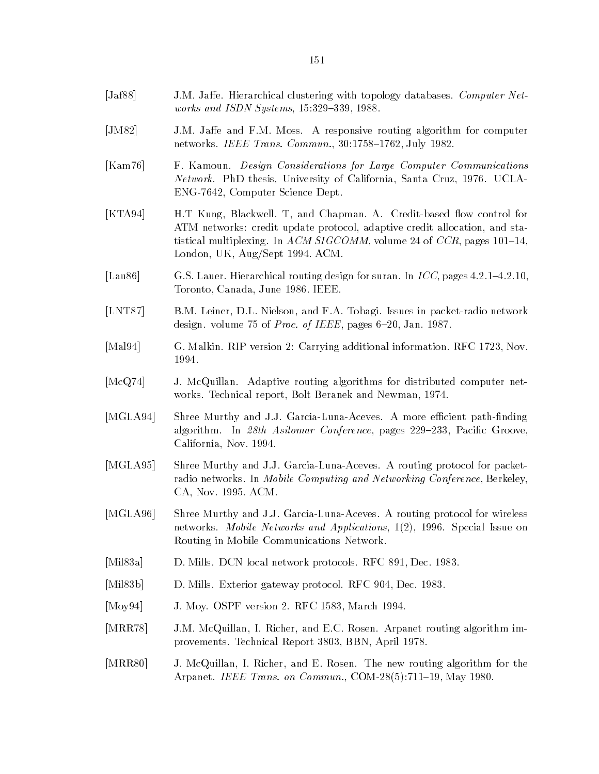- [Jaf88] J.M. Jaffe. Hierarchical clustering with topology databases. Computer Networks and ISDN Systems,  $15:329-339$ ,  $1988$ .
- [JM82] J.M. Jaffe and F.M. Moss. A responsive routing algorithm for computer networks. IEEE Trans. Commun., 30:1758-1762, July 1982.
- [Kam76] F. Kamoun. Design Considerations for Large Computer Communications Network. PhD thesis, University of California, Santa Cruz, 1976. UCLA-ENG-7642, Computer Science Dept.
- [KTA94] H.T Kung, Blackwell. T, and Chapman. A. Credit-based flow control for ATM networks: credit update protocol, adaptive credit allocation, and statistical multiplexing. In ACM SIGCOMM, volume 24 of CCR, pages  $101–14$ , London, UK, Aug/Sept 1994. ACM.
- [Lau86] G.S. Lauer. Hierarchical routing design for suran. In  $ICC$ , pages 4.2.1–4.2.10, Toronto, Canada, June 1986. IEEE.
- [LNT87] B.M. Leiner, D.L. Nielson, and F.A. Tobagi. Issues in packet-radio network design. volume 75 of *Proc. of IEEE*, pages  $6-20$ , Jan. 1987.
- [Mal94] G. Malkin. RIP version 2: Carrying additional information. RFC 1723, Nov. 1994.
- [McQ74] J. McQuillan. Adaptive routing algorithms for distributed computer networks. Technical report, Bolt Beranek and Newman, 1974.
- [MGLA94] Shree Murthy and J.J. Garcia-Luna-Aceves. A more efficient path-finding algorithm. In 28th Asilomar Conference, pages  $229-233$ , Pacific Groove, California, Nov. 1994.
- [MGLA95] Shree Murthy and J.J. Garcia-Luna-Aceves. A routing protocol for packetradio networks. In Mobile Computing and Networking Conference, Berkeley, CA, Nov. 1995. ACM.
- [MGLA96] Shree Murthy and J.J. Garcia-Luna-Aceves. A routing protocol for wireless networks. Mobile Networks and Applications, 1(2), 1996. Special Issue on Routing in Mobile Communications Network.
- [Mil83a] D. Mills. DCN local network protocols. RFC 891, Dec. 1983.
- [Mil83b] D. Mills. Exterior gateway protocol. RFC 904, Dec. 1983.
- [Moy94] J. Moy. OSPF version 2. RFC 1583, March 1994.
- [MRR78] J.M. McQuillan, I. Richer, and E.C. Rosen. Arpanet routing algorithm improvements. Technical Report 3803, BBN, April 1978.
- [MRR80] J. McQuillan, I. Richer, and E. Rosen. The new routing algorithm for the Arpanet. IEEE Trans. on Commun., COM-28(5):711-19, May 1980.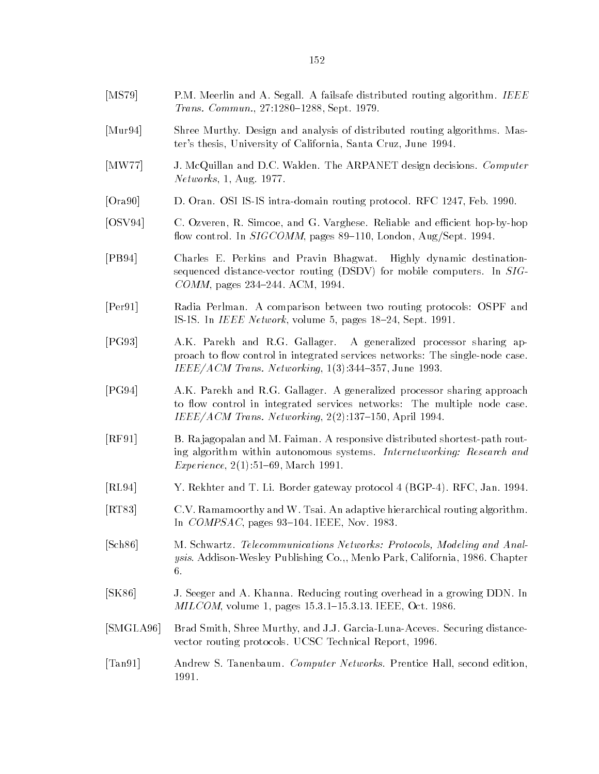- [MS79] P.M. Meerlin and A. Segall. A failsafe distributed routing algorithm. IEEE Trans. Commun., 27:1280-1288, Sept. 1979.
- [Mur94] Shree Murthy. Design and analysis of distributed routing algorithms. Master's thesis, University of California, Santa Cruz, June 1994.
- [MW77] J. McQuillan and D.C. Walden. The ARPANET design decisions. Computer Networks, 1, Aug. 1977.
- [Ora90] D. Oran. OSI IS-IS intra-domain routing protocol. RFC 1247, Feb. 1990.
- [OSV94] C. Ozveren, R. Simcoe, and G. Varghese. Reliable and efficient hop-by-hop flow control. In  $SIGCOMM$ , pages 89-110, London, Aug/Sept. 1994.
- [PB94] Charles E. Perkins and Pravin Bhagwat. Highly dynamic destinationsequenced distance-vector routing (DSDV) for mobile computers. In SIG- $COMM$ , pages 234-244. ACM, 1994.
- [Per91] Radia Perlman. A comparison between two routing protocols: OSPF and IS-IS. In *IEEE Network*, volume 5, pages 18-24, Sept. 1991.
- [PG93] A.K. Parekh and R.G. Gallager. A generalized processor sharing approach to flow control in integrated services networks: The single-node case. IEEE/ACM Trans. Networking,  $1(3):344-357$ , June 1993.
- [PG94] A.K. Parekh and R.G. Gallager. A generalized processor sharing approach to flow control in integrated services networks: The multiple node case.  $IEEE/ACM$  Trans. Networking,  $2(2):137-150$ , April 1994.
- [RF91] B. Ra jagopalan and M. Faiman. A responsive distributed shortest-path routing algorithm within autonomous systems. Internetworking: Research and Experience,  $2(1):51{-}69$ , March 1991.
- [RL94] Y. Rekhter and T. Li. Border gateway protocol 4 (BGP-4). RFC, Jan. 1994.
- [RT83] C.V. Ramamoorthy and W. Tsai. An adaptive hierarchical routing algorithm. In  $COMPSAC$ , pages 93-104. IEEE, Nov. 1983.
- [Sch86] M. Schwartz. Telecommunications Networks: Protocols, Modeling and Analysis. Addison-Wesley Publishing Co.,, Menlo Park, California, 1986. Chapter 6.
- [SK86] J. Seeger and A. Khanna. Reducing routing overhead in a growing DDN. In MILCOM, volume 1, pages 15.3.1-15.3.13. IEEE, Oct. 1986.
- [SMGLA96] Brad Smith, Shree Murthy, and J.J. Garcia-Luna-Aceves. Securing distancevector routing protocols. UCSC Technical Report, 1996.
- [Tan91] Andrew S. Tanenbaum. Computer Networks. Prentice Hall, second edition, 1991.